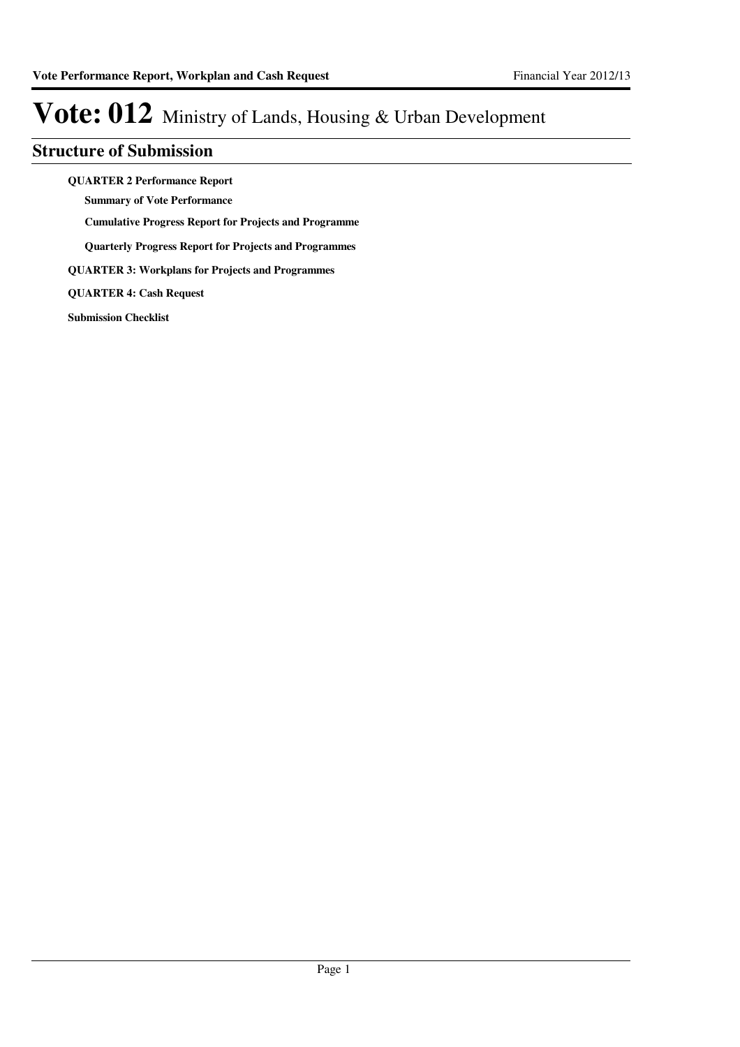### **Structure of Submission**

**QUARTER 2 Performance Report**

**Summary of Vote Performance**

**Cumulative Progress Report for Projects and Programme**

**Quarterly Progress Report for Projects and Programmes**

**QUARTER 3: Workplans for Projects and Programmes**

**QUARTER 4: Cash Request**

**Submission Checklist**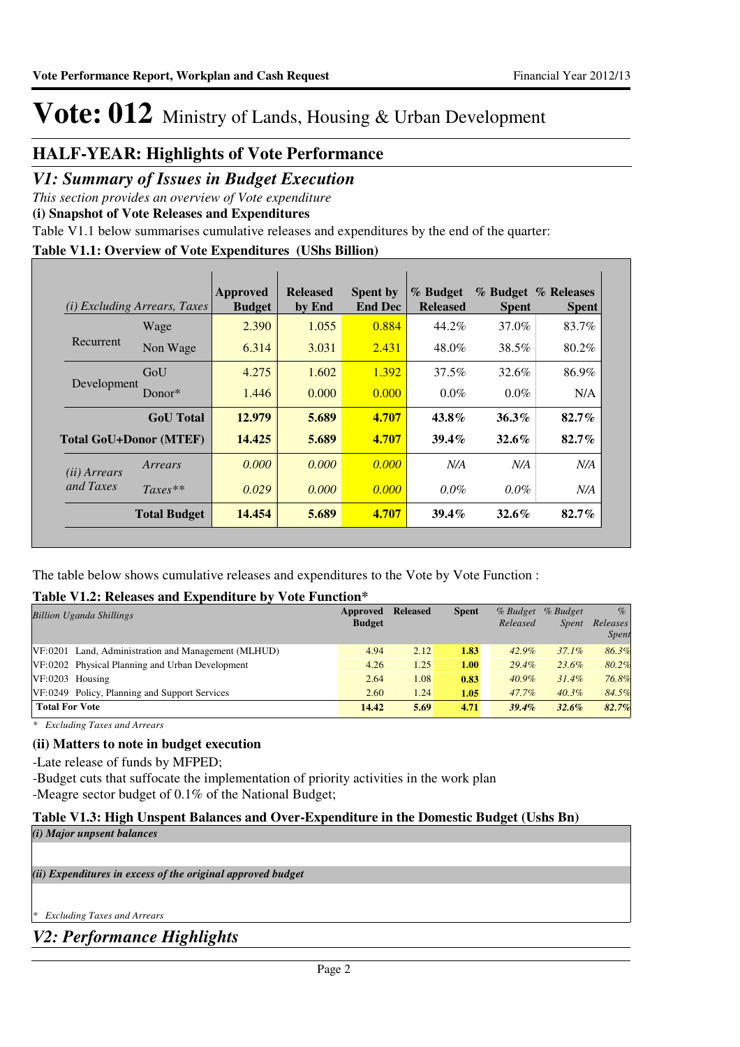### **HALF-YEAR: Highlights of Vote Performance**

### *V1: Summary of Issues in Budget Execution*

*This section provides an overview of Vote expenditure* 

**(i) Snapshot of Vote Releases and Expenditures**

Table V1.1 below summarises cumulative releases and expenditures by the end of the quarter:

### **Table V1.1: Overview of Vote Expenditures (UShs Billion)**

| (i)                   | <i>Excluding Arrears, Taxes</i> | Approved<br><b>Budget</b> | <b>Released</b><br>by End | <b>Spent by</b><br><b>End Dec</b> | % Budget<br><b>Released</b> | <b>Spent</b> | % Budget % Releases<br><b>Spent</b> |
|-----------------------|---------------------------------|---------------------------|---------------------------|-----------------------------------|-----------------------------|--------------|-------------------------------------|
|                       | Wage                            | 2.390                     | 1.055                     | 0.884                             | 44.2%                       | 37.0%        | 83.7%                               |
| Recurrent             | Non Wage                        | 6.314                     | 3.031                     | 2.431                             | 48.0%                       | 38.5%        | 80.2%                               |
|                       | GoU                             | 4.275                     | 1.602                     | 1.392                             | 37.5%                       | 32.6%        | 86.9%                               |
| Development           | Donor $*$                       | 1.446                     | 0.000                     | 0.000                             | $0.0\%$                     | $0.0\%$      | N/A                                 |
|                       | <b>GoU</b> Total                | 12.979                    | 5.689                     | 4.707                             | $43.8\%$                    | $36.3\%$     | $82.7\%$                            |
|                       | <b>Total GoU+Donor (MTEF)</b>   | 14.425                    | 5.689                     | 4.707                             | $39.4\%$                    | $32.6\%$     | $82.7\%$                            |
| ( <i>ii</i> ) Arrears | Arrears                         | 0.000                     | 0.000                     | 0.000                             | N/A                         | N/A          | N/A                                 |
| and Taxes             | $Taxes**$                       | 0.029                     | 0.000                     | 0.000                             | $0.0\%$                     | $0.0\%$      | N/A                                 |
|                       | <b>Total Budget</b>             | 14.454                    | 5.689                     | 4.707                             | $39.4\%$                    | $32.6\%$     | $82.7\%$                            |

The table below shows cumulative releases and expenditures to the Vote by Vote Function :

### **Table V1.2: Releases and Expenditure by Vote Function\***

| <b>Billion Uganda Shillings</b>                     | Approved      | <b>Released</b> | <b>Spent</b> | % Budget | % Budget     | $\%$              |
|-----------------------------------------------------|---------------|-----------------|--------------|----------|--------------|-------------------|
|                                                     | <b>Budget</b> |                 |              | Released | <i>Spent</i> | Releases<br>Spent |
| VF:0201 Land, Administration and Management (MLHUD) | 4.94          | 2.12            | 1.83         | 42.9%    | $37.1\%$     | 86.3%             |
| VF:0202 Physical Planning and Urban Development     | 4.26          | 1.25            | 1.00         | 29.4%    | 23.6%        | 80.2%             |
| $VF:0203$ Housing                                   | 2.64          | 1.08            | 0.83         | $40.9\%$ | $31.4\%$     | 76.8%             |
| VF:0249 Policy, Planning and Support Services       | 2.60          | 1.24            | 1.05         | 47.7%    | $40.3\%$     | 84.5%             |
| <b>Total For Vote</b>                               | 14.42         | 5.69            | 4.71         | $39.4\%$ | $32.6\%$     | 82.7%             |
|                                                     |               |                 |              |          |              |                   |

*\* Excluding Taxes and Arrears*

### **(ii) Matters to note in budget execution**

-Late release of funds by MFPED;

-Budget cuts that suffocate the implementation of priority activities in the work plan -Meagre sector budget of 0.1% of the National Budget;

### **Table V1.3: High Unspent Balances and Over-Expenditure in the Domestic Budget (Ushs Bn)**

*(i) Major unpsent balances*

*(ii) Expenditures in excess of the original approved budget*

*\* Excluding Taxes and Arrears*

*V2: Performance Highlights*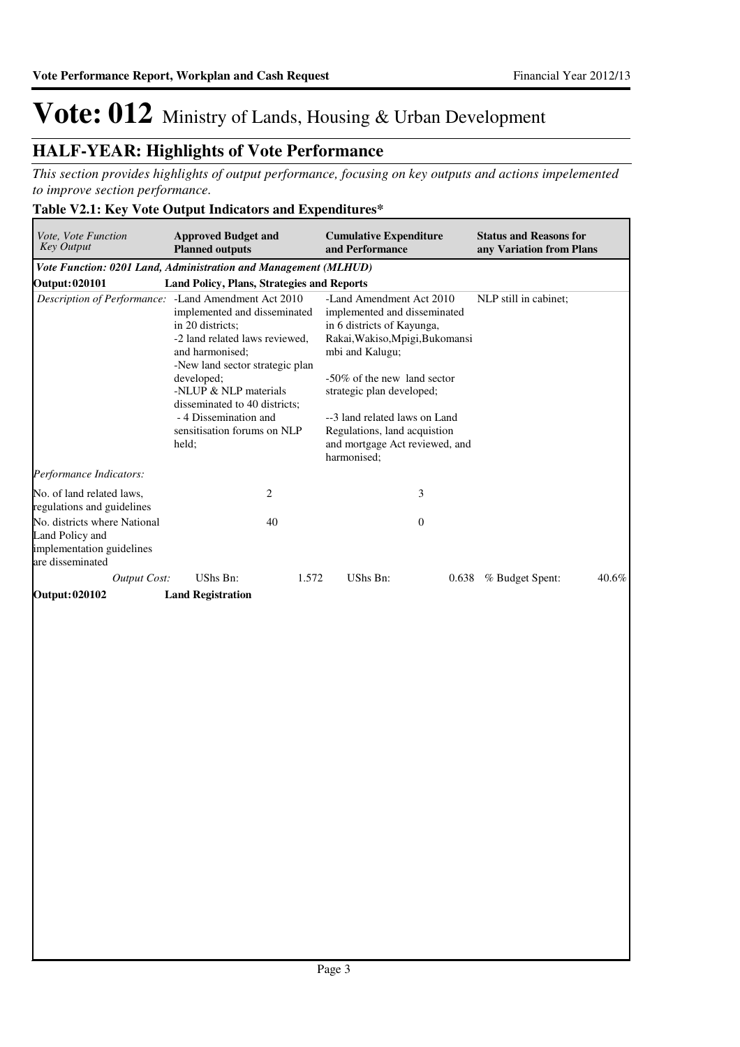### **HALF-YEAR: Highlights of Vote Performance**

*This section provides highlights of output performance, focusing on key outputs and actions impelemented to improve section performance.*

### **Table V2.1: Key Vote Output Indicators and Expenditures\***

| <i>Vote, Vote Function</i><br><b>Key Output</b>                                                  | <b>Approved Budget and</b><br><b>Planned outputs</b>                                                                                                                                                                                                                                                          | <b>Cumulative Expenditure</b><br>and Performance                                                                                                                                                                                                                                                                           | <b>Status and Reasons for</b><br>any Variation from Plans |
|--------------------------------------------------------------------------------------------------|---------------------------------------------------------------------------------------------------------------------------------------------------------------------------------------------------------------------------------------------------------------------------------------------------------------|----------------------------------------------------------------------------------------------------------------------------------------------------------------------------------------------------------------------------------------------------------------------------------------------------------------------------|-----------------------------------------------------------|
|                                                                                                  | Vote Function: 0201 Land, Administration and Management (MLHUD)                                                                                                                                                                                                                                               |                                                                                                                                                                                                                                                                                                                            |                                                           |
| <b>Output: 020101</b>                                                                            | Land Policy, Plans, Strategies and Reports                                                                                                                                                                                                                                                                    |                                                                                                                                                                                                                                                                                                                            |                                                           |
| Description of Performance:                                                                      | -Land Amendment Act 2010<br>implemented and disseminated<br>in 20 districts:<br>-2 land related laws reviewed.<br>and harmonised:<br>-New land sector strategic plan<br>developed;<br>-NLUP & NLP materials<br>disseminated to 40 districts:<br>- 4 Dissemination and<br>sensitisation forums on NLP<br>held; | -Land Amendment Act 2010<br>implemented and disseminated<br>in 6 districts of Kayunga,<br>Rakai, Wakiso, Mpigi, Bukomansi<br>mbi and Kalugu;<br>-50% of the new land sector<br>strategic plan developed;<br>--3 land related laws on Land<br>Regulations, land acquistion<br>and mortgage Act reviewed, and<br>harmonised: | NLP still in cabinet;                                     |
| Performance Indicators:                                                                          |                                                                                                                                                                                                                                                                                                               |                                                                                                                                                                                                                                                                                                                            |                                                           |
| No. of land related laws,<br>regulations and guidelines                                          | 2                                                                                                                                                                                                                                                                                                             | 3                                                                                                                                                                                                                                                                                                                          |                                                           |
| No. districts where National<br>Land Policy and<br>implementation guidelines<br>are disseminated | 40                                                                                                                                                                                                                                                                                                            | $\overline{0}$                                                                                                                                                                                                                                                                                                             |                                                           |
| <b>Output Cost:</b>                                                                              | UShs Bn:<br>1.572                                                                                                                                                                                                                                                                                             | UShs Bn:<br>0.638                                                                                                                                                                                                                                                                                                          | % Budget Spent:<br>$40.6\%$                               |
| Output: 020102                                                                                   | <b>Land Registration</b>                                                                                                                                                                                                                                                                                      |                                                                                                                                                                                                                                                                                                                            |                                                           |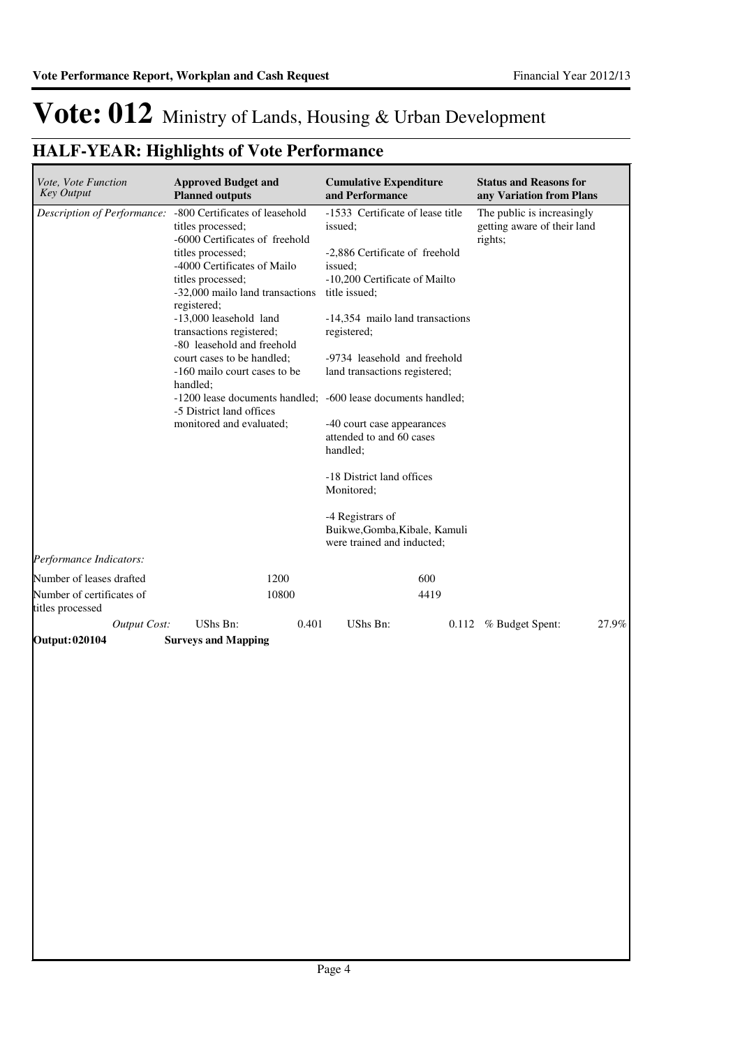## **HALF-YEAR: Highlights of Vote Performance**

| Vote, Vote Function<br><b>Key Output</b>      | <b>Approved Budget and</b><br><b>Planned outputs</b>                                                                                                                                                                                                                                                                                                                                                                                                                | <b>Cumulative Expenditure</b><br>and Performance                                                                                                                                                                                                                                                                                                                                                                                                                                                                                  | <b>Status and Reasons for</b><br>any Variation from Plans            |
|-----------------------------------------------|---------------------------------------------------------------------------------------------------------------------------------------------------------------------------------------------------------------------------------------------------------------------------------------------------------------------------------------------------------------------------------------------------------------------------------------------------------------------|-----------------------------------------------------------------------------------------------------------------------------------------------------------------------------------------------------------------------------------------------------------------------------------------------------------------------------------------------------------------------------------------------------------------------------------------------------------------------------------------------------------------------------------|----------------------------------------------------------------------|
|                                               | Description of Performance: - 800 Certificates of leasehold<br>titles processed;<br>-6000 Certificates of freehold<br>titles processed;<br>-4000 Certificates of Mailo<br>titles processed;<br>-32,000 mailo land transactions<br>registered;<br>-13,000 leasehold land<br>transactions registered;<br>-80 leasehold and freehold<br>court cases to be handled;<br>-160 mailo court cases to be<br>handled;<br>-5 District land offices<br>monitored and evaluated; | -1533 Certificate of lease title<br>issued;<br>-2,886 Certificate of freehold<br>issued;<br>-10,200 Certificate of Mailto<br>title issued;<br>-14,354 mailo land transactions<br>registered;<br>-9734 leasehold and freehold<br>land transactions registered;<br>-1200 lease documents handled; -600 lease documents handled;<br>-40 court case appearances<br>attended to and 60 cases<br>handled;<br>-18 District land offices<br>Monitored;<br>-4 Registrars of<br>Buikwe, Gomba, Kibale, Kamuli<br>were trained and inducted; | The public is increasingly<br>getting aware of their land<br>rights; |
| Performance Indicators:                       |                                                                                                                                                                                                                                                                                                                                                                                                                                                                     |                                                                                                                                                                                                                                                                                                                                                                                                                                                                                                                                   |                                                                      |
| Number of leases drafted                      | 1200                                                                                                                                                                                                                                                                                                                                                                                                                                                                | 600                                                                                                                                                                                                                                                                                                                                                                                                                                                                                                                               |                                                                      |
| Number of certificates of<br>titles processed | 10800                                                                                                                                                                                                                                                                                                                                                                                                                                                               | 4419                                                                                                                                                                                                                                                                                                                                                                                                                                                                                                                              |                                                                      |
| <b>Output Cost:</b>                           | UShs Bn:                                                                                                                                                                                                                                                                                                                                                                                                                                                            | 0.401<br>UShs Bn:                                                                                                                                                                                                                                                                                                                                                                                                                                                                                                                 | 27.9%<br>0.112 % Budget Spent:                                       |
| <b>Output: 020104</b>                         | <b>Surveys and Mapping</b>                                                                                                                                                                                                                                                                                                                                                                                                                                          |                                                                                                                                                                                                                                                                                                                                                                                                                                                                                                                                   |                                                                      |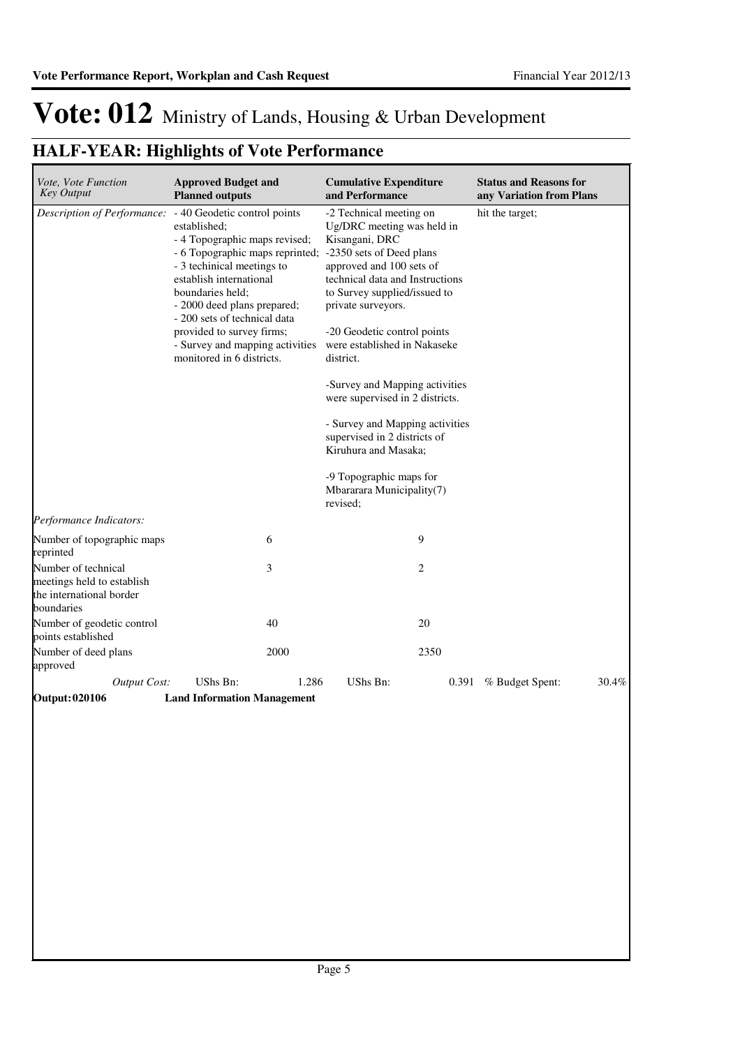## **HALF-YEAR: Highlights of Vote Performance**

| Vote, Vote Function<br><b>Key Output</b>                                                    | <b>Approved Budget and</b><br><b>Planned outputs</b>                                                                                                                                                                                                                                                                                                      |       | <b>Cumulative Expenditure</b><br>and Performance                                                                                                                                                                                                                                                                                                                                                                                                                                                                                         |       | <b>Status and Reasons for</b><br>any Variation from Plans |       |
|---------------------------------------------------------------------------------------------|-----------------------------------------------------------------------------------------------------------------------------------------------------------------------------------------------------------------------------------------------------------------------------------------------------------------------------------------------------------|-------|------------------------------------------------------------------------------------------------------------------------------------------------------------------------------------------------------------------------------------------------------------------------------------------------------------------------------------------------------------------------------------------------------------------------------------------------------------------------------------------------------------------------------------------|-------|-----------------------------------------------------------|-------|
| Description of Performance:                                                                 | - 40 Geodetic control points<br>established:<br>- 4 Topographic maps revised;<br>- 6 Topographic maps reprinted;<br>- 3 techinical meetings to<br>establish international<br>boundaries held;<br>- 2000 deed plans prepared;<br>- 200 sets of technical data<br>provided to survey firms;<br>- Survey and mapping activities<br>monitored in 6 districts. |       | -2 Technical meeting on<br>Ug/DRC meeting was held in<br>Kisangani, DRC<br>-2350 sets of Deed plans<br>approved and 100 sets of<br>technical data and Instructions<br>to Survey supplied/issued to<br>private surveyors.<br>-20 Geodetic control points<br>were established in Nakaseke<br>district.<br>-Survey and Mapping activities<br>were supervised in 2 districts.<br>- Survey and Mapping activities<br>supervised in 2 districts of<br>Kiruhura and Masaka;<br>-9 Topographic maps for<br>Mbararara Municipality(7)<br>revised; |       | hit the target;                                           |       |
| Performance Indicators:                                                                     |                                                                                                                                                                                                                                                                                                                                                           |       |                                                                                                                                                                                                                                                                                                                                                                                                                                                                                                                                          |       |                                                           |       |
| Number of topographic maps<br>reprinted                                                     |                                                                                                                                                                                                                                                                                                                                                           | 6     |                                                                                                                                                                                                                                                                                                                                                                                                                                                                                                                                          | 9     |                                                           |       |
| Number of technical<br>meetings held to establish<br>the international border<br>boundaries |                                                                                                                                                                                                                                                                                                                                                           | 3     |                                                                                                                                                                                                                                                                                                                                                                                                                                                                                                                                          | 2     |                                                           |       |
| Number of geodetic control<br>points established                                            |                                                                                                                                                                                                                                                                                                                                                           | 40    |                                                                                                                                                                                                                                                                                                                                                                                                                                                                                                                                          | 20    |                                                           |       |
| Number of deed plans<br>approved                                                            |                                                                                                                                                                                                                                                                                                                                                           | 2000  |                                                                                                                                                                                                                                                                                                                                                                                                                                                                                                                                          | 2350  |                                                           |       |
| <b>Output Cost:</b>                                                                         | UShs Bn:                                                                                                                                                                                                                                                                                                                                                  | 1.286 | UShs Bn:                                                                                                                                                                                                                                                                                                                                                                                                                                                                                                                                 | 0.391 | % Budget Spent:                                           | 30.4% |
| Output: 020106                                                                              | <b>Land Information Management</b>                                                                                                                                                                                                                                                                                                                        |       |                                                                                                                                                                                                                                                                                                                                                                                                                                                                                                                                          |       |                                                           |       |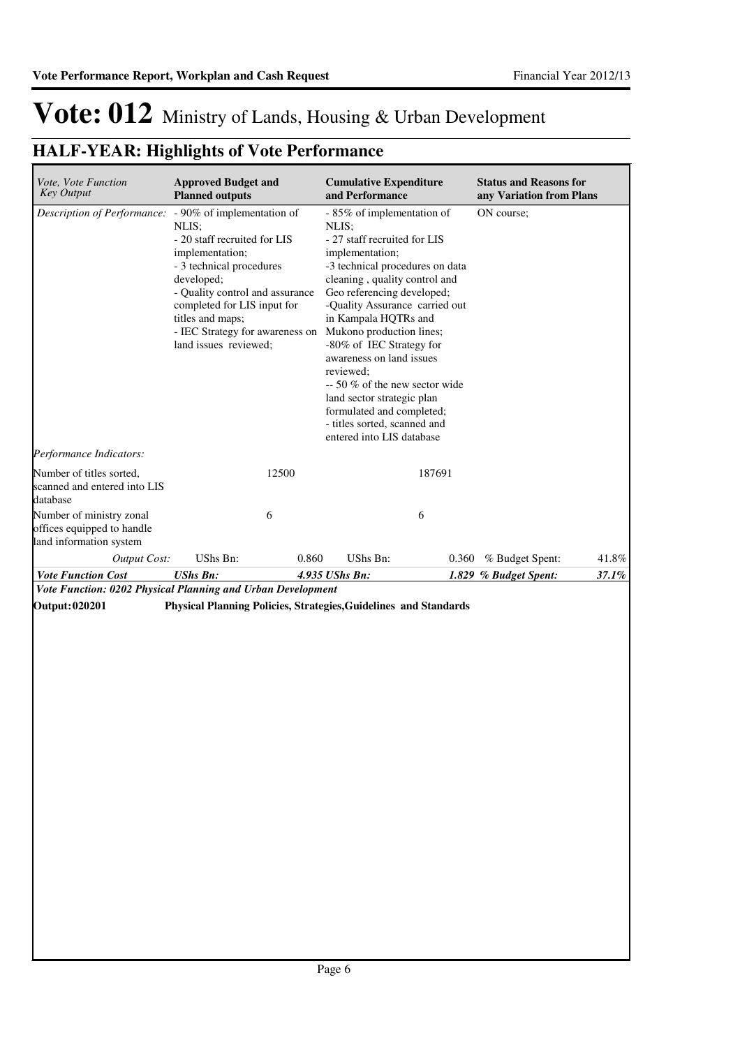## **HALF-YEAR: Highlights of Vote Performance**

| Vote, Vote Function<br><b>Key Output</b>                                          | <b>Approved Budget and</b><br><b>Planned outputs</b>                                                                                                                                                                                                                               | <b>Cumulative Expenditure</b><br>and Performance                                                                                                                                                                                                                             |                                                                                                                                                                                                                               | <b>Status and Reasons for</b><br>any Variation from Plans |       |
|-----------------------------------------------------------------------------------|------------------------------------------------------------------------------------------------------------------------------------------------------------------------------------------------------------------------------------------------------------------------------------|------------------------------------------------------------------------------------------------------------------------------------------------------------------------------------------------------------------------------------------------------------------------------|-------------------------------------------------------------------------------------------------------------------------------------------------------------------------------------------------------------------------------|-----------------------------------------------------------|-------|
| Description of Performance:                                                       | - 90% of implementation of<br>NLIS:<br>- 20 staff recruited for LIS<br>implementation;<br>- 3 technical procedures<br>developed;<br>- Quality control and assurance<br>completed for LIS input for<br>titles and maps;<br>- IEC Strategy for awareness on<br>land issues reviewed; | NLIS:<br>- 27 staff recruited for LIS<br>implementation;<br>in Kampala HQTRs and<br>Mukono production lines;<br>-80% of IEC Strategy for<br>awareness on land issues<br>reviewed:<br>land sector strategic plan<br>- titles sorted, scanned and<br>entered into LIS database | - 85% of implementation of<br>-3 technical procedures on data<br>cleaning, quality control and<br>Geo referencing developed;<br>-Quality Assurance carried out<br>$-50\%$ of the new sector wide<br>formulated and completed; | ON course;                                                |       |
| Performance Indicators:                                                           |                                                                                                                                                                                                                                                                                    |                                                                                                                                                                                                                                                                              |                                                                                                                                                                                                                               |                                                           |       |
| Number of titles sorted,<br>scanned and entered into LIS<br>database              | 12500                                                                                                                                                                                                                                                                              |                                                                                                                                                                                                                                                                              | 187691                                                                                                                                                                                                                        |                                                           |       |
| Number of ministry zonal<br>offices equipped to handle<br>land information system | 6                                                                                                                                                                                                                                                                                  |                                                                                                                                                                                                                                                                              | 6                                                                                                                                                                                                                             |                                                           |       |
| <b>Output Cost:</b>                                                               | <b>UShs Bn:</b>                                                                                                                                                                                                                                                                    | UShs Bn:<br>0.860                                                                                                                                                                                                                                                            | 0.360                                                                                                                                                                                                                         | % Budget Spent:                                           | 41.8% |
| <b>Vote Function Cost</b>                                                         | <b>UShs Bn:</b>                                                                                                                                                                                                                                                                    | 4.935 UShs Bn:                                                                                                                                                                                                                                                               |                                                                                                                                                                                                                               | 1.829 % Budget Spent:                                     | 37.1% |

*Vote Function: 0202 Physical Planning and Urban Development*

**Output: 020201 Physical Planning Policies, Strategies,Guidelines and Standards**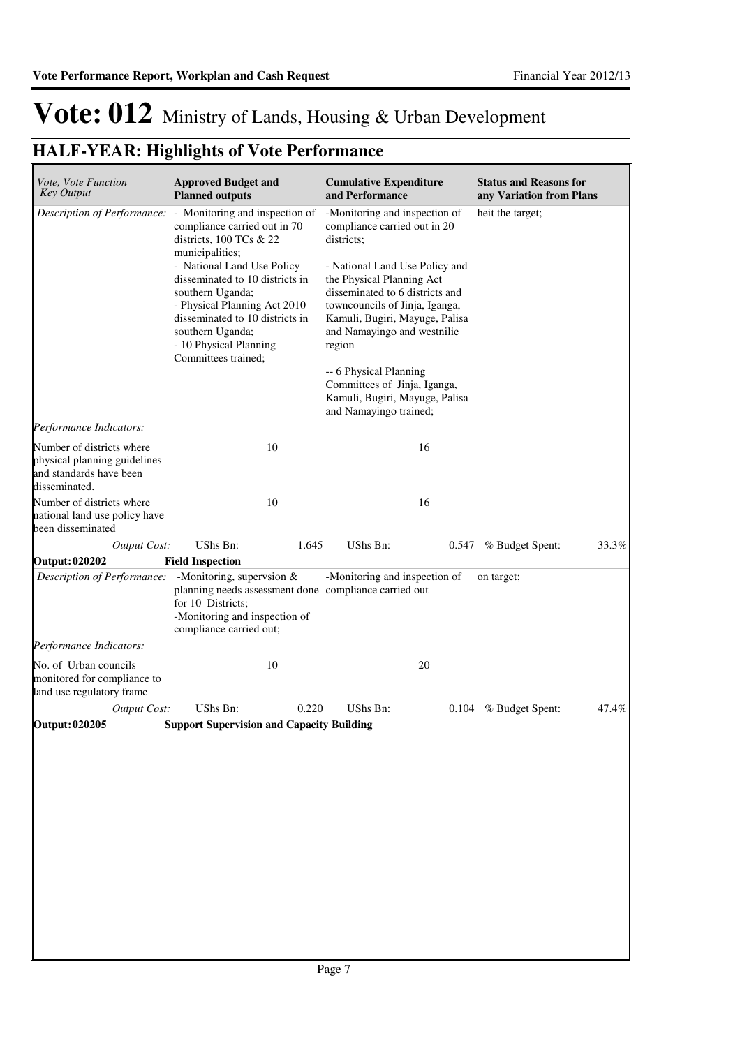## **HALF-YEAR: Highlights of Vote Performance**

| Vote, Vote Function<br><b>Key Output</b>                                                              | <b>Approved Budget and</b><br><b>Planned outputs</b>                                                                                                                                                                                                                                                                                        | <b>Cumulative Expenditure</b><br>and Performance                                                                                                                                                                                                                                                                                                                                                                 | <b>Status and Reasons for</b><br>any Variation from Plans |
|-------------------------------------------------------------------------------------------------------|---------------------------------------------------------------------------------------------------------------------------------------------------------------------------------------------------------------------------------------------------------------------------------------------------------------------------------------------|------------------------------------------------------------------------------------------------------------------------------------------------------------------------------------------------------------------------------------------------------------------------------------------------------------------------------------------------------------------------------------------------------------------|-----------------------------------------------------------|
| Description of Performance:                                                                           | - Monitoring and inspection of<br>compliance carried out in 70<br>districts, $100$ TCs & 22<br>municipalities;<br>- National Land Use Policy<br>disseminated to 10 districts in<br>southern Uganda;<br>- Physical Planning Act 2010<br>disseminated to 10 districts in<br>southern Uganda;<br>- 10 Physical Planning<br>Committees trained; | -Monitoring and inspection of<br>compliance carried out in 20<br>districts;<br>- National Land Use Policy and<br>the Physical Planning Act<br>disseminated to 6 districts and<br>towncouncils of Jinja, Iganga,<br>Kamuli, Bugiri, Mayuge, Palisa<br>and Namayingo and westnilie<br>region<br>-- 6 Physical Planning<br>Committees of Jinja, Iganga,<br>Kamuli, Bugiri, Mayuge, Palisa<br>and Namayingo trained; | heit the target;                                          |
| Performance Indicators:                                                                               |                                                                                                                                                                                                                                                                                                                                             |                                                                                                                                                                                                                                                                                                                                                                                                                  |                                                           |
| Number of districts where<br>physical planning guidelines<br>and standards have been<br>disseminated. | 10                                                                                                                                                                                                                                                                                                                                          | 16                                                                                                                                                                                                                                                                                                                                                                                                               |                                                           |
| Number of districts where<br>national land use policy have<br>been disseminated                       | 10                                                                                                                                                                                                                                                                                                                                          | 16                                                                                                                                                                                                                                                                                                                                                                                                               |                                                           |
| <b>Output Cost:</b>                                                                                   | UShs Bn:                                                                                                                                                                                                                                                                                                                                    | UShs Bn:<br>1.645                                                                                                                                                                                                                                                                                                                                                                                                | 0.547 % Budget Spent:<br>33.3%                            |
| <b>Output: 020202</b>                                                                                 | <b>Field Inspection</b>                                                                                                                                                                                                                                                                                                                     |                                                                                                                                                                                                                                                                                                                                                                                                                  |                                                           |
| Description of Performance:                                                                           | -Monitoring, supervsion $&$<br>planning needs assessment done compliance carried out<br>for 10 Districts;<br>-Monitoring and inspection of<br>compliance carried out;                                                                                                                                                                       | -Monitoring and inspection of                                                                                                                                                                                                                                                                                                                                                                                    | on target;                                                |
| Performance Indicators:                                                                               |                                                                                                                                                                                                                                                                                                                                             |                                                                                                                                                                                                                                                                                                                                                                                                                  |                                                           |
| No. of Urban councils<br>monitored for compliance to<br>land use regulatory frame                     | 10                                                                                                                                                                                                                                                                                                                                          | 20                                                                                                                                                                                                                                                                                                                                                                                                               |                                                           |
| <b>Output Cost:</b>                                                                                   | UShs Bn:                                                                                                                                                                                                                                                                                                                                    | 0.220<br>UShs Bn:                                                                                                                                                                                                                                                                                                                                                                                                | 47.4%<br>0.104 % Budget Spent:                            |
| <b>Output: 020205</b>                                                                                 | <b>Support Supervision and Capacity Building</b>                                                                                                                                                                                                                                                                                            |                                                                                                                                                                                                                                                                                                                                                                                                                  |                                                           |
|                                                                                                       |                                                                                                                                                                                                                                                                                                                                             |                                                                                                                                                                                                                                                                                                                                                                                                                  |                                                           |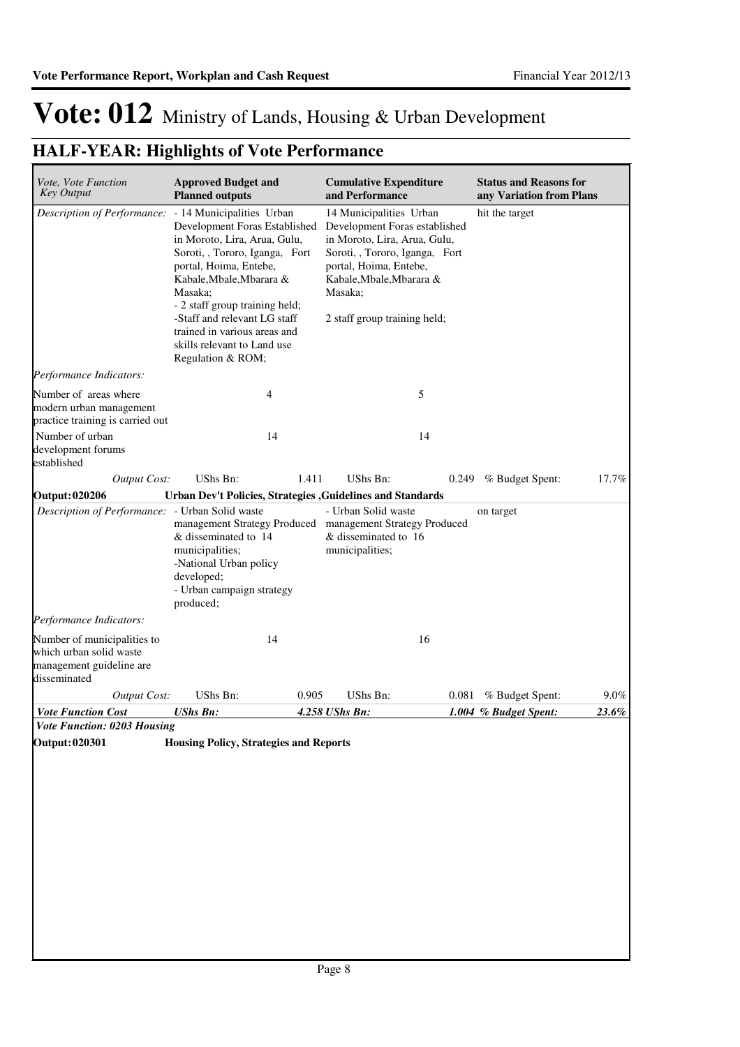## **HALF-YEAR: Highlights of Vote Performance**

| Vote, Vote Function<br><b>Key Output</b>                                                           | <b>Approved Budget and</b><br><b>Planned outputs</b>                                                                                                                                                                                                                                                                                                | <b>Cumulative Expenditure</b><br>and Performance                                                                                                                                                                            | <b>Status and Reasons for</b><br>any Variation from Plans |
|----------------------------------------------------------------------------------------------------|-----------------------------------------------------------------------------------------------------------------------------------------------------------------------------------------------------------------------------------------------------------------------------------------------------------------------------------------------------|-----------------------------------------------------------------------------------------------------------------------------------------------------------------------------------------------------------------------------|-----------------------------------------------------------|
| Description of Performance:                                                                        | - 14 Municipalities Urban<br>Development Foras Established<br>in Moroto, Lira, Arua, Gulu,<br>Soroti, , Tororo, Iganga, Fort<br>portal, Hoima, Entebe,<br>Kabale, Mbale, Mbarara &<br>Masaka:<br>- 2 staff group training held;<br>-Staff and relevant LG staff<br>trained in various areas and<br>skills relevant to Land use<br>Regulation & ROM; | 14 Municipalities Urban<br>Development Foras established<br>in Moroto, Lira, Arua, Gulu,<br>Soroti, , Tororo, Iganga, Fort<br>portal, Hoima, Entebe,<br>Kabale, Mbale, Mbarara &<br>Masaka;<br>2 staff group training held; | hit the target                                            |
| Performance Indicators:                                                                            |                                                                                                                                                                                                                                                                                                                                                     |                                                                                                                                                                                                                             |                                                           |
| Number of areas where<br>modern urban management<br>practice training is carried out               | 4                                                                                                                                                                                                                                                                                                                                                   | 5                                                                                                                                                                                                                           |                                                           |
| Number of urban<br>development forums<br>established                                               | 14                                                                                                                                                                                                                                                                                                                                                  | 14                                                                                                                                                                                                                          |                                                           |
| Output Cost:                                                                                       | UShs Bn:                                                                                                                                                                                                                                                                                                                                            | UShs Bn:<br>1.411<br>0.249                                                                                                                                                                                                  | 17.7%<br>% Budget Spent:                                  |
| <b>Output: 020206</b>                                                                              |                                                                                                                                                                                                                                                                                                                                                     | Urban Dev't Policies, Strategies , Guidelines and Standards                                                                                                                                                                 |                                                           |
| Description of Performance: - Urban Solid waste                                                    | management Strategy Produced<br>& disseminated to 14<br>municipalities;<br>-National Urban policy<br>developed;<br>- Urban campaign strategy<br>produced;                                                                                                                                                                                           | management Strategy Produced<br>& disseminated to 16<br>municipalities;                                                                                                                                                     |                                                           |
| Performance Indicators:                                                                            |                                                                                                                                                                                                                                                                                                                                                     |                                                                                                                                                                                                                             |                                                           |
| Number of municipalities to<br>which urban solid waste<br>management guideline are<br>disseminated | 14                                                                                                                                                                                                                                                                                                                                                  | 16                                                                                                                                                                                                                          |                                                           |
| <b>Output Cost:</b>                                                                                | UShs Bn:                                                                                                                                                                                                                                                                                                                                            | UShs Bn:<br>0.905<br>0.081                                                                                                                                                                                                  | % Budget Spent:<br>$9.0\%$                                |
| <b>Vote Function Cost</b>                                                                          | <b>UShs Bn:</b>                                                                                                                                                                                                                                                                                                                                     | 4.258 UShs Bn:                                                                                                                                                                                                              | 23.6%<br>1.004 % Budget Spent:                            |
| <b>Vote Function: 0203 Housing</b>                                                                 |                                                                                                                                                                                                                                                                                                                                                     |                                                                                                                                                                                                                             |                                                           |
| <b>Output: 020301</b>                                                                              | <b>Housing Policy, Strategies and Reports</b>                                                                                                                                                                                                                                                                                                       |                                                                                                                                                                                                                             |                                                           |
|                                                                                                    |                                                                                                                                                                                                                                                                                                                                                     |                                                                                                                                                                                                                             |                                                           |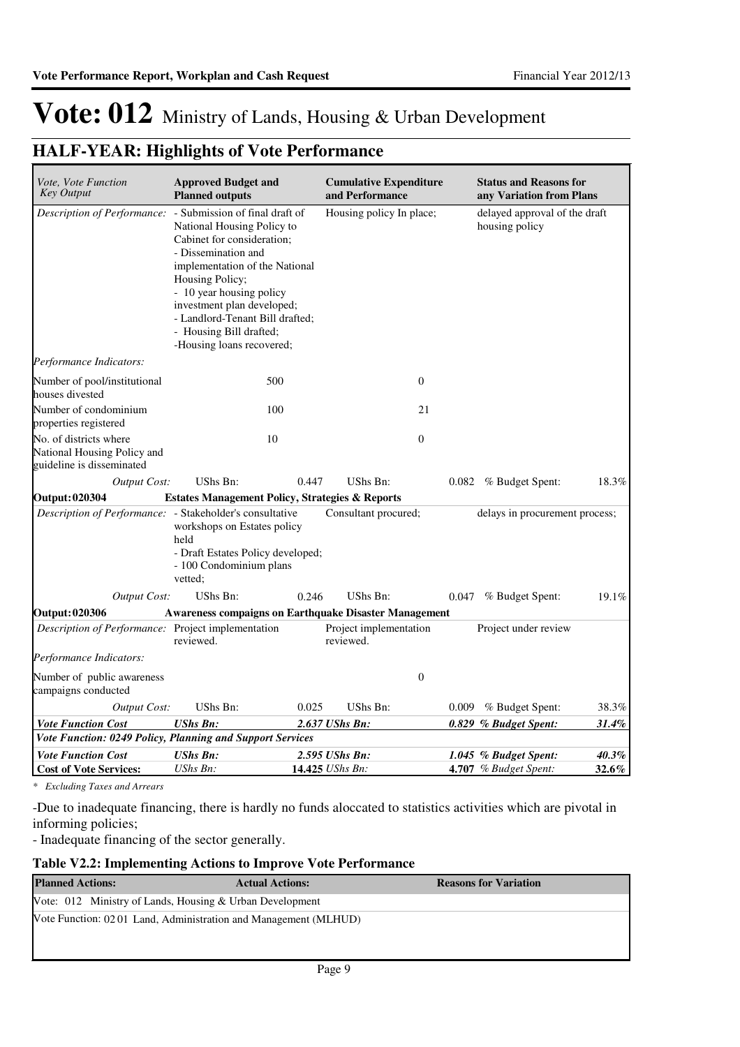### **HALF-YEAR: Highlights of Vote Performance**

| Vote, Vote Function<br><b>Key Output</b>                                           | <b>Approved Budget and</b><br><b>Planned outputs</b>                                                                                                                                                                                                                                      |       | <b>Cumulative Expenditure</b><br>and Performance |       | <b>Status and Reasons for</b><br>any Variation from Plans |       |
|------------------------------------------------------------------------------------|-------------------------------------------------------------------------------------------------------------------------------------------------------------------------------------------------------------------------------------------------------------------------------------------|-------|--------------------------------------------------|-------|-----------------------------------------------------------|-------|
| Description of Performance: - Submission of final draft of                         | National Housing Policy to<br>Cabinet for consideration;<br>- Dissemination and<br>implementation of the National<br>Housing Policy;<br>- 10 year housing policy<br>investment plan developed;<br>- Landlord-Tenant Bill drafted;<br>- Housing Bill drafted;<br>-Housing loans recovered; |       | Housing policy In place;                         |       | delayed approval of the draft<br>housing policy           |       |
| Performance Indicators:                                                            |                                                                                                                                                                                                                                                                                           |       |                                                  |       |                                                           |       |
| Number of pool/institutional<br>houses divested                                    | 500                                                                                                                                                                                                                                                                                       |       | $\mathbf{0}$                                     |       |                                                           |       |
| Number of condominium<br>properties registered                                     | 100                                                                                                                                                                                                                                                                                       |       |                                                  | 21    |                                                           |       |
| No. of districts where<br>National Housing Policy and<br>guideline is disseminated | 10                                                                                                                                                                                                                                                                                        |       | $\theta$                                         |       |                                                           |       |
| <b>Output Cost:</b>                                                                | UShs Bn:                                                                                                                                                                                                                                                                                  | 0.447 | UShs Bn:                                         | 0.082 | % Budget Spent:                                           | 18.3% |
| <b>Output: 020304</b>                                                              | <b>Estates Management Policy, Strategies &amp; Reports</b>                                                                                                                                                                                                                                |       |                                                  |       |                                                           |       |
| Description of Performance: - Stakeholder's consultative                           | workshops on Estates policy<br>held<br>- Draft Estates Policy developed;<br>- 100 Condominium plans<br>vetted:                                                                                                                                                                            |       | Consultant procured;                             |       | delays in procurement process;                            |       |
| Output Cost:                                                                       | UShs Bn:                                                                                                                                                                                                                                                                                  | 0.246 | UShs Bn:                                         | 0.047 | % Budget Spent:                                           | 19.1% |
| <b>Output: 020306</b>                                                              | <b>Awareness compaigns on Earthquake Disaster Management</b>                                                                                                                                                                                                                              |       |                                                  |       |                                                           |       |
| Description of Performance: Project implementation                                 | reviewed.                                                                                                                                                                                                                                                                                 |       | Project implementation<br>reviewed.              |       | Project under review                                      |       |
| Performance Indicators:                                                            |                                                                                                                                                                                                                                                                                           |       |                                                  |       |                                                           |       |
| Number of public awareness<br>campaigns conducted                                  |                                                                                                                                                                                                                                                                                           |       | $\boldsymbol{0}$                                 |       |                                                           |       |
| Output Cost:                                                                       | <b>UShs Bn:</b>                                                                                                                                                                                                                                                                           | 0.025 | UShs Bn:                                         | 0.009 | % Budget Spent:                                           | 38.3% |
| <b>Vote Function Cost</b>                                                          | <b>UShs Bn:</b>                                                                                                                                                                                                                                                                           |       | 2.637 UShs Bn:                                   |       | 0.829 % Budget Spent:                                     | 31.4% |
| Vote Function: 0249 Policy, Planning and Support Services                          |                                                                                                                                                                                                                                                                                           |       |                                                  |       |                                                           |       |
| <b>Vote Function Cost</b>                                                          | <b>UShs Bn:</b>                                                                                                                                                                                                                                                                           |       | 2.595 UShs Bn:                                   |       | 1.045 % Budget Spent:                                     | 40.3% |
| <b>Cost of Vote Services:</b>                                                      | UShs Bn:                                                                                                                                                                                                                                                                                  |       | 14.425 UShs Bn:                                  |       | 4.707 % Budget Spent:                                     | 32.6% |

*\* Excluding Taxes and Arrears*

-Due to inadequate financing, there is hardly no funds aloccated to statistics activities which are pivotal in informing policies;

- Inadequate financing of the sector generally.

### **Table V2.2: Implementing Actions to Improve Vote Performance**

| <b>Actual Actions:</b> | <b>Reasons for Variation</b>                                                                                                  |
|------------------------|-------------------------------------------------------------------------------------------------------------------------------|
|                        |                                                                                                                               |
|                        |                                                                                                                               |
|                        |                                                                                                                               |
|                        | Vote: $012$ Ministry of Lands, Housing & Urban Development<br>Vote Function: 0201 Land, Administration and Management (MLHUD) |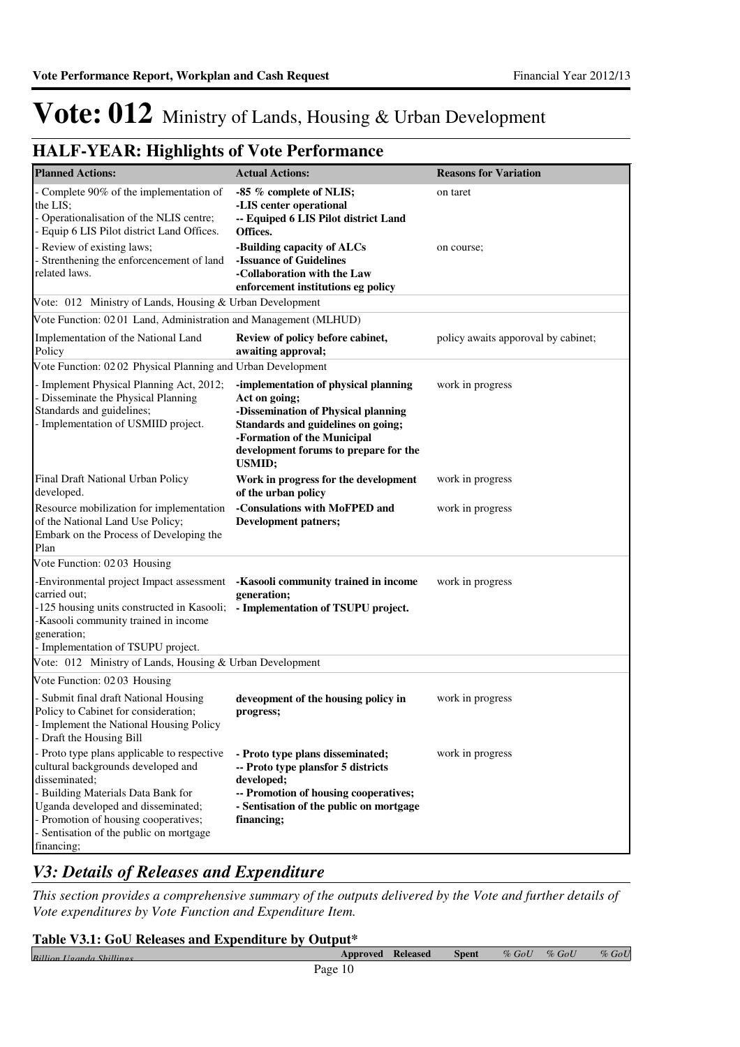### **HALF-YEAR: Highlights of Vote Performance**

| <b>Planned Actions:</b>                                                                                                                                                                                                                                                       | <b>Actual Actions:</b>                                                                                                                                                                                                      | <b>Reasons for Variation</b>        |
|-------------------------------------------------------------------------------------------------------------------------------------------------------------------------------------------------------------------------------------------------------------------------------|-----------------------------------------------------------------------------------------------------------------------------------------------------------------------------------------------------------------------------|-------------------------------------|
| Complete 90% of the implementation of<br>the LIS;<br>- Operationalisation of the NLIS centre;<br>- Equip 6 LIS Pilot district Land Offices.                                                                                                                                   | -85 % complete of NLIS;<br>-LIS center operational<br>-- Equiped 6 LIS Pilot district Land<br>Offices.                                                                                                                      | on taret                            |
| - Review of existing laws;<br>Strenthening the enforcencement of land<br>related laws.                                                                                                                                                                                        | -Building capacity of ALCs<br>-Issuance of Guidelines<br>-Collaboration with the Law<br>enforcement institutions eg policy                                                                                                  | on course;                          |
| Vote: 012 Ministry of Lands, Housing & Urban Development                                                                                                                                                                                                                      |                                                                                                                                                                                                                             |                                     |
| Vote Function: 02 01 Land, Administration and Management (MLHUD)                                                                                                                                                                                                              |                                                                                                                                                                                                                             |                                     |
| Implementation of the National Land<br>Policy                                                                                                                                                                                                                                 | Review of policy before cabinet,<br>awaiting approval;                                                                                                                                                                      | policy awaits apporoval by cabinet; |
| Vote Function: 02 02 Physical Planning and Urban Development                                                                                                                                                                                                                  |                                                                                                                                                                                                                             |                                     |
| - Implement Physical Planning Act, 2012;<br>- Disseminate the Physical Planning<br>Standards and guidelines;<br>- Implementation of USMIID project.                                                                                                                           | -implementation of physical planning<br>Act on going;<br>-Dissemination of Physical planning<br>Standards and guidelines on going;<br>-Formation of the Municipal<br>development forums to prepare for the<br><b>USMID;</b> | work in progress                    |
| Final Draft National Urban Policy<br>developed.                                                                                                                                                                                                                               | Work in progress for the development<br>of the urban policy                                                                                                                                                                 | work in progress                    |
| Resource mobilization for implementation<br>of the National Land Use Policy;<br>Embark on the Process of Developing the<br>Plan                                                                                                                                               | -Consulations with MoFPED and<br><b>Development patners;</b>                                                                                                                                                                | work in progress                    |
| Vote Function: 02 03 Housing                                                                                                                                                                                                                                                  |                                                                                                                                                                                                                             |                                     |
| -Environmental project Impact assessment<br>carried out;<br>-125 housing units constructed in Kasooli; - Implementation of TSUPU project.<br>-Kasooli community trained in income<br>generation;<br>- Implementation of TSUPU project.                                        | -Kasooli community trained in income<br>generation;                                                                                                                                                                         | work in progress                    |
| Vote: 012 Ministry of Lands, Housing & Urban Development                                                                                                                                                                                                                      |                                                                                                                                                                                                                             |                                     |
| Vote Function: 02 03 Housing                                                                                                                                                                                                                                                  |                                                                                                                                                                                                                             |                                     |
| Submit final draft National Housing<br>Policy to Cabinet for consideration;<br>Implement the National Housing Policy<br>- Draft the Housing Bill                                                                                                                              | deveopment of the housing policy in<br>progress;                                                                                                                                                                            | work in progress                    |
| - Proto type plans applicable to respective<br>cultural backgrounds developed and<br>disseminated;<br>- Building Materials Data Bank for<br>Uganda developed and disseminated;<br>- Promotion of housing cooperatives;<br>Sentisation of the public on mortgage<br>financing; | - Proto type plans disseminated;<br>-- Proto type plansfor 5 districts<br>developed;<br>-- Promotion of housing cooperatives;<br>- Sentisation of the public on mortgage<br>financing;                                      | work in progress                    |

### *V3: Details of Releases and Expenditure*

*This section provides a comprehensive summary of the outputs delivered by the Vote and further details of Vote expenditures by Vote Function and Expenditure Item.*

| Table V3.1: GoU Releases and Expenditure by Output* |                          |  |              |         |          |         |  |
|-----------------------------------------------------|--------------------------|--|--------------|---------|----------|---------|--|
| Rillian Hagnda Shillings                            | <b>Approved Released</b> |  | <b>Spent</b> | $%$ GoU | $\%$ GoU | $%$ GoU |  |
|                                                     | Page 10                  |  |              |         |          |         |  |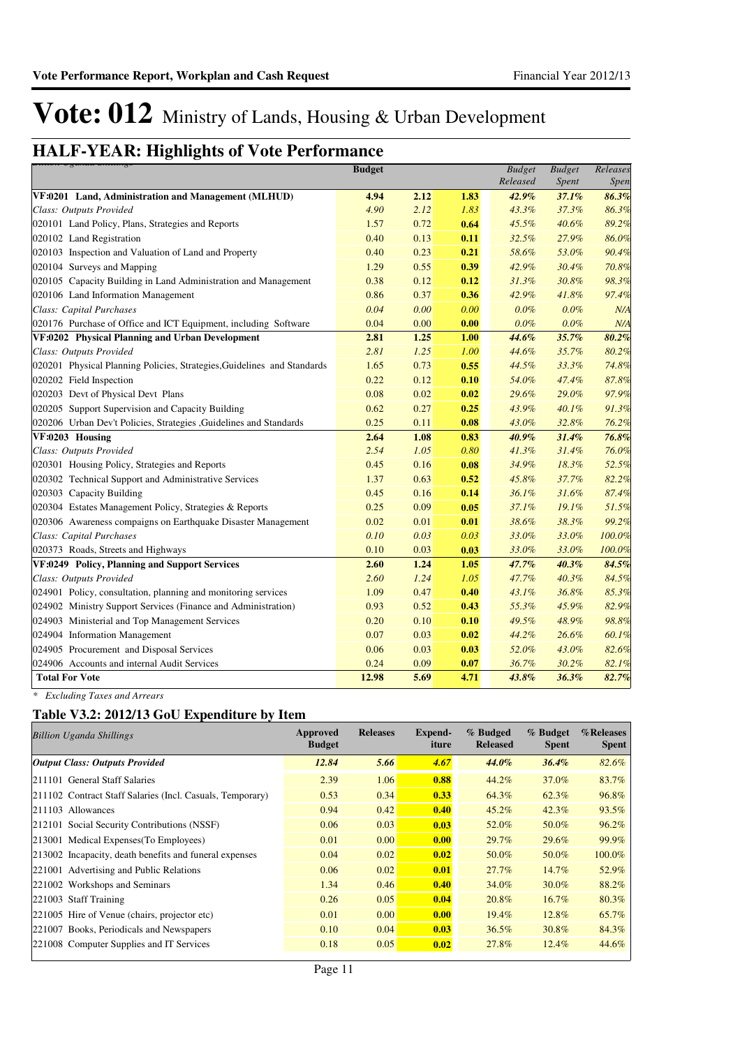## **HALF-YEAR: Highlights of Vote Performance** *Billion Uganda Shillings*

| <del>ртнон озинии энштуз</del>                                          | <b>Budget</b> |      |      | <b>Budget</b> | <b>Budget</b> | Releases |
|-------------------------------------------------------------------------|---------------|------|------|---------------|---------------|----------|
|                                                                         |               |      |      | Released      | Spent         | Spen.    |
| VF:0201 Land, Administration and Management (MLHUD)                     | 4.94          | 2.12 | 1.83 | 42.9%         | 37.1%         | 86.3%    |
| Class: Outputs Provided                                                 | 4.90          | 2.12 | 1.83 | 43.3%         | 37.3%         | 86.3%    |
| 020101 Land Policy, Plans, Strategies and Reports                       | 1.57          | 0.72 | 0.64 | 45.5%         | 40.6%         | 89.2%    |
| 020102 Land Registration                                                | 0.40          | 0.13 | 0.11 | 32.5%         | 27.9%         | 86.0%    |
| 020103 Inspection and Valuation of Land and Property                    | 0.40          | 0.23 | 0.21 | 58.6%         | 53.0%         | 90.4%    |
| 020104 Surveys and Mapping                                              | 1.29          | 0.55 | 0.39 | 42.9%         | 30.4%         | 70.8%    |
| 020105 Capacity Building in Land Administration and Management          | 0.38          | 0.12 | 0.12 | 31.3%         | 30.8%         | 98.3%    |
| 020106 Land Information Management                                      | 0.86          | 0.37 | 0.36 | 42.9%         | 41.8%         | 97.4%    |
| Class: Capital Purchases                                                | 0.04          | 0.00 | 0.00 | $0.0\%$       | $0.0\%$       | N/A      |
| 020176 Purchase of Office and ICT Equipment, including Software         | 0.04          | 0.00 | 0.00 | 0.0%          | $0.0\%$       | N/A      |
| VF:0202 Physical Planning and Urban Development                         | 2.81          | 1.25 | 1.00 | 44.6%         | 35.7%         | 80.2%    |
| Class: Outputs Provided                                                 | 2.81          | 1.25 | 1.00 | 44.6%         | 35.7%         | 80.2%    |
| 020201 Physical Planning Policies, Strategies, Guidelines and Standards | 1.65          | 0.73 | 0.55 | 44.5%         | 33.3%         | 74.8%    |
| 020202 Field Inspection                                                 | 0.22          | 0.12 | 0.10 | 54.0%         | 47.4%         | 87.8%    |
| 020203 Devt of Physical Devt Plans                                      | 0.08          | 0.02 | 0.02 | 29.6%         | 29.0%         | 97.9%    |
| 020205 Support Supervision and Capacity Building                        | 0.62          | 0.27 | 0.25 | 43.9%         | 40.1%         | 91.3%    |
| 020206 Urban Dev't Policies, Strategies , Guidelines and Standards      | 0.25          | 0.11 | 0.08 | 43.0%         | 32.8%         | 76.2%    |
| VF:0203 Housing                                                         | 2.64          | 1.08 | 0.83 | 40.9%         | 31.4%         | 76.8%    |
| Class: Outputs Provided                                                 | 2.54          | 1.05 | 0.80 | 41.3%         | 31.4%         | 76.0%    |
| 020301 Housing Policy, Strategies and Reports                           | 0.45          | 0.16 | 0.08 | 34.9%         | 18.3%         | 52.5%    |
| 020302 Technical Support and Administrative Services                    | 1.37          | 0.63 | 0.52 | 45.8%         | 37.7%         | 82.2%    |
| 020303 Capacity Building                                                | 0.45          | 0.16 | 0.14 | 36.1%         | 31.6%         | 87.4%    |
| 020304 Estates Management Policy, Strategies & Reports                  | 0.25          | 0.09 | 0.05 | 37.1%         | 19.1%         | 51.5%    |
| 020306 Awareness compaigns on Earthquake Disaster Management            | 0.02          | 0.01 | 0.01 | 38.6%         | 38.3%         | 99.2%    |
| Class: Capital Purchases                                                | 0.10          | 0.03 | 0.03 | 33.0%         | 33.0%         | 100.0%   |
| 020373 Roads, Streets and Highways                                      | 0.10          | 0.03 | 0.03 | 33.0%         | 33.0%         | 100.0%   |
| VF:0249 Policy, Planning and Support Services                           | 2.60          | 1.24 | 1.05 | 47.7%         | 40.3%         | 84.5%    |
| Class: Outputs Provided                                                 | 2.60          | 1.24 | 1.05 | 47.7%         | 40.3%         | 84.5%    |
| 024901 Policy, consultation, planning and monitoring services           | 1.09          | 0.47 | 0.40 | 43.1%         | 36.8%         | 85.3%    |
| 024902 Ministry Support Services (Finance and Administration)           | 0.93          | 0.52 | 0.43 | 55.3%         | 45.9%         | 82.9%    |
| 024903 Ministerial and Top Management Services                          | 0.20          | 0.10 | 0.10 | 49.5%         | 48.9%         | 98.8%    |
| 024904 Information Management                                           | 0.07          | 0.03 | 0.02 | 44.2%         | 26.6%         | 60.1%    |
| 024905 Procurement and Disposal Services                                | 0.06          | 0.03 | 0.03 | 52.0%         | 43.0%         | 82.6%    |
| 024906 Accounts and internal Audit Services                             | 0.24          | 0.09 | 0.07 | 36.7%         | 30.2%         | 82.1%    |
| <b>Total For Vote</b>                                                   | 12.98         | 5.69 | 4.71 | 43.8%         | 36.3%         | 82.7%    |

*\* Excluding Taxes and Arrears*

### **Table V3.2: 2012/13 GoU Expenditure by Item**

| <b>Billion Uganda Shillings</b>                           | Approved<br><b>Budget</b> | <b>Releases</b> | Expend-<br>iture | % Budged<br><b>Released</b> | % Budget<br><b>Spent</b> | %Releases<br><b>Spent</b> |
|-----------------------------------------------------------|---------------------------|-----------------|------------------|-----------------------------|--------------------------|---------------------------|
| <b>Output Class: Outputs Provided</b>                     | 12.84                     | 5.66            | 4.67             | 44.0%                       | 36.4%                    | 82.6%                     |
| 211101 General Staff Salaries                             | 2.39                      | 1.06            | 0.88             | 44.2%                       | 37.0%                    | 83.7%                     |
| 211102 Contract Staff Salaries (Incl. Casuals, Temporary) | 0.53                      | 0.34            | 0.33             | 64.3%                       | 62.3%                    | 96.8%                     |
| 211103 Allowances                                         | 0.94                      | 0.42            | 0.40             | $45.2\%$                    | $42.3\%$                 | $93.5\%$                  |
| 212101 Social Security Contributions (NSSF)               | 0.06                      | 0.03            | 0.03             | 52.0%                       | 50.0%                    | 96.2%                     |
| 213001 Medical Expenses (To Employees)                    | 0.01                      | 0.00            | 0.00             | $29.7\%$                    | 29.6%                    | 99.9%                     |
| 213002 Incapacity, death benefits and funeral expenses    | 0.04                      | 0.02            | 0.02             | 50.0%                       | 50.0%                    | 100.0%                    |
| 221001 Advertising and Public Relations                   | 0.06                      | 0.02            | 0.01             | 27.7%                       | 14.7%                    | 52.9%                     |
| 221002 Workshops and Seminars                             | 1.34                      | 0.46            | 0.40             | 34.0%                       | $30.0\%$                 | 88.2%                     |
| 221003 Staff Training                                     | 0.26                      | 0.05            | 0.04             | 20.8%                       | $16.7\%$                 | 80.3%                     |
| 221005 Hire of Venue (chairs, projector etc)              | 0.01                      | 0.00            | 0.00             | 19.4%                       | 12.8%                    | 65.7%                     |
| 221007 Books, Periodicals and Newspapers                  | 0.10                      | 0.04            | 0.03             | 36.5%                       | 30.8%                    | 84.3%                     |
| 221008 Computer Supplies and IT Services                  | 0.18                      | 0.05            | 0.02             | 27.8%                       | $12.4\%$                 | 44.6%                     |
|                                                           |                           |                 |                  |                             |                          |                           |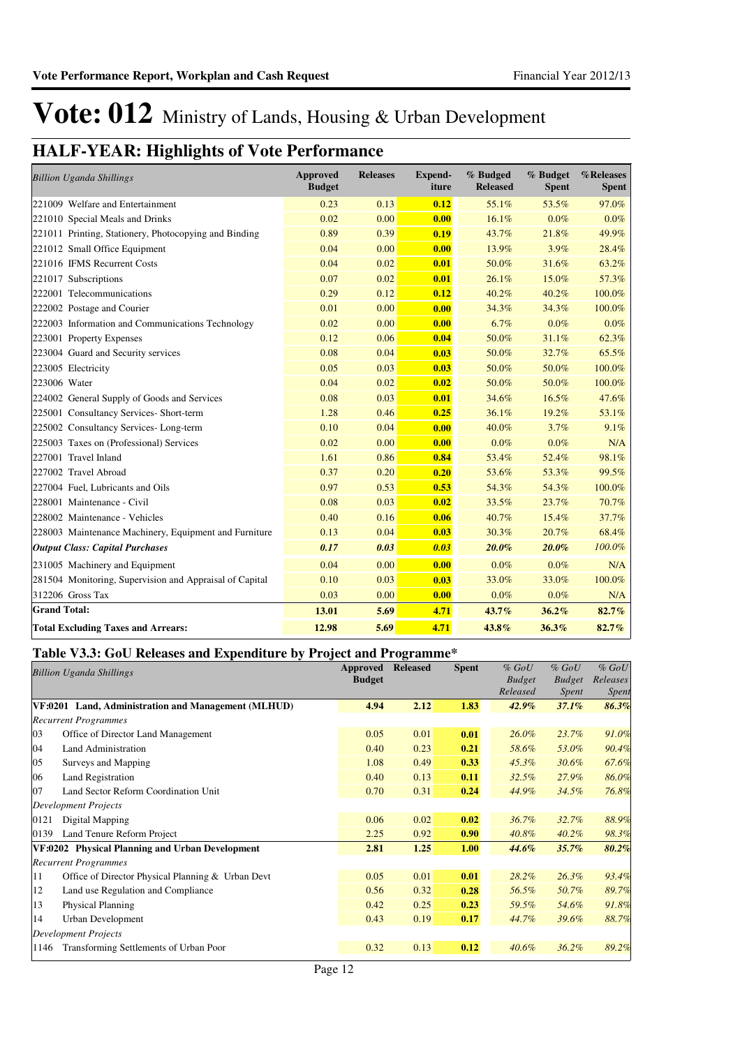## **HALF-YEAR: Highlights of Vote Performance**

| <b>Billion Uganda Shillings</b>                         | <b>Approved</b><br><b>Budget</b> | <b>Releases</b> | Expend-<br>iture | % Budged<br><b>Released</b> | % Budget<br><b>Spent</b> | %Releases<br><b>Spent</b> |
|---------------------------------------------------------|----------------------------------|-----------------|------------------|-----------------------------|--------------------------|---------------------------|
| 221009 Welfare and Entertainment                        | 0.23                             | 0.13            | 0.12             | 55.1%                       | 53.5%                    | 97.0%                     |
| 221010 Special Meals and Drinks                         | 0.02                             | 0.00            | 0.00             | 16.1%                       | $0.0\%$                  | 0.0%                      |
| 221011 Printing, Stationery, Photocopying and Binding   | 0.89                             | 0.39            | 0.19             | 43.7%                       | 21.8%                    | 49.9%                     |
| 221012 Small Office Equipment                           | 0.04                             | 0.00            | 0.00             | 13.9%                       | 3.9%                     | 28.4%                     |
| 221016 IFMS Recurrent Costs                             | 0.04                             | 0.02            | 0.01             | 50.0%                       | 31.6%                    | 63.2%                     |
| 221017 Subscriptions                                    | 0.07                             | 0.02            | 0.01             | 26.1%                       | 15.0%                    | 57.3%                     |
| 222001 Telecommunications                               | 0.29                             | 0.12            | 0.12             | 40.2%                       | 40.2%                    | 100.0%                    |
| 222002 Postage and Courier                              | 0.01                             | 0.00            | 0.00             | 34.3%                       | 34.3%                    | 100.0%                    |
| 222003 Information and Communications Technology        | 0.02                             | 0.00            | 0.00             | 6.7%                        | 0.0%                     | $0.0\%$                   |
| 223001 Property Expenses                                | 0.12                             | 0.06            | 0.04             | 50.0%                       | 31.1%                    | 62.3%                     |
| 223004 Guard and Security services                      | 0.08                             | 0.04            | 0.03             | 50.0%                       | 32.7%                    | 65.5%                     |
| 223005 Electricity                                      | 0.05                             | 0.03            | 0.03             | 50.0%                       | 50.0%                    | 100.0%                    |
| 223006 Water                                            | 0.04                             | 0.02            | 0.02             | 50.0%                       | 50.0%                    | 100.0%                    |
| 224002 General Supply of Goods and Services             | 0.08                             | 0.03            | 0.01             | 34.6%                       | 16.5%                    | 47.6%                     |
| 225001 Consultancy Services- Short-term                 | 1.28                             | 0.46            | 0.25             | 36.1%                       | 19.2%                    | 53.1%                     |
| 225002 Consultancy Services-Long-term                   | 0.10                             | 0.04            | 0.00             | 40.0%                       | 3.7%                     | 9.1%                      |
| 225003 Taxes on (Professional) Services                 | 0.02                             | 0.00            | 0.00             | $0.0\%$                     | $0.0\%$                  | N/A                       |
| 227001 Travel Inland                                    | 1.61                             | 0.86            | 0.84             | 53.4%                       | 52.4%                    | 98.1%                     |
| 227002 Travel Abroad                                    | 0.37                             | 0.20            | 0.20             | 53.6%                       | 53.3%                    | 99.5%                     |
| 227004 Fuel, Lubricants and Oils                        | 0.97                             | 0.53            | 0.53             | 54.3%                       | 54.3%                    | 100.0%                    |
| 228001 Maintenance - Civil                              | 0.08                             | 0.03            | 0.02             | 33.5%                       | 23.7%                    | 70.7%                     |
| 228002 Maintenance - Vehicles                           | 0.40                             | 0.16            | 0.06             | 40.7%                       | 15.4%                    | 37.7%                     |
| 228003 Maintenance Machinery, Equipment and Furniture   | 0.13                             | 0.04            | 0.03             | 30.3%                       | 20.7%                    | 68.4%                     |
| <b>Output Class: Capital Purchases</b>                  | 0.17                             | 0.03            | 0.03             | $20.0\%$                    | $20.0\%$                 | 100.0%                    |
| 231005 Machinery and Equipment                          | 0.04                             | 0.00            | 0.00             | 0.0%                        | $0.0\%$                  | N/A                       |
| 281504 Monitoring, Supervision and Appraisal of Capital | 0.10                             | 0.03            | 0.03             | 33.0%                       | 33.0%                    | 100.0%                    |
| 312206 Gross Tax                                        | 0.03                             | 0.00            | 0.00             | 0.0%                        | 0.0%                     | N/A                       |
| <b>Grand Total:</b>                                     | 13.01                            | 5.69            | 4.71             | 43.7%                       | 36.2%                    | 82.7%                     |
| <b>Total Excluding Taxes and Arrears:</b>               | 12.98                            | 5.69            | 4.71             | 43.8%                       | 36.3%                    | 82.7%                     |

### **Table V3.3: GoU Releases and Expenditure by Project and Programme\***

|      | <b>Billion Uganda Shillings</b>                     | Approved      | <b>Released</b> | <b>Spent</b> | $%$ GoU       | $%$ GoU       | $%$ GoU  |
|------|-----------------------------------------------------|---------------|-----------------|--------------|---------------|---------------|----------|
|      |                                                     | <b>Budget</b> |                 |              | <b>Budget</b> | <b>Budget</b> | Releases |
|      |                                                     |               |                 |              | Released      | <i>Spent</i>  | Spent    |
|      | VF:0201 Land, Administration and Management (MLHUD) | 4.94          | 2.12            | 1.83         | 42.9%         | 37.1%         | 86.3%    |
|      | <b>Recurrent Programmes</b>                         |               |                 |              |               |               |          |
| 03   | Office of Director Land Management                  | 0.05          | 0.01            | 0.01         | $26.0\%$      | 23.7%         | 91.0%    |
| 04   | Land Administration                                 | 0.40          | 0.23            | 0.21         | 58.6%         | 53.0%         | 90.4%    |
| 05   | Surveys and Mapping                                 | 1.08          | 0.49            | 0.33         | $45.3\%$      | 30.6%         | 67.6%    |
| 06   | Land Registration                                   | 0.40          | 0.13            | 0.11         | 32.5%         | 27.9%         | 86.0%    |
| 07   | Land Sector Reform Coordination Unit                | 0.70          | 0.31            | 0.24         | 44.9%         | 34.5%         | 76.8%    |
|      | <b>Development Projects</b>                         |               |                 |              |               |               |          |
| 0121 | Digital Mapping                                     | 0.06          | 0.02            | 0.02         | 36.7%         | 32.7%         | 88.9%    |
| 0139 | Land Tenure Reform Project                          | 2.25          | 0.92            | 0.90         | 40.8%         | 40.2%         | 98.3%    |
|      | VF:0202 Physical Planning and Urban Development     | 2.81          | 1.25            | 1.00         | 44.6%         | 35.7%         | 80.2%    |
|      | <b>Recurrent Programmes</b>                         |               |                 |              |               |               |          |
| 11   | Office of Director Physical Planning & Urban Devt   | 0.05          | 0.01            | 0.01         | 28.2%         | 26.3%         | 93.4%    |
| 12   | Land use Regulation and Compliance                  | 0.56          | 0.32            | 0.28         | 56.5%         | 50.7%         | 89.7%    |
| 13   | <b>Physical Planning</b>                            | 0.42          | 0.25            | 0.23         | 59.5%         | 54.6%         | 91.8%    |
| 14   | Urban Development                                   | 0.43          | 0.19            | 0.17         | 44.7%         | 39.6%         | 88.7%    |
|      | <b>Development Projects</b>                         |               |                 |              |               |               |          |
| 1146 | Transforming Settlements of Urban Poor              | 0.32          | 0.13            | 0.12         | $40.6\%$      | 36.2%         | 89.2%    |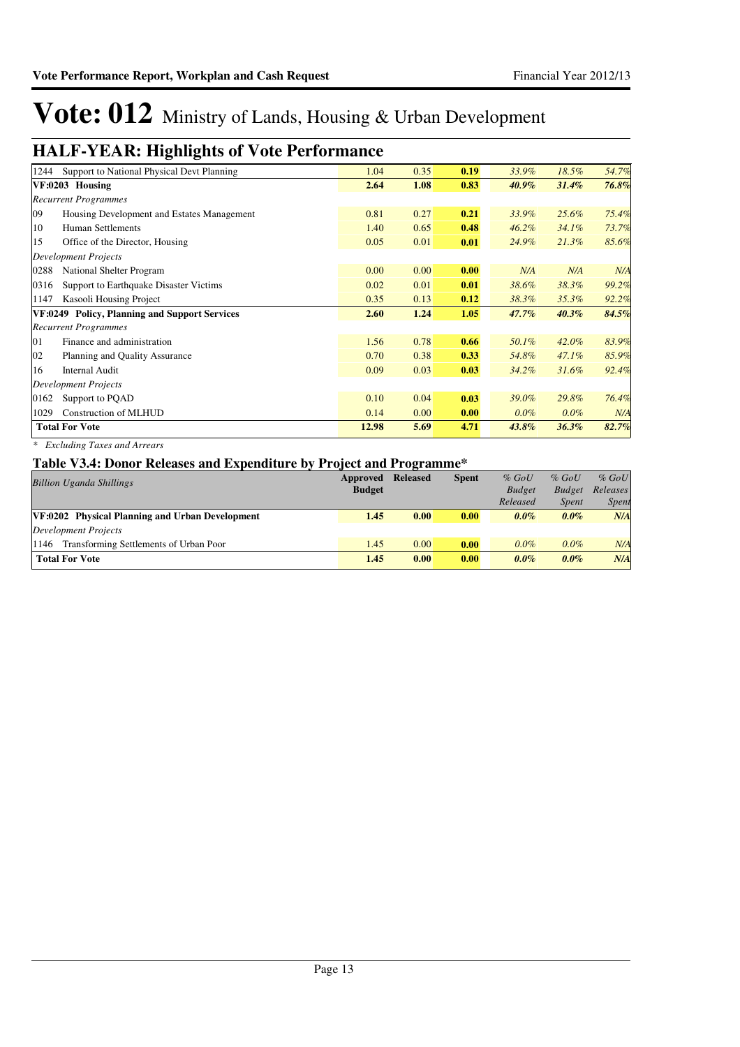## **HALF-YEAR: Highlights of Vote Performance**

| 1244                        | Support to National Physical Devt Planning    | 1.04  | 0.35 | 0.19 | 33.9%    | 18.5%    | 54.7% |
|-----------------------------|-----------------------------------------------|-------|------|------|----------|----------|-------|
| VF:0203 Housing             |                                               | 2.64  | 1.08 | 0.83 | $40.9\%$ | 31.4%    | 76.8% |
|                             | <b>Recurrent Programmes</b>                   |       |      |      |          |          |       |
| 09                          | Housing Development and Estates Management    | 0.81  | 0.27 | 0.21 | 33.9%    | 25.6%    | 75.4% |
| 10                          | <b>Human Settlements</b>                      | 1.40  | 0.65 | 0.48 | $46.2\%$ | 34.1%    | 73.7% |
| 15                          | Office of the Director, Housing               | 0.05  | 0.01 | 0.01 | 24.9%    | $21.3\%$ | 85.6% |
| <b>Development Projects</b> |                                               |       |      |      |          |          |       |
| 0288                        | National Shelter Program                      | 0.00  | 0.00 | 0.00 | N/A      | N/A      | N/A   |
| 0316                        | Support to Earthquake Disaster Victims        | 0.02  | 0.01 | 0.01 | 38.6%    | 38.3%    | 99.2% |
| 1147                        | Kasooli Housing Project                       | 0.35  | 0.13 | 0.12 | 38.3%    | 35.3%    | 92.2% |
|                             | VF:0249 Policy, Planning and Support Services | 2.60  | 1.24 | 1.05 | 47.7%    | 40.3%    | 84.5% |
|                             | <b>Recurrent Programmes</b>                   |       |      |      |          |          |       |
| 01                          | Finance and administration                    | 1.56  | 0.78 | 0.66 | 50.1%    | 42.0%    | 83.9% |
| 02                          | Planning and Quality Assurance                | 0.70  | 0.38 | 0.33 | 54.8%    | $47.1\%$ | 85.9% |
| 16                          | <b>Internal Audit</b>                         | 0.09  | 0.03 | 0.03 | 34.2%    | 31.6%    | 92.4% |
| <b>Development Projects</b> |                                               |       |      |      |          |          |       |
| 0162                        | Support to PQAD                               | 0.10  | 0.04 | 0.03 | 39.0%    | 29.8%    | 76.4% |
| 1029                        | Construction of MLHUD                         | 0.14  | 0.00 | 0.00 | $0.0\%$  | $0.0\%$  | N/A   |
| <b>Total For Vote</b>       |                                               | 12.98 | 5.69 | 4.71 | $43.8\%$ | 36.3%    | 82.7% |
|                             |                                               |       |      |      |          |          |       |

*\* Excluding Taxes and Arrears*

### **Table V3.4: Donor Releases and Expenditure by Project and Programme\***

|                                                 |          | $\overline{\phantom{0}}$ |              |               |               |              |
|-------------------------------------------------|----------|--------------------------|--------------|---------------|---------------|--------------|
| <b>Billion Uganda Shillings</b>                 | Approved | <b>Released</b>          | <b>Spent</b> | $%$ GoU       | $%$ GoU       | $%$ GoU      |
|                                                 |          |                          |              | <b>Budget</b> | <b>Budget</b> | Releases     |
|                                                 |          |                          |              | Released      | <i>Spent</i>  | <b>Spent</b> |
| VF:0202 Physical Planning and Urban Development | 1.45     | 0.00                     | 0.00         | $0.0\%$       | $0.0\%$       | N/A          |
| Development Projects                            |          |                          |              |               |               |              |
| Transforming Settlements of Urban Poor<br>1146  | 1.45     | 0.00                     | 0.00         | $0.0\%$       | $0.0\%$       | N/A          |
| <b>Total For Vote</b>                           | 1.45     | 0.00                     | 0.00         | $0.0\%$       | $0.0\%$       | N/A          |
|                                                 |          |                          |              |               |               |              |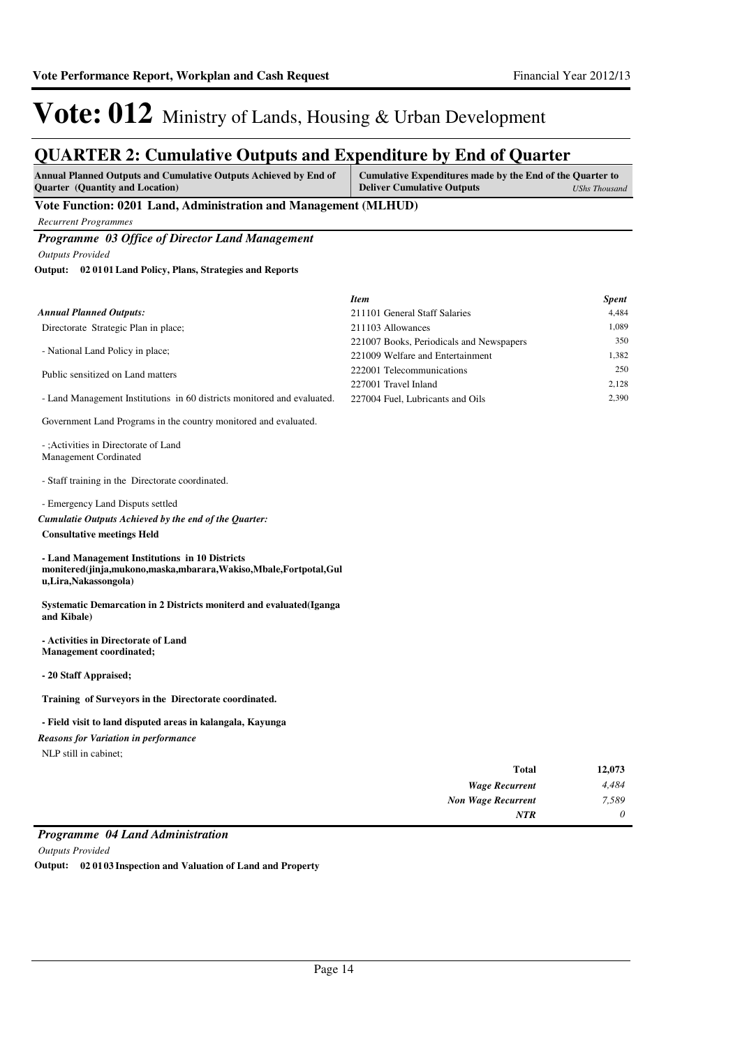### **QUARTER 2: Cumulative Outputs and Expenditure by End of Quarter**

| <b>Annual Planned Outputs and Cumulative Outputs Achieved by End of</b> | Cumulative Expenditures made by the End of the Quarter to |               |
|-------------------------------------------------------------------------|-----------------------------------------------------------|---------------|
| <b>Ouarter</b> (Quantity and Location)                                  | <b>Deliver Cumulative Outputs</b>                         | UShs Thousand |

### **Vote Function: 0201 Land, Administration and Management (MLHUD)**

*Recurrent Programmes*

### *Programme 03 Office of Director Land Management*

*Outputs Provided*

**02 0101 Land Policy, Plans, Strategies and Reports Output:**

|                                                                                                                                                                                       | <b>Item</b>                              | <b>Spent</b> |
|---------------------------------------------------------------------------------------------------------------------------------------------------------------------------------------|------------------------------------------|--------------|
| <b>Annual Planned Outputs:</b>                                                                                                                                                        | 211101 General Staff Salaries            | 4.484        |
| Directorate Strategic Plan in place;                                                                                                                                                  | 211103 Allowances                        | 1,089        |
|                                                                                                                                                                                       | 221007 Books, Periodicals and Newspapers | 350          |
| - National Land Policy in place;                                                                                                                                                      | 221009 Welfare and Entertainment         | 1,382        |
| Public sensitized on Land matters                                                                                                                                                     | 222001 Telecommunications                | 250          |
|                                                                                                                                                                                       | 227001 Travel Inland                     | 2,128        |
| - Land Management Institutions in 60 districts monitored and evaluated.                                                                                                               | 227004 Fuel, Lubricants and Oils         | 2,390        |
| Government Land Programs in the country monitored and evaluated.<br>-: Activities in Directorate of Land<br>Management Cordinated<br>- Staff training in the Directorate coordinated. |                                          |              |
| - Emergency Land Disputs settled<br>Cumulatie Outputs Achieved by the end of the Quarter:<br><b>Consultative meetings Held</b><br>- Land Management Institutions in 10 Districts      |                                          |              |
| monitered(jinja,mukono,maska,mbarara,Wakiso,Mbale,Fortpotal,Gul<br>u, Lira, Nakassongola)                                                                                             |                                          |              |

**Systematic Demarcation in 2 Districts moniterd and evaluated(Iganga and Kibale)**

#### **- Activities in Directorate of Land Management coordinated;**

**- 20 Staff Appraised;**

**Training of Surveyors in the Directorate coordinated.**

#### **- Field visit to land disputed areas in kalangala, Kayunga**

NLP still in cabinet; *Reasons for Variation in performance*

| 12,073 | Total                     |
|--------|---------------------------|
| 4,484  | <b>Wage Recurrent</b>     |
| 7,589  | <b>Non Wage Recurrent</b> |
| 0      | <b>NTR</b>                |

### *Programme 04 Land Administration*

*Outputs Provided*

**Output: 02 0103 Inspection and Valuation of Land and Property**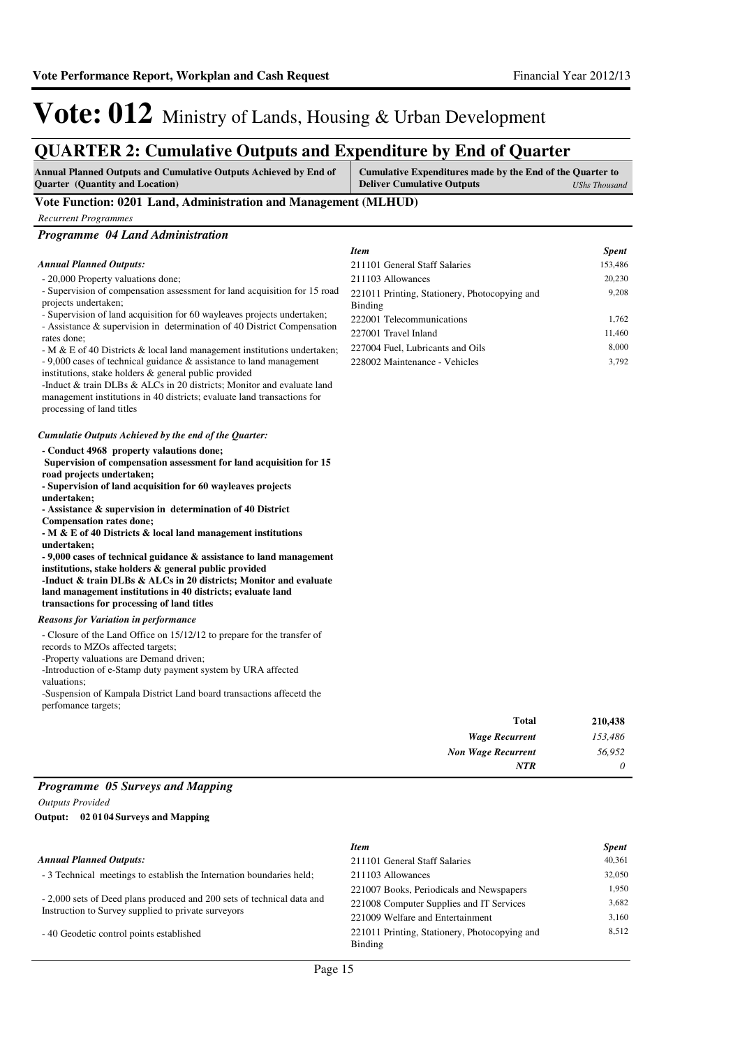**Annual Planned Outputs and Cumulative Outputs Achieved by End of** 

**Quarter (Quantity and Location)**

**Cumulative Expenditures made by the End of the Quarter to Deliver Cumulative Outputs** *UShs Thousand* 

## Vote: 012 Ministry of Lands, Housing & Urban Development

### **QUARTER 2: Cumulative Outputs and Expenditure by End of Quarter**

| Vote Function: 0201 Land, Administration and Management (MLHUD)                                                                                     |                                                                   |                |
|-----------------------------------------------------------------------------------------------------------------------------------------------------|-------------------------------------------------------------------|----------------|
| <b>Recurrent Programmes</b>                                                                                                                         |                                                                   |                |
| Programme 04 Land Administration                                                                                                                    |                                                                   |                |
|                                                                                                                                                     | <b>Item</b>                                                       | <b>Spent</b>   |
| <b>Annual Planned Outputs:</b>                                                                                                                      | 211101 General Staff Salaries                                     | 153,486        |
| - 20,000 Property valuations done;                                                                                                                  | 211103 Allowances                                                 | 20,230         |
| - Supervision of compensation assessment for land acquisition for 15 road                                                                           | 221011 Printing, Stationery, Photocopying and                     | 9,208          |
| projects undertaken;<br>- Supervision of land acquisition for 60 wayleaves projects undertaken;                                                     | Binding                                                           |                |
| - Assistance & supervision in determination of 40 District Compensation                                                                             | 222001 Telecommunications                                         | 1,762          |
| rates done;                                                                                                                                         | 227001 Travel Inland                                              | 11,460         |
| - M & E of 40 Districts & local land management institutions undertaken;<br>$-9,000$ cases of technical guidance $\&$ assistance to land management | 227004 Fuel, Lubricants and Oils<br>228002 Maintenance - Vehicles | 8,000<br>3,792 |
| institutions, stake holders & general public provided                                                                                               |                                                                   |                |
| -Induct & train DLBs & ALCs in 20 districts; Monitor and evaluate land                                                                              |                                                                   |                |
| management institutions in 40 districts; evaluate land transactions for                                                                             |                                                                   |                |
| processing of land titles                                                                                                                           |                                                                   |                |
| Cumulatie Outputs Achieved by the end of the Quarter:                                                                                               |                                                                   |                |
| - Conduct 4968 property valautions done;                                                                                                            |                                                                   |                |
| Supervision of compensation assessment for land acquisition for 15                                                                                  |                                                                   |                |
| road projects undertaken;<br>- Supervision of land acquisition for 60 wayleaves projects                                                            |                                                                   |                |
| undertaken;                                                                                                                                         |                                                                   |                |
| - Assistance & supervision in determination of 40 District                                                                                          |                                                                   |                |
| <b>Compensation rates done;</b><br>$-M & E$ of 40 Districts $\&$ local land management institutions                                                 |                                                                   |                |
| undertaken;                                                                                                                                         |                                                                   |                |
| $-9,000$ cases of technical guidance $\&$ assistance to land management                                                                             |                                                                   |                |
| institutions, stake holders & general public provided                                                                                               |                                                                   |                |
| -Induct & train DLBs & ALCs in 20 districts; Monitor and evaluate<br>land management institutions in 40 districts; evaluate land                    |                                                                   |                |
| transactions for processing of land titles                                                                                                          |                                                                   |                |
| <b>Reasons for Variation in performance</b>                                                                                                         |                                                                   |                |
| - Closure of the Land Office on 15/12/12 to prepare for the transfer of                                                                             |                                                                   |                |
| records to MZOs affected targets;                                                                                                                   |                                                                   |                |
| -Property valuations are Demand driven;                                                                                                             |                                                                   |                |
| -Introduction of e-Stamp duty payment system by URA affected<br>valuations;                                                                         |                                                                   |                |
| -Suspension of Kampala District Land board transactions affecetd the                                                                                |                                                                   |                |
| perfomance targets;                                                                                                                                 |                                                                   |                |
|                                                                                                                                                     | <b>Total</b>                                                      | 210,438        |
|                                                                                                                                                     | <b>Wage Recurrent</b>                                             | 153,486        |
|                                                                                                                                                     | <b>Non Wage Recurrent</b>                                         | 56,952         |
|                                                                                                                                                     | <b>NTR</b>                                                        | 0              |
| Programme 05 Surveys and Mapping                                                                                                                    |                                                                   |                |
| <b>Outputs Provided</b>                                                                                                                             |                                                                   |                |
| Output: 02 01 04 Surveys and Mapping                                                                                                                |                                                                   |                |
|                                                                                                                                                     | <b>Item</b>                                                       | <b>Spent</b>   |
| <b>Annual Planned Outputs:</b>                                                                                                                      | 211101 General Staff Salaries                                     | 40,361         |
| - 3 Technical meetings to establish the Internation boundaries held;                                                                                | 211103 Allowances                                                 | 32,050         |
|                                                                                                                                                     | 221007 Books, Periodicals and Newspapers                          | 1,950          |
| - 2,000 sets of Deed plans produced and 200 sets of technical data and                                                                              | 221008 Computer Supplies and IT Services                          | 3,682          |
| Instruction to Survey supplied to private surveyors                                                                                                 | 221009 Welfare and Entertainment                                  | 3,160          |
| - 40 Geodetic control points established                                                                                                            | 221011 Printing, Stationery, Photocopying and<br>Binding          | 8,512          |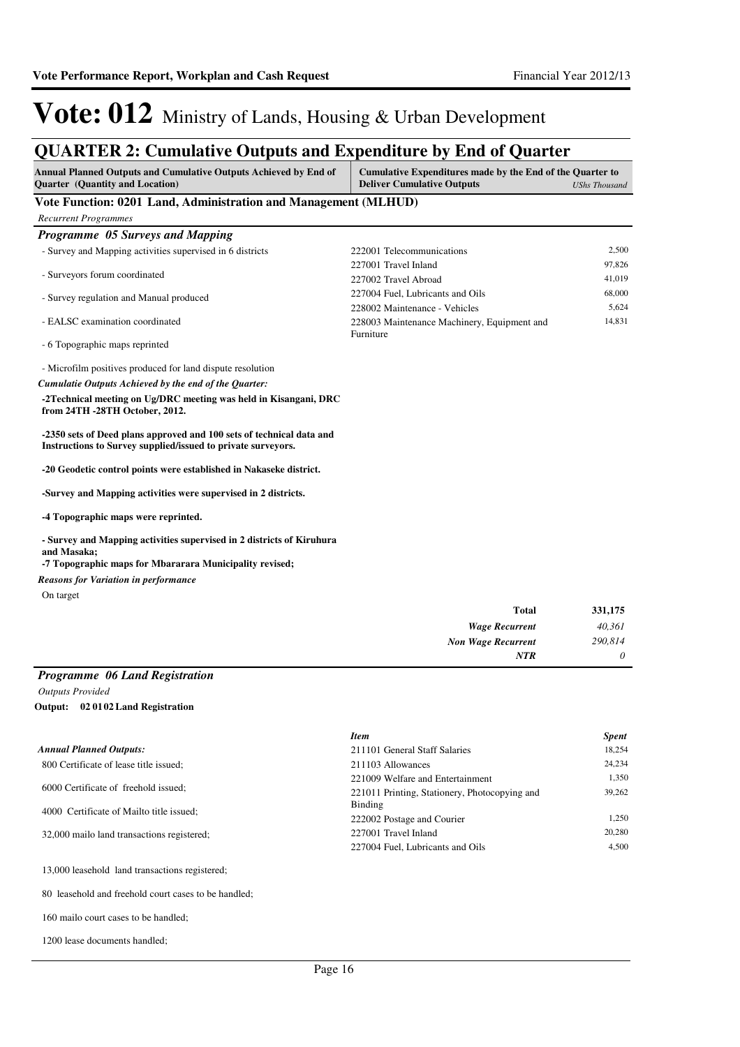## **QUARTER 2: Cumulative Outputs and Expenditure by End of Quarter**

| Annual Planned Outputs and Cumulative Outputs Achieved by End of<br>Quarter (Quantity and Location)                                  | Cumulative Expenditures made by the End of the Quarter to<br><b>Deliver Cumulative Outputs</b> | <b>UShs Thousand</b> |
|--------------------------------------------------------------------------------------------------------------------------------------|------------------------------------------------------------------------------------------------|----------------------|
| Vote Function: 0201 Land, Administration and Management (MLHUD)                                                                      |                                                                                                |                      |
| <b>Recurrent Programmes</b>                                                                                                          |                                                                                                |                      |
| Programme 05 Surveys and Mapping                                                                                                     |                                                                                                |                      |
| - Survey and Mapping activities supervised in 6 districts                                                                            | 222001 Telecommunications                                                                      | 2,500                |
|                                                                                                                                      | 227001 Travel Inland                                                                           | 97,826               |
| - Surveyors forum coordinated                                                                                                        | 227002 Travel Abroad                                                                           | 41,019               |
| - Survey regulation and Manual produced                                                                                              | 227004 Fuel. Lubricants and Oils                                                               | 68,000               |
|                                                                                                                                      | 228002 Maintenance - Vehicles                                                                  | 5,624                |
| - EALSC examination coordinated                                                                                                      | 228003 Maintenance Machinery, Equipment and                                                    | 14,831               |
| - 6 Topographic maps reprinted                                                                                                       | Furniture                                                                                      |                      |
| - Microfilm positives produced for land dispute resolution                                                                           |                                                                                                |                      |
| Cumulatie Outputs Achieved by the end of the Quarter:                                                                                |                                                                                                |                      |
| -2 Technical meeting on Ug/DRC meeting was held in Kisangani, DRC<br>from 24TH -28TH October, 2012.                                  |                                                                                                |                      |
| -2350 sets of Deed plans approved and 100 sets of technical data and<br>Instructions to Survey supplied/issued to private surveyors. |                                                                                                |                      |
| -20 Geodetic control points were established in Nakaseke district.                                                                   |                                                                                                |                      |
| -Survey and Mapping activities were supervised in 2 districts.                                                                       |                                                                                                |                      |
| -4 Topographic maps were reprinted.                                                                                                  |                                                                                                |                      |
| - Survey and Mapping activities supervised in 2 districts of Kiruhura<br>and Masaka;                                                 |                                                                                                |                      |
| -7 Topographic maps for Mbararara Municipality revised;                                                                              |                                                                                                |                      |
| <b>Reasons for Variation in performance</b>                                                                                          |                                                                                                |                      |
| On target                                                                                                                            |                                                                                                |                      |
|                                                                                                                                      | <b>Total</b>                                                                                   | 331,175              |
|                                                                                                                                      | <b>Wage Recurrent</b>                                                                          | 40,361               |
|                                                                                                                                      | <b>Non Wage Recurrent</b>                                                                      | 290,814              |
|                                                                                                                                      | <b>NTR</b>                                                                                     | $\theta$             |
| Programme 06 Land Registration                                                                                                       |                                                                                                |                      |

*Outputs Provided* **02 0102 Land Registration Output:**

|                                            | <b>Item</b>                                   | <b>Spent</b> |
|--------------------------------------------|-----------------------------------------------|--------------|
| <b>Annual Planned Outputs:</b>             | 211101 General Staff Salaries                 | 18.254       |
| 800 Certificate of lease title issued;     | 211103 Allowances                             | 24,234       |
| 6000 Certificate of freehold issued;       | 221009 Welfare and Entertainment              | 1.350        |
|                                            | 221011 Printing, Stationery, Photocopying and | 39,262       |
| 4000 Certificate of Mailto title issued;   | Binding                                       |              |
|                                            | 222002 Postage and Courier                    | 1.250        |
| 32,000 mailo land transactions registered; | 227001 Travel Inland                          | 20,280       |
|                                            | 227004 Fuel. Lubricants and Oils              | 4.500        |

13,000 leasehold land transactions registered;

80 leasehold and freehold court cases to be handled;

160 mailo court cases to be handled;

1200 lease documents handled;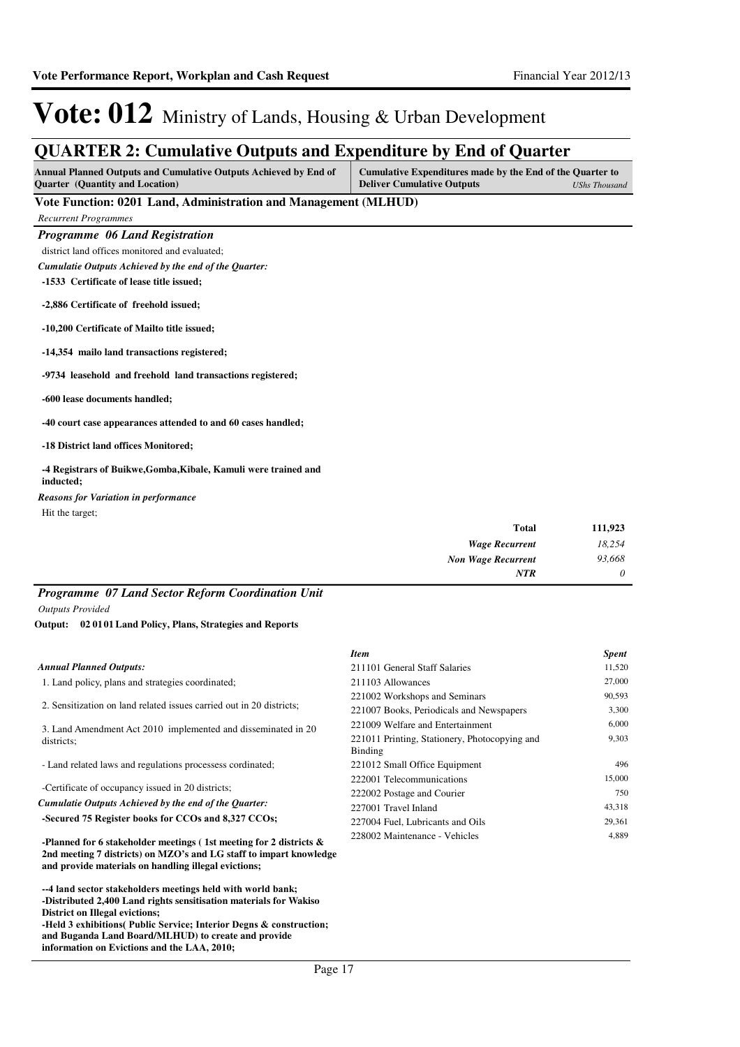### **QUARTER 2: Cumulative Outputs and Expenditure by End of Quarter**

| Annual Planned Outputs and Cumulative Outputs Achieved by End of<br><b>Quarter</b> (Quantity and Location) | Cumulative Expenditures made by the End of the Quarter to<br><b>Deliver Cumulative Outputs</b> | <b>UShs Thousand</b> |
|------------------------------------------------------------------------------------------------------------|------------------------------------------------------------------------------------------------|----------------------|
| Vote Function: 0201 Land, Administration and Management (MLHUD)                                            |                                                                                                |                      |
| <b>Recurrent Programmes</b>                                                                                |                                                                                                |                      |
| <b>Programme 06 Land Registration</b>                                                                      |                                                                                                |                      |
| district land offices monitored and evaluated;                                                             |                                                                                                |                      |
| Cumulatie Outputs Achieved by the end of the Quarter:                                                      |                                                                                                |                      |
| -1533 Certificate of lease title issued;                                                                   |                                                                                                |                      |
| -2,886 Certificate of freehold issued;                                                                     |                                                                                                |                      |
| -10,200 Certificate of Mailto title issued;                                                                |                                                                                                |                      |
| -14,354 mailo land transactions registered;                                                                |                                                                                                |                      |
| -9734 leasehold and freehold land transactions registered;                                                 |                                                                                                |                      |
| -600 lease documents handled;                                                                              |                                                                                                |                      |
| -40 court case appearances attended to and 60 cases handled;                                               |                                                                                                |                      |
| -18 District land offices Monitored;                                                                       |                                                                                                |                      |
| -4 Registrars of Buikwe, Gomba, Kibale, Kamuli were trained and<br>inducted;                               |                                                                                                |                      |
| <b>Reasons for Variation in performance</b>                                                                |                                                                                                |                      |
| Hit the target;                                                                                            |                                                                                                |                      |
|                                                                                                            | Total                                                                                          | 111 023              |

| 111,923  | <b>Total</b>              |
|----------|---------------------------|
| 18,254   | <b>Wage Recurrent</b>     |
| 93,668   | <b>Non Wage Recurrent</b> |
| $\theta$ | <b>NTR</b>                |

### *Programme 07 Land Sector Reform Coordination Unit*

*Outputs Provided*

**02 0101 Land Policy, Plans, Strategies and Reports Output:**

|                                                                                                                                                                                                     | <b>Item</b>                                              | <b>Spent</b>  |
|-----------------------------------------------------------------------------------------------------------------------------------------------------------------------------------------------------|----------------------------------------------------------|---------------|
| <b>Annual Planned Outputs:</b>                                                                                                                                                                      | 211101 General Staff Salaries                            | 11,520        |
| 1. Land policy, plans and strategies coordinated;                                                                                                                                                   | 211103 Allowances                                        | 27,000        |
|                                                                                                                                                                                                     | 221002 Workshops and Seminars                            | 90,593        |
| 2. Sensitization on land related issues carried out in 20 districts;                                                                                                                                | 221007 Books, Periodicals and Newspapers                 | 3,300         |
| 3. Land Amendment Act 2010 implemented and disseminated in 20                                                                                                                                       | 221009 Welfare and Entertainment                         | 6,000         |
| districts:                                                                                                                                                                                          | 221011 Printing, Stationery, Photocopying and<br>Binding | 9,303         |
| - Land related laws and regulations processess cordinated;                                                                                                                                          | 221012 Small Office Equipment                            | 496           |
| -Certificate of occupancy issued in 20 districts;                                                                                                                                                   | 222001 Telecommunications<br>222002 Postage and Courier  | 15,000<br>750 |
| Cumulatie Outputs Achieved by the end of the Ouarter:                                                                                                                                               | 227001 Travel Inland                                     | 43,318        |
| -Secured 75 Register books for CCOs and 8,327 CCOs;                                                                                                                                                 | 227004 Fuel, Lubricants and Oils                         | 29,361        |
| -Planned for 6 stakeholder meetings (1st meeting for 2 districts $\&$<br>2nd meeting 7 districts) on MZO's and LG staff to impart knowledge<br>and provide materials on handling illegal evictions; | 228002 Maintenance - Vehicles                            | 4,889         |

**--** 4 land sector stakeholders meetings held with world bank; -Distributed 2,400 Land rights sensitisation materials for Wakiso **District on Illegal evictions; -** Held 3 exhibitions( Public Service; Interior Degns & construction;

**and Buganda Land Board/MLHUD) to create and provide information on Evictions and the LAA, 2010;**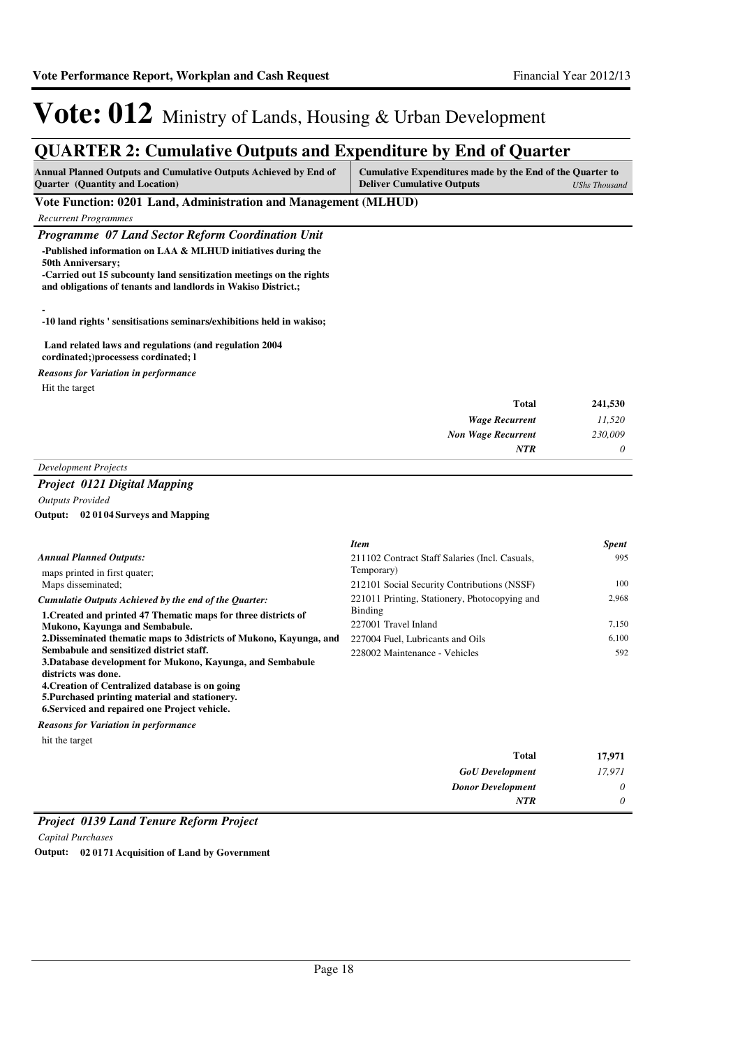## **QUARTER 2: Cumulative Outputs and Expenditure by End of Quarter**

| <b>Annual Planned Outputs and Cumulative Outputs Achieved by End of</b><br><b>Quarter</b> (Quantity and Location)                                                                                                                | <b>Cumulative Expenditures made by the End of the Quarter to</b><br><b>Deliver Cumulative Outputs</b> | <b>UShs Thousand</b> |
|----------------------------------------------------------------------------------------------------------------------------------------------------------------------------------------------------------------------------------|-------------------------------------------------------------------------------------------------------|----------------------|
| Vote Function: 0201 Land, Administration and Management (MLHUD)                                                                                                                                                                  |                                                                                                       |                      |
| <b>Recurrent Programmes</b>                                                                                                                                                                                                      |                                                                                                       |                      |
| Programme 07 Land Sector Reform Coordination Unit                                                                                                                                                                                |                                                                                                       |                      |
| -Published information on LAA & MLHUD initiatives during the<br><b>50th Anniversary;</b><br>-Carried out 15 subcounty land sensitization meetings on the rights<br>and obligations of tenants and landlords in Wakiso District.; |                                                                                                       |                      |
| -10 land rights ' sensitisations seminars/exhibitions held in wakiso;                                                                                                                                                            |                                                                                                       |                      |
| Land related laws and regulations (and regulation 2004<br>cordinated; processess cordinated; 1                                                                                                                                   |                                                                                                       |                      |
| <b>Reasons for Variation in performance</b>                                                                                                                                                                                      |                                                                                                       |                      |
| Hit the target                                                                                                                                                                                                                   |                                                                                                       |                      |
|                                                                                                                                                                                                                                  | <b>Total</b>                                                                                          | 241,530              |
|                                                                                                                                                                                                                                  | <b>Wage Recurrent</b>                                                                                 | 11,520               |
|                                                                                                                                                                                                                                  | <b>Non Wage Recurrent</b>                                                                             | 230,009              |
|                                                                                                                                                                                                                                  | NTR                                                                                                   | 0                    |
| <b>Development Projects</b>                                                                                                                                                                                                      |                                                                                                       |                      |
| <b>Project 0121 Digital Mapping</b>                                                                                                                                                                                              |                                                                                                       |                      |
| <b>Outputs Provided</b>                                                                                                                                                                                                          |                                                                                                       |                      |

### **02 0104 Surveys and Mapping Output:**

|                                                                      | <b>Item</b>                                                  | <b>Spent</b> |
|----------------------------------------------------------------------|--------------------------------------------------------------|--------------|
| <b>Annual Planned Outputs:</b>                                       | 211102 Contract Staff Salaries (Incl. Casuals,<br>Temporary) | 995          |
| maps printed in first quater;                                        |                                                              |              |
| Maps disseminated;                                                   | 212101 Social Security Contributions (NSSF)                  | 100          |
| Cumulatie Outputs Achieved by the end of the Ouarter:                | 221011 Printing, Stationery, Photocopying and                | 2.968        |
| 1. Created and printed 47 Thematic maps for three districts of       | Binding                                                      |              |
| Mukono, Kayunga and Sembabule.                                       | 227001 Travel Inland                                         | 7,150        |
| 2. Disseminated thematic maps to 3 districts of Mukono, Kayunga, and | 227004 Fuel, Lubricants and Oils                             | 6.100        |
| Sembabule and sensitized district staff.                             | 228002 Maintenance - Vehicles                                | 592          |
| 3. Database development for Mukono, Kayunga, and Sembabule           |                                                              |              |
| districts was done.                                                  |                                                              |              |
| 4. Creation of Centralized database is on going                      |                                                              |              |
| 5. Purchased printing material and stationery.                       |                                                              |              |
| 6. Serviced and repaired one Project vehicle.                        |                                                              |              |
| <b>Reasons for Variation in performance</b>                          |                                                              |              |

hit the target

| 17,971   | <b>Total</b>             |
|----------|--------------------------|
| 17,971   | <b>GoU</b> Development   |
| $\theta$ | <b>Donor Development</b> |
| 0        | <b>NTR</b>               |
|          |                          |

### *Project 0139 Land Tenure Reform Project*

*Capital Purchases*

**Output: 02 0171 Acquisition of Land by Government**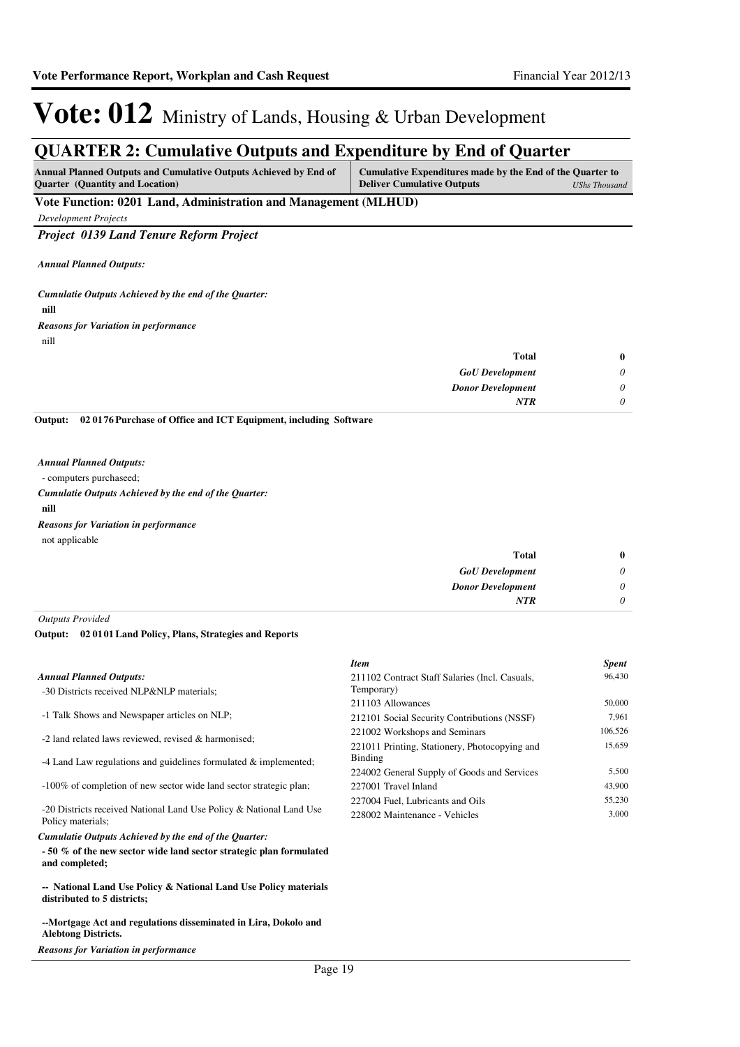### **QUARTER 2: Cumulative Outputs and Expenditure by End of Quarter**

| <b>Annual Planned Outputs and Cumulative Outputs Achieved by End of</b><br><b>Ouarter</b> (Quantity and Location) | Cumulative Expenditures made by the End of the Quarter to<br><b>Deliver Cumulative Outputs</b> | UShs Thousand |
|-------------------------------------------------------------------------------------------------------------------|------------------------------------------------------------------------------------------------|---------------|
| Vote Function: 0201 Land, Administration and Management (MLHUD)                                                   |                                                                                                |               |

*Development Projects*

*Project 0139 Land Tenure Reform Project*

*Annual Planned Outputs:*

**nill** *Cumulatie Outputs Achieved by the end of the Quarter:*

nill *Reasons for Variation in performance*

| $\bf{0}$ | <b>Total</b>             |
|----------|--------------------------|
| $\theta$ | <b>GoU</b> Development   |
| $\theta$ | <b>Donor Development</b> |
| $\theta$ | <b>NTR</b>               |
|          |                          |

**02 0176 Purchase of Office and ICT Equipment, including Software Output:**

#### *Annual Planned Outputs:*

- computers purchaseed;

**nill** *Cumulatie Outputs Achieved by the end of the Quarter:* not applicable *Reasons for Variation in performance*

| 0 | <b>Total</b>             |
|---|--------------------------|
| υ | <b>GoU</b> Development   |
| υ | <b>Donor Development</b> |
| υ | <b>NTR</b>               |

*Outputs Provided*

#### **02 0101 Land Policy, Plans, Strategies and Reports Output:**

|                                                                                          | <b>Item</b>                                    | <b>Spent</b> |
|------------------------------------------------------------------------------------------|------------------------------------------------|--------------|
| <b>Annual Planned Outputs:</b>                                                           | 211102 Contract Staff Salaries (Incl. Casuals, | 96,430       |
| -30 Districts received NLP&NLP materials;                                                | Temporary)                                     |              |
|                                                                                          | 211103 Allowances                              | 50,000       |
| -1 Talk Shows and Newspaper articles on NLP;                                             | 212101 Social Security Contributions (NSSF)    | 7.961        |
|                                                                                          | 221002 Workshops and Seminars                  | 106.526      |
| -2 land related laws reviewed, revised & harmonised;                                     | 221011 Printing, Stationery, Photocopying and  | 15.659       |
| -4 Land Law regulations and guidelines formulated $\&$ implemented;                      | <b>Binding</b>                                 |              |
|                                                                                          | 224002 General Supply of Goods and Services    | 5,500        |
| -100% of completion of new sector wide land sector strategic plan;                       | 227001 Travel Inland                           | 43,900       |
|                                                                                          | 227004 Fuel, Lubricants and Oils               | 55,230       |
| -20 Districts received National Land Use Policy & National Land Use<br>Policy materials; | 228002 Maintenance - Vehicles                  | 3,000        |

#### *Cumulatie Outputs Achieved by the end of the Quarter:*

**- 50 % of the new sector wide land sector strategic plan formulated and completed;**

**-- National Land Use Policy & National Land Use Policy materials distributed to 5 districts;**

**--Mortgage Act and regulations disseminated in Lira, Dokolo and Alebtong Districts.**

*Reasons for Variation in performance*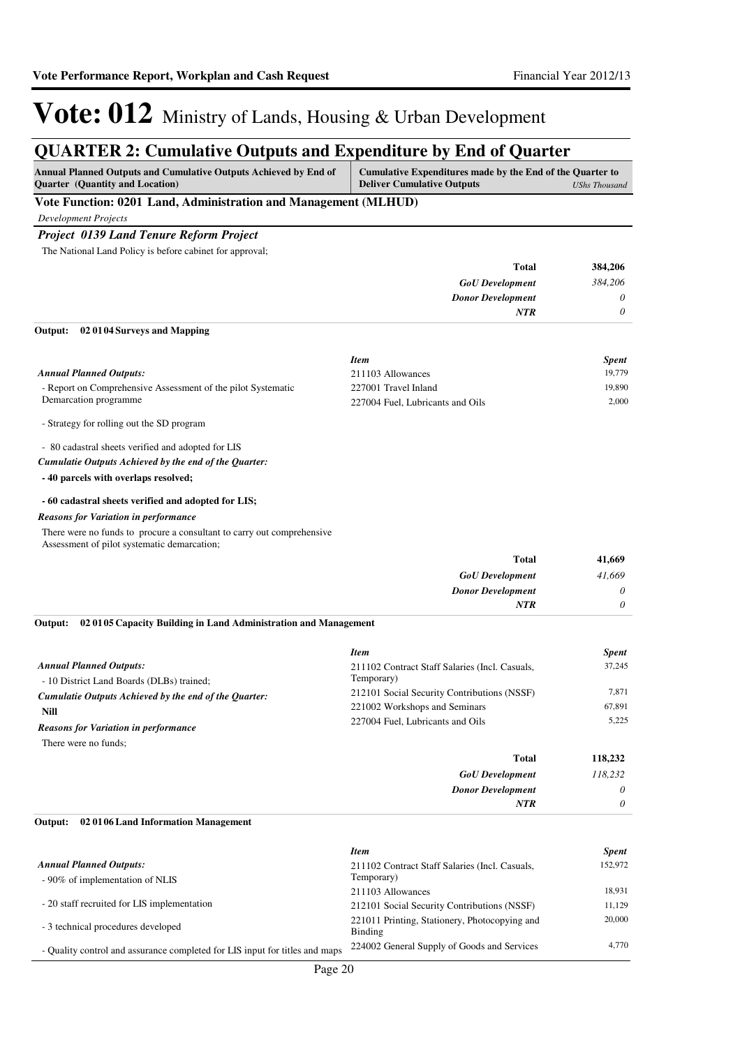### **QUARTER 2: Cumulative Outputs and Expenditure by End of Quarter**

| <b>Annual Planned Outputs and Cumulative Outputs Achieved by End of</b><br><b>Ouarter</b> (Quantity and Location) | Cumulative Expenditures made by the End of the Quarter to<br><b>Deliver Cumulative Outputs</b> | UShs Thousand |
|-------------------------------------------------------------------------------------------------------------------|------------------------------------------------------------------------------------------------|---------------|
| Vote Function: 0201 Land, Administration and Management (MLHUD)                                                   |                                                                                                |               |

*Development Projects*

### *Project 0139 Land Tenure Reform Project*

The National Land Policy is before cabinet for approval;

| 384,206  | <b>Total</b>             |
|----------|--------------------------|
| 384,206  | <b>GoU</b> Development   |
| $\theta$ | <b>Donor Development</b> |
| $\theta$ | <b>NTR</b>               |
|          |                          |

#### **02 0104 Surveys and Mapping Output:**

|                                                              | <b>Item</b>                      | <b>Spent</b> |
|--------------------------------------------------------------|----------------------------------|--------------|
| Annual Planned Outputs:                                      | 211103 Allowances                | 19.779       |
| - Report on Comprehensive Assessment of the pilot Systematic | 227001 Travel Inland             | 19.890       |
| Demarcation programme                                        | 227004 Fuel, Lubricants and Oils | 2.000        |
| - Strategy for rolling out the SD program                    |                                  |              |

- 80 cadastral sheets verified and adopted for LIS

#### *Cumulatie Outputs Achieved by the end of the Quarter:*

**- 40 parcels with overlaps resolved;**

#### **- 60 cadastral sheets verified and adopted for LIS;**

*Reasons for Variation in performance*

There were no funds to procure a consultant to carry out comprehensive

Assessment of pilot systematic demarcation;

| 41,669   | Total                    |
|----------|--------------------------|
| 41,669   | <b>GoU</b> Development   |
| $\theta$ | <b>Donor Development</b> |
| 0        | <b>NTR</b>               |

#### **02 0105 Capacity Building in Land Administration and Management Output:**

|                                                       | <b>Item</b>                                    | <b>Spent</b> |
|-------------------------------------------------------|------------------------------------------------|--------------|
| <b>Annual Planned Outputs:</b>                        | 211102 Contract Staff Salaries (Incl. Casuals, | 37.245       |
| - 10 District Land Boards (DLBs) trained;             | Temporary)                                     |              |
| Cumulatie Outputs Achieved by the end of the Ouarter: | 212101 Social Security Contributions (NSSF)    | 7.871        |
| Nill                                                  | 221002 Workshops and Seminars                  | 67.891       |
| <b>Reasons for Variation in performance</b>           | 227004 Fuel, Lubricants and Oils               | 5.225        |
| There were no funds:                                  |                                                |              |
|                                                       | <b>Total</b>                                   | 118.232      |
|                                                       | <b>GoU</b> Development                         | 118.232      |

*Donor Development*

*NTR*

*0 0*

# **02 0106 Land Information Management Output:**

|                                                                             | <b>Item</b>                                              | <b>Spent</b> |
|-----------------------------------------------------------------------------|----------------------------------------------------------|--------------|
| <b>Annual Planned Outputs:</b>                                              | 211102 Contract Staff Salaries (Incl. Casuals,           | 152,972      |
| - 90% of implementation of NLIS                                             | Temporary)                                               |              |
|                                                                             | 211103 Allowances                                        | 18.931       |
| - 20 staff recruited for LIS implementation                                 | 212101 Social Security Contributions (NSSF)              | 11.129       |
| - 3 technical procedures developed                                          | 221011 Printing, Stationery, Photocopying and<br>Binding | 20,000       |
| - Quality control and assurance completed for LIS input for titles and maps | 224002 General Supply of Goods and Services              | 4,770        |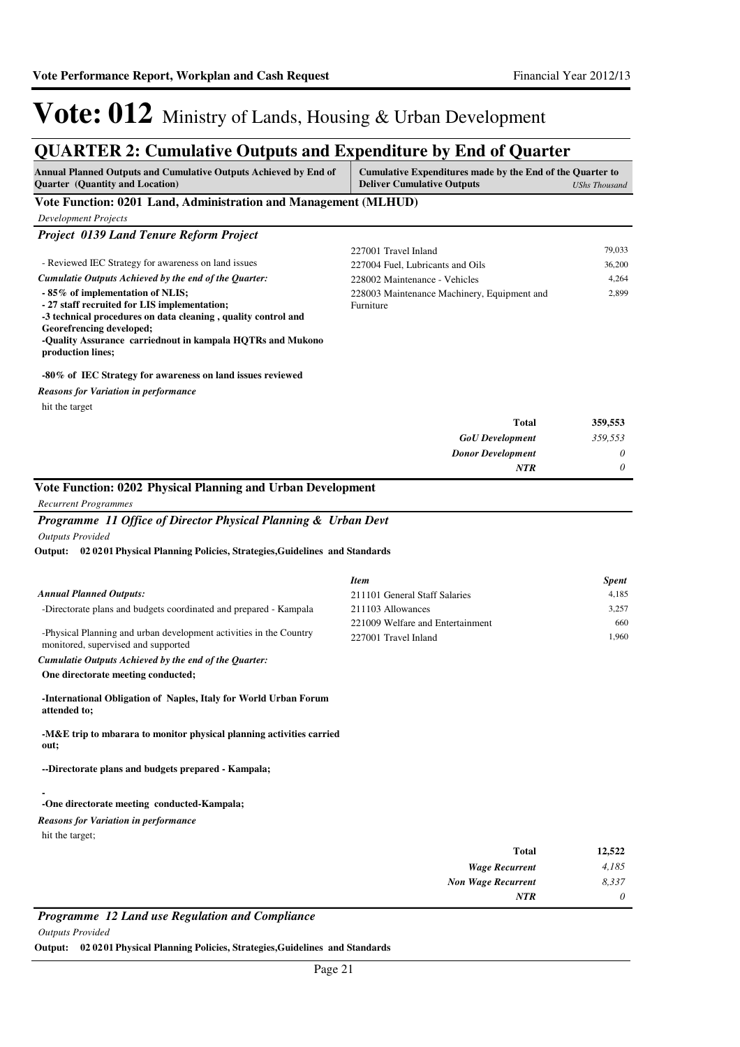### **QUARTER 2: Cumulative Outputs and Expenditure by End of Quarter**

| Annual Planned Outputs and Cumulative Outputs Achieved by End of<br><b>Quarter</b> (Quantity and Location)                                                                    | Cumulative Expenditures made by the End of the Quarter to<br><b>Deliver Cumulative Outputs</b> | <b>UShs Thousand</b> |
|-------------------------------------------------------------------------------------------------------------------------------------------------------------------------------|------------------------------------------------------------------------------------------------|----------------------|
| Vote Function: 0201 Land, Administration and Management (MLHUD)                                                                                                               |                                                                                                |                      |
| <b>Development Projects</b>                                                                                                                                                   |                                                                                                |                      |
| Project 0139 Land Tenure Reform Project                                                                                                                                       |                                                                                                |                      |
|                                                                                                                                                                               | 227001 Travel Inland                                                                           | 79,033               |
| - Reviewed IEC Strategy for awareness on land issues                                                                                                                          | 227004 Fuel, Lubricants and Oils                                                               | 36,200               |
| Cumulatie Outputs Achieved by the end of the Quarter:                                                                                                                         | 228002 Maintenance - Vehicles                                                                  | 4,264                |
| - 85% of implementation of NLIS;<br>- 27 staff recruited for LIS implementation;<br>-3 technical procedures on data cleaning, quality control and<br>Georefrencing developed; | 228003 Maintenance Machinery, Equipment and<br>Furniture                                       | 2,899                |
| -Quality Assurance carriednout in kampala HQTRs and Mukono<br>production lines;                                                                                               |                                                                                                |                      |
| -80% of IEC Strategy for awareness on land issues reviewed                                                                                                                    |                                                                                                |                      |
| <b>Reasons for Variation in performance</b>                                                                                                                                   |                                                                                                |                      |
| hit the target                                                                                                                                                                |                                                                                                |                      |
|                                                                                                                                                                               | <b>Total</b>                                                                                   | 359,553              |
|                                                                                                                                                                               | <b>GoU</b> Development                                                                         | 359,553              |
|                                                                                                                                                                               | <b>Donor Development</b>                                                                       | 0                    |
|                                                                                                                                                                               | NTR                                                                                            | 0                    |
| Vote Function: 0202 Physical Planning and Urban Development                                                                                                                   |                                                                                                |                      |
| <b>Recurrent Programmes</b>                                                                                                                                                   |                                                                                                |                      |
| Programme 11 Office of Director Physical Planning & Urban Devt                                                                                                                |                                                                                                |                      |
| <b>Outputs Provided</b>                                                                                                                                                       |                                                                                                |                      |
| Output: 02 02 01 Physical Planning Policies, Strategies, Guidelines and Standards                                                                                             |                                                                                                |                      |
|                                                                                                                                                                               | <b>Item</b>                                                                                    | Spent                |
| <b>Annual Planned Outputs:</b>                                                                                                                                                | 211101 General Staff Salaries                                                                  | 4,185                |
| -Directorate plans and budgets coordinated and prepared - Kampala                                                                                                             | 211103 Allowances                                                                              | 3,257                |
| -Physical Planning and urban development activities in the Country<br>monitored, supervised and supported                                                                     | 221009 Welfare and Entertainment<br>227001 Travel Inland                                       | 660<br>1,960         |
| Cumulatie Outputs Achieved by the end of the Quarter:                                                                                                                         |                                                                                                |                      |
| One directorate meeting conducted;                                                                                                                                            |                                                                                                |                      |
| -International Obligation of Naples, Italy for World Urban Forum<br>attended to;                                                                                              |                                                                                                |                      |
| -M&E trip to mbarara to monitor physical planning activities carried<br>out;                                                                                                  |                                                                                                |                      |
| --Directorate plans and budgets prepared - Kampala;                                                                                                                           |                                                                                                |                      |
| -One directorate meeting conducted-Kampala;                                                                                                                                   |                                                                                                |                      |

*Reasons for Variation in performance*

hit the target;

| 12,522   | <b>Total</b>              |
|----------|---------------------------|
| 4,185    | <b>Wage Recurrent</b>     |
| 8,337    | <b>Non Wage Recurrent</b> |
| $\theta$ | <b>NTR</b>                |
|          |                           |

*Programme 12 Land use Regulation and Compliance*

*Outputs Provided*

**Output: 02 0201 Physical Planning Policies, Strategies,Guidelines and Standards**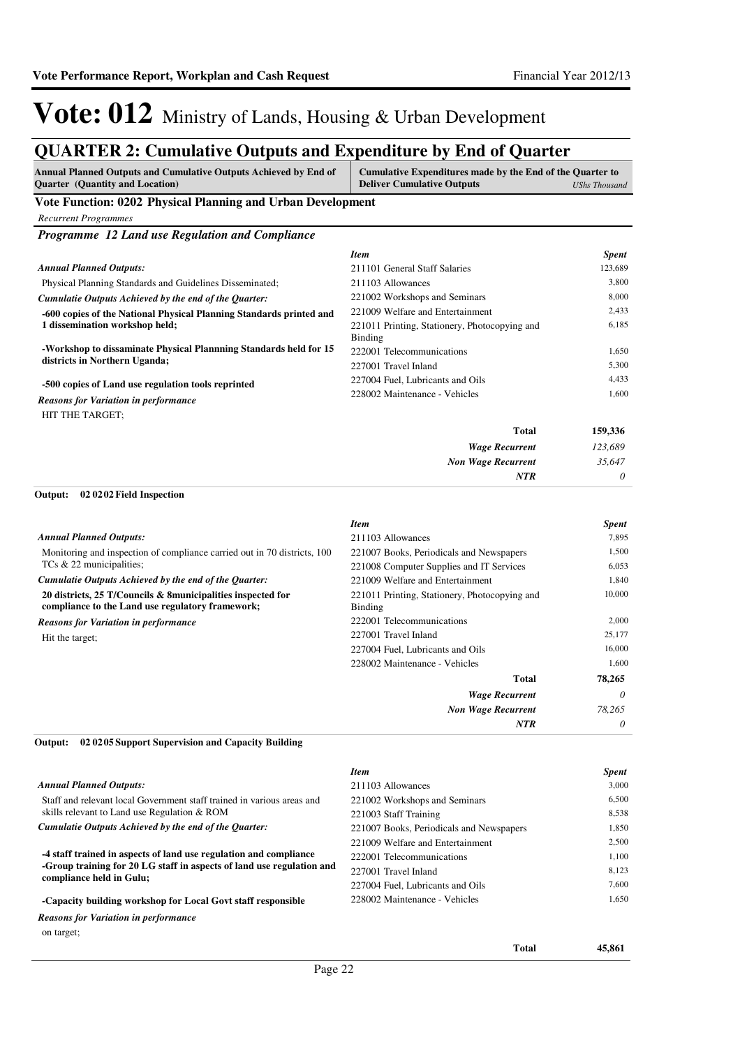### **QUARTER 2: Cumulative Outputs and Expenditure by End of Quarter**

| QUANTEN 2. Cumulative Outputs and Expenditure by Eini of Quarter                                                                           |                                                                                                |                       |
|--------------------------------------------------------------------------------------------------------------------------------------------|------------------------------------------------------------------------------------------------|-----------------------|
| Annual Planned Outputs and Cumulative Outputs Achieved by End of<br>Quarter (Quantity and Location)                                        | Cumulative Expenditures made by the End of the Quarter to<br><b>Deliver Cumulative Outputs</b> | <b>UShs Thousand</b>  |
| Vote Function: 0202 Physical Planning and Urban Development                                                                                |                                                                                                |                       |
| <b>Recurrent Programmes</b>                                                                                                                |                                                                                                |                       |
| Programme 12 Land use Regulation and Compliance                                                                                            |                                                                                                |                       |
|                                                                                                                                            | Item                                                                                           | <b>Spent</b>          |
| <b>Annual Planned Outputs:</b>                                                                                                             | 211101 General Staff Salaries                                                                  | 123,689               |
| Physical Planning Standards and Guidelines Disseminated;                                                                                   | 211103 Allowances                                                                              | 3,800                 |
| Cumulatie Outputs Achieved by the end of the Quarter:                                                                                      | 221002 Workshops and Seminars                                                                  | 8,000                 |
| -600 copies of the National Physical Planning Standards printed and                                                                        | 221009 Welfare and Entertainment                                                               | 2,433                 |
| 1 dissemination workshop held;                                                                                                             | 221011 Printing, Stationery, Photocopying and<br>Binding                                       | 6,185                 |
| -Workshop to dissaminate Physical Plannning Standards held for 15                                                                          | 222001 Telecommunications                                                                      | 1,650                 |
| districts in Northern Uganda;                                                                                                              | 227001 Travel Inland                                                                           | 5,300                 |
| -500 copies of Land use regulation tools reprinted                                                                                         | 227004 Fuel, Lubricants and Oils                                                               | 4,433                 |
| <b>Reasons for Variation in performance</b>                                                                                                | 228002 Maintenance - Vehicles                                                                  | 1,600                 |
| HIT THE TARGET;                                                                                                                            |                                                                                                |                       |
|                                                                                                                                            | Total                                                                                          | 159,336               |
|                                                                                                                                            | <b>Wage Recurrent</b>                                                                          | 123,689               |
|                                                                                                                                            | <b>Non Wage Recurrent</b>                                                                      | 35,647                |
|                                                                                                                                            | <b>NTR</b>                                                                                     | 0                     |
| 02 02 02 Field Inspection<br>Output:                                                                                                       |                                                                                                |                       |
|                                                                                                                                            |                                                                                                |                       |
| <b>Annual Planned Outputs:</b>                                                                                                             | <b>Item</b>                                                                                    | <b>Spent</b><br>7,895 |
| Monitoring and inspection of compliance carried out in 70 districts, 100                                                                   | 211103 Allowances                                                                              | 1,500                 |
| TCs & 22 municipalities;                                                                                                                   | 221007 Books, Periodicals and Newspapers<br>221008 Computer Supplies and IT Services           | 6,053                 |
| Cumulatie Outputs Achieved by the end of the Quarter:                                                                                      | 221009 Welfare and Entertainment                                                               | 1,840                 |
| 20 districts, 25 T/Councils & 8municipalities inspected for<br>compliance to the Land use regulatory framework;                            | 221011 Printing, Stationery, Photocopying and<br><b>Binding</b>                                | 10,000                |
| <b>Reasons for Variation in performance</b>                                                                                                | 222001 Telecommunications                                                                      | 2,000                 |
| Hit the target;                                                                                                                            | 227001 Travel Inland                                                                           | 25,177                |
|                                                                                                                                            | 227004 Fuel, Lubricants and Oils                                                               | 16,000                |
|                                                                                                                                            | 228002 Maintenance - Vehicles                                                                  | 1,600                 |
|                                                                                                                                            | <b>Total</b>                                                                                   | 78,265                |
|                                                                                                                                            | <b>Wage Recurrent</b>                                                                          | 0                     |
|                                                                                                                                            | <b>Non Wage Recurrent</b>                                                                      | 78,265                |
|                                                                                                                                            | NTR                                                                                            | 0                     |
| 02 02 05 Support Supervision and Capacity Building<br>Output:                                                                              |                                                                                                |                       |
|                                                                                                                                            | <b>Item</b>                                                                                    | <b>Spent</b>          |
| <b>Annual Planned Outputs:</b>                                                                                                             | 211103 Allowances                                                                              | 3,000                 |
| Staff and relevant local Government staff trained in various areas and                                                                     | 221002 Workshops and Seminars                                                                  | 6,500                 |
| skills relevant to Land use Regulation & ROM                                                                                               | 221003 Staff Training                                                                          | 8,538                 |
| Cumulatie Outputs Achieved by the end of the Quarter:                                                                                      | 221007 Books, Periodicals and Newspapers                                                       | 1,850                 |
|                                                                                                                                            | 221009 Welfare and Entertainment                                                               | 2,500                 |
| -4 staff trained in aspects of land use regulation and compliance<br>-Group training for 20 LG staff in aspects of land use regulation and | 222001 Telecommunications                                                                      | 1,100                 |
| compliance held in Gulu;                                                                                                                   | 227001 Travel Inland                                                                           | 8,123                 |
|                                                                                                                                            | 227004 Fuel, Lubricants and Oils<br>228002 Maintenance - Vehicles                              | 7,600<br>1,650        |
| -Capacity building workshop for Local Govt staff responsible                                                                               |                                                                                                |                       |

*Reasons for Variation in performance*

on target;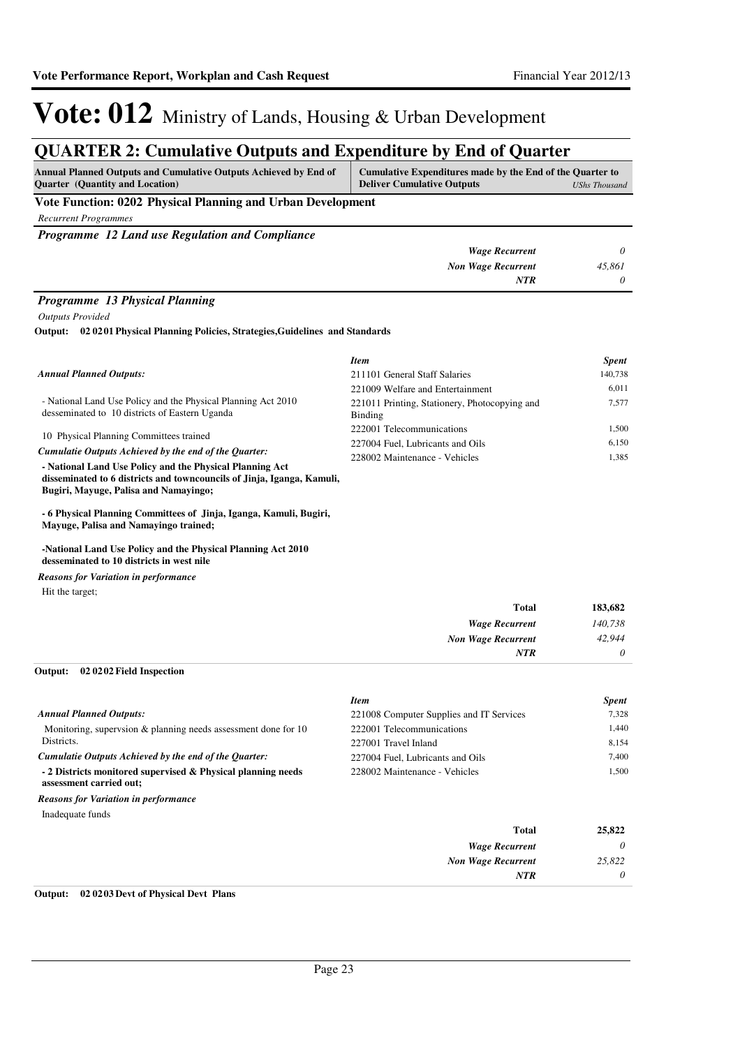*NTR 0*

*Wage Recurrent Non Wage Recurrent*

*NTR*

*0 25,822 0*

## Vote: 012 Ministry of Lands, Housing & Urban Development

### **QUARTER 2: Cumulative Outputs and Expenditure by End of Quarter**

| <b>Annual Planned Outputs and Cumulative Outputs Achieved by End of</b><br><b>Quarter</b> (Quantity and Location) | Cumulative Expenditures made by the End of the Quarter to<br><b>Deliver Cumulative Outputs</b> | <b>UShs Thousand</b> |
|-------------------------------------------------------------------------------------------------------------------|------------------------------------------------------------------------------------------------|----------------------|
| Vote Function: 0202 Physical Planning and Urban Development                                                       |                                                                                                |                      |
| <b>Recurrent Programmes</b>                                                                                       |                                                                                                |                      |
| Programme 12 Land use Regulation and Compliance                                                                   |                                                                                                |                      |
|                                                                                                                   | <b>Wage Recurrent</b>                                                                          |                      |
|                                                                                                                   | <b>Non Wage Recurrent</b>                                                                      | 45.861               |

#### *Programme 13 Physical Planning*

*Outputs Provided*

**02 0201 Physical Planning Policies, Strategies,Guidelines and Standards Output:**

|                                                                                                                 | <b>Item</b>                                              | <b>Spent</b> |
|-----------------------------------------------------------------------------------------------------------------|----------------------------------------------------------|--------------|
| <b>Annual Planned Outputs:</b>                                                                                  | 211101 General Staff Salaries                            | 140,738      |
|                                                                                                                 | 221009 Welfare and Entertainment                         | 6.011        |
| - National Land Use Policy and the Physical Planning Act 2010<br>desseminated to 10 districts of Eastern Uganda | 221011 Printing, Stationery, Photocopying and<br>Binding | 7.577        |
|                                                                                                                 | 222001 Telecommunications                                | 1.500        |
| 10 Physical Planning Committees trained                                                                         | 227004 Fuel, Lubricants and Oils                         | 6.150        |
| Cumulatie Outputs Achieved by the end of the Ouarter:                                                           | 228002 Maintenance - Vehicles                            | 1,385        |
| - National Land Use Policy and the Physical Planning Act                                                        |                                                          |              |
| disseminated to 6 districts and towncouncils of Jinja, Iganga, Kamuli,                                          |                                                          |              |
| Bugiri, Mayuge, Palisa and Namayingo;                                                                           |                                                          |              |

**- 6 Physical Planning Committees of Jinja, Iganga, Kamuli, Bugiri, Mayuge, Palisa and Namayingo trained;**

**-National Land Use Policy and the Physical Planning Act 2010 desseminated to 10 districts in west nile**

*Reasons for Variation in performance*

Hit the target;

| 183,682 | Total                 |
|---------|-----------------------|
| 140,738 | <b>Wage Recurrent</b> |
| 42,944  | Non Wage Recurrent    |
| 0       | <b>NTR</b>            |
|         |                       |

#### **02 0202 Field Inspection Output:**

|                                                                                         | <b>Item</b>                              | <b>Spent</b> |
|-----------------------------------------------------------------------------------------|------------------------------------------|--------------|
| <b>Annual Planned Outputs:</b>                                                          | 221008 Computer Supplies and IT Services | 7.328        |
| Monitoring, supervsion & planning needs assessment done for 10                          | 222001 Telecommunications                | 1.440        |
| Districts.                                                                              | 227001 Travel Inland                     | 8,154        |
| Cumulatie Outputs Achieved by the end of the Ouarter:                                   | 227004 Fuel, Lubricants and Oils         | 7.400        |
| - 2 Districts monitored supervised & Physical planning needs<br>assessment carried out; | 228002 Maintenance - Vehicles            | 1.500        |
| <b>Reasons for Variation in performance</b>                                             |                                          |              |
| Inadequate funds                                                                        |                                          |              |
|                                                                                         | <b>Total</b>                             | 25,822       |

#### **Output: 02 0203 Devt of Physical Devt Plans**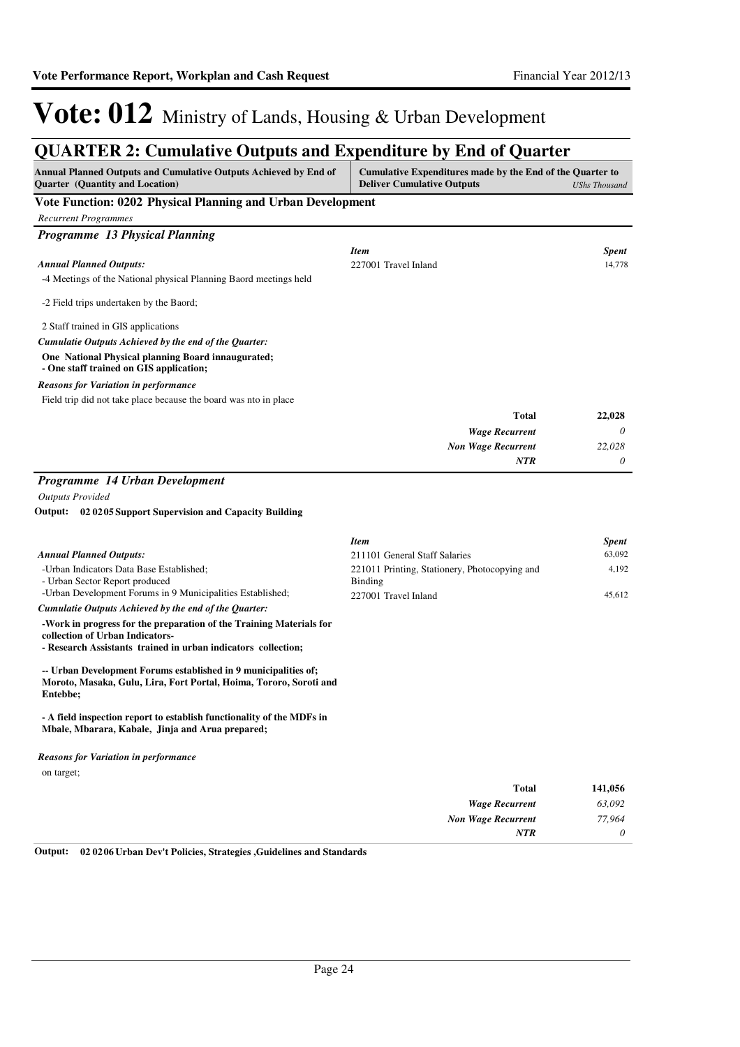### **QUARTER 2: Cumulative Outputs and Expenditure by End of Quarter**

| Annual Planned Outputs and Cumulative Outputs Achieved by End of<br><b>Quarter</b> (Quantity and Location)                                        | Cumulative Expenditures made by the End of the Quarter to<br><b>Deliver Cumulative Outputs</b> | <b>UShs Thousand</b>   |
|---------------------------------------------------------------------------------------------------------------------------------------------------|------------------------------------------------------------------------------------------------|------------------------|
| Vote Function: 0202 Physical Planning and Urban Development                                                                                       |                                                                                                |                        |
| <b>Recurrent Programmes</b>                                                                                                                       |                                                                                                |                        |
| Programme 13 Physical Planning                                                                                                                    |                                                                                                |                        |
| <b>Annual Planned Outputs:</b>                                                                                                                    | <b>Item</b><br>227001 Travel Inland                                                            | <b>Spent</b><br>14,778 |
| -4 Meetings of the National physical Planning Baord meetings held                                                                                 |                                                                                                |                        |
| -2 Field trips undertaken by the Baord;                                                                                                           |                                                                                                |                        |
| 2 Staff trained in GIS applications                                                                                                               |                                                                                                |                        |
| Cumulatie Outputs Achieved by the end of the Quarter:                                                                                             |                                                                                                |                        |
| One National Physical planning Board innaugurated;<br>- One staff trained on GIS application;                                                     |                                                                                                |                        |
| <b>Reasons for Variation in performance</b>                                                                                                       |                                                                                                |                        |
| Field trip did not take place because the board was nto in place                                                                                  |                                                                                                |                        |
|                                                                                                                                                   | <b>Total</b>                                                                                   | 22,028                 |
|                                                                                                                                                   | <b>Wage Recurrent</b>                                                                          | 0                      |
|                                                                                                                                                   | <b>Non Wage Recurrent</b>                                                                      | 22.028                 |
|                                                                                                                                                   | <b>NTR</b>                                                                                     | 0                      |
| Programme 14 Urban Development                                                                                                                    |                                                                                                |                        |
| <b>Outputs Provided</b>                                                                                                                           |                                                                                                |                        |
| 02 02 05 Support Supervision and Capacity Building<br>Output:                                                                                     |                                                                                                |                        |
|                                                                                                                                                   | <b>Item</b>                                                                                    | Spent                  |
| <b>Annual Planned Outputs:</b>                                                                                                                    | 211101 General Staff Salaries                                                                  | 63,092                 |
| -Urban Indicators Data Base Established;<br>- Urban Sector Report produced<br>-Urban Development Forums in 9 Municipalities Established;          | 221011 Printing, Stationery, Photocopying and<br><b>Binding</b><br>227001 Travel Inland        | 4,192<br>45,612        |
| Cumulatie Outputs Achieved by the end of the Quarter:                                                                                             |                                                                                                |                        |
| -Work in progress for the preparation of the Training Materials for<br>collection of Urban Indicators-                                            |                                                                                                |                        |
| - Research Assistants trained in urban indicators collection;                                                                                     |                                                                                                |                        |
| -- Urban Development Forums established in 9 municipalities of;<br>Moroto, Masaka, Gulu, Lira, Fort Portal, Hoima, Tororo, Soroti and<br>Entebbe; |                                                                                                |                        |
| - A field inspection report to establish functionality of the MDFs in<br>Mbale, Mbarara, Kabale, Jinja and Arua prepared;                         |                                                                                                |                        |
| <b>Reasons for Variation in performance</b>                                                                                                       |                                                                                                |                        |
| on target;                                                                                                                                        |                                                                                                |                        |
|                                                                                                                                                   | <b>Total</b>                                                                                   | 141,056                |
|                                                                                                                                                   | <b>Wage Recurrent</b>                                                                          | 63,092                 |
|                                                                                                                                                   | <b>Non Wage Recurrent</b>                                                                      | 77,964                 |
|                                                                                                                                                   | NTR                                                                                            | 0                      |

**Output: 02 0206 Urban Dev't Policies, Strategies ,Guidelines and Standards**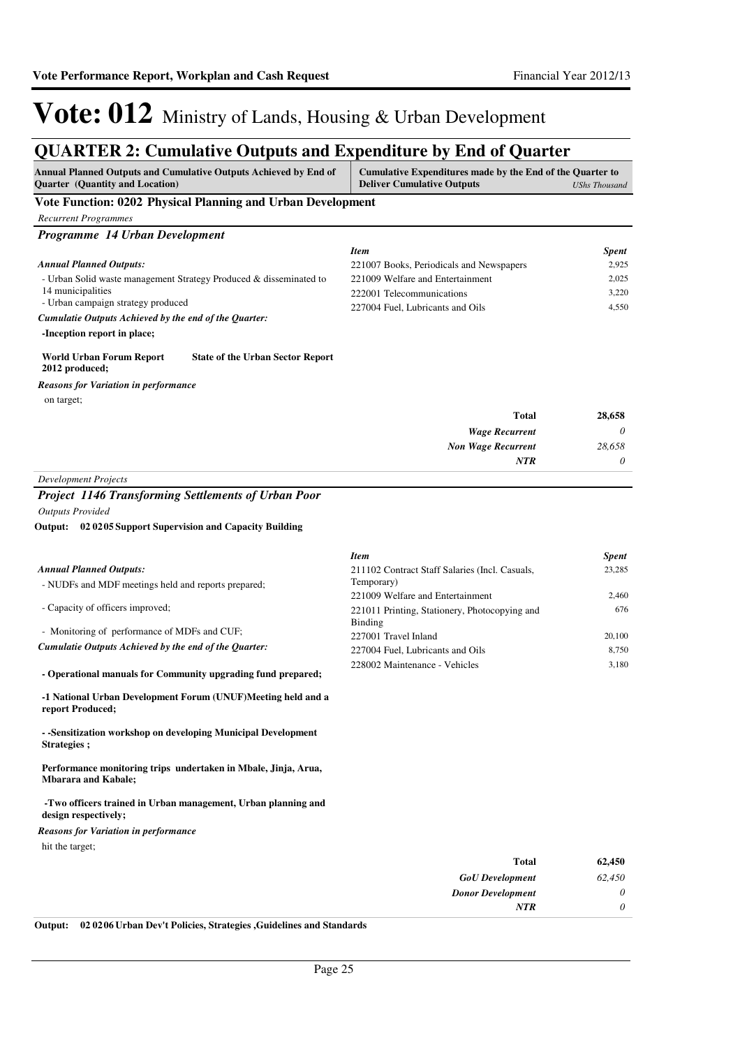### **QUARTER 2: Cumulative Outputs and Expenditure by End of Quarter**

| Annual Planned Outputs and Cumulative Outputs Achieved by End of<br><b>Quarter</b> (Quantity and Location) | Cumulative Expenditures made by the End of the Quarter to<br><b>Deliver Cumulative Outputs</b> | <b>UShs Thousand</b>   |
|------------------------------------------------------------------------------------------------------------|------------------------------------------------------------------------------------------------|------------------------|
| Vote Function: 0202 Physical Planning and Urban Development                                                |                                                                                                |                        |
| <b>Recurrent Programmes</b>                                                                                |                                                                                                |                        |
| Programme 14 Urban Development                                                                             |                                                                                                |                        |
|                                                                                                            | <b>Item</b>                                                                                    | <b>Spent</b>           |
| <b>Annual Planned Outputs:</b>                                                                             | 221007 Books, Periodicals and Newspapers                                                       | 2,925                  |
| - Urban Solid waste management Strategy Produced & disseminated to                                         | 221009 Welfare and Entertainment                                                               | 2,025                  |
| 14 municipalities<br>- Urban campaign strategy produced                                                    | 222001 Telecommunications                                                                      | 3,220                  |
| Cumulatie Outputs Achieved by the end of the Quarter:                                                      | 227004 Fuel, Lubricants and Oils                                                               | 4,550                  |
| -Inception report in place;                                                                                |                                                                                                |                        |
| World Urban Forum Report<br><b>State of the Urban Sector Report</b><br>2012 produced;                      |                                                                                                |                        |
| <b>Reasons for Variation in performance</b>                                                                |                                                                                                |                        |
| on target;                                                                                                 |                                                                                                |                        |
|                                                                                                            | <b>Total</b>                                                                                   | 28,658                 |
|                                                                                                            | <b>Wage Recurrent</b>                                                                          | 0                      |
|                                                                                                            | <b>Non Wage Recurrent</b>                                                                      | 28.658                 |
|                                                                                                            | <b>NTR</b>                                                                                     | 0                      |
| <b>Development Projects</b>                                                                                |                                                                                                |                        |
| <b>Project 1146 Transforming Settlements of Urban Poor</b>                                                 |                                                                                                |                        |
| <b>Outputs Provided</b>                                                                                    |                                                                                                |                        |
| Output: 02 02 05 Support Supervision and Capacity Building                                                 |                                                                                                |                        |
|                                                                                                            |                                                                                                |                        |
| <b>Annual Planned Outputs:</b>                                                                             | <b>Item</b><br>211102 Contract Staff Salaries (Incl. Casuals,                                  | <b>Spent</b><br>23,285 |
| - NUDFs and MDF meetings held and reports prepared;                                                        | Temporary)                                                                                     |                        |
|                                                                                                            | 221009 Welfare and Entertainment                                                               | 2,460                  |
| - Capacity of officers improved;                                                                           | 221011 Printing, Stationery, Photocopying and                                                  | 676                    |
| - Monitoring of performance of MDFs and CUF;                                                               | <b>Binding</b>                                                                                 |                        |
| Cumulatie Outputs Achieved by the end of the Quarter:                                                      | 227001 Travel Inland                                                                           | 20,100                 |
|                                                                                                            | 227004 Fuel, Lubricants and Oils                                                               | 8,750                  |
| - Operational manuals for Community upgrading fund prepared;                                               | 228002 Maintenance - Vehicles                                                                  | 3,180                  |
| -1 National Urban Development Forum (UNUF)Meeting held and a<br>report Produced;                           |                                                                                                |                        |
| - Sensitization workshop on developing Municipal Development<br>Strategies;                                |                                                                                                |                        |
| Performance monitoring trips undertaken in Mbale, Jinja, Arua,<br><b>Mbarara and Kabale;</b>               |                                                                                                |                        |
| -Two officers trained in Urban management, Urban planning and<br>design respectively;                      |                                                                                                |                        |
| <b>Reasons for Variation in performance</b>                                                                |                                                                                                |                        |
| hit the target;                                                                                            |                                                                                                |                        |
|                                                                                                            | Total                                                                                          | 62,450                 |
|                                                                                                            | <b>GoU</b> Development                                                                         | 62,450                 |
|                                                                                                            | <b>Donor Development</b>                                                                       | 0                      |
|                                                                                                            | <b>NTR</b>                                                                                     | 0                      |

**Output: 02 0206 Urban Dev't Policies, Strategies ,Guidelines and Standards**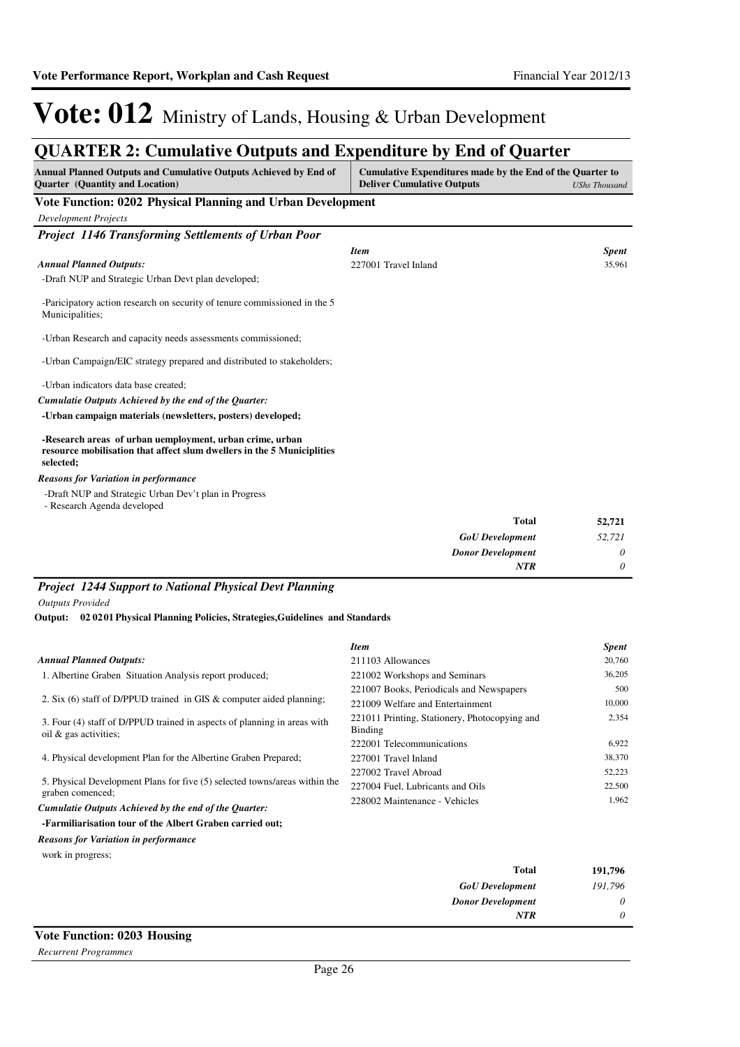## **QUARTER 2: Cumulative Outputs and Expenditure by End of Quarter**

| Annual Planned Outputs and Cumulative Outputs Achieved by End of<br><b>Quarter</b> (Quantity and Location)                                      | Cumulative Expenditures made by the End of the Quarter to<br><b>Deliver Cumulative Outputs</b> | <b>UShs Thousand</b> |
|-------------------------------------------------------------------------------------------------------------------------------------------------|------------------------------------------------------------------------------------------------|----------------------|
| Vote Function: 0202 Physical Planning and Urban Development                                                                                     |                                                                                                |                      |
| <b>Development Projects</b>                                                                                                                     |                                                                                                |                      |
| <b>Project 1146 Transforming Settlements of Urban Poor</b>                                                                                      |                                                                                                |                      |
|                                                                                                                                                 | <b>Item</b>                                                                                    | <b>Spent</b>         |
| <b>Annual Planned Outputs:</b>                                                                                                                  | 227001 Travel Inland                                                                           | 35,961               |
| -Draft NUP and Strategic Urban Devt plan developed;                                                                                             |                                                                                                |                      |
| -Paricipatory action research on security of tenure commissioned in the 5<br>Municipalities;                                                    |                                                                                                |                      |
| -Urban Research and capacity needs assessments commissioned;                                                                                    |                                                                                                |                      |
| -Urban Campaign/EIC strategy prepared and distributed to stakeholders;                                                                          |                                                                                                |                      |
| -Urban indicators data base created;                                                                                                            |                                                                                                |                      |
| Cumulatie Outputs Achieved by the end of the Ouarter:                                                                                           |                                                                                                |                      |
| -Urban campaign materials (newsletters, posters) developed;                                                                                     |                                                                                                |                      |
| -Research areas of urban uemployment, urban crime, urban<br>resource mobilisation that affect slum dwellers in the 5 Municiplities<br>selected; |                                                                                                |                      |
| <b>Reasons for Variation in performance</b>                                                                                                     |                                                                                                |                      |
| -Draft NUP and Strategic Urban Dev't plan in Progress<br>- Research Agenda developed                                                            |                                                                                                |                      |
|                                                                                                                                                 | <b>Total</b>                                                                                   | 52,721               |

| 52,721   | Total                    |
|----------|--------------------------|
| 52,721   | <b>GoU</b> Development   |
| $\theta$ | <b>Donor Development</b> |
| $\theta$ | <b>NTR</b>               |
|          |                          |

### *Project 1244 Support to National Physical Devt Planning*

*Outputs Provided*

#### **02 0201 Physical Planning Policies, Strategies,Guidelines and Standards Output:**

|                                                                                                      | <b>Item</b>                                                     | <b>Spent</b> |
|------------------------------------------------------------------------------------------------------|-----------------------------------------------------------------|--------------|
| <b>Annual Planned Outputs:</b>                                                                       | 211103 Allowances                                               | 20,760       |
| 1. Albertine Graben Situation Analysis report produced;                                              | 221002 Workshops and Seminars                                   | 36,205       |
|                                                                                                      | 221007 Books, Periodicals and Newspapers                        | 500          |
| 2. Six (6) staff of D/PPUD trained in GIS $\&$ computer aided planning;                              | 221009 Welfare and Entertainment                                | 10,000       |
| 3. Four (4) staff of D/PPUD trained in aspects of planning in areas with<br>oil $\&$ gas activities; | 221011 Printing, Stationery, Photocopying and<br><b>Binding</b> | 2,354        |
|                                                                                                      | 222001 Telecommunications                                       | 6,922        |
| 4. Physical development Plan for the Albertine Graben Prepared;                                      | 227001 Travel Inland                                            | 38,370       |
|                                                                                                      | 227002 Travel Abroad                                            | 52,223       |
| 5. Physical Development Plans for five (5) selected towns/areas within the<br>graben comenced;       | 227004 Fuel. Lubricants and Oils                                | 22,500       |
| Cumulatie Outputs Achieved by the end of the Ouarter:                                                | 228002 Maintenance - Vehicles                                   | 1.962        |
| <b>Equipmental Line of the Albert Cropen coupled out</b>                                             |                                                                 |              |

### **-Farmiliarisation tour of the Albert Graben carried out;**

*Reasons for Variation in performance*

work in progress;

| 191,796 | <b>Total</b>             |
|---------|--------------------------|
| 191,796 | <b>GoU</b> Development   |
| 0       | <b>Donor Development</b> |
| 0       | <b>NTR</b>               |
|         |                          |

### **Vote Function: 0203 Housing**

*Recurrent Programmes*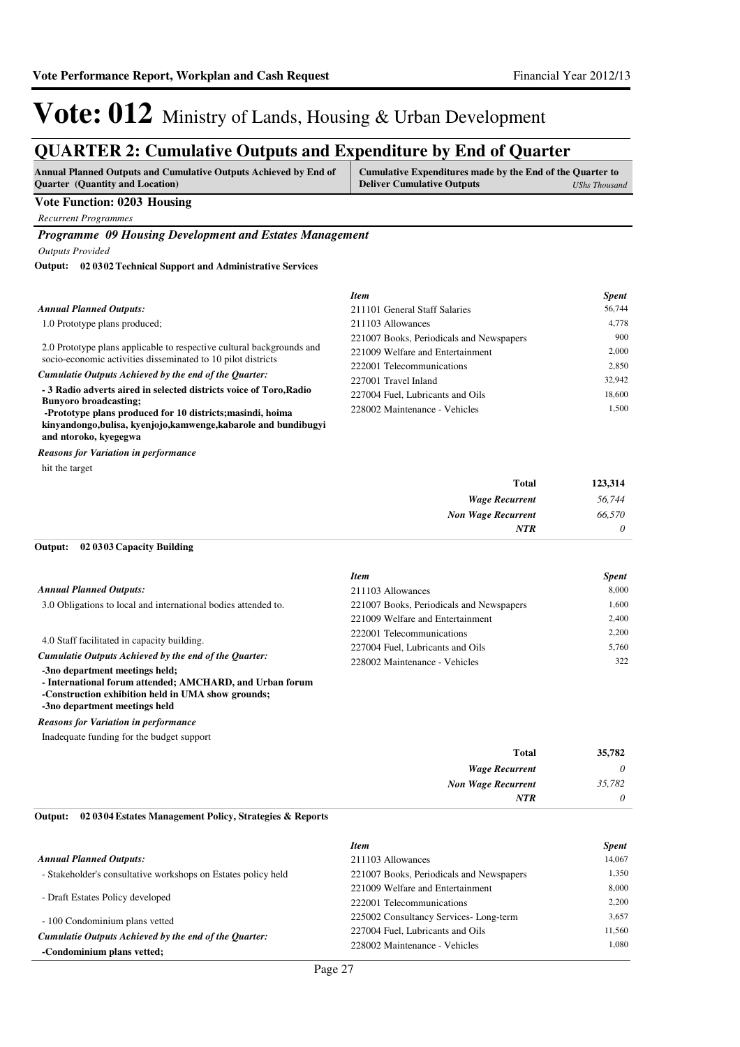### **QUARTER 2: Cumulative Outputs and Expenditure by End of Quarter**

| <b>Annual Planned Outputs and Cumulative Outputs Achieved by End of</b> | Cumulative Expenditures made by the End of the Quarter to |               |
|-------------------------------------------------------------------------|-----------------------------------------------------------|---------------|
| <b>Ouarter</b> (Quantity and Location)                                  | <b>Deliver Cumulative Outputs</b>                         | UShs Thousand |

### **Vote Function: 0203 Housing**

*Recurrent Programmes*

*Programme 09 Housing Development and Estates Management*

*Outputs Provided*

**02 0302 Technical Support and Administrative Services Output:**

|                                                                                                                                       | <b>Item</b>                              | <b>Spent</b> |
|---------------------------------------------------------------------------------------------------------------------------------------|------------------------------------------|--------------|
| <b>Annual Planned Outputs:</b>                                                                                                        | 211101 General Staff Salaries            | 56,744       |
| 1.0 Prototype plans produced;                                                                                                         | 211103 Allowances                        | 4.778        |
|                                                                                                                                       | 221007 Books, Periodicals and Newspapers | 900          |
| 2.0 Prototype plans applicable to respective cultural backgrounds and<br>socio-economic activities disseminated to 10 pilot districts | 221009 Welfare and Entertainment         | 2,000        |
|                                                                                                                                       | 222001 Telecommunications                | 2.850        |
| Cumulatie Outputs Achieved by the end of the Ouarter:                                                                                 | 227001 Travel Inland                     | 32.942       |
| - 3 Radio adverts aired in selected districts voice of Toro, Radio<br><b>Bunyoro broadcasting:</b>                                    | 227004 Fuel, Lubricants and Oils         | 18,600       |
| -Prototype plans produced for 10 districts; masindi, hoima                                                                            | 228002 Maintenance - Vehicles            | 1.500        |
| kinyandongo, bulisa, kyenjojo, kamwenge, kabarole and bundibugyi                                                                      |                                          |              |
| and ntoroko, kyegegwa                                                                                                                 |                                          |              |

hit the target *Reasons for Variation in performance*

| Total                     | 123,314  |
|---------------------------|----------|
| <b>Wage Recurrent</b>     | 56,744   |
| <b>Non Wage Recurrent</b> | 66,570   |
| <b>NTR</b>                | $\theta$ |

#### **02 0303 Capacity Building Output:**

|                                                                | <b>Item</b>                              | <b>Spent</b> |
|----------------------------------------------------------------|------------------------------------------|--------------|
| <b>Annual Planned Outputs:</b>                                 | 211103 Allowances                        | 8,000        |
| 3.0 Obligations to local and international bodies attended to. | 221007 Books, Periodicals and Newspapers | 1.600        |
|                                                                | 221009 Welfare and Entertainment         | 2.400        |
|                                                                | 222001 Telecommunications                | 2.200        |
| 4.0 Staff facilitated in capacity building.                    | 227004 Fuel. Lubricants and Oils         | 5.760        |
| Cumulatie Outputs Achieved by the end of the Ouarter:          | 228002 Maintenance - Vehicles            | 322          |
| -3no department meetings held;                                 |                                          |              |
| - International forum attended; AMCHARD, and Urban forum       |                                          |              |
| -Construction exhibition held in UMA show grounds;             |                                          |              |

**-3no department meetings held**

*Reasons for Variation in performance*

Inadequate funding for the budget support

| <b>Total</b>              | 35,782   |
|---------------------------|----------|
| <b>Wage Recurrent</b>     | $\theta$ |
| <b>Non Wage Recurrent</b> | 35,782   |
| <b>NTR</b>                | $\theta$ |

#### **02 0304 Estates Management Policy, Strategies & Reports Output:**

|                                                               | <b>Item</b>                              | <b>Spent</b> |
|---------------------------------------------------------------|------------------------------------------|--------------|
| <b>Annual Planned Outputs:</b>                                | 211103 Allowances                        | 14,067       |
| - Stakeholder's consultative workshops on Estates policy held | 221007 Books, Periodicals and Newspapers | 1.350        |
|                                                               | 221009 Welfare and Entertainment         | 8,000        |
| - Draft Estates Policy developed                              | 222001 Telecommunications                | 2.200        |
| - 100 Condominium plans vetted                                | 225002 Consultancy Services-Long-term    | 3.657        |
| Cumulatie Outputs Achieved by the end of the Ouarter:         | 227004 Fuel, Lubricants and Oils         | 11.560       |
| -Condominium plans vetted;                                    | 228002 Maintenance - Vehicles            | 1.080        |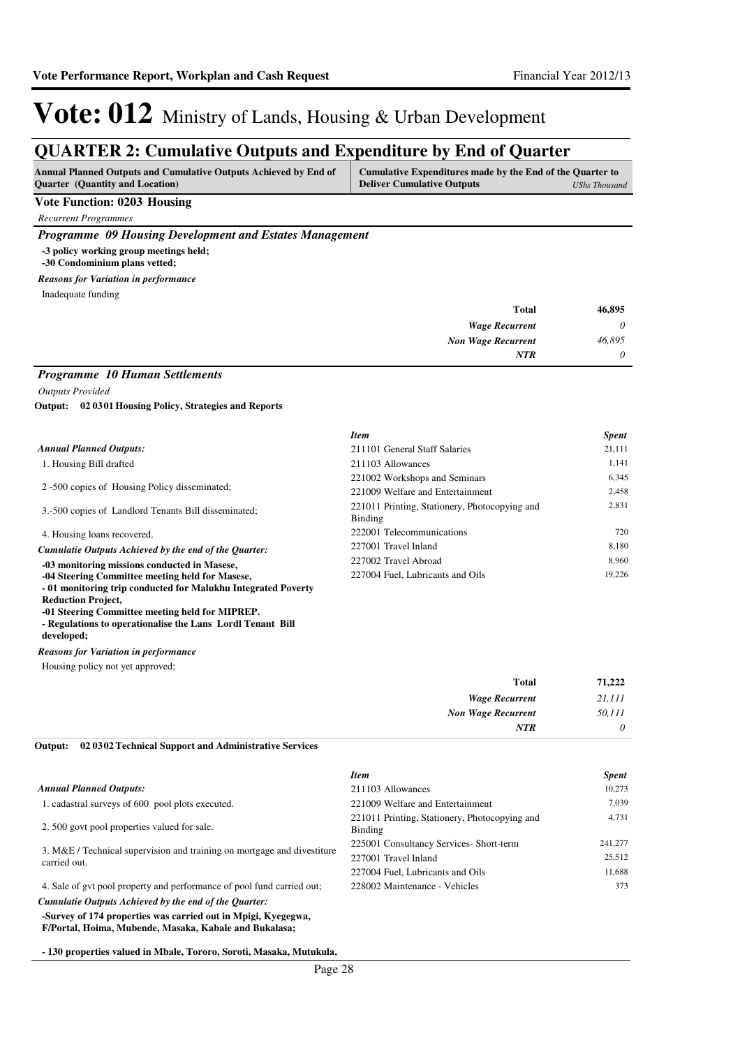### **QUARTER 2: Cumulative Outputs and Expenditure by End of Quarter**

| <b>Annual Planned Outputs and Cumulative Outputs Achieved by End of</b> | Cumulative Expenditures made by the End of the Quarter to |               |
|-------------------------------------------------------------------------|-----------------------------------------------------------|---------------|
| <b>Ouarter</b> (Quantity and Location)                                  | <b>Deliver Cumulative Outputs</b>                         | UShs Thousand |

### **Vote Function: 0203 Housing**

*Recurrent Programmes*

*Programme 09 Housing Development and Estates Management*

**-3 policy working group meetings held;**

**-30 Condominium plans vetted;**

#### Inadequate funding *Reasons for Variation in performance*

| 46,895   | <b>Total</b>              |
|----------|---------------------------|
| $\theta$ | <b>Wage Recurrent</b>     |
| 46,895   | <b>Non Wage Recurrent</b> |
| $\theta$ | <b>NTR</b>                |

### *Programme 10 Human Settlements*

*Outputs Provided*

**02 0301 Housing Policy, Strategies and Reports Output:**

|                                                              | <b>Item</b>                                              | <b>Spent</b> |
|--------------------------------------------------------------|----------------------------------------------------------|--------------|
| <b>Annual Planned Outputs:</b>                               | 211101 General Staff Salaries                            | 21,111       |
| 1. Housing Bill drafted                                      | 211103 Allowances                                        | 1,141        |
|                                                              | 221002 Workshops and Seminars                            | 6.345        |
| 2 -500 copies of Housing Policy disseminated;                | 221009 Welfare and Entertainment                         | 2,458        |
| 3.-500 copies of Landlord Tenants Bill disseminated;         | 221011 Printing, Stationery, Photocopying and<br>Binding | 2,831        |
| 4. Housing loans recovered.                                  | 222001 Telecommunications                                | 720          |
| Cumulatie Outputs Achieved by the end of the Ouarter:        | 227001 Travel Inland                                     | 8.180        |
| -03 monitoring missions conducted in Masese,                 | 227002 Travel Abroad                                     | 8.960        |
| -04 Steering Committee meeting held for Masese,              | 227004 Fuel, Lubricants and Oils                         | 19,226       |
| -01 monitoring trip conducted for Malukhu Integrated Poverty |                                                          |              |
| <b>Reduction Project,</b>                                    |                                                          |              |
| -01 Steering Committee meeting held for MIPREP.              |                                                          |              |

**- Regulations to operationalise the Lans Lordl Tenant Bill developed;**

*Reasons for Variation in performance*

Housing policy not yet approved:

| Thousing policy not yet approved, |  |  |  |
|-----------------------------------|--|--|--|
|                                   |  |  |  |
|                                   |  |  |  |

| 71,222 | <b>Total</b>              |
|--------|---------------------------|
| 21,111 | <b>Wage Recurrent</b>     |
| 50,111 | <b>Non Wage Recurrent</b> |
| 0      | <b>NTR</b>                |

#### **02 0302 Technical Support and Administrative Services Output:**

|                                                                                         | <b>Item</b>                                              | <b>Spent</b> |
|-----------------------------------------------------------------------------------------|----------------------------------------------------------|--------------|
| <b>Annual Planned Outputs:</b>                                                          | 211103 Allowances                                        | 10,273       |
| 1. cadastral surveys of 600 pool plots executed.                                        | 221009 Welfare and Entertainment                         | 7.039        |
| 2.500 govt pool properties valued for sale.                                             | 221011 Printing, Stationery, Photocopying and<br>Binding | 4,731        |
| 3. M&E / Technical supervision and training on mortgage and divestiture<br>carried out. | 225001 Consultancy Services- Short-term                  | 241,277      |
|                                                                                         | 227001 Travel Inland                                     | 25,512       |
|                                                                                         | 227004 Fuel, Lubricants and Oils                         | 11.688       |
| 4. Sale of gyt pool property and performance of pool fund carried out;                  | 228002 Maintenance - Vehicles                            | 373          |
| Cumulatie Outputs Achieved by the end of the Ouarter:                                   |                                                          |              |
| $\alpha$ . $\beta$ is the set of $\beta$ is the set of $\alpha$ is the set of $\alpha$  |                                                          |              |

**-Survey of 174 properties was carried out in Mpigi, Kyegegwa, F/Portal, Hoima, Mubende, Masaka, Kabale and Bukalasa;**

**- 130 properties valued in Mbale, Tororo, Soroti, Masaka, Mutukula,**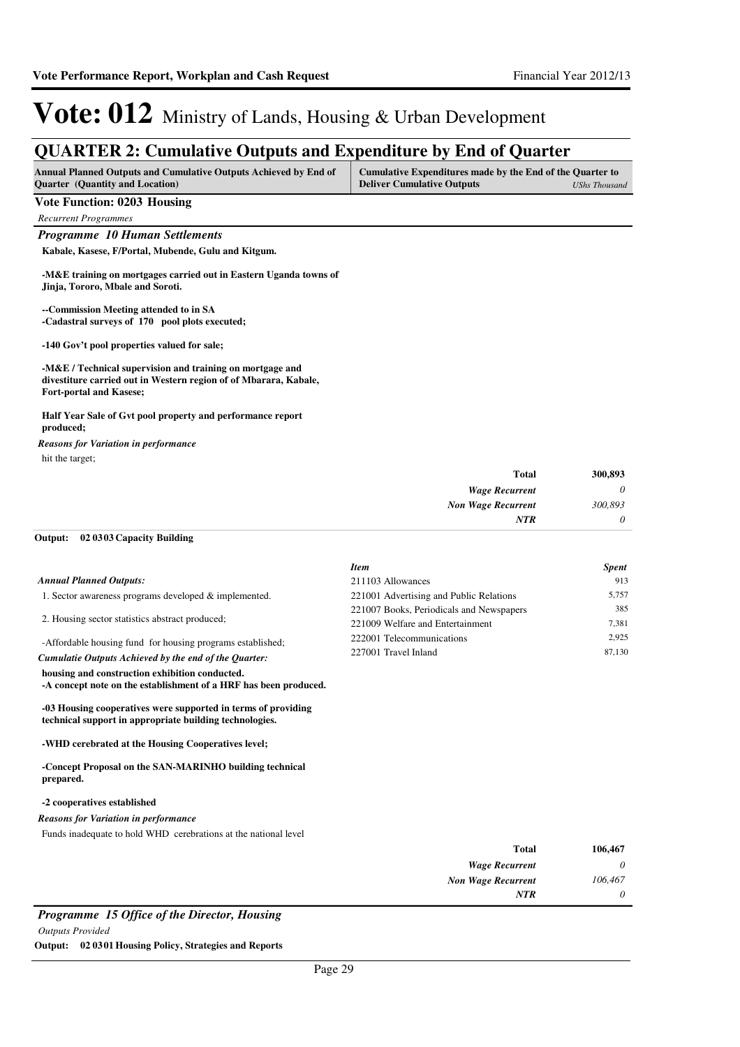### **QUARTER 2: Cumulative Outputs and Expenditure by End of Quarter**

| <b>Annual Planned Outputs and Cumulative Outputs Achieved by End of</b> | Cumulative Expenditures made by the End of the Quarter to |               |
|-------------------------------------------------------------------------|-----------------------------------------------------------|---------------|
| <b>Quarter</b> (Quantity and Location)                                  | <b>Deliver Cumulative Outputs</b>                         | UShs Thousand |

### **Vote Function: 0203 Housing**

*Recurrent Programmes*

*Programme 10 Human Settlements*

**Kabale, Kasese, F/Portal, Mubende, Gulu and Kitgum.**

**-M&E training on mortgages carried out in Eastern Uganda towns of Jinja, Tororo, Mbale and Soroti.**

**--Commission Meeting attended to in SA -Cadastral surveys of 170 pool plots executed;**

**-140 Gov't pool properties valued for sale;**

**-M&E / Technical supervision and training on mortgage and divestiture carried out in Western region of of Mbarara, Kabale, Fort-portal and Kasese;**

#### **Half Year Sale of Gvt pool property and performance report produced;**

hit the target; *Reasons for Variation in performance*

| <b>Total</b>              | 300,893  |
|---------------------------|----------|
| <b>Wage Recurrent</b>     | $\theta$ |
| <b>Non Wage Recurrent</b> | 300,893  |
| NTR                       | $\theta$ |

#### **02 0303 Capacity Building Output:**

|                                                                                                                    | <b>Item</b>                              | <b>Spent</b> |
|--------------------------------------------------------------------------------------------------------------------|------------------------------------------|--------------|
| <b>Annual Planned Outputs:</b>                                                                                     | 211103 Allowances                        | 913          |
| 1. Sector awareness programs developed & implemented.                                                              | 221001 Advertising and Public Relations  | 5.757        |
|                                                                                                                    | 221007 Books, Periodicals and Newspapers | 385          |
| 2. Housing sector statistics abstract produced;                                                                    | 221009 Welfare and Entertainment         | 7.381        |
| -Affordable housing fund for housing programs established;                                                         | 222001 Telecommunications                | 2.925        |
| Cumulatie Outputs Achieved by the end of the Ouarter:                                                              | 227001 Travel Inland                     | 87,130       |
| housing and construction exhibition conducted.<br>-A concept note on the establishment of a HRF has been produced. |                                          |              |

**-03 Housing cooperatives were supported in terms of providing technical support in appropriate building technologies.**

**-WHD cerebrated at the Housing Cooperatives level;**

**-Concept Proposal on the SAN-MARINHO building technical prepared.**

#### **-2 cooperatives established**

#### *Reasons for Variation in performance*

Funds inadequate to hold WHD cerebrations at the national level

| 106,467 | <b>Total</b>              |
|---------|---------------------------|
| 0       | <b>Wage Recurrent</b>     |
| 106,467 | <b>Non Wage Recurrent</b> |
| 0       | <b>NTR</b>                |
|         |                           |

*Programme 15 Office of the Director, Housing*

*Outputs Provided*

**Output: 02 0301 Housing Policy, Strategies and Reports**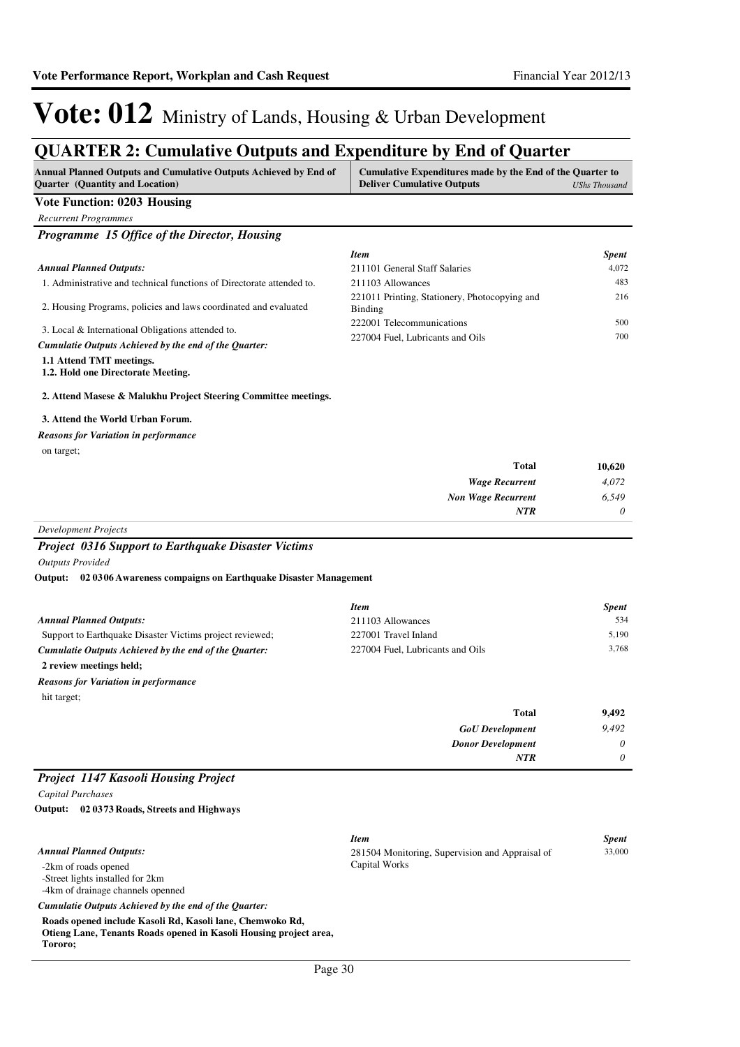### **QUARTER 2: Cumulative Outputs and Expenditure by End of Quarter**

| <b>Annual Planned Outputs and Cumulative Outputs Achieved by End of</b><br><b>Ouarter</b> (Quantity and Location) | Cumulative Expenditures made by the End of the Quarter to<br><b>Deliver Cumulative Outputs</b> | UShs Thousand |
|-------------------------------------------------------------------------------------------------------------------|------------------------------------------------------------------------------------------------|---------------|
| Vote Function: 0203 Housing                                                                                       |                                                                                                |               |

| <b>Recurrent Programmes</b> |
|-----------------------------|

*Programme 15 Office of the Director, Housing*

|                                                                                                            | <b>Item</b>                                                   | <b>Spent</b> |
|------------------------------------------------------------------------------------------------------------|---------------------------------------------------------------|--------------|
| <b>Annual Planned Outputs:</b>                                                                             | 211101 General Staff Salaries                                 | 4.072        |
| 1. Administrative and technical functions of Directorate attended to.                                      | 211103 Allowances                                             | 483          |
| 2. Housing Programs, policies and laws coordinated and evaluated                                           | 221011 Printing, Stationery, Photocopying and<br>Binding      | 216          |
| 3. Local & International Obligations attended to.<br>Cumulatie Outputs Achieved by the end of the Ouarter: | 222001 Telecommunications<br>227004 Fuel, Lubricants and Oils | 500<br>700   |
| 1.1 Attend TMT meetings.                                                                                   |                                                               |              |

### **1.2. Hold one Directorate Meeting.**

#### **2. Attend Masese & Malukhu Project Steering Committee meetings.**

#### **3. Attend the World Urban Forum.**

on target; *Reasons for Variation in performance*

| <b>Total</b>              | 10,620   |
|---------------------------|----------|
| <b>Wage Recurrent</b>     | 4,072    |
| <b>Non Wage Recurrent</b> | 6,549    |
| <b>NTR</b>                | $\theta$ |

*Development Projects*

### *Project 0316 Support to Earthquake Disaster Victims*

*Outputs Provided*

**02 0306 Awareness compaigns on Earthquake Disaster Management Output:**

|                                                          | <b>Item</b>                      |       | <b>Spent</b> |
|----------------------------------------------------------|----------------------------------|-------|--------------|
| <b>Annual Planned Outputs:</b>                           | 211103 Allowances                |       | 534          |
| Support to Earthquake Disaster Victims project reviewed; | 227001 Travel Inland             |       | 5.190        |
| Cumulatie Outputs Achieved by the end of the Ouarter:    | 227004 Fuel, Lubricants and Oils |       | 3.768        |
| 2 review meetings held;                                  |                                  |       |              |
| <b>Reasons for Variation in performance</b>              |                                  |       |              |
| hit target;                                              |                                  |       |              |
|                                                          |                                  | Total | 9.492        |

*GoU Development Donor Development*

*NTR*

*9,492 0 0*

### *Project 1147 Kasooli Housing Project*

*Capital Purchases*

**02 0373 Roads, Streets and Highways Output:**

|                                                                   | <b>Item</b>                                     | <b>Spent</b> |
|-------------------------------------------------------------------|-------------------------------------------------|--------------|
| <b>Annual Planned Outputs:</b>                                    | 281504 Monitoring, Supervision and Appraisal of | 33,000       |
| -2km of roads opened                                              | Capital Works                                   |              |
| -Street lights installed for 2km                                  |                                                 |              |
| -4km of drainage channels openned                                 |                                                 |              |
| Cumulatie Outputs Achieved by the end of the Ouarter:             |                                                 |              |
| Roads opened include Kasoli Rd, Kasoli lane, Chemwoko Rd,         |                                                 |              |
| Otieng Lane, Tenants Roads opened in Kasoli Housing project area, |                                                 |              |
| Tororo;                                                           |                                                 |              |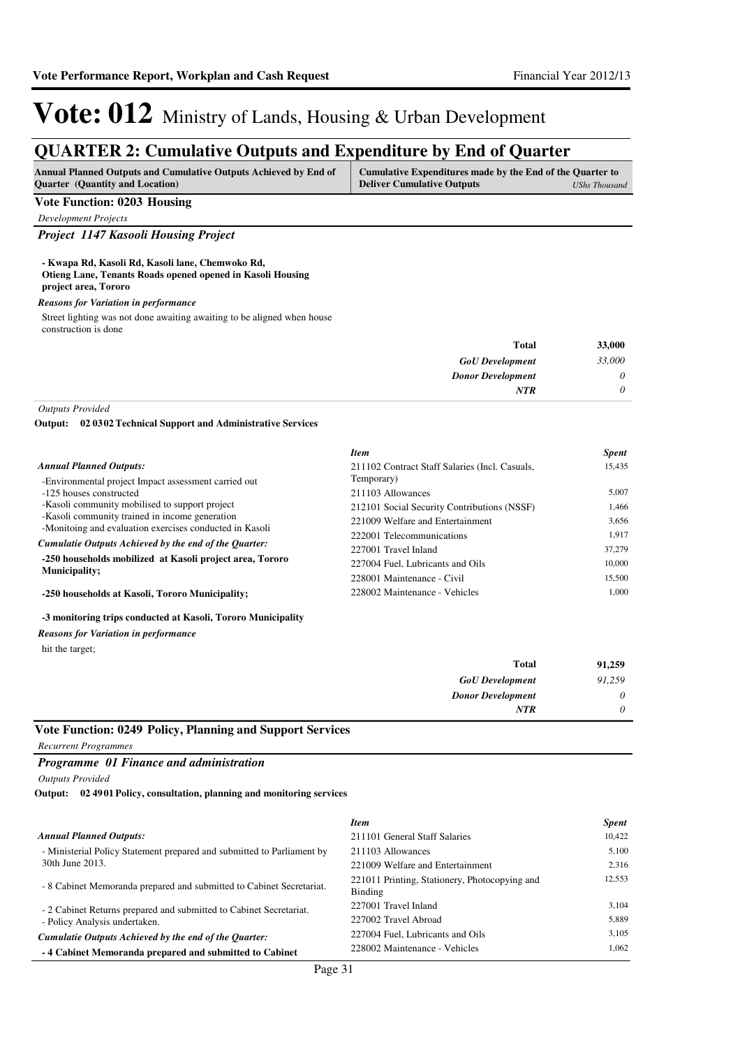### **QUARTER 2: Cumulative Outputs and Expenditure by End of Quarter**

| <b>Annual Planned Outputs and Cumulative Outputs Achieved by End of</b> | Cumulative Expenditures made by the End of the Quarter to |               |
|-------------------------------------------------------------------------|-----------------------------------------------------------|---------------|
| <b>Ouarter</b> (Quantity and Location)                                  | <b>Deliver Cumulative Outputs</b>                         | UShs Thousand |

### **Vote Function: 0203 Housing**

*Development Projects*

### *Project 1147 Kasooli Housing Project*

#### **- Kwapa Rd, Kasoli Rd, Kasoli lane, Chemwoko Rd, Otieng Lane, Tenants Roads opened opened in Kasoli Housing project area, Tororo**

#### *Reasons for Variation in performance*

Street lighting was not done awaiting awaiting to be aligned when house construction is done

| 33,000   | <b>Total</b>             |
|----------|--------------------------|
| 33,000   | <b>GoU</b> Development   |
| 0        | <b>Donor Development</b> |
| $\theta$ | <b>NTR</b>               |

*Outputs Provided*

**02 0302 Technical Support and Administrative Services Output:**

|                                                          | <b>Item</b>                                    | <b>Spent</b> |
|----------------------------------------------------------|------------------------------------------------|--------------|
| <b>Annual Planned Outputs:</b>                           | 211102 Contract Staff Salaries (Incl. Casuals, | 15.435       |
| -Environmental project Impact assessment carried out     | Temporary)                                     |              |
| -125 houses constructed                                  | 211103 Allowances                              | 5.007        |
| -Kasoli community mobilised to support project           | 212101 Social Security Contributions (NSSF)    | 1.466        |
| -Kasoli community trained in income generation           | 221009 Welfare and Entertainment               | 3,656        |
| -Monitoing and evaluation exercises conducted in Kasoli  | 222001 Telecommunications                      | 1.917        |
| Cumulatie Outputs Achieved by the end of the Ouarter:    | 227001 Travel Inland                           | 37,279       |
| -250 households mobilized at Kasoli project area, Tororo | 227004 Fuel, Lubricants and Oils               | 10,000       |
| <b>Municipality;</b>                                     | 228001 Maintenance - Civil                     | 15.500       |
| -250 households at Kasoli, Tororo Municipality;          | 228002 Maintenance - Vehicles                  | 1.000        |

#### **-3 monitoring trips conducted at Kasoli, Tororo Municipality**

*Reasons for Variation in performance*

hit the target;

| <b>Total</b>             | 91,259 |
|--------------------------|--------|
| <b>GoU</b> Development   | 91,259 |
| <b>Donor Development</b> | 0      |
| <b>NTR</b>               | 0      |

### **Vote Function: 0249 Policy, Planning and Support Services**

*Recurrent Programmes*

### *Programme 01 Finance and administration*

*Outputs Provided*

**02 4901 Policy, consultation, planning and monitoring services Output:**

|                                                                        | <b>Item</b>                                              | <b>Spent</b> |
|------------------------------------------------------------------------|----------------------------------------------------------|--------------|
| <b>Annual Planned Outputs:</b>                                         | 211101 General Staff Salaries                            | 10.422       |
| - Ministerial Policy Statement prepared and submitted to Parliament by | 211103 Allowances                                        | 5.100        |
| 30th June 2013.                                                        | 221009 Welfare and Entertainment                         | 2.316        |
| - 8 Cabinet Memoranda prepared and submitted to Cabinet Secretariat.   | 221011 Printing, Stationery, Photocopying and<br>Binding | 12,553       |
| - 2 Cabinet Returns prepared and submitted to Cabinet Secretariat.     | 227001 Travel Inland                                     | 3,104        |
| - Policy Analysis undertaken.                                          | 227002 Travel Abroad                                     | 5,889        |
| Cumulatie Outputs Achieved by the end of the Ouarter:                  | 227004 Fuel, Lubricants and Oils                         | 3.105        |
| -4 Cabinet Memoranda prepared and submitted to Cabinet                 | 228002 Maintenance - Vehicles                            | 1,062        |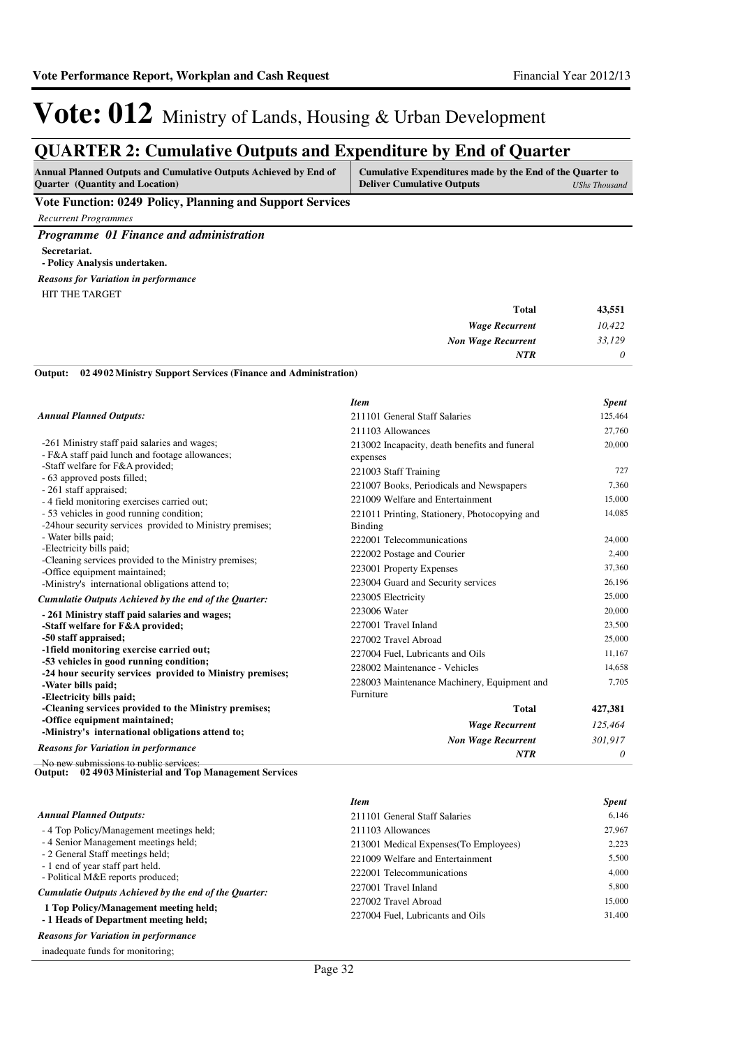### **QUARTER 2: Cumulative Outputs and Expenditure by End of Quarter**

| <b>Deliver Cumulative Outputs</b><br><b>Quarter</b> (Quantity and Location) | UShs Thousand |
|-----------------------------------------------------------------------------|---------------|

### **Vote Function: 0249 Policy, Planning and Support Services**

*Recurrent Programmes*

*Programme 01 Finance and administration* **Secretariat. - Policy Analysis undertaken.** HIT THE TARGET *Reasons for Variation in performance*

| Total                     | 43,551   |
|---------------------------|----------|
| <b>Wage Recurrent</b>     | 10,422   |
| <b>Non Wage Recurrent</b> | 33,129   |
| <b>NTR</b>                | $\theta$ |

#### **02 4902 Ministry Support Services (Finance and Administration) Output:**

|                                                                                                             | <b>Item</b>                                               | <b>Spent</b>     |
|-------------------------------------------------------------------------------------------------------------|-----------------------------------------------------------|------------------|
| <b>Annual Planned Outputs:</b>                                                                              | 211101 General Staff Salaries                             | 125,464          |
|                                                                                                             | 211103 Allowances                                         | 27,760           |
| -261 Ministry staff paid salaries and wages;<br>- F&A staff paid lunch and footage allowances;              | 213002 Incapacity, death benefits and funeral<br>expenses | 20,000           |
| -Staff welfare for F&A provided;                                                                            | 221003 Staff Training                                     | 727              |
| - 63 approved posts filled;                                                                                 | 221007 Books, Periodicals and Newspapers                  | 7,360            |
| - 261 staff appraised;<br>- 4 field monitoring exercises carried out;                                       | 221009 Welfare and Entertainment                          | 15,000           |
| - 53 vehicles in good running condition;<br>-24 hour security services provided to Ministry premises;       | 221011 Printing, Stationery, Photocopying and<br>Binding  | 14,085           |
| - Water bills paid:                                                                                         | 222001 Telecommunications                                 | 24,000           |
| -Electricity bills paid;                                                                                    | 222002 Postage and Courier                                | 2,400            |
| -Cleaning services provided to the Ministry premises;<br>-Office equipment maintained;                      | 223001 Property Expenses                                  | 37,360           |
| -Ministry's international obligations attend to;                                                            | 223004 Guard and Security services                        | 26,196           |
| Cumulatie Outputs Achieved by the end of the Ouarter:                                                       | 223005 Electricity                                        | 25,000           |
| - 261 Ministry staff paid salaries and wages;<br>-Staff welfare for F&A provided;                           | 223006 Water<br>227001 Travel Inland                      | 20,000<br>23,500 |
| -50 staff appraised;                                                                                        | 227002 Travel Abroad                                      | 25,000           |
| -1 field monitoring exercise carried out;                                                                   | 227004 Fuel, Lubricants and Oils                          | 11,167           |
| -53 vehicles in good running condition;                                                                     | 228002 Maintenance - Vehicles                             | 14,658           |
| -24 hour security services provided to Ministry premises;<br>-Water bills paid;<br>-Electricity bills paid; | 228003 Maintenance Machinery, Equipment and<br>Furniture  | 7,705            |
| -Cleaning services provided to the Ministry premises;                                                       | <b>Total</b>                                              | 427,381          |
| -Office equipment maintained;<br>-Ministry's international obligations attend to;                           | <b>Wage Recurrent</b>                                     | 125,464          |
| <b>Reasons for Variation in performance</b>                                                                 | <b>Non Wage Recurrent</b>                                 | 301,917          |
| No new submissions to public services:                                                                      | <b>NTR</b>                                                | 0                |
| Output: 02 4903 Ministerial and Top Management Services                                                     |                                                           |                  |

#### - 4 Top Policy/Management meetings held; - 4 Senior Management meetings held; - 2 General Staff meetings held; - 1 end of year staff part held. - Political M&E reports produced;  **1 Top Policy/Management meeting held;** *Cumulatie Outputs Achieved by the end of the Quarter: Annual Planned Outputs:* 211101 General Staff Salaries 6,146 211103 Allowances 27,967 213001 Medical Expenses(To Employees) 2,223 221009 Welfare and Entertainment 5,500 222001 Telecommunications 4,000 227001 Travel Inland 5,800 227002 Travel Abroad 15,000 227004 Fuel, Lubricants and Oils 31,400

### **- 1 Heads of Department meeting held;**

*Reasons for Variation in performance*

inadequate funds for monitoring;

*Item Spent*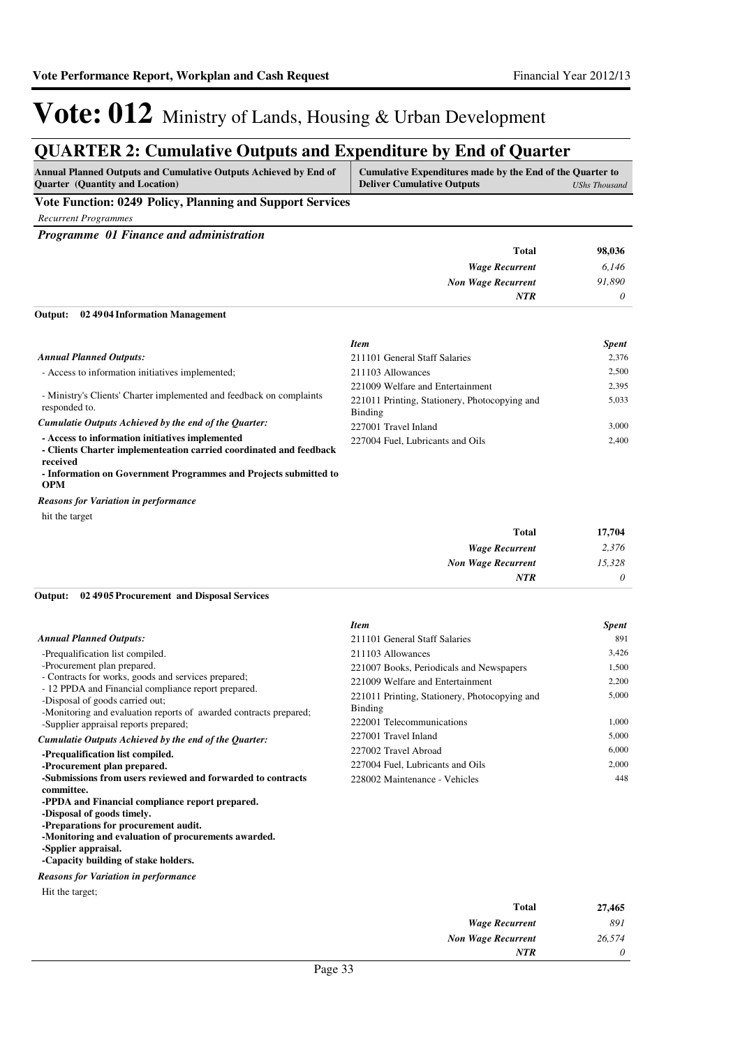### **QUARTER 2: Cumulative Outputs and Expenditure by End of Quarter**

| <b>Annual Planned Outputs and Cumulative Outputs Achieved by End of</b><br><b>Ouarter</b> (Quantity and Location) | Cumulative Expenditures made by the End of the Quarter to<br><b>Deliver Cumulative Outputs</b> | UShs Thousand |
|-------------------------------------------------------------------------------------------------------------------|------------------------------------------------------------------------------------------------|---------------|
| Vote Function: 0249 Policy, Planning and Support Services                                                         |                                                                                                |               |

*Recurrent Programmes*

*Programme 01 Finance and administration*

| <b>Total</b>              | 98,036 |
|---------------------------|--------|
| <b>Wage Recurrent</b>     | 6,146  |
| <b>Non Wage Recurrent</b> | 91,890 |
| <b>NTR</b>                | 0      |
|                           |        |

#### **02 4904 Information Management Output:**

|                                                                                                                                   | <b>Item</b>                                              | <b>Spent</b> |
|-----------------------------------------------------------------------------------------------------------------------------------|----------------------------------------------------------|--------------|
| <b>Annual Planned Outputs:</b>                                                                                                    | 211101 General Staff Salaries                            | 2.376        |
| - Access to information initiatives implemented;                                                                                  | 211103 Allowances                                        | 2.500        |
| - Ministry's Clients' Charter implemented and feedback on complaints<br>responded to.                                             | 221009 Welfare and Entertainment                         | 2.395        |
|                                                                                                                                   | 221011 Printing, Stationery, Photocopying and<br>Binding | 5,033        |
| Cumulatie Outputs Achieved by the end of the Ouarter:                                                                             | 227001 Travel Inland                                     | 3.000        |
| - Access to information initiatives implemented<br>- Clients Charter implementeation carried coordinated and feedback<br>received | 227004 Fuel, Lubricants and Oils                         | 2.400        |

**- Information on Government Programmes and Projects submitted to OPM**

hit the target *Reasons for Variation in performance*

|          | ັ                         |
|----------|---------------------------|
| 17,704   | <b>Total</b>              |
| 2,376    | <b>Wage Recurrent</b>     |
| 15,328   | <b>Non Wage Recurrent</b> |
| $\theta$ | <b>NTR</b>                |

#### **02 4905 Procurement and Disposal Services Output:**

|                                                                                                                                                             | <b>Item</b>                                              | <b>Spent</b> |
|-------------------------------------------------------------------------------------------------------------------------------------------------------------|----------------------------------------------------------|--------------|
| <b>Annual Planned Outputs:</b>                                                                                                                              | 211101 General Staff Salaries                            | 891          |
| -Prequalification list compiled.                                                                                                                            | 211103 Allowances                                        | 3,426        |
| -Procurement plan prepared.                                                                                                                                 | 221007 Books, Periodicals and Newspapers                 | 1,500        |
| - Contracts for works, goods and services prepared;                                                                                                         | 221009 Welfare and Entertainment                         | 2,200        |
| - 12 PPDA and Financial compliance report prepared.<br>-Disposal of goods carried out;<br>-Monitoring and evaluation reports of awarded contracts prepared; | 221011 Printing, Stationery, Photocopying and<br>Binding | 5,000        |
| -Supplier appraisal reports prepared;                                                                                                                       | 222001 Telecommunications                                | 1,000        |
| Cumulatie Outputs Achieved by the end of the Quarter:                                                                                                       | 227001 Travel Inland                                     | 5,000        |
| -Prequalification list compiled.                                                                                                                            | 227002 Travel Abroad                                     | 6,000        |
| -Procurement plan prepared.                                                                                                                                 | 227004 Fuel, Lubricants and Oils                         | 2,000        |
| -Submissions from users reviewed and forwarded to contracts                                                                                                 | 228002 Maintenance - Vehicles                            | 448          |
| committee.                                                                                                                                                  |                                                          |              |
| -PPDA and Financial compliance report prepared.                                                                                                             |                                                          |              |
| -Disposal of goods timely.                                                                                                                                  |                                                          |              |
| -Preparations for procurement audit.                                                                                                                        |                                                          |              |
| -Monitoring and evaluation of procurements awarded.                                                                                                         |                                                          |              |
| -Spplier appraisal.                                                                                                                                         |                                                          |              |
| -Capacity building of stake holders.                                                                                                                        |                                                          |              |

#### *Reasons for Variation in performance*

Hit the target;

| 27,465   | <b>Total</b>              |
|----------|---------------------------|
| 891      | <b>Wage Recurrent</b>     |
| 26,574   | <b>Non Wage Recurrent</b> |
| $\theta$ | <b>NTR</b>                |
|          |                           |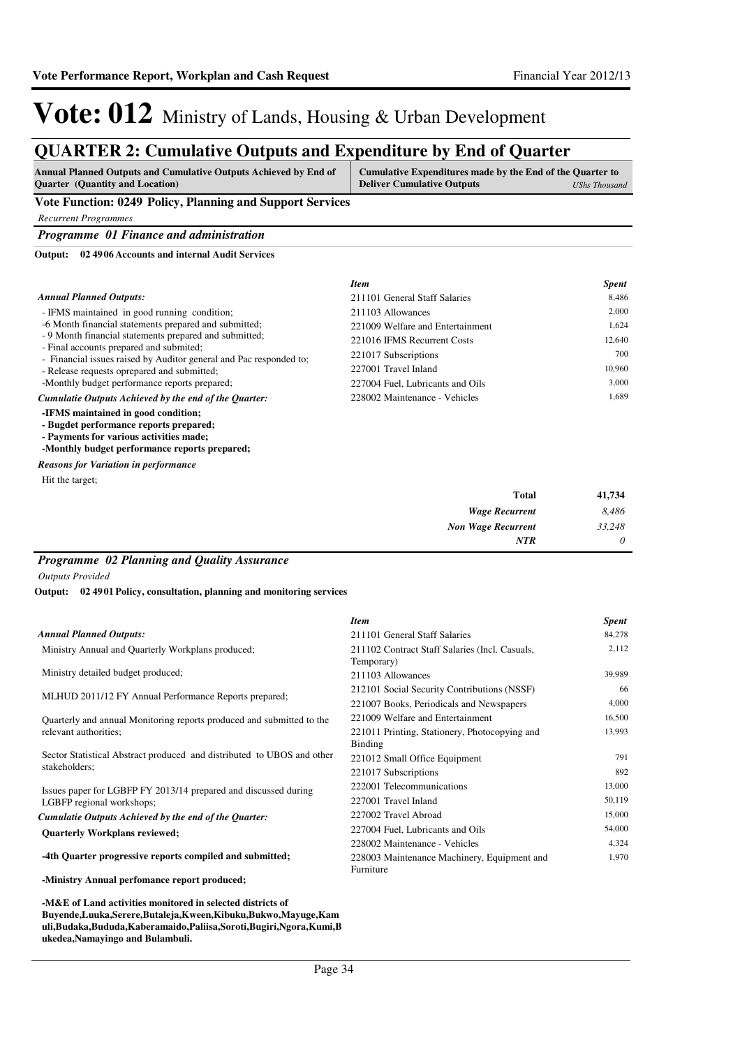*0*

*NTR*

## Vote: 012 Ministry of Lands, Housing & Urban Development

### **QUARTER 2: Cumulative Outputs and Expenditure by End of Quarter**

| Annual Planned Outputs and Cumulative Outputs Achieved by End of<br><b>Ouarter</b> (Quantity and Location)                                                                | Cumulative Expenditures made by the End of the Quarter to<br><b>Deliver Cumulative Outputs</b> | <b>UShs Thousand</b> |
|---------------------------------------------------------------------------------------------------------------------------------------------------------------------------|------------------------------------------------------------------------------------------------|----------------------|
| Vote Function: 0249 Policy, Planning and Support Services                                                                                                                 |                                                                                                |                      |
| <b>Recurrent Programmes</b>                                                                                                                                               |                                                                                                |                      |
| Programme 01 Finance and administration                                                                                                                                   |                                                                                                |                      |
| 02 4906 Accounts and internal Audit Services<br>Output:                                                                                                                   |                                                                                                |                      |
|                                                                                                                                                                           | <b>Item</b>                                                                                    | <b>Spent</b>         |
| <b>Annual Planned Outputs:</b>                                                                                                                                            | 211101 General Staff Salaries                                                                  | 8,486                |
| - IFMS maintained in good running condition;                                                                                                                              | 211103 Allowances                                                                              | 2,000                |
| -6 Month financial statements prepared and submitted;                                                                                                                     | 221009 Welfare and Entertainment                                                               | 1,624                |
| - 9 Month financial statements prepared and submitted;<br>- Final accounts prepared and submited;                                                                         | 221016 IFMS Recurrent Costs                                                                    | 12,640               |
| - Financial issues raised by Auditor general and Pac responded to;                                                                                                        | 221017 Subscriptions                                                                           | 700                  |
| - Release requests oprepared and submitted;                                                                                                                               | 227001 Travel Inland                                                                           | 10,960               |
| -Monthly budget performance reports prepared;                                                                                                                             | 227004 Fuel. Lubricants and Oils                                                               | 3,000                |
| Cumulatie Outputs Achieved by the end of the Ouarter:                                                                                                                     | 228002 Maintenance - Vehicles                                                                  | 1.689                |
| -IFMS maintained in good condition;<br>- Bugdet performance reports prepared;<br>- Payments for various activities made;<br>-Monthly budget performance reports prepared; |                                                                                                |                      |
| <b>Reasons for Variation in performance</b>                                                                                                                               |                                                                                                |                      |
| Hit the target;                                                                                                                                                           |                                                                                                |                      |
|                                                                                                                                                                           | <b>Total</b>                                                                                   | 41,734               |
|                                                                                                                                                                           | <b>Wage Recurrent</b>                                                                          | 8,486                |
|                                                                                                                                                                           | <b>Non Wage Recurrent</b>                                                                      | 33.248               |

### *Programme 02 Planning and Quality Assurance*

*Outputs Provided*

**02 4901 Policy, consultation, planning and monitoring services Output:**

|                                                                        | <b>Item</b>                                                  | <b>Spent</b> |
|------------------------------------------------------------------------|--------------------------------------------------------------|--------------|
| <b>Annual Planned Outputs:</b>                                         | 211101 General Staff Salaries                                | 84,278       |
| Ministry Annual and Quarterly Workplans produced;                      | 211102 Contract Staff Salaries (Incl. Casuals,<br>Temporary) | 2,112        |
| Ministry detailed budget produced;                                     | 211103 Allowances                                            | 39,989       |
| MLHUD 2011/12 FY Annual Performance Reports prepared;                  | 212101 Social Security Contributions (NSSF)                  | 66           |
|                                                                        | 221007 Books, Periodicals and Newspapers                     | 4,000        |
| Quarterly and annual Monitoring reports produced and submitted to the  | 221009 Welfare and Entertainment                             | 16,500       |
| relevant authorities;                                                  | 221011 Printing, Stationery, Photocopying and<br>Binding     | 13,993       |
| Sector Statistical Abstract produced and distributed to UBOS and other | 221012 Small Office Equipment                                | 791          |
| stakeholders:                                                          | 221017 Subscriptions                                         | 892          |
| Issues paper for LGBFP FY 2013/14 prepared and discussed during        | 222001 Telecommunications                                    | 13,000       |
| LGBFP regional workshops;                                              | 227001 Travel Inland                                         | 50,119       |
| Cumulatie Outputs Achieved by the end of the Quarter:                  | 227002 Travel Abroad                                         | 15,000       |
| <b>Quarterly Workplans reviewed;</b>                                   | 227004 Fuel, Lubricants and Oils                             | 54,000       |
|                                                                        | 228002 Maintenance - Vehicles                                | 4,324        |
| -4th Quarter progressive reports compiled and submitted;               | 228003 Maintenance Machinery, Equipment and<br>Furniture     | 1,970        |
| -Ministry Annual perfomance report produced;                           |                                                              |              |

**-M&E of Land activities monitored in selected districts of Buyende,Luuka,Serere,Butaleja,Kween,Kibuku,Bukwo,Mayuge,Kam uli,Budaka,Bududa,Kaberamaido,Paliisa,Soroti,Bugiri,Ngora,Kumi,B ukedea,Namayingo and Bulambuli.**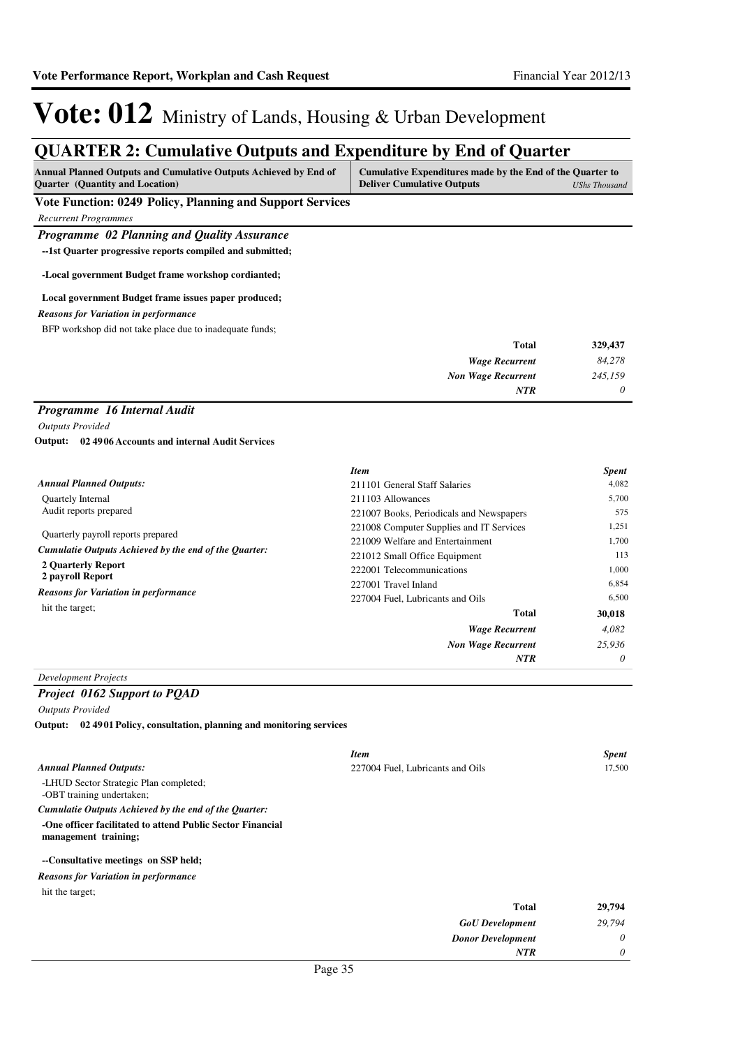*0*

*NTR*

## Vote: 012 Ministry of Lands, Housing & Urban Development

### **QUARTER 2: Cumulative Outputs and Expenditure by End of Quarter**

| Annual Planned Outputs and Cumulative Outputs Achieved by End of<br><b>Quarter</b> (Quantity and Location) | Cumulative Expenditures made by the End of the Quarter to<br><b>Deliver Cumulative Outputs</b> | <b>UShs Thousand</b> |
|------------------------------------------------------------------------------------------------------------|------------------------------------------------------------------------------------------------|----------------------|
| Vote Function: 0249 Policy, Planning and Support Services                                                  |                                                                                                |                      |
| <b>Recurrent Programmes</b>                                                                                |                                                                                                |                      |
| Programme 02 Planning and Quality Assurance                                                                |                                                                                                |                      |
| --1st Quarter progressive reports compiled and submitted;                                                  |                                                                                                |                      |
| -Local government Budget frame workshop cordianted;                                                        |                                                                                                |                      |
| Local government Budget frame issues paper produced;                                                       |                                                                                                |                      |
| <b>Reasons for Variation in performance</b>                                                                |                                                                                                |                      |
| BFP workshop did not take place due to inadequate funds;                                                   |                                                                                                |                      |
|                                                                                                            | Total                                                                                          | 329,437              |
|                                                                                                            | <b>Wage Recurrent</b>                                                                          | 84,278               |
|                                                                                                            | <b>Non Wage Recurrent</b>                                                                      | 245,159              |
|                                                                                                            | NTR                                                                                            | 0                    |
| Programme 16 Internal Audit                                                                                |                                                                                                |                      |
| <b>Outputs Provided</b>                                                                                    |                                                                                                |                      |
| Output: 02 49 06 Accounts and internal Audit Services                                                      |                                                                                                |                      |
|                                                                                                            | <b>Item</b>                                                                                    | <b>Spent</b>         |
| <b>Annual Planned Outputs:</b>                                                                             | 211101 General Staff Salaries                                                                  | 4,082                |
| Quartely Internal                                                                                          | 211103 Allowances                                                                              | 5,700                |
| Audit reports prepared                                                                                     | 221007 Books, Periodicals and Newspapers                                                       | 575                  |
|                                                                                                            | 221008 Computer Supplies and IT Services                                                       | 1,251                |
| Quarterly payroll reports prepared                                                                         | 221009 Welfare and Entertainment                                                               | 1,700                |
| Cumulatie Outputs Achieved by the end of the Quarter:                                                      | 221012 Small Office Equipment                                                                  | 113                  |
| 2 Quarterly Report<br>2 payroll Report                                                                     | 222001 Telecommunications                                                                      | 1.000                |
| <b>Reasons for Variation in performance</b>                                                                | 227001 Travel Inland                                                                           | 6,854                |
| hit the target;                                                                                            | 227004 Fuel, Lubricants and Oils                                                               | 6,500                |
|                                                                                                            | <b>Total</b>                                                                                   | 30,018               |
|                                                                                                            | <b>Wage Recurrent</b>                                                                          | 4,082                |
|                                                                                                            | <b>Non Wage Recurrent</b>                                                                      | 25,936               |
|                                                                                                            | NTR                                                                                            | 0                    |

#### *Development Projects*

*Project 0162 Support to PQAD*

*Outputs Provided*

**02 4901 Policy, consultation, planning and monitoring services Output:**

|                                                                                    | <b>Item</b>                      | <b>Spent</b> |
|------------------------------------------------------------------------------------|----------------------------------|--------------|
| <b>Annual Planned Outputs:</b>                                                     | 227004 Fuel, Lubricants and Oils | 17,500       |
| -LHUD Sector Strategic Plan completed;<br>-OBT training undertaken;                |                                  |              |
| Cumulatie Outputs Achieved by the end of the Quarter:                              |                                  |              |
| -One officer facilitated to attend Public Sector Financial<br>management training; |                                  |              |
| --Consultative meetings on SSP held;                                               |                                  |              |
| <b>Reasons for Variation in performance</b>                                        |                                  |              |
| hit the target:                                                                    |                                  |              |
|                                                                                    | <b>Total</b>                     | 29,794       |
|                                                                                    | <b>GoU</b> Development           | 29,794       |
|                                                                                    | <b>Donor Development</b>         | 0            |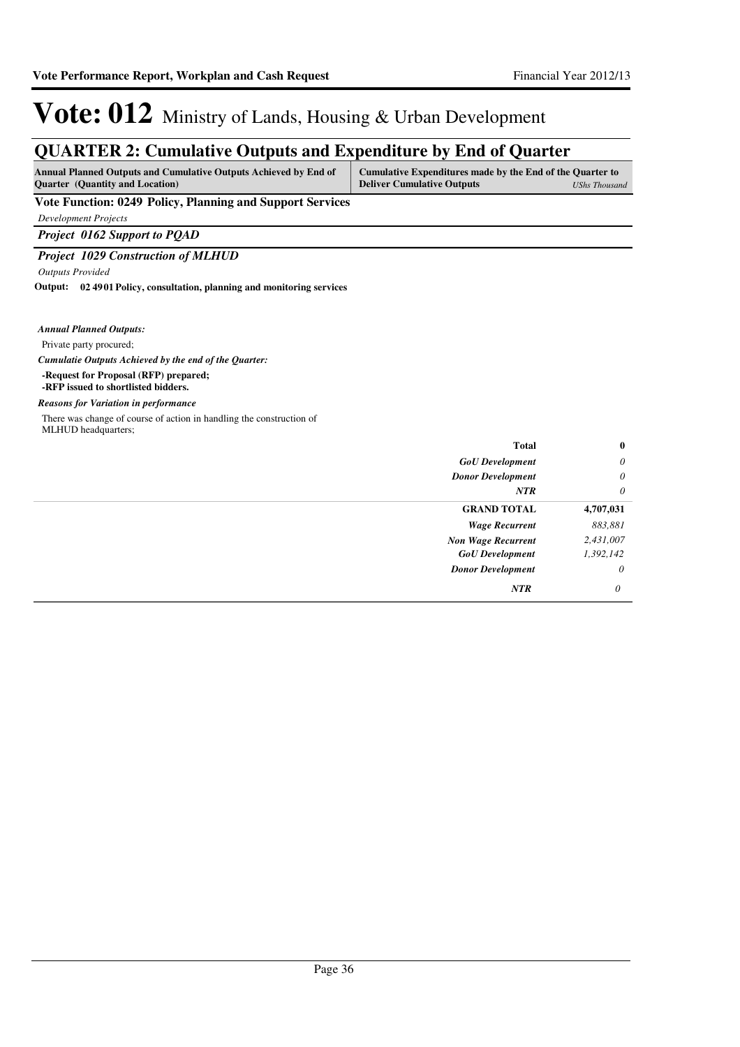### **QUARTER 2: Cumulative Outputs and Expenditure by End of Quarter**

| Annual Planned Outputs and Cumulative Outputs Achieved by End of | Cumulative Expenditures made by the End of the Quarter to |  |
|------------------------------------------------------------------|-----------------------------------------------------------|--|
| <b>Ouarter</b> (Quantity and Location)                           | <b>Deliver Cumulative Outputs</b><br>UShs Thousand        |  |
| 0.40.73.16<br>.<br>$\mathbf{r}$                                  |                                                           |  |

### **Vote Function: 0249 Policy, Planning and Support Services**

*Development Projects*

*Project 0162 Support to PQAD*

### *Project 1029 Construction of MLHUD*

*Outputs Provided*

**02 4901 Policy, consultation, planning and monitoring services Output:**

*Annual Planned Outputs:*

Private party procured;

*Cumulatie Outputs Achieved by the end of the Quarter:*

- **-Request for Proposal (RFP) prepared;**
- **-RFP issued to shortlisted bidders.**

#### *Reasons for Variation in performance*

There was change of course of action in handling the construction of MLHUD headquarters;

| $\bf{0}$  | Total                     |
|-----------|---------------------------|
| $\theta$  | <b>GoU</b> Development    |
| $\theta$  | <b>Donor Development</b>  |
| $\theta$  | <b>NTR</b>                |
| 4,707,031 | <b>GRAND TOTAL</b>        |
| 883,881   | <b>Wage Recurrent</b>     |
| 2,431,007 | <b>Non Wage Recurrent</b> |
| 1,392,142 | <b>GoU</b> Development    |
| $\theta$  | <b>Donor Development</b>  |
| 0         | NTR                       |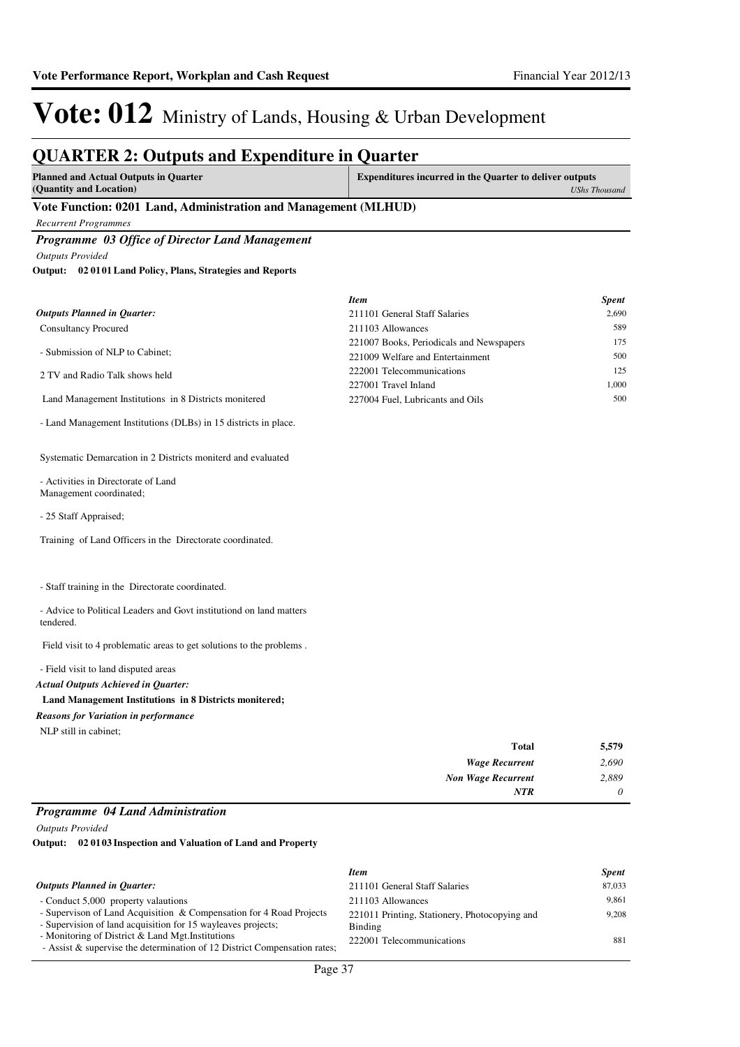### **QUARTER 2: Outputs and Expenditure in Quarter**

| <b>Planned and Actual Outputs in Quarter</b>                    | <b>Expenditures incurred in the Quarter to deliver outputs</b> |
|-----------------------------------------------------------------|----------------------------------------------------------------|
| (Quantity and Location)                                         | <b>UShs Thousand</b>                                           |
| Vote Function: 0201 Land, Administration and Management (MLHUD) |                                                                |

*Recurrent Programmes*

*Programme 03 Office of Director Land Management Outputs Provided*

**02 0101 Land Policy, Plans, Strategies and Reports Output:**

|                                                       | <b>Item</b>                              | <b>Spent</b> |
|-------------------------------------------------------|------------------------------------------|--------------|
| <b>Outputs Planned in Quarter:</b>                    | 211101 General Staff Salaries            | 2.690        |
| <b>Consultancy Procured</b>                           | 211103 Allowances                        | 589          |
|                                                       | 221007 Books, Periodicals and Newspapers | 175          |
| - Submission of NLP to Cabinet:                       | 221009 Welfare and Entertainment         | 500          |
| 2 TV and Radio Talk shows held                        | 222001 Telecommunications                | 125          |
|                                                       | 227001 Travel Inland                     | 1.000        |
| Land Management Institutions in 8 Districts monitered | 227004 Fuel, Lubricants and Oils         | 500          |

- Land Management Institutions (DLBs) in 15 districts in place.

Systematic Demarcation in 2 Districts moniterd and evaluated

- Activities in Directorate of Land Management coordinated;

- 25 Staff Appraised;

Training of Land Officers in the Directorate coordinated.

- Staff training in the Directorate coordinated.

- Advice to Political Leaders and Govt institutiond on land matters tendered.

Field visit to 4 problematic areas to get solutions to the problems .

- Field visit to land disputed areas

#### *Actual Outputs Achieved in Quarter:*

#### **Land Management Institutions in 8 Districts monitered;**

*Reasons for Variation in performance*

NLP still in cabinet;

| 5,579    | <b>Total</b>              |
|----------|---------------------------|
| 2,690    | <b>Wage Recurrent</b>     |
| 2,889    | <b>Non Wage Recurrent</b> |
| $\theta$ | <b>NTR</b>                |

### *Programme 04 Land Administration*

*Outputs Provided*

**02 0103 Inspection and Valuation of Land and Property Output:**

|                                                                                                                                     | <b>Item</b>                                              | <b>Spent</b> |
|-------------------------------------------------------------------------------------------------------------------------------------|----------------------------------------------------------|--------------|
| <b>Outputs Planned in Ouarter:</b>                                                                                                  | 211101 General Staff Salaries                            | 87,033       |
| - Conduct 5,000 property valautions                                                                                                 | 211103 Allowances                                        | 9.861        |
| - Supervison of Land Acquisition & Compensation for 4 Road Projects<br>- Supervision of land acquisition for 15 wayleaves projects; | 221011 Printing, Stationery, Photocopying and<br>Binding | 9.208        |
| - Monitoring of District & Land Mgt. Institutions<br>- Assist & supervise the determination of 12 District Compensation rates;      | 222001 Telecommunications                                | 881          |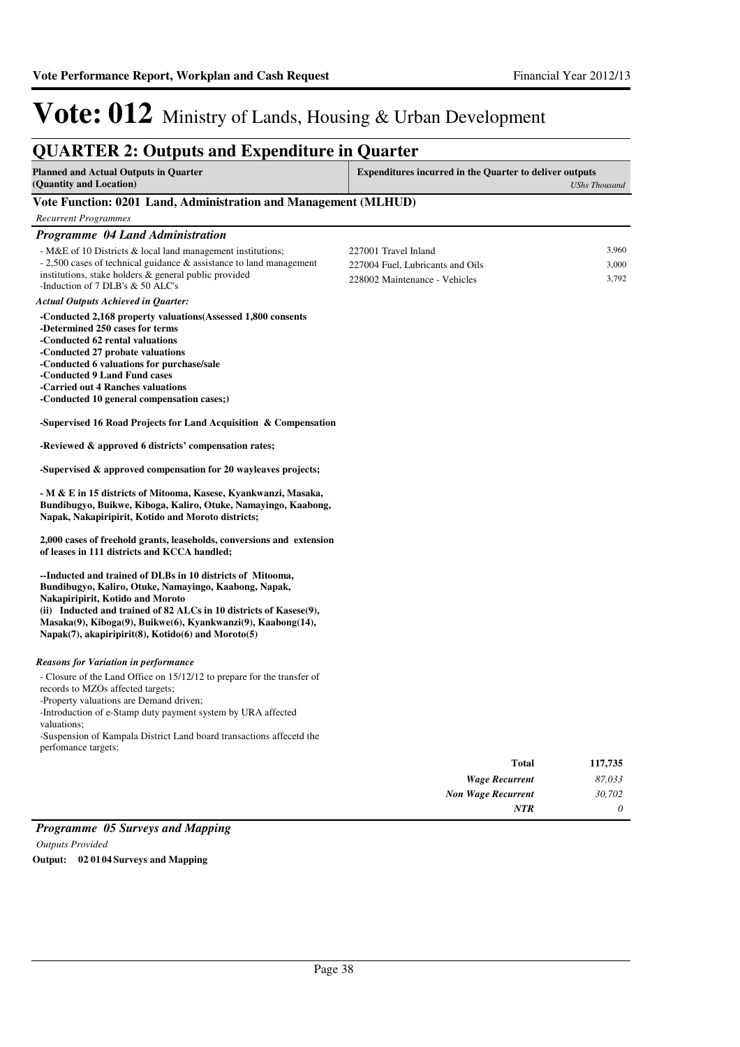#### **QUARTER 2: Outputs and Expenditure in Quarter Planned and Actual Outputs in Quarter (Quantity and Location) Expenditures incurred in the Quarter to deliver outputs**  *UShs Thousand* **Vote Function: 0201 Land, Administration and Management (MLHUD)** *Recurrent Programmes Programme 04 Land Administration* - M&E of 10 Districts & local land management institutions; - 2,500 cases of technical guidance & assistance to land management institutions, stake holders & general public provided -Induction of 7 DLB's & 50 ALC's **-Conducted 2,168 property valuations(Assessed 1,800 consents -Determined 250 cases for terms -Conducted 62 rental valuations -Conducted 27 probate valuations -Conducted 6 valuations for purchase/sale -Conducted 9 Land Fund cases -Carried out 4 Ranches valuations -Conducted 10 general compensation cases;) -Supervised 16 Road Projects for Land Acquisition & Compensation -Reviewed & approved 6 districts' compensation rates; -Supervised & approved compensation for 20 wayleaves projects; - M & E in 15 districts of Mitooma, Kasese, Kyankwanzi, Masaka, Bundibugyo, Buikwe, Kiboga, Kaliro, Otuke, Namayingo, Kaabong, Napak, Nakapiripirit, Kotido and Moroto districts; 2,000 cases of freehold grants, leaseholds, conversions and extension of leases in 111 districts and KCCA handled; --Inducted and trained of DLBs in 10 districts of Mitooma, Bundibugyo, Kaliro, Otuke, Namayingo, Kaabong, Napak, Nakapiripirit, Kotido and Moroto (ii) Inducted and trained of 82 ALCs in 10 districts of Kasese(9), Masaka(9), Kiboga(9), Buikwe(6), Kyankwanzi(9), Kaabong(14), Napak(7), akapiripirit(8), Kotido(6) and Moroto(5)** *Wage Recurrent Non Wage Recurrent* **Total** *87,033 30,702 0* **117,735** *Actual Outputs Achieved in Quarter: NTR* - Closure of the Land Office on 15/12/12 to prepare for the transfer of records to MZOs affected targets; -Property valuations are Demand driven; -Introduction of e-Stamp duty payment system by URA affected valuations; -Suspension of Kampala District Land board transactions affecetd the perfomance targets; *Reasons for Variation in performance* 227001 Travel Inland 3,960 227004 Fuel, Lubricants and Oils 3,000 228002 Maintenance - Vehicles 3,792

### *Programme 05 Surveys and Mapping Outputs Provided* **Output: 02 0104 Surveys and Mapping**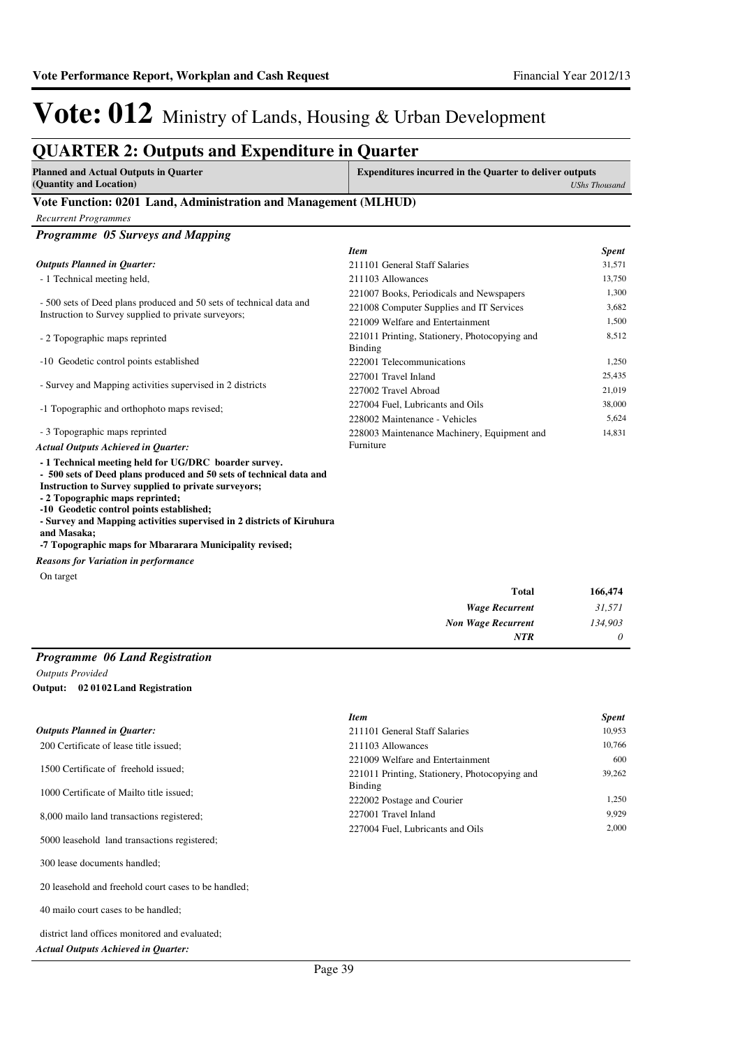### **QUARTER 2: Outputs and Expenditure in Quarter**

| <b>Planned and Actual Outputs in Quarter</b><br>(Quantity and Location) | <b>Expenditures incurred in the Quarter to deliver outputs</b><br><b>UShs Thousand</b> |
|-------------------------------------------------------------------------|----------------------------------------------------------------------------------------|
| Vote Function: 0201 Land, Administration and Management (MLHUD)         |                                                                                        |
| Recurrent Programmes                                                    |                                                                                        |

| <b>Programme</b> 05 Surveys and Mapping                             |                                                                 |              |
|---------------------------------------------------------------------|-----------------------------------------------------------------|--------------|
|                                                                     | <b>Item</b>                                                     | <b>Spent</b> |
| <b>Outputs Planned in Ouarter:</b>                                  | 211101 General Staff Salaries                                   | 31,571       |
| - 1 Technical meeting held,                                         | 211103 Allowances                                               | 13,750       |
|                                                                     | 221007 Books, Periodicals and Newspapers                        | 1,300        |
| - 500 sets of Deed plans produced and 50 sets of technical data and | 221008 Computer Supplies and IT Services                        | 3,682        |
| Instruction to Survey supplied to private surveyors;                | 221009 Welfare and Entertainment                                | 1,500        |
| - 2 Topographic maps reprinted                                      | 221011 Printing, Stationery, Photocopying and<br><b>Binding</b> | 8,512        |
| -10 Geodetic control points established                             | 222001 Telecommunications                                       | 1,250        |
|                                                                     | 227001 Travel Inland                                            | 25,435       |
| - Survey and Mapping activities supervised in 2 districts           | 227002 Travel Abroad                                            | 21,019       |
| -1 Topographic and orthophoto maps revised;                         | 227004 Fuel, Lubricants and Oils                                | 38,000       |
|                                                                     | 228002 Maintenance - Vehicles                                   | 5,624        |
| - 3 Topographic maps reprinted                                      | 228003 Maintenance Machinery, Equipment and                     | 14,831       |
| <b>Actual Outputs Achieved in Ouarter:</b>                          | Furniture                                                       |              |

**- 1 Technical meeting held for UG/DRC boarder survey.**

**- 500 sets of Deed plans produced and 50 sets of technical data and Instruction to Survey supplied to private surveyors;**

**- 2 Topographic maps reprinted;**

**-10 Geodetic control points established;**

**- Survey and Mapping activities supervised in 2 districts of Kiruhura** 

**and Masaka; -7 Topographic maps for Mbararara Municipality revised;**

*Reasons for Variation in performance*

On target

| Total                     | 166,474  |
|---------------------------|----------|
| <b>Wage Recurrent</b>     | 31,571   |
| <b>Non Wage Recurrent</b> | 134,903  |
| NTR                       | $\theta$ |

#### *Programme 06 Land Registration*

*Outputs Provided*

**02 0102 Land Registration Output:**

|                                              | <b>Item</b>                                   | <b>Spent</b> |
|----------------------------------------------|-----------------------------------------------|--------------|
| <b>Outputs Planned in Quarter:</b>           | 211101 General Staff Salaries                 | 10,953       |
| 200 Certificate of lease title issued:       | 211103 Allowances                             | 10.766       |
|                                              | 221009 Welfare and Entertainment              | 600          |
| 1500 Certificate of freehold issued:         | 221011 Printing, Stationery, Photocopying and | 39.262       |
| 1000 Certificate of Mailto title issued:     | Binding                                       |              |
|                                              | 222002 Postage and Courier                    | 1.250        |
| 8,000 mailo land transactions registered;    | 227001 Travel Inland                          | 9.929        |
|                                              | 227004 Fuel. Lubricants and Oils              | 2.000        |
| 5000 leasehold land transactions registered; |                                               |              |
| 300 lease documents handled;                 |                                               |              |

20 leasehold and freehold court cases to be handled;

40 mailo court cases to be handled;

district land offices monitored and evaluated;

*Actual Outputs Achieved in Quarter:*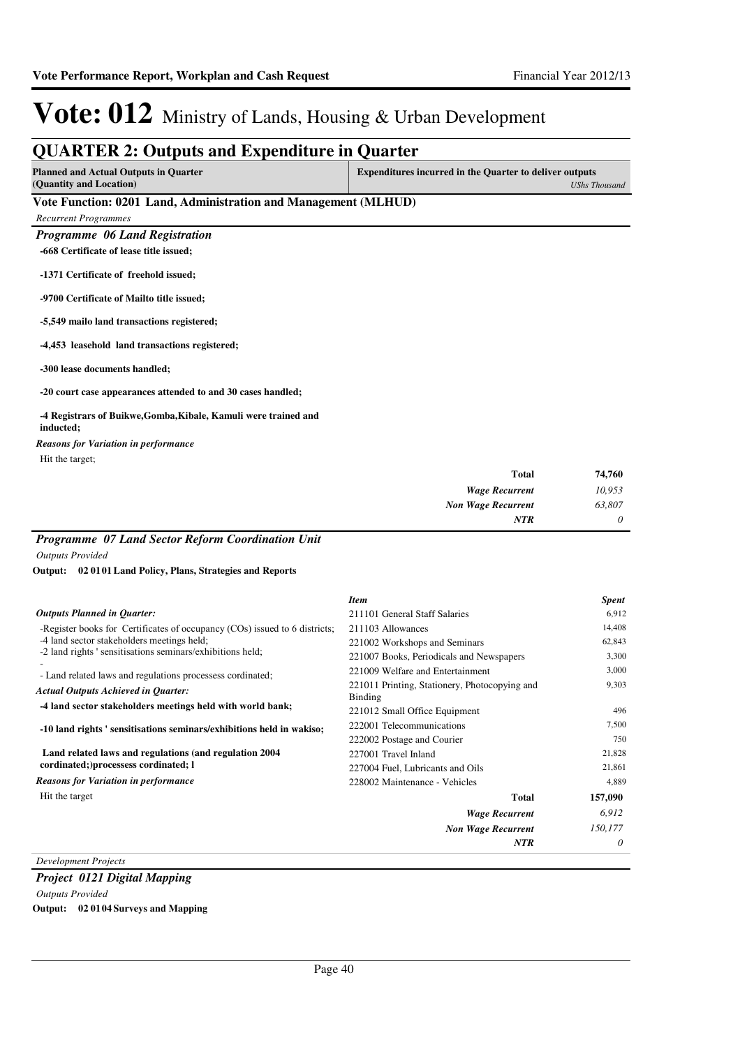| <b>Planned and Actual Outputs in Ouarter</b>                                 | <b>Expenditures incurred in the Quarter to deliver outputs</b> |                      |
|------------------------------------------------------------------------------|----------------------------------------------------------------|----------------------|
| (Quantity and Location)                                                      |                                                                | <b>UShs Thousand</b> |
| Vote Function: 0201 Land, Administration and Management (MLHUD)              |                                                                |                      |
| <b>Recurrent Programmes</b>                                                  |                                                                |                      |
| Programme 06 Land Registration                                               |                                                                |                      |
| -668 Certificate of lease title issued;                                      |                                                                |                      |
| -1371 Certificate of freehold issued;                                        |                                                                |                      |
| -9700 Certificate of Mailto title issued;                                    |                                                                |                      |
| -5,549 mailo land transactions registered;                                   |                                                                |                      |
| -4,453 leasehold land transactions registered;                               |                                                                |                      |
| -300 lease documents handled;                                                |                                                                |                      |
| -20 court case appearances attended to and 30 cases handled;                 |                                                                |                      |
| -4 Registrars of Buikwe, Gomba, Kibale, Kamuli were trained and<br>inducted; |                                                                |                      |
| <b>Reasons for Variation in performance</b>                                  |                                                                |                      |
| Hit the target;                                                              |                                                                |                      |
|                                                                              | <b>Total</b>                                                   | 74,760               |
|                                                                              | <b>Wage Recurrent</b>                                          | 10,953               |
|                                                                              | <b>Non Wage Recurrent</b>                                      | 63,807               |
|                                                                              | <b>NTR</b>                                                     | 0                    |

|                                                                            | <b>Item</b>                                              | <b>Spent</b> |
|----------------------------------------------------------------------------|----------------------------------------------------------|--------------|
| <b>Outputs Planned in Quarter:</b>                                         | 211101 General Staff Salaries                            | 6,912        |
| -Register books for Certificates of occupancy (COs) issued to 6 districts; | 211103 Allowances                                        | 14,408       |
| -4 land sector stakeholders meetings held;                                 | 221002 Workshops and Seminars                            | 62,843       |
| -2 land rights ' sensitisations seminars/exhibitions held;                 | 221007 Books, Periodicals and Newspapers                 | 3,300        |
| - Land related laws and regulations processess cordinated;                 | 221009 Welfare and Entertainment                         | 3,000        |
| <b>Actual Outputs Achieved in Quarter:</b>                                 | 221011 Printing, Stationery, Photocopying and<br>Binding | 9,303        |
| -4 land sector stakeholders meetings held with world bank;                 | 221012 Small Office Equipment                            | 496          |
| -10 land rights ' sensitisations seminars/exhibitions held in wakiso;      | 222001 Telecommunications                                | 7,500        |
|                                                                            | 222002 Postage and Courier                               | 750          |
| Land related laws and regulations (and regulation 2004)                    | 227001 Travel Inland                                     | 21,828       |
| cordinated; processess cordinated; 1                                       | 227004 Fuel, Lubricants and Oils                         | 21,861       |
| <b>Reasons for Variation in performance</b>                                | 228002 Maintenance - Vehicles                            | 4,889        |
| Hit the target                                                             | <b>Total</b>                                             | 157,090      |
|                                                                            | <b>Wage Recurrent</b>                                    | 6,912        |
|                                                                            | <b>Non Wage Recurrent</b>                                | 150,177      |
|                                                                            | <b>NTR</b>                                               | 0            |

*Development Projects*

*Project 0121 Digital Mapping Outputs Provided* **Output: 02 0104 Surveys and Mapping**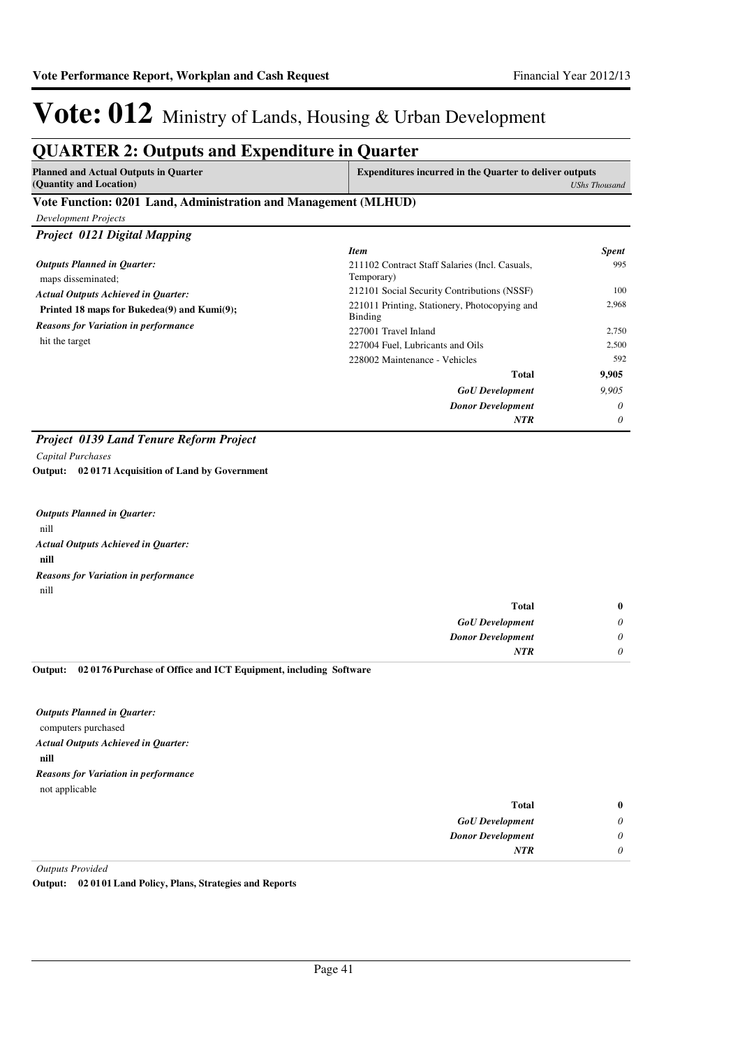### **QUARTER 2: Outputs and Expenditure in Quarter**

| <b>Planned and Actual Outputs in Quarter</b> | <b>Expenditures incurred in the Quarter to deliver outputs</b> |
|----------------------------------------------|----------------------------------------------------------------|
| (Quantity and Location)                      | UShs Thousand                                                  |
| __ _ _<br>------                             |                                                                |

#### **Vote Function: 0201 Land, Administration and Management (MLHUD)**

| <b>Development Projects</b>                                   |                                                              |              |
|---------------------------------------------------------------|--------------------------------------------------------------|--------------|
| <b>Project 0121 Digital Mapping</b>                           |                                                              |              |
|                                                               | <b>Item</b>                                                  | <b>Spent</b> |
| <b>Outputs Planned in Quarter:</b><br>maps disseminated;      | 211102 Contract Staff Salaries (Incl. Casuals,<br>Temporary) | 995          |
| <b>Actual Outputs Achieved in Quarter:</b>                    | 212101 Social Security Contributions (NSSF)                  | 100          |
| Printed 18 maps for Bukedea(9) and Kumi(9);                   | 221011 Printing, Stationery, Photocopying and<br>Binding     | 2,968        |
| <b>Reasons for Variation in performance</b><br>hit the target | 227001 Travel Inland                                         | 2,750        |
|                                                               | 227004 Fuel, Lubricants and Oils                             | 2,500        |
|                                                               | 228002 Maintenance - Vehicles                                | 592          |
|                                                               | <b>Total</b>                                                 | 9,905        |
|                                                               | <b>GoU</b> Development                                       | 9.905        |
|                                                               | <b>Donor Development</b>                                     | $\theta$     |
|                                                               | <b>NTR</b>                                                   | $\theta$     |

### *Project 0139 Land Tenure Reform Project*

*Capital Purchases*

**02 0171 Acquisition of Land by Government Output:**

nill **nill** *Actual Outputs Achieved in Quarter: Outputs Planned in Quarter:* nill *Reasons for Variation in performance*

| $\bf{0}$ | <b>Total</b>             |
|----------|--------------------------|
| 0        | <b>GoU</b> Development   |
|          | <b>Donor Development</b> |
|          | <b>NTR</b>               |
|          |                          |

#### **02 0176 Purchase of Office and ICT Equipment, including Software Output:**

computers purchased **nill** *Actual Outputs Achieved in Quarter: Outputs Planned in Quarter:* not applicable *Reasons for Variation in performance*

| Total                    | $\bf{0}$ |
|--------------------------|----------|
| <b>GoU</b> Development   | 0        |
| <b>Donor Development</b> | 0        |
| <b>NTR</b>               | 0        |

*Outputs Provided*

**Output: 02 0101 Land Policy, Plans, Strategies and Reports**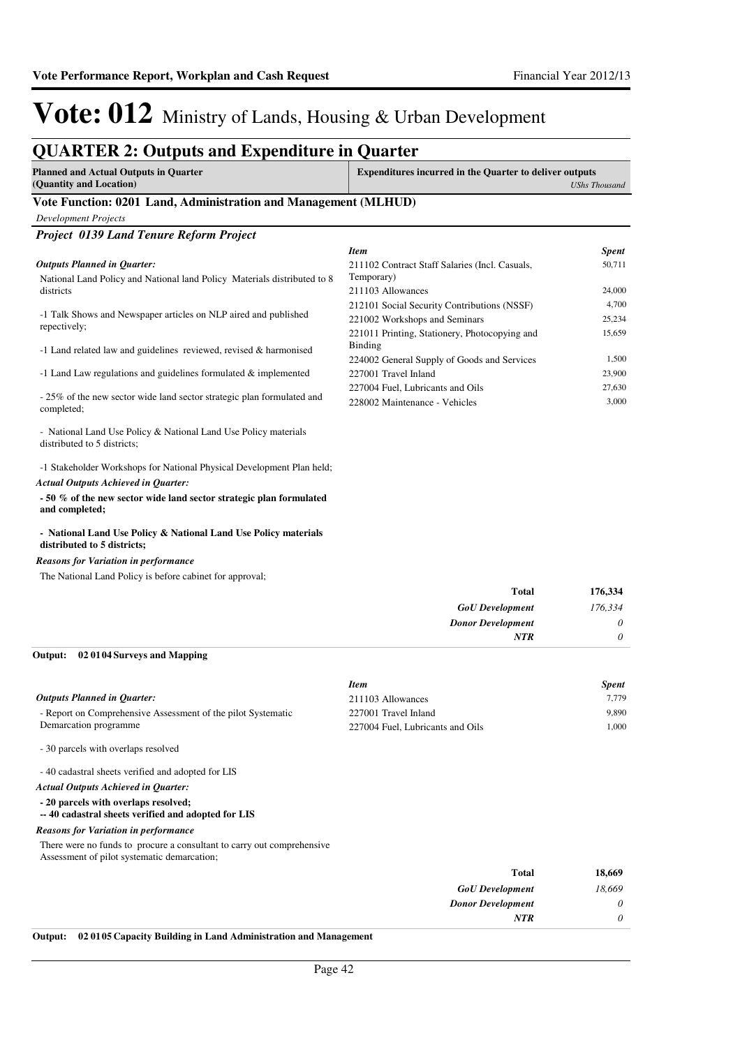### **QUARTER 2: Outputs and Expenditure in Quarter**

| <b>Planned and Actual Outputs in Quarter</b>                    | <b>Expenditures incurred in the Quarter to deliver outputs</b> |  |
|-----------------------------------------------------------------|----------------------------------------------------------------|--|
| (Quantity and Location)                                         | UShs Thousand                                                  |  |
| Vote Function: 0201 Land, Administration and Management (MLHUD) |                                                                |  |

| <b>Project 0139 Land Tenure Reform Project</b>                                                 |                                                |              |
|------------------------------------------------------------------------------------------------|------------------------------------------------|--------------|
|                                                                                                | <b>Item</b>                                    | <b>Spent</b> |
| <b>Outputs Planned in Quarter:</b>                                                             | 211102 Contract Staff Salaries (Incl. Casuals, | 50,711       |
| National Land Policy and National land Policy Materials distributed to 8                       | Temporary)                                     |              |
| districts                                                                                      | 211103 Allowances                              | 24,000       |
|                                                                                                | 212101 Social Security Contributions (NSSF)    | 4,700        |
| -1 Talk Shows and Newspaper articles on NLP aired and published<br>repectively;                | 221002 Workshops and Seminars                  | 25,234       |
|                                                                                                | 221011 Printing, Stationery, Photocopying and  | 15,659       |
| -1 Land related law and guidelines reviewed, revised & harmonised                              | Binding                                        |              |
|                                                                                                | 224002 General Supply of Goods and Services    | 1,500        |
| -1 Land Law regulations and guidelines formulated & implemented                                | 227001 Travel Inland                           | 23,900       |
|                                                                                                | 227004 Fuel, Lubricants and Oils               | 27,630       |
| - 25% of the new sector wide land sector strategic plan formulated and<br>completed;           | 228002 Maintenance - Vehicles                  | 3,000        |
| - National Land Use Policy & National Land Use Policy materials<br>distributed to 5 districts: |                                                |              |

-1 Stakeholder Workshops for National Physical Development Plan held; *Actual Outputs Achieved in Quarter:*

**- 50 % of the new sector wide land sector strategic plan formulated and completed;**

#### **- National Land Use Policy & National Land Use Policy materials distributed to 5 districts;**

#### *Reasons for Variation in performance*

*Development Projects*

The National Land Policy is before cabinet for approval;

| 176,334  | <b>Total</b>             |
|----------|--------------------------|
| 176,334  | <b>GoU</b> Development   |
| $\theta$ | <b>Donor Development</b> |
| 0        | NTR                      |

#### **02 0104 Surveys and Mapping Output:**

|                                                              | <b>Item</b>                      | <b>Spent</b> |
|--------------------------------------------------------------|----------------------------------|--------------|
| Outputs Planned in Ouarter:                                  | 211103 Allowances                | 7.779        |
| - Report on Comprehensive Assessment of the pilot Systematic | 227001 Travel Inland             | 9.890        |
| Demarcation programme                                        | 227004 Fuel, Lubricants and Oils | 1.000        |
| - 30 parcels with overlaps resolved                          |                                  |              |

- 40 cadastral sheets verified and adopted for LIS

#### *Actual Outputs Achieved in Quarter:*

**- 20 parcels with overlaps resolved;**

#### **-- 40 cadastral sheets verified and adopted for LIS**

#### *Reasons for Variation in performance*

There were no funds to procure a consultant to carry out comprehensive

Assessment of pilot systematic demarcation;

| 18,669   | <b>Total</b>             |
|----------|--------------------------|
| 18,669   | <b>GoU</b> Development   |
| 0        | <b>Donor Development</b> |
| $\theta$ | <b>NTR</b>               |
|          |                          |

### **Output: 02 0105 Capacity Building in Land Administration and Management**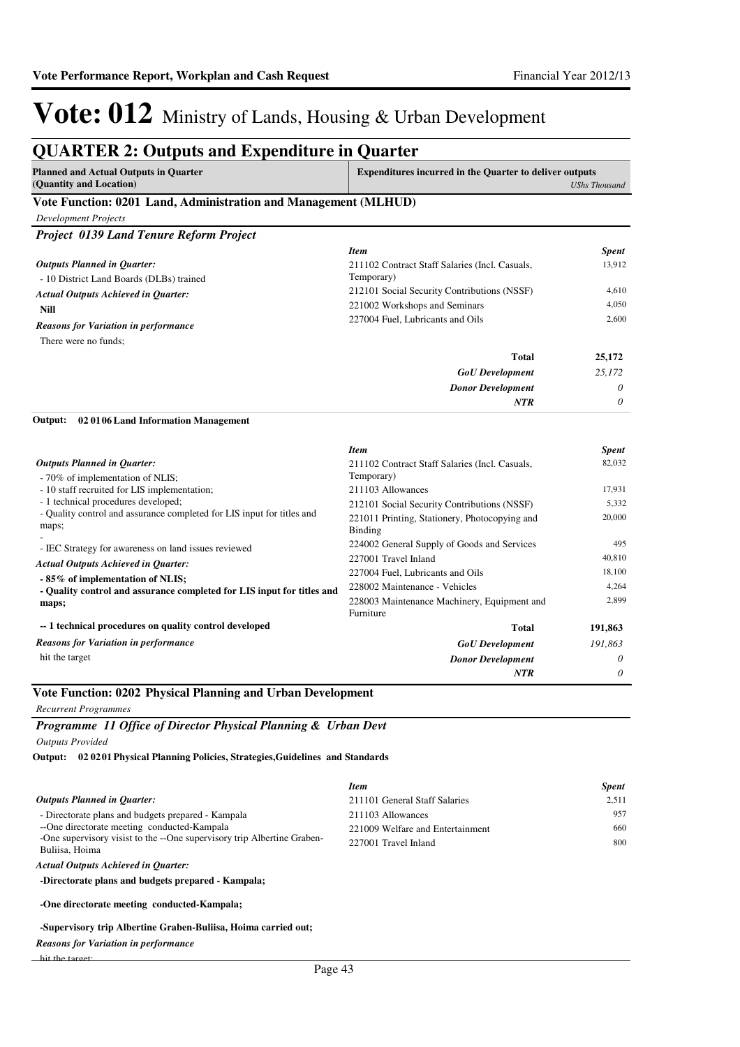#### **QUARTER 2: Outputs and Expenditure in Quarter Planned and Actual Outputs in Quarter (Quantity and Location) Expenditures incurred in the Quarter to deliver outputs**  *UShs Thousand* **Vote Function: 0201 Land, Administration and Management (MLHUD)** *Development Projects Project 0139 Land Tenure Reform Project* - 10 District Land Boards (DLBs) trained **Nill** *GoU Development Donor Development* **Total** *25,172 0 0* **25,172** *Actual Outputs Achieved in Quarter: Outputs Planned in Quarter: NTR* There were no funds; *Reasons for Variation in performance Item Spent* 211102 Contract Staff Salaries (Incl. Casuals, Temporary) 13,912 212101 Social Security Contributions (NSSF) 4,610 221002 Workshops and Seminars 4,050 227004 Fuel, Lubricants and Oils 2,600 - 70% of implementation of NLIS; - 10 staff recruited for LIS implementation; - 1 technical procedures developed; - Quality control and assurance completed for LIS input for titles and maps; - - IEC Strategy for awareness on land issues reviewed **- 85% of implementation of NLIS; - Quality control and assurance completed for LIS input for titles and maps; -- 1 technical procedures on quality control developed 02 0106 Land Information Management** *GoU Development Donor Development* **Total** *191,863 0 0* **191,863** *Actual Outputs Achieved in Quarter: Outputs Planned in Quarter:* **Output:** *NTR* hit the target *Reasons for Variation in performance Item Spent* 211102 Contract Staff Salaries (Incl. Casuals, Temporary) 82,032 211103 Allowances 17,931 212101 Social Security Contributions (NSSF) 5,332 221011 Printing, Stationery, Photocopying and Binding 20,000 224002 General Supply of Goods and Services 495 227001 Travel Inland 40,810 227004 Fuel, Lubricants and Oils 18,100 228002 Maintenance - Vehicles 4,264 228003 Maintenance Machinery, Equipment and Furniture 2,899 **Vote Function: 0202 Physical Planning and Urban Development**

#### *Recurrent Programmes*

*Programme 11 Office of Director Physical Planning & Urban Devt Outputs Provided*

**02 0201 Physical Planning Policies, Strategies,Guidelines and Standards Output:**

|                                                                                           | <b>Item</b>                      | <b>Spent</b> |
|-------------------------------------------------------------------------------------------|----------------------------------|--------------|
| <b>Outputs Planned in Ouarter:</b>                                                        | 211101 General Staff Salaries    | 2.511        |
| - Directorate plans and budgets prepared - Kampala                                        | 211103 Allowances                | 957          |
| --One directorate meeting conducted-Kampala                                               | 221009 Welfare and Entertainment | 660          |
| -One supervisory visist to the --One supervisory trip Albertine Graben-<br>Buliisa. Hoima | 227001 Travel Inland             | 800          |
|                                                                                           |                                  |              |

#### *Actual Outputs Achieved in Quarter:*

**-Directorate plans and budgets prepared - Kampala;**

**-One directorate meeting conducted-Kampala;**

#### **-Supervisory trip Albertine Graben-Buliisa, Hoima carried out;**

*Reasons for Variation in performance*

hit the target;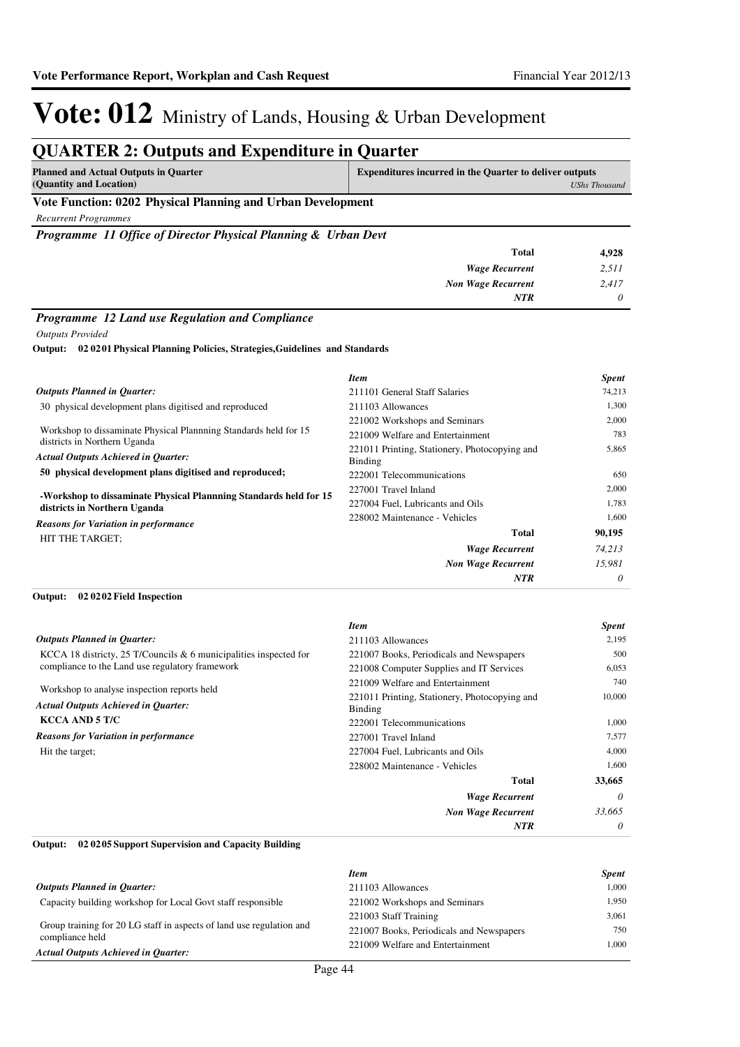#### **QUARTER 2: Outputs and Expenditure in Quarter Planned and Actual Outputs in Quarter (Quantity and Location) Expenditures incurred in the Quarter to deliver outputs**  *UShs Thousand* **Vote Function: 0202 Physical Planning and Urban Development** *Recurrent Programmes Programme 11 Office of Director Physical Planning & Urban Devt Wage Recurrent Non Wage Recurrent* **Total** *2,511 2,417 0* **4,928** *NTR Programme 12 Land use Regulation and Compliance Outputs Provided*

**02 0201 Physical Planning Policies, Strategies,Guidelines and Standards Output:**

|                                                                                                                                               | <b>Item</b>                                              | <b>Spent</b> |
|-----------------------------------------------------------------------------------------------------------------------------------------------|----------------------------------------------------------|--------------|
| <b>Outputs Planned in Quarter:</b>                                                                                                            | 211101 General Staff Salaries                            | 74,213       |
| 30 physical development plans digitised and reproduced                                                                                        | 211103 Allowances                                        | 1,300        |
| Workshop to dissaminate Physical Planning Standards held for 15<br>districts in Northern Uganda<br><b>Actual Outputs Achieved in Quarter:</b> | 221002 Workshops and Seminars                            | 2,000        |
|                                                                                                                                               | 221009 Welfare and Entertainment                         | 783          |
|                                                                                                                                               | 221011 Printing, Stationery, Photocopying and<br>Binding | 5,865        |
| 50 physical development plans digitised and reproduced;                                                                                       | 222001 Telecommunications                                | 650          |
| -Workshop to dissaminate Physical Plannning Standards held for 15<br>districts in Northern Uganda                                             | 227001 Travel Inland                                     | 2,000        |
|                                                                                                                                               | 227004 Fuel, Lubricants and Oils                         | 1,783        |
| <b>Reasons for Variation in performance</b>                                                                                                   | 228002 Maintenance - Vehicles                            | 1,600        |
| HIT THE TARGET;                                                                                                                               | <b>Total</b>                                             | 90,195       |
|                                                                                                                                               | <b>Wage Recurrent</b>                                    | 74,213       |
|                                                                                                                                               | <b>Non Wage Recurrent</b>                                | 15.981       |
|                                                                                                                                               | <b>NTR</b>                                               | $\theta$     |

#### **02 0202 Field Inspection Output:**

|                                                                                           | <b>Item</b>                                              | <b>Spent</b> |
|-------------------------------------------------------------------------------------------|----------------------------------------------------------|--------------|
| <b>Outputs Planned in Quarter:</b>                                                        | 211103 Allowances                                        | 2,195        |
| KCCA 18 districty, 25 T/Councils $& 6$ municipalities inspected for                       | 221007 Books, Periodicals and Newspapers                 | 500          |
| compliance to the Land use regulatory framework                                           | 221008 Computer Supplies and IT Services                 | 6.053        |
|                                                                                           | 221009 Welfare and Entertainment                         | 740          |
| Workshop to analyse inspection reports held<br><b>Actual Outputs Achieved in Ouarter:</b> | 221011 Printing, Stationery, Photocopying and<br>Binding | 10,000       |
| <b>KCCA AND 5 T/C</b>                                                                     | 222001 Telecommunications                                | 1.000        |
| <b>Reasons for Variation in performance</b>                                               | 227001 Travel Inland                                     | 7,577        |
| Hit the target;                                                                           | 227004 Fuel, Lubricants and Oils                         | 4,000        |
|                                                                                           | 228002 Maintenance - Vehicles                            | 1,600        |
|                                                                                           | <b>Total</b>                                             | 33,665       |
|                                                                                           | <b>Wage Recurrent</b>                                    | $\theta$     |
|                                                                                           | <b>Non Wage Recurrent</b>                                | 33,665       |
|                                                                                           | <b>NTR</b>                                               | $\theta$     |

#### **02 0205 Support Supervision and Capacity Building Output:**

|                                                                      | <b>Item</b>                              | <b>Spent</b> |
|----------------------------------------------------------------------|------------------------------------------|--------------|
| <b>Outputs Planned in Ouarter:</b>                                   | 211103 Allowances                        | 1.000        |
| Capacity building workshop for Local Govt staff responsible          | 221002 Workshops and Seminars            | 1.950        |
|                                                                      | 221003 Staff Training                    | 3.061        |
| Group training for 20 LG staff in aspects of land use regulation and | 221007 Books, Periodicals and Newspapers | 750          |
| compliance held<br><b>Actual Outputs Achieved in Quarter:</b>        | 221009 Welfare and Entertainment         | 1.000        |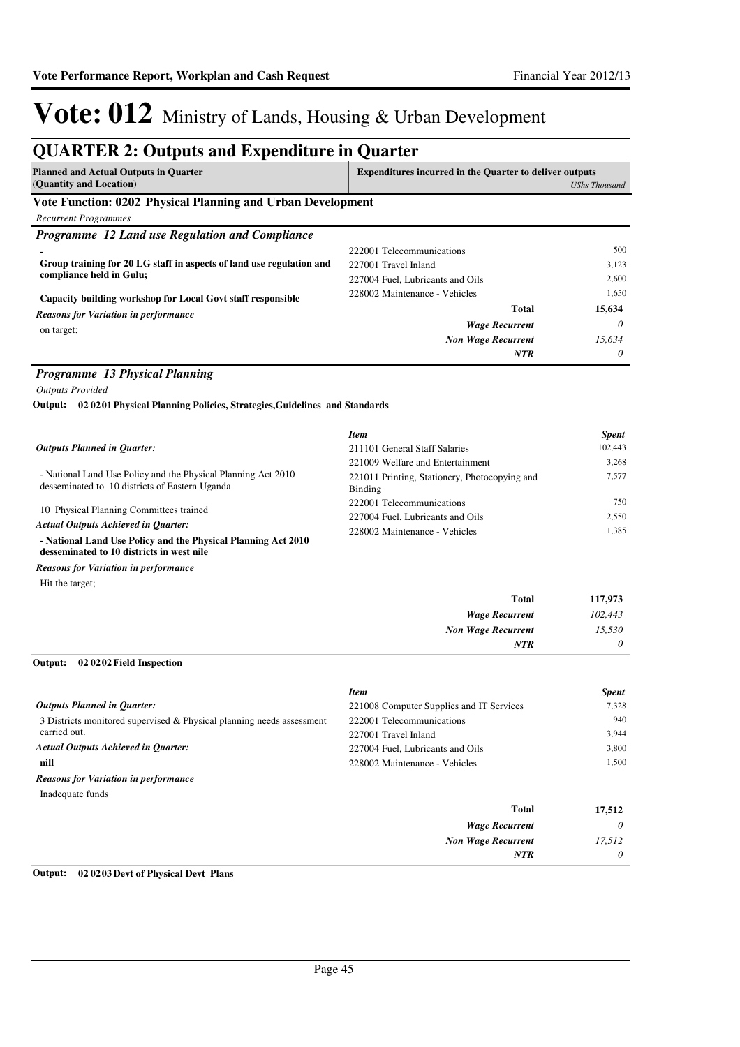#### **QUARTER 2: Outputs and Expenditure in Quarter Planned and Actual Outputs in Quarter (Quantity and Location) Expenditures incurred in the Quarter to deliver outputs**  *UShs Thousand* **Vote Function: 0202 Physical Planning and Urban Development** *Recurrent Programmes Programme 12 Land use Regulation and Compliance* **- Group training for 20 LG staff in aspects of land use regulation and compliance held in Gulu; Capacity building workshop for Local Govt staff responsible** *Wage Recurrent Non Wage Recurrent* **Total** *0 15,634 0* **15,634** *NTR* on target; *Reasons for Variation in performance* 222001 Telecommunications 500 227001 Travel Inland 3,123 227004 Fuel, Lubricants and Oils 2,600 228002 Maintenance - Vehicles 1,650 *Programme 13 Physical Planning Outputs Provided* - National Land Use Policy and the Physical Planning Act 2010 desseminated to 10 districts of Eastern Uganda 10 Physical Planning Committees trained **- National Land Use Policy and the Physical Planning Act 2010 desseminated to 10 districts in west nile 02 0201 Physical Planning Policies, Strategies,Guidelines and Standards Output:** *Wage Recurrent Non Wage Recurrent* **Total** *102,443 15,530 0* **117,973** *Actual Outputs Achieved in Quarter: Outputs Planned in Quarter: NTR* Hit the target; *Reasons for Variation in performance Item Spent* 211101 General Staff Salaries 102.443 221009 Welfare and Entertainment 3,268 221011 Printing, Stationery, Photocopying and Binding 7,577 222001 Telecommunications 750 227004 Fuel, Lubricants and Oils 2,550 228002 Maintenance - Vehicles 1,385 **02 0202 Field Inspection Output:**

|                                                                       | <b>Item</b>                              | <b>Spent</b> |
|-----------------------------------------------------------------------|------------------------------------------|--------------|
| <b>Outputs Planned in Ouarter:</b>                                    | 221008 Computer Supplies and IT Services | 7,328        |
| 3 Districts monitored supervised & Physical planning needs assessment | 222001 Telecommunications                | 940          |
| carried out.                                                          | 227001 Travel Inland                     | 3.944        |
| <b>Actual Outputs Achieved in Ouarter:</b>                            | 227004 Fuel, Lubricants and Oils         | 3,800        |
| nill                                                                  | 228002 Maintenance - Vehicles            | 1.500        |
| <b>Reasons for Variation in performance</b>                           |                                          |              |
| Inadequate funds                                                      |                                          |              |
|                                                                       | <b>Total</b>                             | 17,512       |
|                                                                       | <b>Wage Recurrent</b>                    | $\theta$     |
|                                                                       | <b>Non Wage Recurrent</b>                | 17,512       |
|                                                                       | NTR                                      | 0            |

#### **Output: 02 0203 Devt of Physical Devt Plans**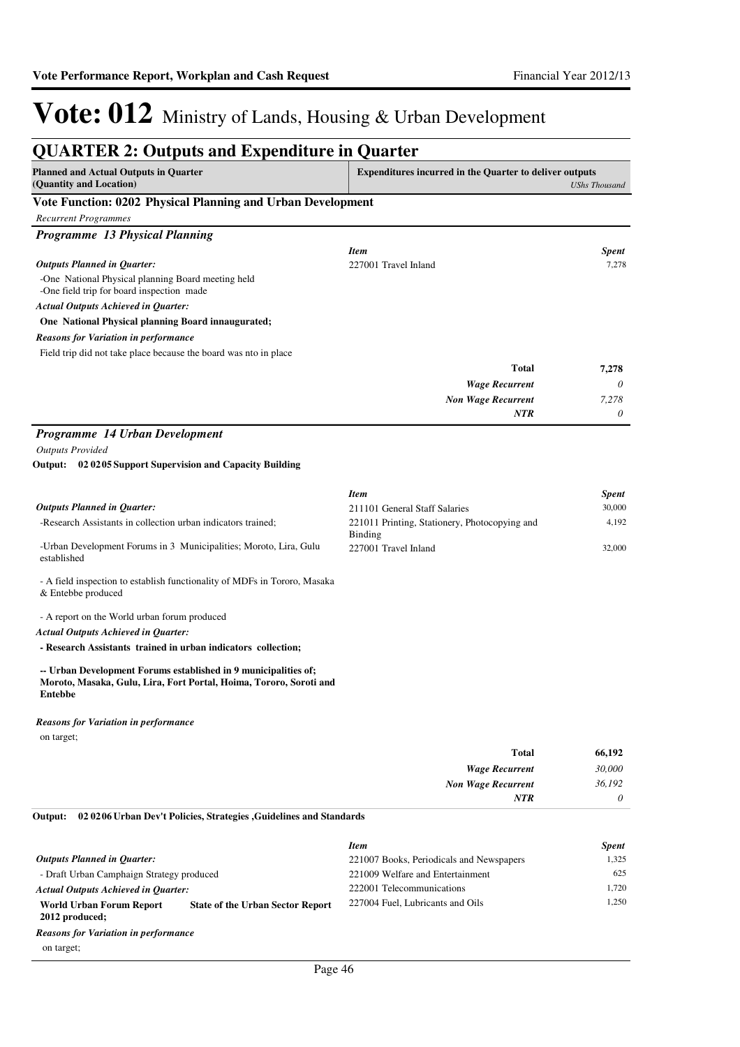| <b>QUARTER 2: Outputs and Expenditure in Quarter</b>                                                                                        |                                                                |                      |
|---------------------------------------------------------------------------------------------------------------------------------------------|----------------------------------------------------------------|----------------------|
| <b>Planned and Actual Outputs in Quarter</b><br>(Quantity and Location)                                                                     | <b>Expenditures incurred in the Quarter to deliver outputs</b> | <b>UShs Thousand</b> |
| Vote Function: 0202 Physical Planning and Urban Development                                                                                 |                                                                |                      |
| <b>Recurrent Programmes</b>                                                                                                                 |                                                                |                      |
| Programme 13 Physical Planning                                                                                                              |                                                                |                      |
|                                                                                                                                             | <b>Item</b>                                                    | <b>Spent</b>         |
| <b>Outputs Planned in Quarter:</b>                                                                                                          | 227001 Travel Inland                                           | 7,278                |
| -One National Physical planning Board meeting held                                                                                          |                                                                |                      |
| -One field trip for board inspection made                                                                                                   |                                                                |                      |
| <b>Actual Outputs Achieved in Quarter:</b>                                                                                                  |                                                                |                      |
| One National Physical planning Board innaugurated;                                                                                          |                                                                |                      |
| <b>Reasons for Variation in performance</b>                                                                                                 |                                                                |                      |
| Field trip did not take place because the board was nto in place                                                                            |                                                                |                      |
|                                                                                                                                             | <b>Total</b>                                                   | 7,278                |
|                                                                                                                                             | <b>Wage Recurrent</b>                                          | 0                    |
|                                                                                                                                             | <b>Non Wage Recurrent</b>                                      | 7,278                |
|                                                                                                                                             | NTR                                                            | 0                    |
| Programme 14 Urban Development                                                                                                              |                                                                |                      |
| <b>Outputs Provided</b>                                                                                                                     |                                                                |                      |
| Output: 02 02 05 Support Supervision and Capacity Building                                                                                  |                                                                |                      |
|                                                                                                                                             |                                                                |                      |
|                                                                                                                                             | <b>Item</b>                                                    | <b>Spent</b>         |
| <b>Outputs Planned in Quarter:</b>                                                                                                          | 211101 General Staff Salaries                                  | 30,000               |
| -Research Assistants in collection urban indicators trained;                                                                                | 221011 Printing, Stationery, Photocopying and                  | 4,192                |
|                                                                                                                                             | <b>Binding</b>                                                 |                      |
| -Urban Development Forums in 3 Municipalities; Moroto, Lira, Gulu<br>established                                                            | 227001 Travel Inland                                           | 32,000               |
|                                                                                                                                             |                                                                |                      |
| - A field inspection to establish functionality of MDFs in Tororo, Masaka                                                                   |                                                                |                      |
| & Entebbe produced                                                                                                                          |                                                                |                      |
| - A report on the World urban forum produced                                                                                                |                                                                |                      |
| <b>Actual Outputs Achieved in Quarter:</b>                                                                                                  |                                                                |                      |
| - Research Assistants trained in urban indicators collection;                                                                               |                                                                |                      |
|                                                                                                                                             |                                                                |                      |
| -- Urban Development Forums established in 9 municipalities of;<br>Moroto, Masaka, Gulu, Lira, Fort Portal, Hoima, Tororo, Soroti and       |                                                                |                      |
| Entebbe                                                                                                                                     |                                                                |                      |
|                                                                                                                                             |                                                                |                      |
| <b>Reasons for Variation in performance</b>                                                                                                 |                                                                |                      |
| on target;                                                                                                                                  |                                                                |                      |
|                                                                                                                                             | <b>Total</b>                                                   | 66,192               |
|                                                                                                                                             | <b>Wage Recurrent</b>                                          | 30,000               |
|                                                                                                                                             | <b>Non Wage Recurrent</b>                                      | 36,192               |
|                                                                                                                                             | <b>NTR</b>                                                     | 0                    |
| 02 02 06 Urban Dev't Policies, Strategies , Guidelines and Standards<br>Output:                                                             |                                                                |                      |
|                                                                                                                                             |                                                                |                      |
|                                                                                                                                             | <b>Item</b>                                                    | <b>Spent</b>         |
| <b>Outputs Planned in Quarter:</b>                                                                                                          | 221007 Books, Periodicals and Newspapers                       | 1,325                |
| - Draft Urban Camphaign Strategy produced                                                                                                   | 221009 Welfare and Entertainment                               | 625                  |
| <b>Actual Outputs Achieved in Quarter:</b>                                                                                                  | 222001 Telecommunications<br>227004 Fuel, Lubricants and Oils  | 1,720<br>1,250       |
| <b>World Urban Forum Report</b><br><b>State of the Urban Sector Report</b><br>2012 produced;<br><b>Reasons for Variation in performance</b> |                                                                |                      |

on target;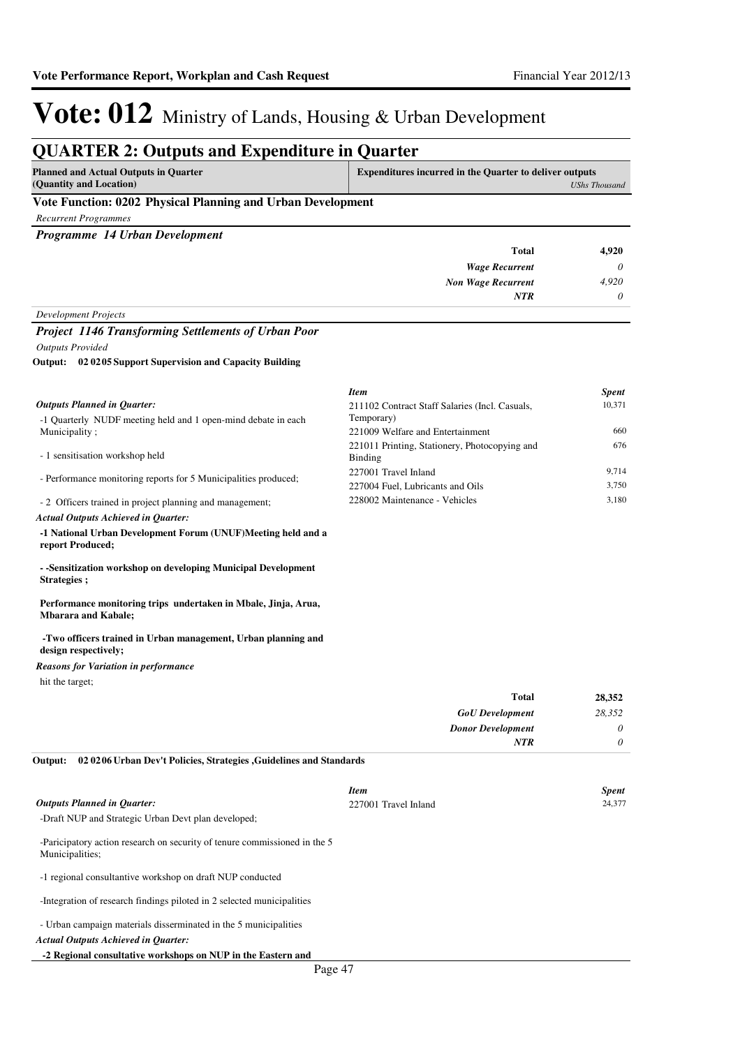### **QUARTER 2: Outputs and Expenditure in Quarter**

| Planned and Actual Outputs in Quarter<br>(Quantity and Location) | <b>Expenditures incurred in the Quarter to deliver outputs</b><br>UShs Thousand |  |
|------------------------------------------------------------------|---------------------------------------------------------------------------------|--|
| Vote Function: 0202 Physical Planning and Urban Development      |                                                                                 |  |
| Recurrent Programmes                                             |                                                                                 |  |

*Programme 14 Urban Development*

| <b>Total</b>              | 4,920    |
|---------------------------|----------|
| <b>Wage Recurrent</b>     | $\theta$ |
| <b>Non Wage Recurrent</b> | 4,920    |
| <b>NTR</b>                | $\theta$ |
| Development Projects      |          |

#### *Project 1146 Transforming Settlements of Urban Poor*

*Outputs Provided*

**02 0205 Support Supervision and Capacity Building Output:**

|                                                                 | <b>Item</b>                                              | <b>Spent</b> |
|-----------------------------------------------------------------|----------------------------------------------------------|--------------|
| Outputs Planned in Ouarter:                                     | 211102 Contract Staff Salaries (Incl. Casuals,           | 10,371       |
| -1 Quarterly NUDF meeting held and 1 open-mind debate in each   | Temporary)                                               |              |
| Municipality;                                                   | 221009 Welfare and Entertainment                         | 660          |
| - 1 sensitisation workshop held                                 | 221011 Printing, Stationery, Photocopying and<br>Binding | 676          |
| - Performance monitoring reports for 5 Municipalities produced; | 227001 Travel Inland                                     | 9.714        |
|                                                                 | 227004 Fuel, Lubricants and Oils                         | 3.750        |
| - 2 Officers trained in project planning and management;        | 228002 Maintenance - Vehicles                            | 3.180        |

### *Actual Outputs Achieved in Quarter:*

**-1 National Urban Development Forum (UNUF)Meeting held and a report Produced;**

**- -Sensitization workshop on developing Municipal Development Strategies ;**

#### **Performance monitoring trips undertaken in Mbale, Jinja, Arua, Mbarara and Kabale;**

#### **-Two officers trained in Urban management, Urban planning and design respectively;**

#### *Reasons for Variation in performance*

hit the target;

| 28,352 | <b>Total</b>             |
|--------|--------------------------|
| 28,352 | <b>GoU</b> Development   |
| 0      | <b>Donor Development</b> |
| 0      | <b>NTR</b>               |
|        |                          |

**02 0206 Urban Dev't Policies, Strategies ,Guidelines and Standards Output:**

|                                                                                              | <b>Item</b>          | <b>Spent</b> |
|----------------------------------------------------------------------------------------------|----------------------|--------------|
| <b>Outputs Planned in Ouarter:</b>                                                           | 227001 Travel Inland | 24,377       |
| -Draft NUP and Strategic Urban Devt plan developed;                                          |                      |              |
| -Paricipatory action research on security of tenure commissioned in the 5<br>Municipalities; |                      |              |
| -1 regional consultantive workshop on draft NUP conducted                                    |                      |              |
| -Integration of research findings piloted in 2 selected municipalities                       |                      |              |
| - Urban campaign materials disserminated in the 5 municipalities                             |                      |              |
| <b>Actual Outputs Achieved in Ouarter:</b>                                                   |                      |              |
| -2 Regional consultative workshops on NUP in the Eastern and                                 |                      |              |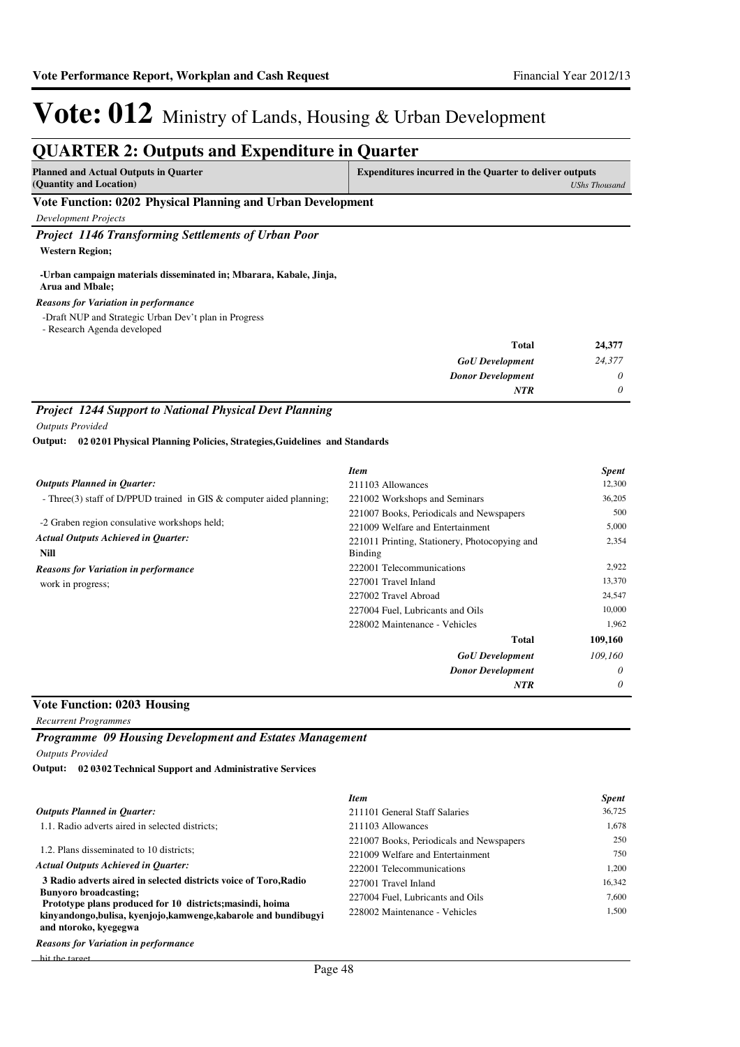### **QUARTER 2: Outputs and Expenditure in Quarter**

| <b>Planned and Actual Outputs in Quarter</b>                | <b>Expenditures incurred in the Quarter to deliver outputs</b> |  |
|-------------------------------------------------------------|----------------------------------------------------------------|--|
| (Quantity and Location)                                     | UShs Thousand                                                  |  |
| Vote Function: 0202 Physical Planning and Urban Development |                                                                |  |
| Development Projects                                        |                                                                |  |

*Project 1146 Transforming Settlements of Urban Poor*

**Western Region;**

#### **-Urban campaign materials disseminated in; Mbarara, Kabale, Jinja, Arua and Mbale;**

*Reasons for Variation in performance*

-Draft NUP and Strategic Urban Dev't plan in Progress

- Research Agenda developed

| 24,377 | <b>Total</b>             |
|--------|--------------------------|
| 24,377 | <b>GoU</b> Development   |
| 0      | <b>Donor Development</b> |
| 0      | <b>NTR</b>               |
|        |                          |

### *Project 1244 Support to National Physical Devt Planning*

*Outputs Provided*

**02 0201 Physical Planning Policies, Strategies,Guidelines and Standards Output:**

|                                                                                            | <b>Item</b>                                                                                                                   | <b>Spent</b>          |
|--------------------------------------------------------------------------------------------|-------------------------------------------------------------------------------------------------------------------------------|-----------------------|
| <b>Outputs Planned in Quarter:</b>                                                         | 211103 Allowances                                                                                                             | 12,300                |
| - Three(3) staff of D/PPUD trained in GIS $&$ computer aided planning;                     | 221002 Workshops and Seminars                                                                                                 | 36,205                |
| -2 Graben region consulative workshops held;<br><b>Actual Outputs Achieved in Quarter:</b> | 221007 Books, Periodicals and Newspapers<br>221009 Welfare and Entertainment<br>221011 Printing, Stationery, Photocopying and | 500<br>5,000<br>2,354 |
| Nill                                                                                       | <b>Binding</b>                                                                                                                |                       |
| <b>Reasons for Variation in performance</b>                                                | 222001 Telecommunications                                                                                                     | 2,922                 |
| work in progress;                                                                          | 227001 Travel Inland                                                                                                          | 13,370                |
|                                                                                            | 227002 Travel Abroad                                                                                                          | 24,547                |
|                                                                                            | 227004 Fuel, Lubricants and Oils                                                                                              | 10,000                |
|                                                                                            | 228002 Maintenance - Vehicles                                                                                                 | 1,962                 |
|                                                                                            | Total                                                                                                                         | 109,160               |
|                                                                                            | <b>GoU</b> Development                                                                                                        | 109,160               |
|                                                                                            | <b>Donor Development</b>                                                                                                      | $\theta$              |
|                                                                                            | <b>NTR</b>                                                                                                                    | 0                     |

### **Vote Function: 0203 Housing**

*Recurrent Programmes*

*Programme 09 Housing Development and Estates Management*

*Outputs Provided*

**02 0302 Technical Support and Administrative Services Output:**

|                                                                                           | <b>Item</b>                              | <b>Spent</b> |
|-------------------------------------------------------------------------------------------|------------------------------------------|--------------|
| <b>Outputs Planned in Ouarter:</b>                                                        | 211101 General Staff Salaries            | 36,725       |
| 1.1. Radio adverts aired in selected districts;                                           | 211103 Allowances                        | 1,678        |
|                                                                                           | 221007 Books, Periodicals and Newspapers | 250          |
| 1.2. Plans disseminated to 10 districts;                                                  | 221009 Welfare and Entertainment         | 750          |
| <b>Actual Outputs Achieved in Ouarter:</b>                                                | 222001 Telecommunications                | 1,200        |
| 3 Radio adverts aired in selected districts voice of Toro, Radio                          | 227001 Travel Inland                     | 16,342       |
| <b>Bunyoro broadcasting:</b><br>Prototype plans produced for 10 districts; masindi, hoima | 227004 Fuel. Lubricants and Oils         | 7.600        |
| kinyandongo, bulisa, kyenjojo, kamwenge, kabarole and bundibugyi<br>and ntoroko, kyegegwa | 228002 Maintenance - Vehicles            | 1.500        |
| .                                                                                         |                                          |              |

hit the target *Reasons for Variation in performance*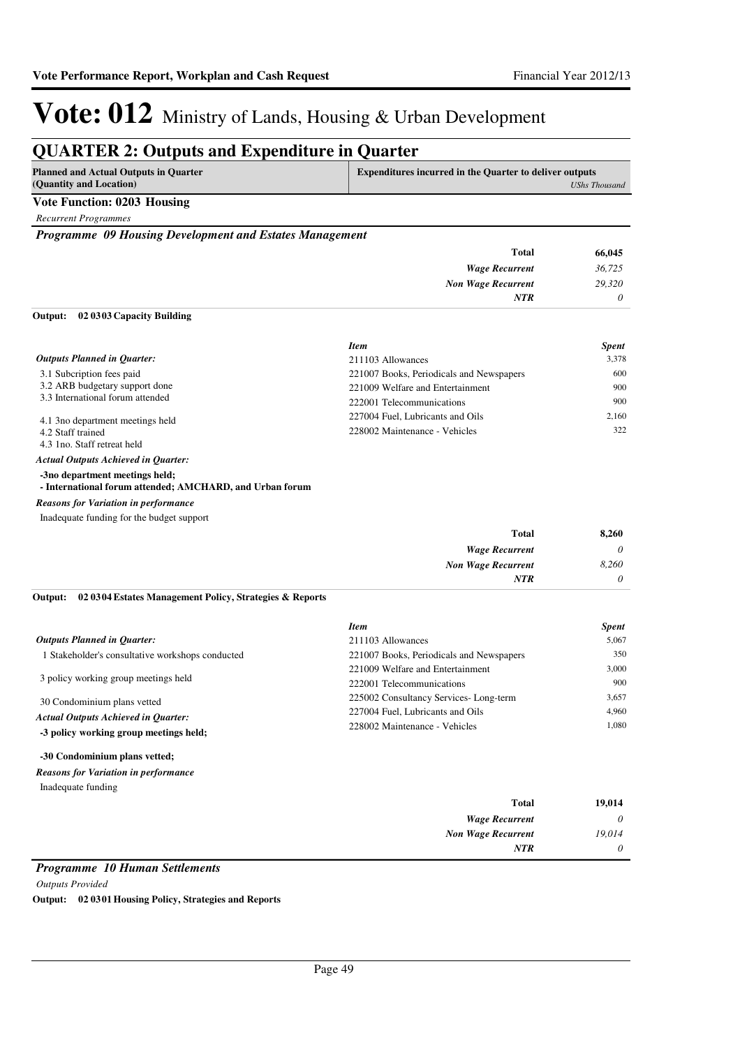### **QUARTER 2: Outputs and Expenditure in Quarter**

| Planned and Actual Outputs in Quarter | <b>Expenditures incurred in the Quarter to deliver outputs</b> |  |
|---------------------------------------|----------------------------------------------------------------|--|
| (Quantity and Location)               | UShs Thousand                                                  |  |
| Vote Function: 0203 Housing           |                                                                |  |

*Recurrent Programmes*

*Programme 09 Housing Development and Estates Management*

| <b>Total</b>                              | 66,045   |
|-------------------------------------------|----------|
| <b>Wage Recurrent</b>                     | 36,725   |
| <b>Non Wage Recurrent</b>                 | 29,320   |
| <b>NTR</b>                                | $\theta$ |
| $\sim$ $\sim$ $\sim$<br>. <i>.</i> .<br>. |          |

#### **02 0303 Capacity Building Output:**

|                                            | <b>Item</b>                              | <b>Spent</b> |
|--------------------------------------------|------------------------------------------|--------------|
| <b>Outputs Planned in Quarter:</b>         | 211103 Allowances                        | 3,378        |
| 3.1 Subcription fees paid                  | 221007 Books, Periodicals and Newspapers | 600          |
| 3.2 ARB budgetary support done             | 221009 Welfare and Entertainment         | 900          |
| 3.3 International forum attended           | 222001 Telecommunications                | 900          |
| 4.1 3no department meetings held           | 227004 Fuel, Lubricants and Oils         | 2.160        |
| 4.2 Staff trained                          | 228002 Maintenance - Vehicles            | 322          |
| 4.3 1 no. Staff retreat held               |                                          |              |
| <b>Actual Outputs Achieved in Ouarter:</b> |                                          |              |
| -3no department meetings held;             |                                          |              |

### **- International forum attended; AMCHARD, and Urban forum**

#### *Reasons for Variation in performance*

Inadequate funding for the budget support

| <b>Total</b>              | 8,260    |
|---------------------------|----------|
| <b>Wage Recurrent</b>     | $\theta$ |
| <b>Non Wage Recurrent</b> | 8,260    |
| <b>NTR</b>                | $\theta$ |

#### **02 0304 Estates Management Policy, Strategies & Reports Output:**

|                                                  | <b>Item</b>                              | <b>Spent</b> |
|--------------------------------------------------|------------------------------------------|--------------|
| <b>Outputs Planned in Ouarter:</b>               | 211103 Allowances                        | 5.067        |
| 1 Stakeholder's consultative workshops conducted | 221007 Books, Periodicals and Newspapers | 350          |
|                                                  | 221009 Welfare and Entertainment         | 3.000        |
| 3 policy working group meetings held             | 222001 Telecommunications                | 900          |
| 30 Condominium plans vetted                      | 225002 Consultancy Services-Long-term    | 3.657        |
| <b>Actual Outputs Achieved in Ouarter:</b>       | 227004 Fuel, Lubricants and Oils         | 4.960        |
| -3 policy working group meetings held;           | 228002 Maintenance - Vehicles            | 1.080        |

#### **-30 Condominium plans vetted;**

Inadequate funding *Reasons for Variation in performance*

| 19,014   | <b>Total</b>              |
|----------|---------------------------|
| $\theta$ | <b>Wage Recurrent</b>     |
| 19,014   | <b>Non Wage Recurrent</b> |
| $\theta$ | <b>NTR</b>                |

### *Programme 10 Human Settlements*

*Outputs Provided* **Output: 02 0301 Housing Policy, Strategies and Reports**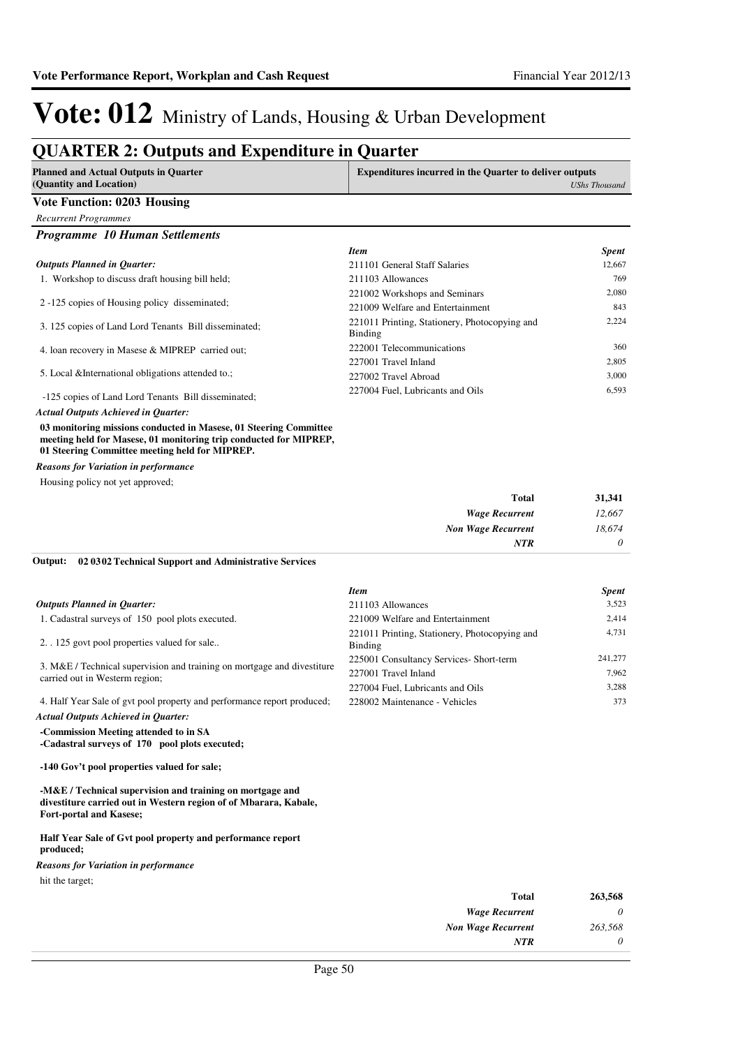### **QUARTER 2: Outputs and Expenditure in Quarter**

| gonna Lin 2. Outputs and Expenditure in<br><b>Planned and Actual Outputs in Quarter</b><br>(Quantity and Location)                                                                       | Yuur wi<br><b>Expenditures incurred in the Quarter to deliver outputs</b><br><b>UShs Thousand</b> |              |
|------------------------------------------------------------------------------------------------------------------------------------------------------------------------------------------|---------------------------------------------------------------------------------------------------|--------------|
| <b>Vote Function: 0203 Housing</b>                                                                                                                                                       |                                                                                                   |              |
| <b>Recurrent Programmes</b>                                                                                                                                                              |                                                                                                   |              |
| <b>Programme 10 Human Settlements</b>                                                                                                                                                    |                                                                                                   |              |
|                                                                                                                                                                                          | <b>Item</b>                                                                                       | <b>Spent</b> |
| <b>Outputs Planned in Quarter:</b>                                                                                                                                                       | 211101 General Staff Salaries                                                                     | 12,667       |
| 1. Workshop to discuss draft housing bill held;                                                                                                                                          | 211103 Allowances                                                                                 | 769          |
|                                                                                                                                                                                          | 221002 Workshops and Seminars                                                                     | 2,080        |
| 2-125 copies of Housing policy disseminated;                                                                                                                                             | 221009 Welfare and Entertainment                                                                  | 843          |
| 3. 125 copies of Land Lord Tenants Bill disseminated;                                                                                                                                    | 221011 Printing, Stationery, Photocopying and<br><b>Binding</b>                                   | 2,224        |
| 4. Ioan recovery in Masese & MIPREP carried out;                                                                                                                                         | 222001 Telecommunications                                                                         | 360          |
|                                                                                                                                                                                          | 227001 Travel Inland                                                                              | 2,805        |
| 5. Local & International obligations attended to.;                                                                                                                                       | 227002 Travel Abroad                                                                              | 3,000        |
| -125 copies of Land Lord Tenants Bill disseminated;                                                                                                                                      | 227004 Fuel, Lubricants and Oils                                                                  | 6,593        |
| <b>Actual Outputs Achieved in Quarter:</b>                                                                                                                                               |                                                                                                   |              |
| 03 monitoring missions conducted in Masese, 01 Steering Committee<br>meeting held for Masese, 01 monitoring trip conducted for MIPREP,<br>01 Steering Committee meeting held for MIPREP. |                                                                                                   |              |
| <b>Reasons for Variation in performance</b>                                                                                                                                              |                                                                                                   |              |
| Housing policy not yet approved;                                                                                                                                                         |                                                                                                   |              |
|                                                                                                                                                                                          | <b>Total</b>                                                                                      | 31,341       |
|                                                                                                                                                                                          | <b>Wage Recurrent</b>                                                                             | 12,667       |
|                                                                                                                                                                                          | <b>Non Wage Recurrent</b>                                                                         | 18,674       |
|                                                                                                                                                                                          | <b>NTR</b>                                                                                        | 0            |
| Output:<br>02 0302 Technical Support and Administrative Services                                                                                                                         |                                                                                                   |              |
|                                                                                                                                                                                          | <b>Item</b>                                                                                       | <b>Spent</b> |
| <b>Outputs Planned in Quarter:</b>                                                                                                                                                       | 211103 Allowances                                                                                 | 3,523        |
| 1. Cadastral surveys of 150 pool plots executed.                                                                                                                                         | 221009 Welfare and Entertainment                                                                  | 2,414        |
| 2. 125 govt pool properties valued for sale                                                                                                                                              | 221011 Printing, Stationery, Photocopying and<br><b>Binding</b>                                   | 4,731        |
|                                                                                                                                                                                          | 225001 Consultancy Services- Short-term                                                           | 241,277      |
| 3. M&E / Technical supervision and training on mortgage and divestiture                                                                                                                  | 227001 Travel Inland                                                                              | 7,962        |
| carried out in Westerm region;                                                                                                                                                           | 227004 Fuel, Lubricants and Oils                                                                  | 3,288        |
| 4. Half Year Sale of gvt pool property and performance report produced;                                                                                                                  | 228002 Maintenance - Vehicles                                                                     | 373          |
| <b>Actual Outputs Achieved in Quarter:</b>                                                                                                                                               |                                                                                                   |              |
| -Commission Meeting attended to in SA<br>-Cadastral surveys of 170 pool plots executed;                                                                                                  |                                                                                                   |              |
| -140 Gov't pool properties valued for sale;                                                                                                                                              |                                                                                                   |              |
| -M&E / Technical supervision and training on mortgage and<br>divestiture carried out in Western region of of Mbarara, Kabale,<br>Fort-portal and Kasese;                                 |                                                                                                   |              |
| Half Year Sale of Gyt pool property and performance report<br>produced;                                                                                                                  |                                                                                                   |              |
| <b>Reasons for Variation in performance</b>                                                                                                                                              |                                                                                                   |              |

hit the target;

| 263,568 | <b>Total</b>              |
|---------|---------------------------|
| 0       | <b>Wage Recurrent</b>     |
| 263,568 | <b>Non Wage Recurrent</b> |
| 0       | <b>NTR</b>                |
|         |                           |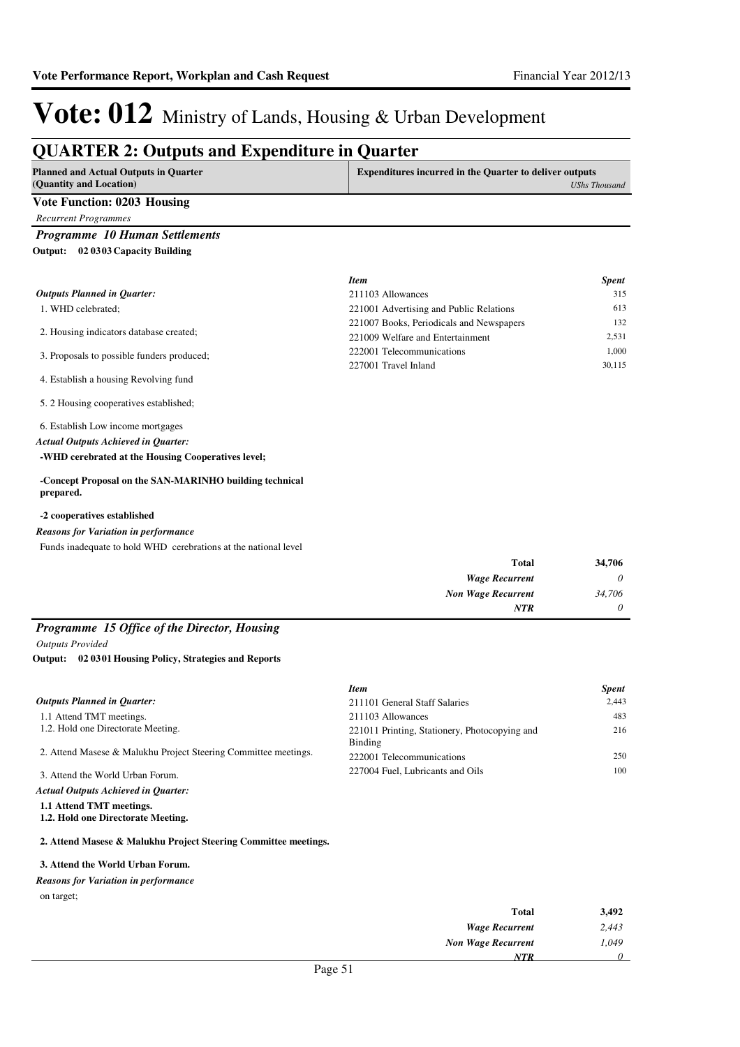### **QUARTER 2: Outputs and Expenditure in Quarter**

| <b>Planned and Actual Outputs in Quarter</b><br>(Quantity and Location) | <b>Expenditures incurred in the Quarter to deliver outputs</b><br>UShs Thousand |
|-------------------------------------------------------------------------|---------------------------------------------------------------------------------|
| Vote Function: 0203 Housing                                             |                                                                                 |
| <b>Recurrent Programmes</b>                                             |                                                                                 |
| <b>Programme 10 Human Settlements</b>                                   |                                                                                 |

**02 0303 Capacity Building Output:**

|                                            | <b>Item</b>                              | <b>Spent</b> |
|--------------------------------------------|------------------------------------------|--------------|
| <b>Outputs Planned in Quarter:</b>         | 211103 Allowances                        | 315          |
| 1. WHD celebrated:                         | 221001 Advertising and Public Relations  | 613          |
|                                            | 221007 Books, Periodicals and Newspapers | 132          |
| 2. Housing indicators database created;    | 221009 Welfare and Entertainment         | 2.531        |
| 3. Proposals to possible funders produced; | 222001 Telecommunications                | 1.000        |
|                                            | 227001 Travel Inland                     | 30,115       |
| 4. Establish a housing Revolving fund      |                                          |              |
| 5. 2 Housing cooperatives established;     |                                          |              |

6. Establish Low income mortgages

*Actual Outputs Achieved in Quarter:*

**-WHD cerebrated at the Housing Cooperatives level;**

#### **-Concept Proposal on the SAN-MARINHO building technical prepared.**

#### **-2 cooperatives established**

#### *Reasons for Variation in performance*

Funds inadequate to hold WHD cerebrations at the national level

| 34,706   | Total                     |
|----------|---------------------------|
| $\theta$ | <b>Wage Recurrent</b>     |
| 34,706   | <b>Non Wage Recurrent</b> |
| $\theta$ | <b>NTR</b>                |
|          |                           |

### *Programme 15 Office of the Director, Housing*

*Outputs Provided*

#### **02 0301 Housing Policy, Strategies and Reports Output:**

|                                                                 | <b>Item</b>                                   | <b>Spent</b> |
|-----------------------------------------------------------------|-----------------------------------------------|--------------|
| <b>Outputs Planned in Quarter:</b>                              | 211101 General Staff Salaries                 | 2.443        |
| 1.1 Attend TMT meetings.                                        | 211103 Allowances                             | 483          |
| 1.2. Hold one Directorate Meeting.                              | 221011 Printing, Stationery, Photocopying and | 216          |
|                                                                 | Binding                                       |              |
| 2. Attend Masese & Malukhu Project Steering Committee meetings. | 222001 Telecommunications                     | 250          |
| 3. Attend the World Urban Forum.                                | 227004 Fuel, Lubricants and Oils              | 100          |
| <b>Actual Outputs Achieved in Ouarter:</b>                      |                                               |              |
|                                                                 |                                               |              |

**1.1 Attend TMT meetings.**

**1.2. Hold one Directorate Meeting.**

#### **2. Attend Masese & Malukhu Project Steering Committee meetings.**

#### **3. Attend the World Urban Forum.**

#### *Reasons for Variation in performance*

on target;

| 3,492 | <b>Total</b>              |
|-------|---------------------------|
| 2,443 | <b>Wage Recurrent</b>     |
| 1,049 | <b>Non Wage Recurrent</b> |
|       | NTR                       |
|       | $-1$<br>$\mathbf{r}$      |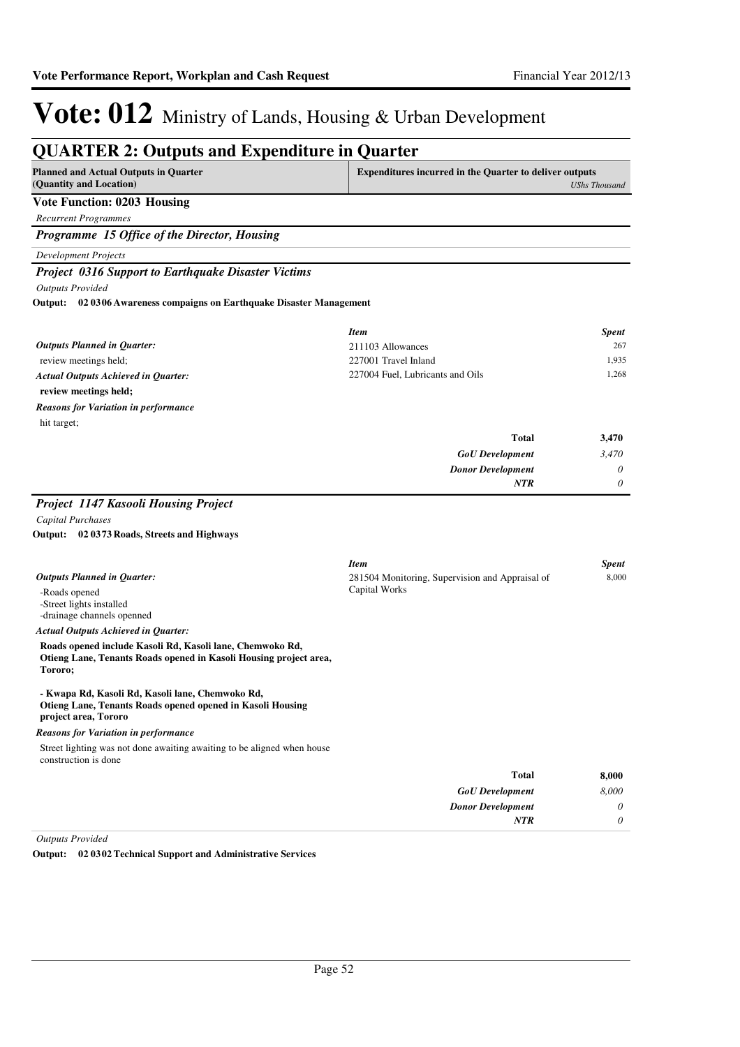#### **QUARTER 2: Outputs and Expenditure in Quarter Planned and Actual Outputs in Quarter (Quantity and Location) Expenditures incurred in the Quarter to deliver outputs**  *UShs Thousand* **Vote Function: 0203 Housing** *Recurrent Programmes Programme 15 Office of the Director, Housing Development Projects Project 0316 Support to Earthquake Disaster Victims Outputs Provided* review meetings held; **review meetings held; 02 0306 Awareness compaigns on Earthquake Disaster Management Output:** *GoU Development Donor Development* **Total** *3,470 0 0* **3,470** *Actual Outputs Achieved in Quarter: Outputs Planned in Quarter: NTR* hit target; *Reasons for Variation in performance Item Spent* 211103 Allowances 267 227001 Travel Inland 1,935 227004 Fuel, Lubricants and Oils 1,268 *Project 1147 Kasooli Housing Project Capital Purchases* -Roads opened -Street lights installed -drainage channels openned **Roads opened include Kasoli Rd, Kasoli lane, Chemwoko Rd, Otieng Lane, Tenants Roads opened in Kasoli Housing project area, Tororo; - Kwapa Rd, Kasoli Rd, Kasoli lane, Chemwoko Rd, Otieng Lane, Tenants Roads opened opened in Kasoli Housing project area, Tororo 02 0373 Roads, Streets and Highways Output:** *Actual Outputs Achieved in Quarter: Outputs Planned in Quarter:* Street lighting was not done awaiting awaiting to be aligned when house construction is done *Reasons for Variation in performance Item Spent* 281504 Monitoring, Supervision and Appraisal of Capital Works 8,000

| 8,000    | <b>Total</b>             |
|----------|--------------------------|
| 8,000    | <b>GoU</b> Development   |
| 0        | <b>Donor Development</b> |
| $\theta$ | <b>NTR</b>               |
|          |                          |

*Outputs Provided*

**Output: 02 0302 Technical Support and Administrative Services**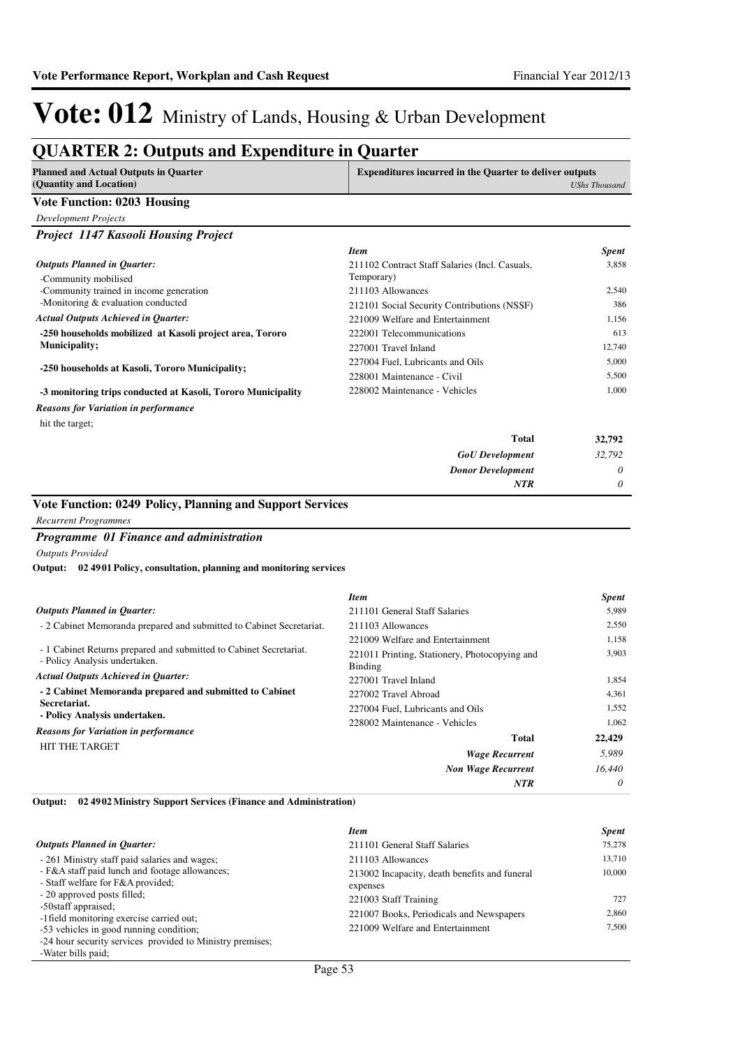### **QUARTER 2: Outputs and Expenditure in Quarter**

|                                                                           | <b>Expenditures incurred in the Quarter to deliver outputs</b> |                                                                                               |
|---------------------------------------------------------------------------|----------------------------------------------------------------|-----------------------------------------------------------------------------------------------|
| (Quantity and Location)                                                   |                                                                | <b>UShs Thousand</b>                                                                          |
| Vote Function: 0203 Housing                                               |                                                                |                                                                                               |
| <b>Development Projects</b>                                               |                                                                |                                                                                               |
| Project 1147 Kasooli Housing Project                                      |                                                                |                                                                                               |
|                                                                           | <b>Item</b>                                                    | <b>Spent</b>                                                                                  |
| <b>Outputs Planned in Quarter:</b>                                        | 211102 Contract Staff Salaries (Incl. Casuals,                 | 3,858                                                                                         |
| -Community mobilised                                                      | Temporary)                                                     |                                                                                               |
| -Community trained in income generation                                   | 211103 Allowances                                              | 2,540                                                                                         |
| -Monitoring & evaluation conducted                                        | 212101 Social Security Contributions (NSSF)                    | 386                                                                                           |
| <b>Actual Outputs Achieved in Quarter:</b>                                | 221009 Welfare and Entertainment                               | 1.156                                                                                         |
| -250 households mobilized at Kasoli project area, Tororo                  | 222001 Telecommunications                                      | 613                                                                                           |
| <b>Municipality;</b>                                                      | 227001 Travel Inland                                           | 12,740                                                                                        |
| -250 households at Kasoli, Tororo Municipality;                           | 227004 Fuel. Lubricants and Oils                               | 5,000                                                                                         |
|                                                                           | 228001 Maintenance - Civil                                     | 5,500                                                                                         |
| -3 monitoring trips conducted at Kasoli, Tororo Municipality              | 228002 Maintenance - Vehicles                                  | 1,000                                                                                         |
| <b>Reasons for Variation in performance</b>                               |                                                                |                                                                                               |
| hit the target;                                                           |                                                                |                                                                                               |
|                                                                           | <b>Total</b>                                                   | 32,792                                                                                        |
|                                                                           | <b>GoU</b> Development                                         | 32,792                                                                                        |
|                                                                           | <b>Donor Development</b>                                       | 0                                                                                             |
|                                                                           | <b>NTR</b>                                                     | $\theta$                                                                                      |
| Vote Function: 0249 Policy, Planning and Support Services                 |                                                                |                                                                                               |
|                                                                           |                                                                |                                                                                               |
|                                                                           |                                                                |                                                                                               |
| <b>Recurrent Programmes</b>                                               |                                                                |                                                                                               |
| Programme 01 Finance and administration                                   |                                                                |                                                                                               |
| <b>Outputs Provided</b>                                                   |                                                                |                                                                                               |
| Output:<br>02 4901 Policy, consultation, planning and monitoring services |                                                                |                                                                                               |
|                                                                           |                                                                |                                                                                               |
|                                                                           | <b>Item</b>                                                    |                                                                                               |
| <b>Outputs Planned in Quarter:</b>                                        | 211101 General Staff Salaries                                  |                                                                                               |
| - 2 Cabinet Memoranda prepared and submitted to Cabinet Secretariat.      | 211103 Allowances                                              |                                                                                               |
|                                                                           | 221009 Welfare and Entertainment                               |                                                                                               |
| - 1 Cabinet Returns prepared and submitted to Cabinet Secretariat.        | 221011 Printing, Stationery, Photocopying and                  |                                                                                               |
| - Policy Analysis undertaken.                                             | Binding                                                        |                                                                                               |
| <b>Actual Outputs Achieved in Quarter:</b>                                | 227001 Travel Inland                                           |                                                                                               |
| - 2 Cabinet Memoranda prepared and submitted to Cabinet<br>Secretariat.   | 227002 Travel Abroad                                           |                                                                                               |
| - Policy Analysis undertaken.                                             | 227004 Fuel. Lubricants and Oils                               |                                                                                               |
| <b>Reasons for Variation in performance</b>                               | 228002 Maintenance - Vehicles                                  |                                                                                               |
| <b>HIT THE TARGET</b>                                                     | <b>Total</b>                                                   | 22,429                                                                                        |
|                                                                           | <b>Wage Recurrent</b>                                          | <b>Spent</b><br>5,989<br>2,550<br>1,158<br>3,903<br>1,854<br>4,361<br>1,552<br>1,062<br>5,989 |
|                                                                           | <b>Non Wage Recurrent</b><br><b>NTR</b>                        | 16,440<br>$\boldsymbol{\theta}$                                                               |

|                                                                                     | <b>Item</b>                                               | <b>Spent</b> |
|-------------------------------------------------------------------------------------|-----------------------------------------------------------|--------------|
| <b>Outputs Planned in Ouarter:</b>                                                  | 211101 General Staff Salaries                             | 75,278       |
| - 261 Ministry staff paid salaries and wages;                                       | 211103 Allowances                                         | 13,710       |
| - F&A staff paid lunch and footage allowances;<br>- Staff welfare for F&A provided: | 213002 Incapacity, death benefits and funeral<br>expenses | 10,000       |
| - 20 approved posts filled;<br>-50 staff appraised;                                 | 221003 Staff Training                                     | 727          |
| -1 field monitoring exercise carried out;                                           | 221007 Books, Periodicals and Newspapers                  | 2.860        |
| -53 vehicles in good running condition;                                             | 221009 Welfare and Entertainment                          | 7.500        |
| -24 hour security services provided to Ministry premises;<br>-Water bills paid;     |                                                           |              |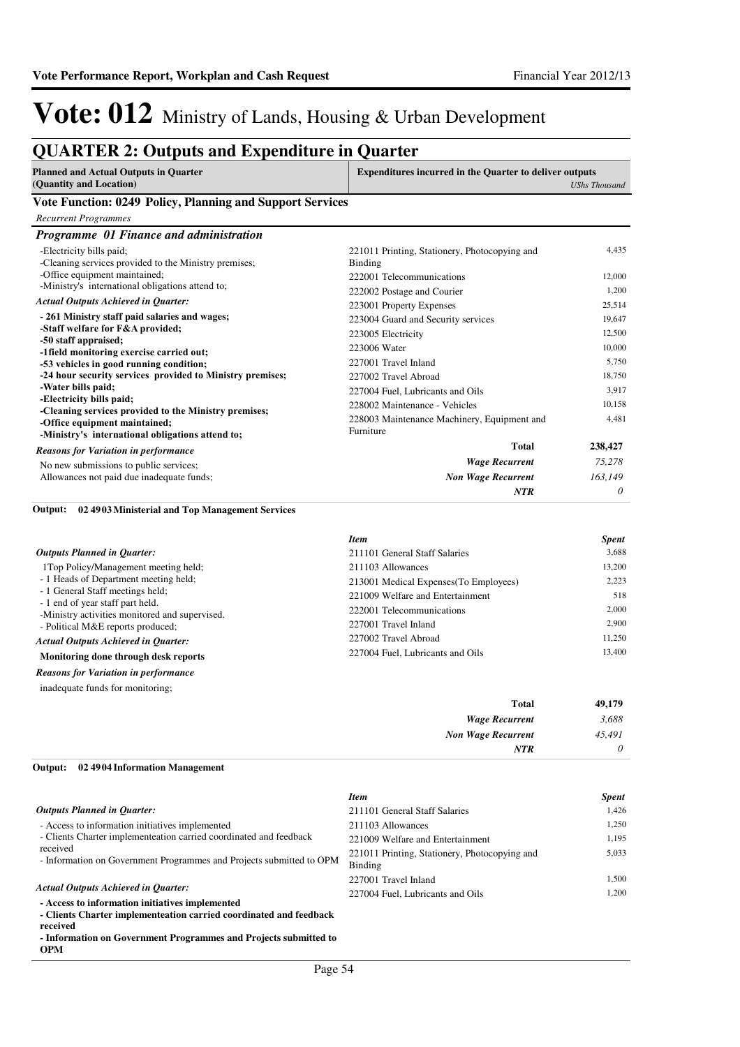### **QUARTER 2: Outputs and Expenditure in Quarter**

| <b>Planned and Actual Outputs in Quarter</b>                                                                                               | <b>Expenditures incurred in the Quarter to deliver outputs</b> |                      |
|--------------------------------------------------------------------------------------------------------------------------------------------|----------------------------------------------------------------|----------------------|
| (Quantity and Location)                                                                                                                    |                                                                | <b>UShs Thousand</b> |
| Vote Function: 0249 Policy, Planning and Support Services                                                                                  |                                                                |                      |
| <b>Recurrent Programmes</b>                                                                                                                |                                                                |                      |
| Programme 01 Finance and administration                                                                                                    |                                                                |                      |
| -Electricity bills paid;<br>-Cleaning services provided to the Ministry premises;                                                          | 221011 Printing, Stationery, Photocopying and<br>Binding       | 4,435                |
| -Office equipment maintained;                                                                                                              | 222001 Telecommunications                                      | 12,000               |
| -Ministry's international obligations attend to;                                                                                           | 222002 Postage and Courier                                     | 1,200                |
| <b>Actual Outputs Achieved in Ouarter:</b>                                                                                                 | 223001 Property Expenses                                       | 25,514               |
| - 261 Ministry staff paid salaries and wages;                                                                                              | 223004 Guard and Security services                             | 19,647               |
| -Staff welfare for F&A provided;                                                                                                           | 223005 Electricity                                             | 12,500               |
| -50 staff appraised;<br>-1 field monitoring exercise carried out;                                                                          | 223006 Water                                                   | 10,000               |
| -53 vehicles in good running condition;                                                                                                    | 227001 Travel Inland                                           | 5,750                |
| -24 hour security services provided to Ministry premises;                                                                                  | 227002 Travel Abroad                                           | 18,750               |
| -Water bills paid;                                                                                                                         | 227004 Fuel, Lubricants and Oils                               | 3,917                |
| -Electricity bills paid;                                                                                                                   | 228002 Maintenance - Vehicles                                  | 10,158               |
| -Cleaning services provided to the Ministry premises;<br>-Office equipment maintained;<br>-Ministry's international obligations attend to; | 228003 Maintenance Machinery, Equipment and<br>Furniture       | 4,481                |
| <b>Reasons for Variation in performance</b>                                                                                                | <b>Total</b>                                                   | 238,427              |
| No new submissions to public services;                                                                                                     | <b>Wage Recurrent</b>                                          | 75,278               |
| Allowances not paid due inadequate funds;                                                                                                  | <b>Non Wage Recurrent</b>                                      | 163,149              |
| .                                                                                                                                          | <b>NTR</b>                                                     | 0                    |

#### **02 4903 Ministerial and Top Management Services Output:**

|                                                                                    | <b>Item</b>                            | <b>Spent</b> |
|------------------------------------------------------------------------------------|----------------------------------------|--------------|
| <b>Outputs Planned in Ouarter:</b>                                                 | 211101 General Staff Salaries          | 3.688        |
| 1Top Policy/Management meeting held;                                               | 211103 Allowances                      | 13,200       |
| - 1 Heads of Department meeting held;                                              | 213001 Medical Expenses (To Employees) | 2,223        |
| - 1 General Staff meetings held;                                                   | 221009 Welfare and Entertainment       | 518          |
| - 1 end of year staff part held.<br>-Ministry activities monitored and supervised. | 222001 Telecommunications              | 2.000        |
| - Political M&E reports produced;                                                  | 227001 Travel Inland                   | 2.900        |
| <b>Actual Outputs Achieved in Ouarter:</b>                                         | 227002 Travel Abroad                   | 11.250       |
| Monitoring done through desk reports                                               | 227004 Fuel. Lubricants and Oils       | 13,400       |

*Reasons for Variation in performance*

inadequate funds for monitoring;

| 49,179   | <b>Total</b>              |
|----------|---------------------------|
| 3,688    | <b>Wage Recurrent</b>     |
| 45,491   | <b>Non Wage Recurrent</b> |
| $\theta$ | NTR                       |
|          |                           |

### **02 4904 Information Management Output:**

|                                                                                                                                                                                 | <b>Item</b>                                              | <b>Spent</b> |
|---------------------------------------------------------------------------------------------------------------------------------------------------------------------------------|----------------------------------------------------------|--------------|
| <b>Outputs Planned in Ouarter:</b>                                                                                                                                              | 211101 General Staff Salaries                            | 1.426        |
| - Access to information initiatives implemented                                                                                                                                 | 211103 Allowances                                        | 1.250        |
| - Clients Charter implementeation carried coordinated and feedback                                                                                                              | 221009 Welfare and Entertainment                         | 1.195        |
| received<br>- Information on Government Programmes and Projects submitted to OPM                                                                                                | 221011 Printing, Stationery, Photocopying and<br>Binding | 5.033        |
|                                                                                                                                                                                 | 227001 Travel Inland                                     | 1.500        |
| <b>Actual Outputs Achieved in Ouarter:</b><br>- Access to information initiatives implemented<br>- Clients Charter implementeation carried coordinated and feedback<br>received | 227004 Fuel, Lubricants and Oils                         | 1.200        |
| . Information on Covernment Programmes and Projects submitted to                                                                                                                |                                                          |              |

**- Information on Government Programmes and Projects submitted to OPM**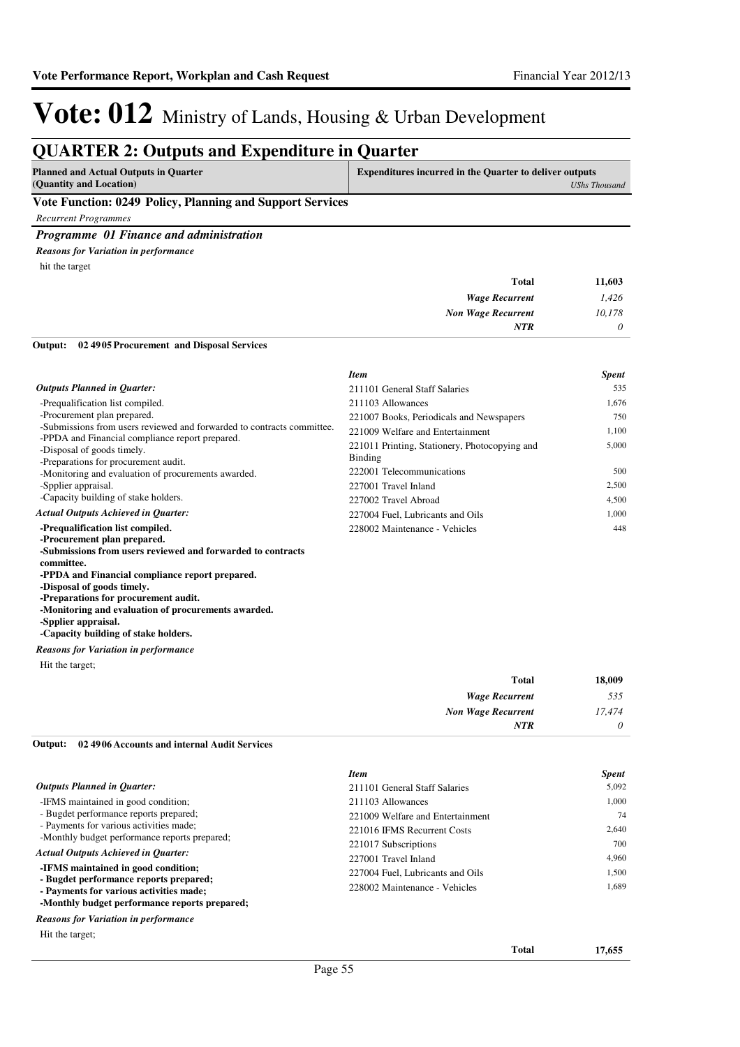### **QUARTER 2: Outputs and Expenditure in Quarter**

| <b>Planned and Actual Outputs in Quarter</b>             | Expenditures incurred in the Quarter to deliver outputs |
|----------------------------------------------------------|---------------------------------------------------------|
| (Quantity and Location)                                  | UShs Thousand                                           |
| Vote Eunction: 0240 Delicy Dlanning and Support Services |                                                         |

#### **Vote Function: 0249 Policy, Planning and Support Services**

*Recurrent Programmes*

#### *Programme 01 Finance and administration*

hit the target *Reasons for Variation in performance*

| 11,603   | <b>Total</b>              |
|----------|---------------------------|
| 1,426    | <b>Wage Recurrent</b>     |
| 10,178   | <b>Non Wage Recurrent</b> |
| $\theta$ | <b>NTR</b>                |
|          |                           |

**02 4905 Procurement and Disposal Services Output:**

|                                                                                                                       | <b>Item</b>                                              | <b>Spent</b> |
|-----------------------------------------------------------------------------------------------------------------------|----------------------------------------------------------|--------------|
| <b>Outputs Planned in Quarter:</b>                                                                                    | 211101 General Staff Salaries                            | 535          |
| -Prequalification list compiled.                                                                                      | 211103 Allowances                                        | 1,676        |
| -Procurement plan prepared.                                                                                           | 221007 Books, Periodicals and Newspapers                 | 750          |
| -Submissions from users reviewed and forwarded to contracts committee.                                                | 221009 Welfare and Entertainment                         | 1,100        |
| -PPDA and Financial compliance report prepared.<br>-Disposal of goods timely.<br>-Preparations for procurement audit. | 221011 Printing, Stationery, Photocopying and<br>Binding | 5,000        |
| -Monitoring and evaluation of procurements awarded.                                                                   | 222001 Telecommunications                                | 500          |
| -Spplier appraisal.                                                                                                   | 227001 Travel Inland                                     | 2,500        |
| -Capacity building of stake holders.                                                                                  | 227002 Travel Abroad                                     | 4,500        |
| <b>Actual Outputs Achieved in Ouarter:</b>                                                                            | 227004 Fuel. Lubricants and Oils                         | 1,000        |
| -Prequalification list compiled.<br>-Procurement plan prepared.                                                       | 228002 Maintenance - Vehicles                            | 448          |

**-Submissions from users reviewed and forwarded to contracts committee. -PPDA and Financial compliance report prepared. -Disposal of goods timely.**

**-Preparations for procurement audit.**

**-Monitoring and evaluation of procurements awarded.**

**-Spplier appraisal.**

**-Capacity building of stake holders.**

#### *Reasons for Variation in performance*

Hit the target;

| Total                     | 18,009   |
|---------------------------|----------|
| <b>Wage Recurrent</b>     | 535      |
| <b>Non Wage Recurrent</b> | 17,474   |
| <b>NTR</b>                | $\theta$ |

### **02 4906 Accounts and internal Audit Services Output:**

|                                                                                   | <b>Item</b>                      | <b>Spent</b> |
|-----------------------------------------------------------------------------------|----------------------------------|--------------|
| <b>Outputs Planned in Quarter:</b>                                                | 211101 General Staff Salaries    | 5,092        |
| -IFMS maintained in good condition;                                               | 211103 Allowances                | 1.000        |
| - Bugdet performance reports prepared;                                            | 221009 Welfare and Entertainment | 74           |
| - Payments for various activities made;                                           | 221016 IFMS Recurrent Costs      | 2,640        |
| -Monthly budget performance reports prepared;                                     | 221017 Subscriptions             | 700          |
| <b>Actual Outputs Achieved in Quarter:</b>                                        | 227001 Travel Inland             | 4,960        |
| -IFMS maintained in good condition;                                               | 227004 Fuel, Lubricants and Oils | 1.500        |
| - Bugdet performance reports prepared;<br>- Payments for various activities made; | 228002 Maintenance - Vehicles    | 1.689        |
| -Monthly budget performance reports prepared;                                     |                                  |              |
| <b>Reasons for Variation in performance</b>                                       |                                  |              |

Hit the target;

**Total 17,655**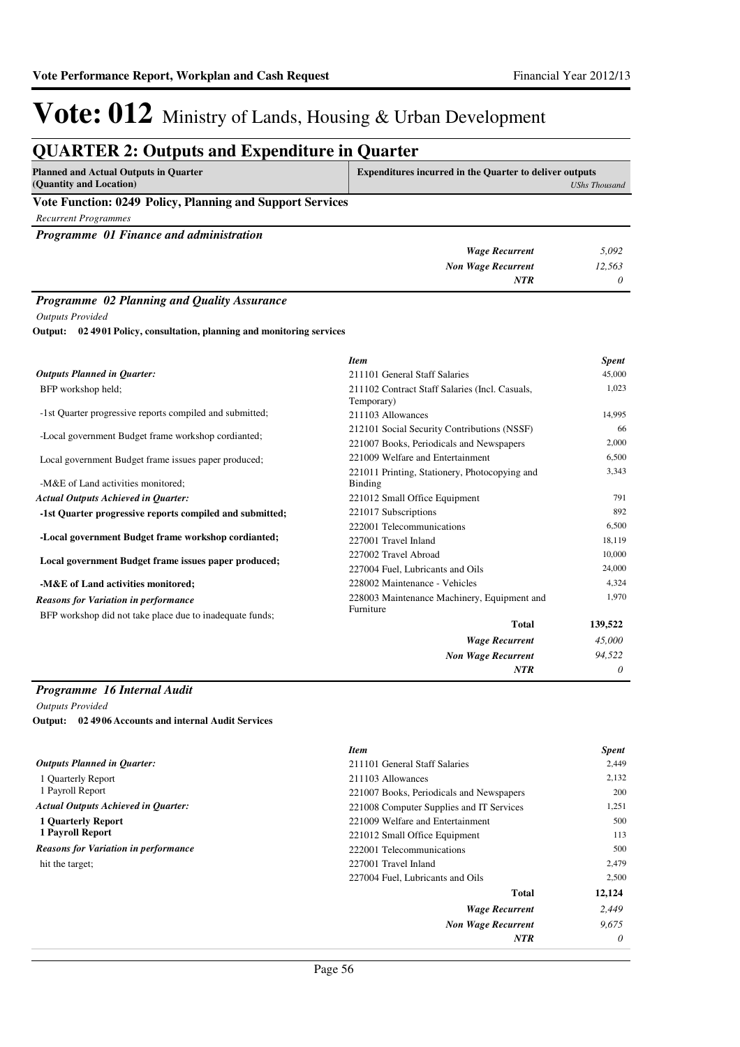### **QUARTER 2: Outputs and Expenditure in Quarter**

| <b>Planned and Actual Outputs in Quarter</b><br>(Quantity and Location) | <b>Expenditures incurred in the Quarter to deliver outputs</b><br>UShs Thousand |
|-------------------------------------------------------------------------|---------------------------------------------------------------------------------|
| Vote Function: 0249 Policy, Planning and Support Services               |                                                                                 |
| Recurrent Programmes                                                    |                                                                                 |
| <b>Programme</b> 01 Finance and administration                          |                                                                                 |

| 5,092  | <b>Wage Recurrent</b>     |
|--------|---------------------------|
| 12,563 | <b>Non Wage Recurrent</b> |
| 0      | <b>NTR</b>                |

### *Programme 02 Planning and Quality Assurance*

*Outputs Provided*

**02 4901 Policy, consultation, planning and monitoring services Output:**

|                                                                                          | <b>Item</b>                                                  | <b>Spent</b> |
|------------------------------------------------------------------------------------------|--------------------------------------------------------------|--------------|
| <b>Outputs Planned in Quarter:</b>                                                       | 211101 General Staff Salaries                                | 45,000       |
| BFP workshop held;                                                                       | 211102 Contract Staff Salaries (Incl. Casuals,<br>Temporary) | 1,023        |
| -1st Quarter progressive reports compiled and submitted;                                 | 211103 Allowances                                            | 14,995       |
| -Local government Budget frame workshop cordianted;                                      | 212101 Social Security Contributions (NSSF)                  | 66           |
|                                                                                          | 221007 Books, Periodicals and Newspapers                     | 2,000        |
| 221009 Welfare and Entertainment<br>Local government Budget frame issues paper produced; |                                                              | 6,500        |
| -M&E of Land activities monitored;                                                       | 221011 Printing, Stationery, Photocopying and<br>Binding     | 3,343        |
| <b>Actual Outputs Achieved in Quarter:</b>                                               | 221012 Small Office Equipment                                | 791          |
| -1st Quarter progressive reports compiled and submitted;                                 | 221017 Subscriptions                                         | 892          |
|                                                                                          | 222001 Telecommunications                                    | 6,500        |
| -Local government Budget frame workshop cordianted;                                      | 227001 Travel Inland                                         | 18,119       |
| Local government Budget frame issues paper produced;                                     | 227002 Travel Abroad                                         | 10,000       |
|                                                                                          | 227004 Fuel, Lubricants and Oils                             | 24,000       |
| -M&E of Land activities monitored;                                                       | 228002 Maintenance - Vehicles                                | 4,324        |
| <b>Reasons for Variation in performance</b>                                              | 228003 Maintenance Machinery, Equipment and                  | 1,970        |
| BFP workshop did not take place due to inadequate funds;                                 | Furniture                                                    |              |
|                                                                                          | <b>Total</b>                                                 | 139,522      |
|                                                                                          | <b>Wage Recurrent</b>                                        | 45,000       |
|                                                                                          | <b>Non Wage Recurrent</b>                                    | 94,522       |
|                                                                                          | <b>NTR</b>                                                   | $\theta$     |

### *Programme 16 Internal Audit*

*Outputs Provided* **02 4906 Accounts and internal Audit Services Output:**

|                                             | <b>Item</b>                              | <b>Spent</b> |
|---------------------------------------------|------------------------------------------|--------------|
| <b>Outputs Planned in Ouarter:</b>          | 211101 General Staff Salaries            | 2,449        |
| 1 Ouarterly Report                          | 211103 Allowances                        | 2,132        |
| 1 Payroll Report                            | 221007 Books, Periodicals and Newspapers | 200          |
| <b>Actual Outputs Achieved in Ouarter:</b>  | 221008 Computer Supplies and IT Services | 1,251        |
| <b>1 Ouarterly Report</b>                   | 221009 Welfare and Entertainment         | 500          |
| 1 Payroll Report                            | 221012 Small Office Equipment            | 113          |
| <b>Reasons for Variation in performance</b> | 222001 Telecommunications                | 500          |
| hit the target:                             | 227001 Travel Inland                     | 2,479        |
|                                             | 227004 Fuel, Lubricants and Oils         | 2,500        |
|                                             | <b>Total</b>                             | 12,124       |
|                                             | <b>Wage Recurrent</b>                    | 2.449        |
|                                             | <b>Non Wage Recurrent</b>                | 9.675        |
|                                             | <b>NTR</b>                               | $\theta$     |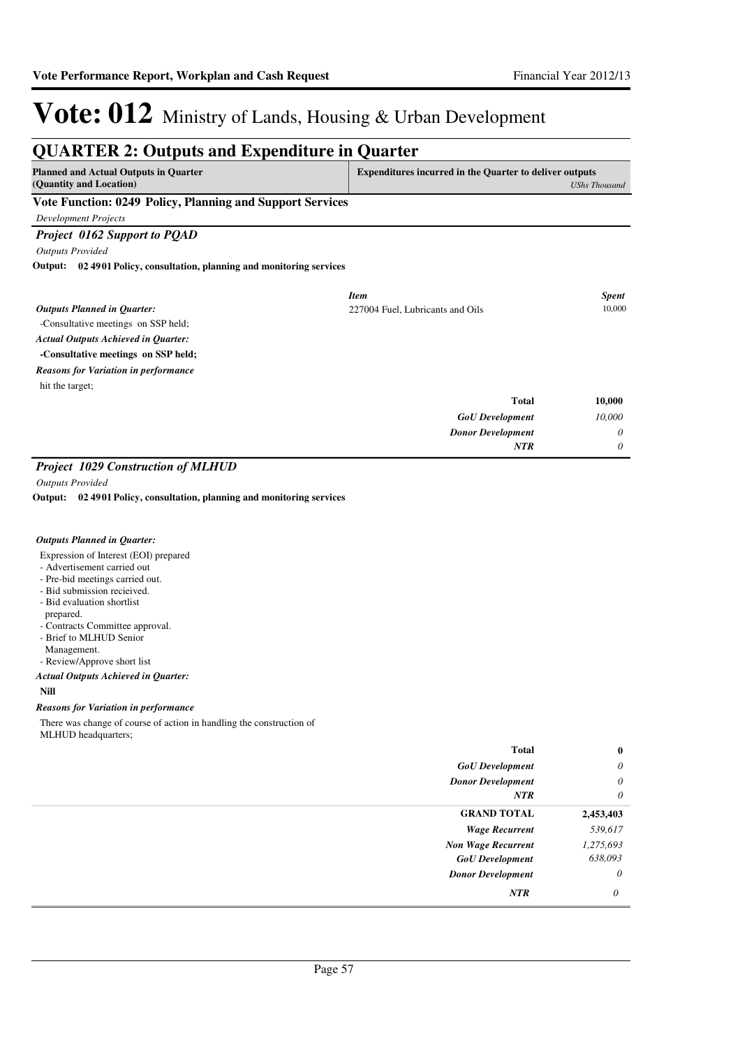#### **QUARTER 2: Outputs and Expenditure in Quarter Planned and Actual Outputs in Quarter (Quantity and Location) Expenditures incurred in the Quarter to deliver outputs**  *UShs Thousand* **Vote Function: 0249 Policy, Planning and Support Services** *Development Projects Project 0162 Support to PQAD Outputs Provided* -Consultative meetings on SSP held; **-Consultative meetings on SSP held; 02 4901 Policy, consultation, planning and monitoring services Output:** *GoU Development Donor Development* **Total** *10,000 0 0* **10,000** *Actual Outputs Achieved in Quarter: Outputs Planned in Quarter: NTR* hit the target; *Reasons for Variation in performance Item Spent* 227004 Fuel, Lubricants and Oils 10,000

#### *Project 1029 Construction of MLHUD*

*Outputs Provided*

**02 4901 Policy, consultation, planning and monitoring services Output:**

#### *Outputs Planned in Quarter:*

Expression of Interest (EOI) prepared

- Advertisement carried out
- Pre-bid meetings carried out.
- Bid submission recieived.
- Bid evaluation shortlist
- prepared.
- Contracts Committee approval.
- Brief to MLHUD Senior
- Management.
- Review/Approve short list

#### **Nill** *Actual Outputs Achieved in Quarter:*

### *Reasons for Variation in performance*

There was change of course of action in handling the construction of MLHUD headquarters;

| <b>Total</b>              | $\bf{0}$  |
|---------------------------|-----------|
| <b>GoU</b> Development    | $\theta$  |
| <b>Donor Development</b>  | $\theta$  |
| NTR                       | $\theta$  |
| <b>GRAND TOTAL</b>        | 2,453,403 |
| <b>Wage Recurrent</b>     | 539,617   |
| <b>Non Wage Recurrent</b> | 1,275,693 |
| <b>GoU</b> Development    | 638,093   |
| <b>Donor Development</b>  | $\theta$  |
| <b>NTR</b>                | $\theta$  |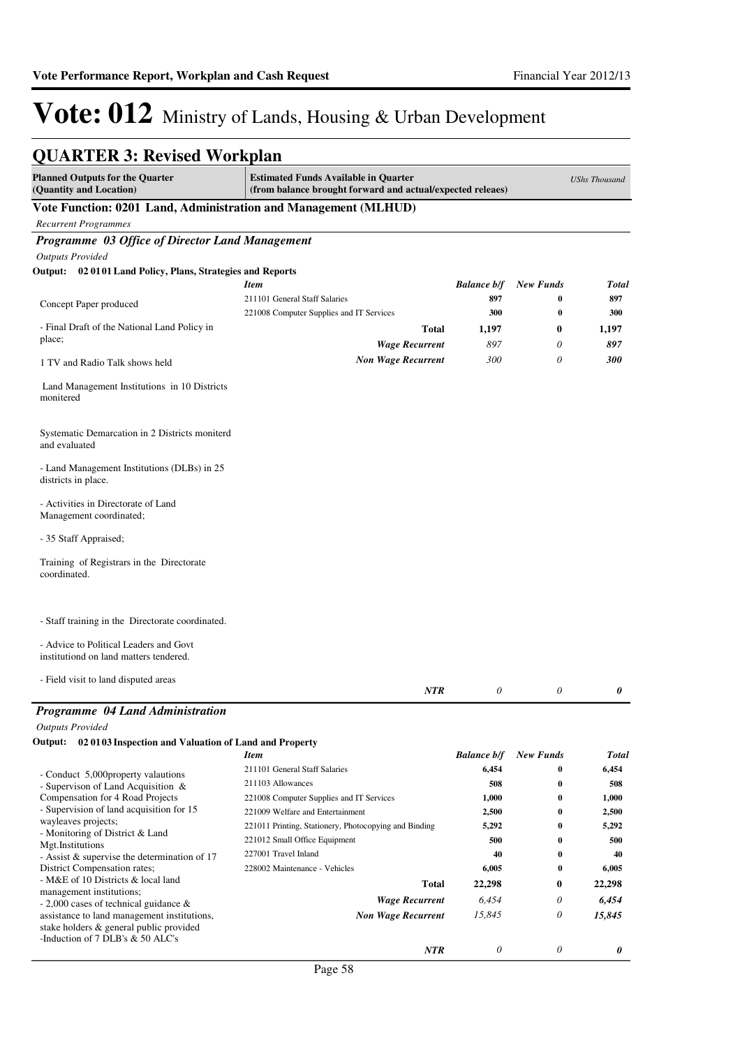### **QUARTER 3: Revised Workplan**

| <b>Planned Outputs for the Quarter</b><br>(Quantity and Location)                                                          | <b>Estimated Funds Available in Quarter</b><br>(from balance brought forward and actual/expected releaes) |                           |                  | <b>UShs Thousand</b> |
|----------------------------------------------------------------------------------------------------------------------------|-----------------------------------------------------------------------------------------------------------|---------------------------|------------------|----------------------|
| Vote Function: 0201 Land, Administration and Management (MLHUD)                                                            |                                                                                                           |                           |                  |                      |
| <b>Recurrent Programmes</b>                                                                                                |                                                                                                           |                           |                  |                      |
| Programme 03 Office of Director Land Management                                                                            |                                                                                                           |                           |                  |                      |
| <b>Outputs Provided</b>                                                                                                    |                                                                                                           |                           |                  |                      |
| Output: 02 0101 Land Policy, Plans, Strategies and Reports                                                                 |                                                                                                           |                           |                  |                      |
|                                                                                                                            | Item                                                                                                      | <b>Balance b/f</b>        | <b>New Funds</b> | Total                |
| Concept Paper produced                                                                                                     | 211101 General Staff Salaries                                                                             | 897                       | 0                | 897                  |
|                                                                                                                            | 221008 Computer Supplies and IT Services                                                                  | 300                       | $\bf{0}$         | 300                  |
| - Final Draft of the National Land Policy in                                                                               | <b>Total</b>                                                                                              | 1,197                     | $\bf{0}$         | 1,197                |
| place;                                                                                                                     | <b>Wage Recurrent</b>                                                                                     | 897                       | $\theta$         | 897                  |
| 1 TV and Radio Talk shows held                                                                                             | <b>Non Wage Recurrent</b>                                                                                 | 300                       | 0                | 300                  |
| Land Management Institutions in 10 Districts<br>monitered                                                                  |                                                                                                           |                           |                  |                      |
| Systematic Demarcation in 2 Districts moniterd<br>and evaluated                                                            |                                                                                                           |                           |                  |                      |
| - Land Management Institutions (DLBs) in 25<br>districts in place.                                                         |                                                                                                           |                           |                  |                      |
| - Activities in Directorate of Land<br>Management coordinated;                                                             |                                                                                                           |                           |                  |                      |
| - 35 Staff Appraised;                                                                                                      |                                                                                                           |                           |                  |                      |
| Training of Registrars in the Directorate<br>coordinated.                                                                  |                                                                                                           |                           |                  |                      |
| - Staff training in the Directorate coordinated.                                                                           |                                                                                                           |                           |                  |                      |
| - Advice to Political Leaders and Govt<br>institutiond on land matters tendered.                                           |                                                                                                           |                           |                  |                      |
| - Field visit to land disputed areas                                                                                       | NTR                                                                                                       | 0                         | 0                | 0                    |
| Programme 04 Land Administration                                                                                           |                                                                                                           |                           |                  |                      |
| <b>Outputs Provided</b>                                                                                                    |                                                                                                           |                           |                  |                      |
| 02 0103 Inspection and Valuation of Land and Property<br>Output:                                                           |                                                                                                           |                           |                  |                      |
|                                                                                                                            | Item                                                                                                      | <b>Balance b/f</b>        | <b>New Funds</b> | Total                |
| - Conduct 5,000 property valautions                                                                                        | 211101 General Staff Salaries                                                                             | 6,454                     | 0                | 6,454                |
| - Supervison of Land Acquisition &                                                                                         | 211103 Allowances                                                                                         | 508                       | 0                | 508                  |
| Compensation for 4 Road Projects                                                                                           | 221008 Computer Supplies and IT Services                                                                  | 1,000                     | 0                | 1,000                |
| - Supervision of land acquisition for 15<br>wayleaves projects;                                                            | 221009 Welfare and Entertainment                                                                          | 2,500                     | 0                | 2,500                |
| - Monitoring of District & Land                                                                                            | 221011 Printing, Stationery, Photocopying and Binding                                                     | 5,292                     | 0                | 5,292                |
| Mgt.Institutions                                                                                                           | 221012 Small Office Equipment                                                                             | 500                       | 0                | 500                  |
| - Assist & supervise the determination of 17                                                                               | 227001 Travel Inland                                                                                      | 40                        | 0                | 40                   |
| District Compensation rates;<br>- M&E of 10 Districts & local land                                                         | 228002 Maintenance - Vehicles                                                                             | 6,005                     | 0                | 6,005                |
| management institutions;                                                                                                   | <b>Total</b>                                                                                              | 22,298                    | 0                | 22,298               |
| $-2,000$ cases of technical guidance &                                                                                     | <b>Wage Recurrent</b>                                                                                     | 6,454                     | 0                | 6,454                |
| assistance to land management institutions,<br>stake holders & general public provided<br>-Induction of 7 DLB's & 50 ALC's | <b>Non Wage Recurrent</b>                                                                                 | 15,845                    | 0                | 15,845               |
|                                                                                                                            | NTR                                                                                                       | $\boldsymbol{\mathit{0}}$ | 0                | 0                    |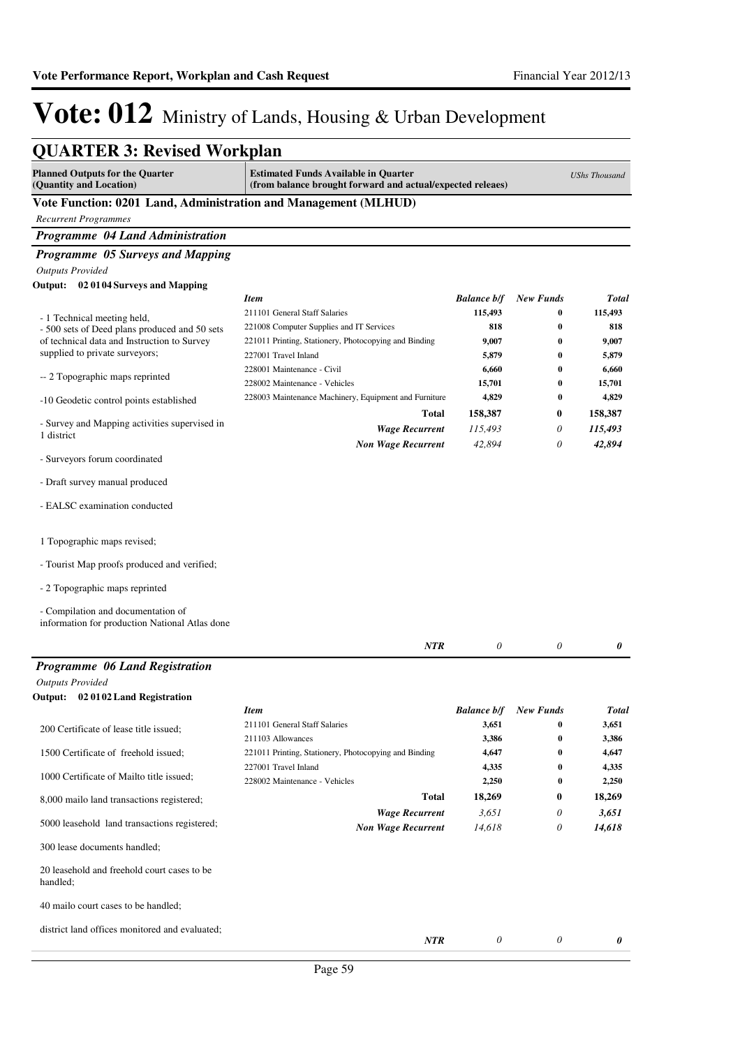| <b>QUARTER 3: Revised Workplan</b>                                                   |                                                                                                           |                    |                  |                      |
|--------------------------------------------------------------------------------------|-----------------------------------------------------------------------------------------------------------|--------------------|------------------|----------------------|
| <b>Planned Outputs for the Quarter</b><br>(Quantity and Location)                    | <b>Estimated Funds Available in Quarter</b><br>(from balance brought forward and actual/expected releaes) |                    |                  | <b>UShs Thousand</b> |
| Vote Function: 0201 Land, Administration and Management (MLHUD)                      |                                                                                                           |                    |                  |                      |
| <b>Recurrent Programmes</b>                                                          |                                                                                                           |                    |                  |                      |
| Programme 04 Land Administration                                                     |                                                                                                           |                    |                  |                      |
| Programme 05 Surveys and Mapping                                                     |                                                                                                           |                    |                  |                      |
| <b>Outputs Provided</b>                                                              |                                                                                                           |                    |                  |                      |
| Output: 02 0104 Surveys and Mapping                                                  |                                                                                                           |                    |                  |                      |
|                                                                                      | <b>Item</b>                                                                                               | <b>Balance b/f</b> | <b>New Funds</b> | <b>Total</b>         |
| - 1 Technical meeting held,                                                          | 211101 General Staff Salaries                                                                             | 115,493            | $\bf{0}$         | 115,493              |
| - 500 sets of Deed plans produced and 50 sets                                        | 221008 Computer Supplies and IT Services                                                                  | 818                | $\bf{0}$         | 818                  |
| of technical data and Instruction to Survey                                          | 221011 Printing, Stationery, Photocopying and Binding                                                     | 9,007              | $\bf{0}$         | 9,007                |
| supplied to private surveyors;                                                       | 227001 Travel Inland                                                                                      | 5,879              | $\bf{0}$         | 5,879                |
| -- 2 Topographic maps reprinted                                                      | 228001 Maintenance - Civil                                                                                | 6,660              | $\bf{0}$         | 6,660                |
|                                                                                      | 228002 Maintenance - Vehicles                                                                             | 15,701             | 0                | 15,701               |
| -10 Geodetic control points established                                              | 228003 Maintenance Machinery, Equipment and Furniture                                                     | 4,829              | 0                | 4,829                |
| - Survey and Mapping activities supervised in                                        | <b>Total</b>                                                                                              | 158,387            | 0                | 158,387              |
| 1 district                                                                           | <b>Wage Recurrent</b>                                                                                     | 115,493            | 0                | 115,493              |
|                                                                                      | <b>Non Wage Recurrent</b>                                                                                 | 42,894             | 0                | 42,894               |
| - Surveyors forum coordinated                                                        |                                                                                                           |                    |                  |                      |
| - Draft survey manual produced                                                       |                                                                                                           |                    |                  |                      |
| - EALSC examination conducted                                                        |                                                                                                           |                    |                  |                      |
| 1 Topographic maps revised;                                                          |                                                                                                           |                    |                  |                      |
| - Tourist Map proofs produced and verified;                                          |                                                                                                           |                    |                  |                      |
| - 2 Topographic maps reprinted                                                       |                                                                                                           |                    |                  |                      |
| - Compilation and documentation of<br>information for production National Atlas done |                                                                                                           |                    |                  |                      |
|                                                                                      | <b>NTR</b>                                                                                                | 0                  | 0                | 0                    |
| Programme 06 Land Registration                                                       |                                                                                                           |                    |                  |                      |
| <b>Outputs Provided</b>                                                              |                                                                                                           |                    |                  |                      |
| Output: 02 0102 Land Registration                                                    |                                                                                                           |                    |                  |                      |
|                                                                                      | <b>Item</b>                                                                                               | <b>Balance b/f</b> | <b>New Funds</b> | <b>Total</b>         |
| 200 Certificate of lease title issued;                                               | 211101 General Staff Salaries                                                                             | 3,651              | $\bf{0}$         | 3,651                |
|                                                                                      | 211103 Allowances                                                                                         | 3,386              | $\bf{0}$         | 3,386                |
| 1500 Certificate of freehold issued;                                                 | 221011 Printing, Stationery, Photocopying and Binding                                                     | 4,647              | $\bf{0}$         | 4,647                |
| 1000 Certificate of Mailto title issued;                                             | 227001 Travel Inland                                                                                      | 4,335              | $\bf{0}$         | 4,335                |
|                                                                                      | 228002 Maintenance - Vehicles                                                                             | 2,250              | $\bf{0}$         | 2,250                |
| 8,000 mailo land transactions registered;                                            | Total                                                                                                     | 18,269             | 0                | 18,269               |
| 5000 leasehold land transactions registered;                                         | <b>Wage Recurrent</b><br><b>Non Wage Recurrent</b>                                                        | 3,651<br>14,618    | 0<br>0           | 3,651<br>14,618      |
| 300 lease documents handled;                                                         |                                                                                                           |                    |                  |                      |
| 20 leasehold and freehold court cases to be<br>handled;                              |                                                                                                           |                    |                  |                      |
| 40 mailo court cases to be handled;                                                  |                                                                                                           |                    |                  |                      |
| district land offices monitored and evaluated;                                       | NTR                                                                                                       | 0                  | 0                | 0                    |
|                                                                                      |                                                                                                           |                    |                  |                      |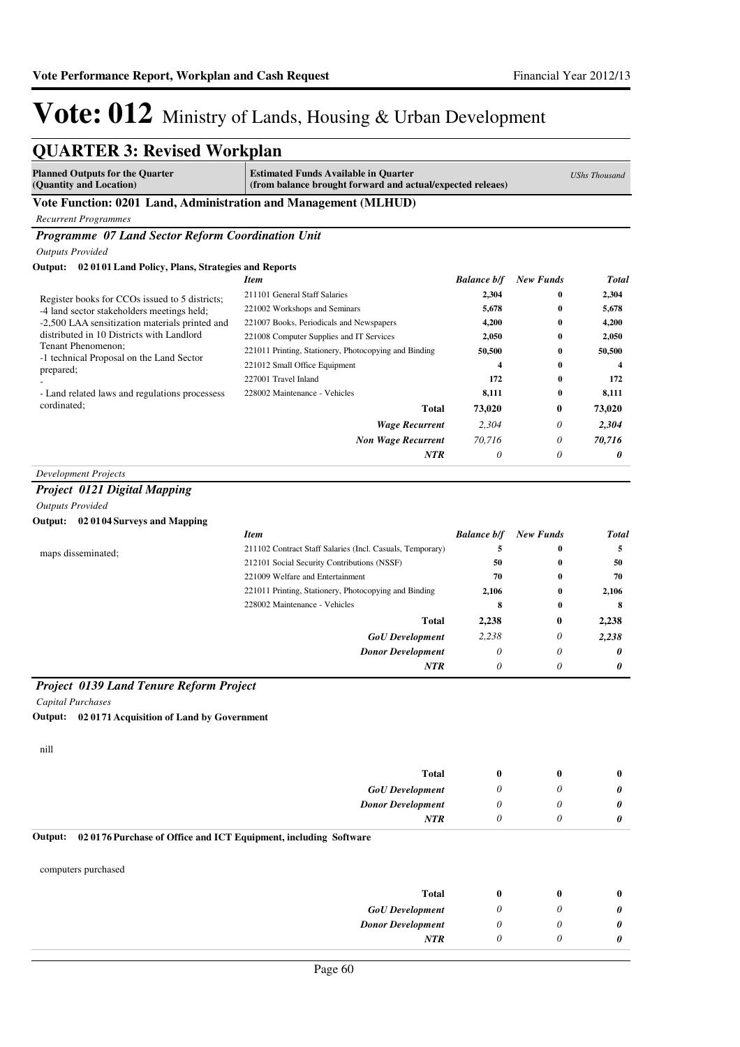| <b>QUARTER 3: Revised Workplan</b>                                                          |                                                                                                           |                    |                      |                      |
|---------------------------------------------------------------------------------------------|-----------------------------------------------------------------------------------------------------------|--------------------|----------------------|----------------------|
| <b>Planned Outputs for the Quarter</b><br>(Quantity and Location)                           | <b>Estimated Funds Available in Quarter</b><br>(from balance brought forward and actual/expected releaes) |                    |                      | <b>UShs Thousand</b> |
| Vote Function: 0201 Land, Administration and Management (MLHUD)                             |                                                                                                           |                    |                      |                      |
| <b>Recurrent Programmes</b>                                                                 |                                                                                                           |                    |                      |                      |
| Programme 07 Land Sector Reform Coordination Unit                                           |                                                                                                           |                    |                      |                      |
| <b>Outputs Provided</b>                                                                     |                                                                                                           |                    |                      |                      |
| Output: 02 0101 Land Policy, Plans, Strategies and Reports                                  |                                                                                                           |                    |                      |                      |
|                                                                                             | <b>Item</b>                                                                                               | <b>Balance b/f</b> | <b>New Funds</b>     | <b>Total</b>         |
| Register books for CCOs issued to 5 districts;                                              | 211101 General Staff Salaries                                                                             | 2,304              | 0                    | 2,304                |
| -4 land sector stakeholders meetings held;                                                  | 221002 Workshops and Seminars                                                                             | 5,678              | $\bf{0}$             | 5,678                |
| -2,500 LAA sensitization materials printed and<br>distributed in 10 Districts with Landlord | 221007 Books, Periodicals and Newspapers                                                                  | 4,200              | $\bf{0}$             | 4,200                |
| Tenant Phenomenon;                                                                          | 221008 Computer Supplies and IT Services<br>221011 Printing, Stationery, Photocopying and Binding         | 2,050<br>50,500    | $\bf{0}$<br>$\bf{0}$ | 2,050<br>50,500      |
| -1 technical Proposal on the Land Sector                                                    | 221012 Small Office Equipment                                                                             | 4                  | $\bf{0}$             | 4                    |
| prepared;                                                                                   | 227001 Travel Inland                                                                                      | 172                | $\bf{0}$             | 172                  |
| - Land related laws and regulations processess                                              | 228002 Maintenance - Vehicles                                                                             | 8,111              | $\bf{0}$             | 8,111                |
| cordinated;                                                                                 | Total                                                                                                     | 73,020             | $\bf{0}$             | 73,020               |
|                                                                                             | <b>Wage Recurrent</b>                                                                                     | 2,304              | $\theta$             | 2,304                |
|                                                                                             | <b>Non Wage Recurrent</b>                                                                                 | 70,716             | $\theta$             | 70,716               |
|                                                                                             | <b>NTR</b>                                                                                                | $\theta$           | $\theta$             | 0                    |
| <b>Development Projects</b>                                                                 |                                                                                                           |                    |                      |                      |
| Project 0121 Digital Mapping                                                                |                                                                                                           |                    |                      |                      |
| <b>Outputs Provided</b>                                                                     |                                                                                                           |                    |                      |                      |
| Output: 02 0104 Surveys and Mapping                                                         |                                                                                                           |                    |                      |                      |
|                                                                                             | <b>Item</b>                                                                                               | <b>Balance b/f</b> | <b>New Funds</b>     | <b>Total</b>         |
|                                                                                             | 211102 Contract Staff Salaries (Incl. Casuals, Temporary)                                                 | 5                  | 0                    | 5                    |
| maps disseminated;                                                                          | 212101 Social Security Contributions (NSSF)                                                               | 50                 | $\bf{0}$             | 50                   |
|                                                                                             | 221009 Welfare and Entertainment                                                                          | 70                 | $\bf{0}$             | 70                   |
|                                                                                             | 221011 Printing, Stationery, Photocopying and Binding                                                     | 2,106              | 0                    | 2,106                |
|                                                                                             | 228002 Maintenance - Vehicles                                                                             | 8                  | $\bf{0}$             | 8                    |
|                                                                                             | Total                                                                                                     | 2,238              | $\bf{0}$             | 2,238                |
|                                                                                             | <b>GoU</b> Development                                                                                    | 2,238              | $\theta$             | 2,238                |
|                                                                                             | <b>Donor Development</b>                                                                                  | 0                  | $\theta$             | 0                    |
|                                                                                             | <b>NTR</b>                                                                                                | $\theta$           | 0                    | 0                    |
| <b>Project 0139 Land Tenure Reform Project</b>                                              |                                                                                                           |                    |                      |                      |
| <b>Capital Purchases</b>                                                                    |                                                                                                           |                    |                      |                      |
| Output: 02 0171 Acquisition of Land by Government                                           |                                                                                                           |                    |                      |                      |
| nill                                                                                        |                                                                                                           |                    |                      |                      |
|                                                                                             | <b>Total</b>                                                                                              | $\bf{0}$           | $\bf{0}$             | $\bf{0}$             |
|                                                                                             | <b>GoU</b> Development                                                                                    | $\theta$           | 0                    | 0                    |
|                                                                                             | <b>Donor Development</b>                                                                                  | $\theta$           | 0                    | 0                    |
|                                                                                             | <b>NTR</b>                                                                                                | 0                  | 0                    | 0                    |
| 02 0176 Purchase of Office and ICT Equipment, including Software<br>Output:                 |                                                                                                           |                    |                      |                      |
| computers purchased                                                                         |                                                                                                           |                    |                      |                      |
|                                                                                             | <b>Total</b>                                                                                              | $\bf{0}$           | $\bf{0}$             | $\bf{0}$             |
|                                                                                             | <b>GoU</b> Development                                                                                    | $\theta$           | 0                    | 0                    |
|                                                                                             | <b>Donor Development</b>                                                                                  | $\theta$           | $\theta$             | 0                    |
|                                                                                             | <b>NTR</b>                                                                                                | 0                  | 0                    | 0                    |
|                                                                                             |                                                                                                           |                    |                      |                      |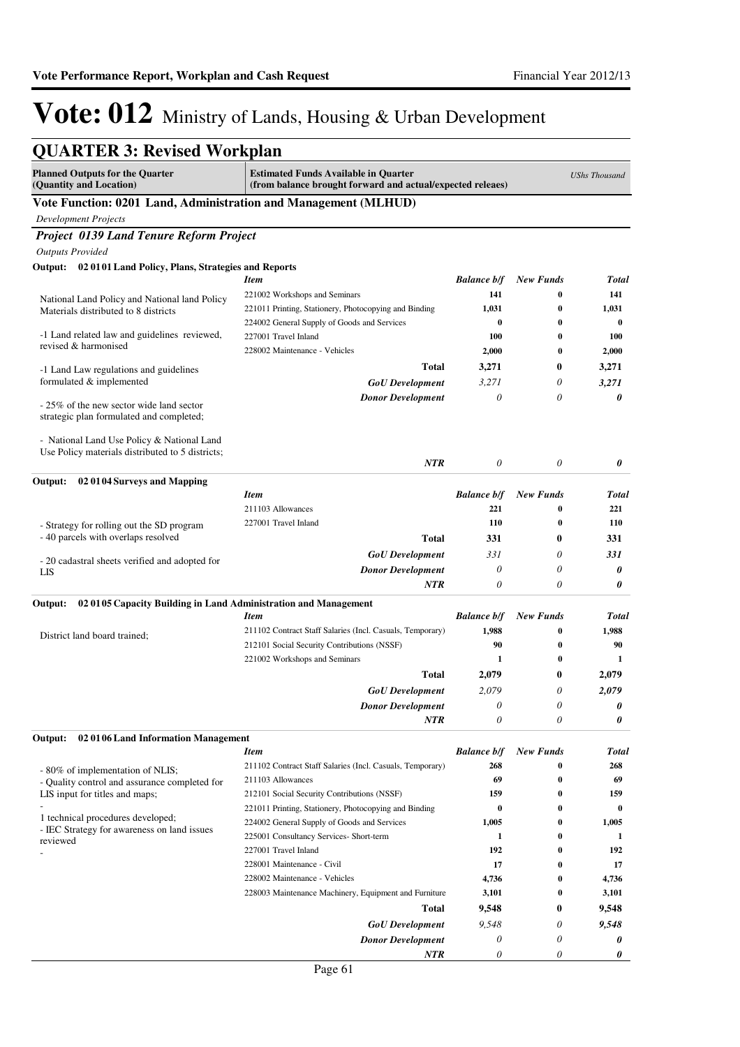| <b>QUARTER 3: Revised Workplan</b>                                          |                                                                                                           |                    |                  |                      |
|-----------------------------------------------------------------------------|-----------------------------------------------------------------------------------------------------------|--------------------|------------------|----------------------|
| <b>Planned Outputs for the Quarter</b><br>(Quantity and Location)           | <b>Estimated Funds Available in Quarter</b><br>(from balance brought forward and actual/expected releaes) |                    |                  | <b>UShs Thousand</b> |
| Vote Function: 0201 Land, Administration and Management (MLHUD)             |                                                                                                           |                    |                  |                      |
| <b>Development Projects</b>                                                 |                                                                                                           |                    |                  |                      |
| <b>Project 0139 Land Tenure Reform Project</b>                              |                                                                                                           |                    |                  |                      |
| <b>Outputs Provided</b>                                                     |                                                                                                           |                    |                  |                      |
| Output: 02 01 01 Land Policy, Plans, Strategies and Reports                 |                                                                                                           |                    |                  |                      |
|                                                                             | <b>Item</b>                                                                                               | <b>Balance b/f</b> | <b>New Funds</b> | <b>Total</b>         |
| National Land Policy and National land Policy                               | 221002 Workshops and Seminars                                                                             | 141                | 0                | 141                  |
| Materials distributed to 8 districts                                        | 221011 Printing, Stationery, Photocopying and Binding                                                     | 1,031              | $\bf{0}$         | 1,031                |
|                                                                             | 224002 General Supply of Goods and Services                                                               | $\bf{0}$           | $\bf{0}$         | $\bf{0}$             |
| -1 Land related law and guidelines reviewed,<br>revised & harmonised        | 227001 Travel Inland                                                                                      | <b>100</b>         | $\bf{0}$         | 100                  |
|                                                                             | 228002 Maintenance - Vehicles                                                                             | 2,000              | $\bf{0}$         | 2,000                |
| -1 Land Law regulations and guidelines                                      | Total                                                                                                     | 3,271              | 0                | 3,271                |
| formulated & implemented                                                    | <b>GoU</b> Development                                                                                    | 3,271              | 0                | 3,271                |
| - 25% of the new sector wide land sector                                    | <b>Donor Development</b>                                                                                  | $\theta$           | 0                | 0                    |
| strategic plan formulated and completed;                                    |                                                                                                           |                    |                  |                      |
| - National Land Use Policy & National Land                                  |                                                                                                           |                    |                  |                      |
| Use Policy materials distributed to 5 districts;                            | <b>NTR</b>                                                                                                | 0                  | 0                | 0                    |
| Output:<br>020104 Surveys and Mapping                                       |                                                                                                           |                    |                  |                      |
|                                                                             | <b>Item</b>                                                                                               | <b>Balance b/f</b> | <b>New Funds</b> | <b>Total</b>         |
|                                                                             | 211103 Allowances                                                                                         | 221                | 0                | 221                  |
| - Strategy for rolling out the SD program                                   | 227001 Travel Inland                                                                                      | 110                | $\bf{0}$         | 110                  |
| - 40 parcels with overlaps resolved                                         | Total                                                                                                     | 331                | 0                | 331                  |
|                                                                             | <b>GoU</b> Development                                                                                    | 331                | 0                | 331                  |
| - 20 cadastral sheets verified and adopted for<br>LIS                       | <b>Donor Development</b>                                                                                  | $\theta$           | 0                | 0                    |
|                                                                             | <b>NTR</b>                                                                                                | $\theta$           | 0                | 0                    |
| 02 01 05 Capacity Building in Land Administration and Management<br>Output: |                                                                                                           |                    |                  |                      |
|                                                                             | <b>Item</b>                                                                                               | <b>Balance b/f</b> | <b>New Funds</b> | <b>Total</b>         |
| District land board trained;                                                | 211102 Contract Staff Salaries (Incl. Casuals, Temporary)                                                 | 1,988              | 0                | 1,988                |
|                                                                             | 212101 Social Security Contributions (NSSF)                                                               | 90                 | 0                | 90                   |
|                                                                             | 221002 Workshops and Seminars                                                                             | 1                  | $\bf{0}$         | 1                    |
|                                                                             | Total                                                                                                     | 2,079              | 0                | 2,079                |
|                                                                             | <b>GoU</b> Development                                                                                    | 2.079              | 0                | 2.079                |
|                                                                             | <b>Donor Development</b>                                                                                  | 0                  | 0                | 0                    |
|                                                                             | NTR                                                                                                       | 0                  | 0                | 0                    |
| Output:<br>020106 Land Information Management                               |                                                                                                           |                    |                  |                      |
|                                                                             | <b>Item</b>                                                                                               | <b>Balance b/f</b> | <b>New Funds</b> | <b>Total</b>         |
| - 80% of implementation of NLIS;                                            | 211102 Contract Staff Salaries (Incl. Casuals, Temporary)                                                 | 268                | 0                | 268                  |
| - Quality control and assurance completed for                               | 211103 Allowances                                                                                         | 69                 | 0                | 69                   |
| LIS input for titles and maps;                                              | 212101 Social Security Contributions (NSSF)                                                               | 159                | 0                | 159                  |
| 1 technical procedures developed;                                           | 221011 Printing, Stationery, Photocopying and Binding                                                     | $\bf{0}$           | 0                | $\bf{0}$             |
| - IEC Strategy for awareness on land issues                                 | 224002 General Supply of Goods and Services                                                               | 1,005<br>1         | 0<br>0           | 1,005<br>1           |
| reviewed                                                                    | 225001 Consultancy Services- Short-term<br>227001 Travel Inland                                           | 192                | 0                | 192                  |
|                                                                             | 228001 Maintenance - Civil                                                                                | 17                 | 0                | 17                   |
|                                                                             | 228002 Maintenance - Vehicles                                                                             | 4,736              | $\bf{0}$         | 4,736                |
|                                                                             | 228003 Maintenance Machinery, Equipment and Furniture                                                     | 3,101              | $\bf{0}$         | 3,101                |
|                                                                             | Total                                                                                                     | 9,548              | 0                | 9,548                |
|                                                                             | <b>GoU</b> Development                                                                                    | 9,548              | 0                | 9,548                |
|                                                                             | <b>Donor Development</b>                                                                                  | 0                  | 0                | 0                    |
|                                                                             | NTR                                                                                                       | 0                  | 0                | 0                    |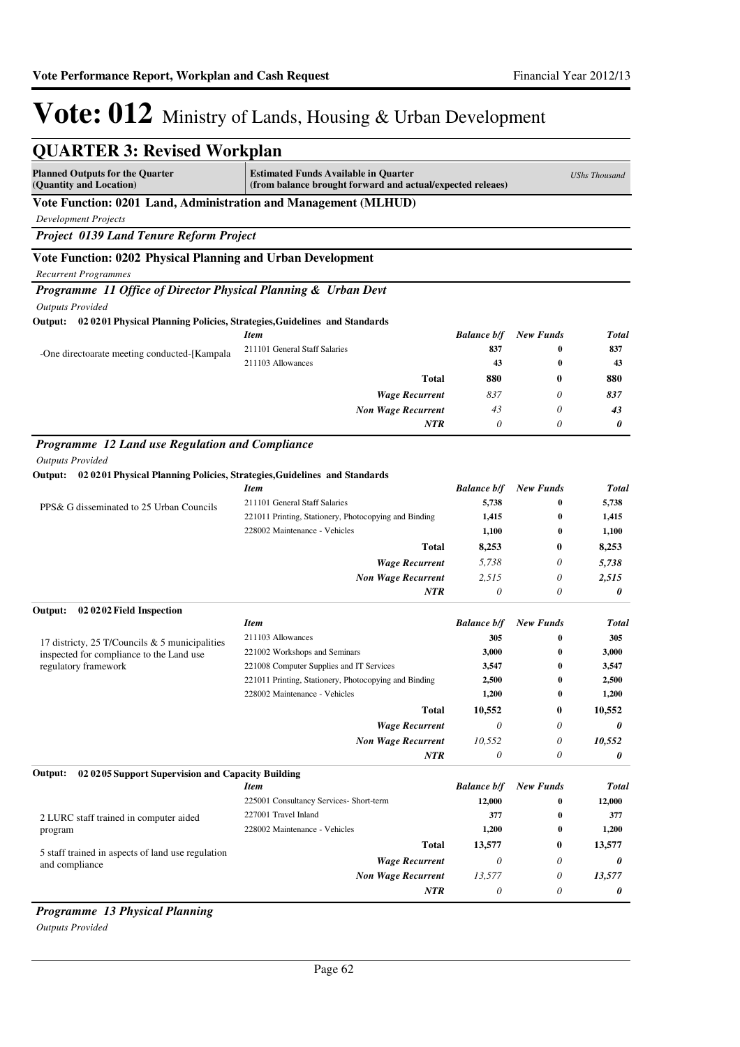| <b>Planned Outputs for the Quarter</b><br>(Quantity and Location)                | <b>Estimated Funds Available in Quarter</b><br>(from balance brought forward and actual/expected releaes) |                    |                  | <b>UShs Thousand</b> |
|----------------------------------------------------------------------------------|-----------------------------------------------------------------------------------------------------------|--------------------|------------------|----------------------|
| Vote Function: 0201 Land, Administration and Management (MLHUD)                  |                                                                                                           |                    |                  |                      |
| <b>Development Projects</b>                                                      |                                                                                                           |                    |                  |                      |
| Project 0139 Land Tenure Reform Project                                          |                                                                                                           |                    |                  |                      |
| Vote Function: 0202 Physical Planning and Urban Development                      |                                                                                                           |                    |                  |                      |
| <b>Recurrent Programmes</b>                                                      |                                                                                                           |                    |                  |                      |
| Programme 11 Office of Director Physical Planning & Urban Devt                   |                                                                                                           |                    |                  |                      |
| <b>Outputs Provided</b>                                                          |                                                                                                           |                    |                  |                      |
| Output: 02 0201 Physical Planning Policies, Strategies, Guidelines and Standards |                                                                                                           |                    |                  |                      |
|                                                                                  | <b>Item</b>                                                                                               | <b>Balance b/f</b> | <b>New Funds</b> | <b>Total</b>         |
| -One directoarate meeting conducted-[Kampala]                                    | 211101 General Staff Salaries                                                                             | 837                | $\bf{0}$         | 837                  |
|                                                                                  | 211103 Allowances                                                                                         | 43                 | $\bf{0}$         | 43                   |
|                                                                                  | <b>Total</b>                                                                                              | 880                | 0                | 880                  |
|                                                                                  | <b>Wage Recurrent</b>                                                                                     | 837                | 0                | 837                  |
|                                                                                  | <b>Non Wage Recurrent</b>                                                                                 | 43                 | 0                | 43                   |
|                                                                                  | <b>NTR</b>                                                                                                | 0                  | 0                | 0                    |
| Programme 12 Land use Regulation and Compliance                                  |                                                                                                           |                    |                  |                      |
| <b>Outputs Provided</b>                                                          |                                                                                                           |                    |                  |                      |
| Output: 02 0201 Physical Planning Policies, Strategies, Guidelines and Standards |                                                                                                           |                    |                  |                      |
|                                                                                  | <b>Item</b>                                                                                               | <b>Balance b/f</b> | <b>New Funds</b> | <b>Total</b>         |
| PPS& G disseminated to 25 Urban Councils                                         | 211101 General Staff Salaries                                                                             | 5,738              | $\bf{0}$         | 5,738                |
|                                                                                  | 221011 Printing, Stationery, Photocopying and Binding                                                     | 1,415              | $\bf{0}$         | 1,415                |
|                                                                                  | 228002 Maintenance - Vehicles                                                                             | 1,100              | $\bf{0}$         | 1,100                |
|                                                                                  | <b>Total</b>                                                                                              | 8,253              | 0                | 8,253                |
|                                                                                  | <b>Wage Recurrent</b>                                                                                     | 5,738              | 0                | 5,738                |
|                                                                                  | <b>Non Wage Recurrent</b>                                                                                 | 2,515              | 0                | 2,515                |
|                                                                                  | <b>NTR</b>                                                                                                | 0                  | 0                | 0                    |
| Output:<br>02 02 02 Field Inspection                                             |                                                                                                           |                    |                  |                      |
|                                                                                  | <b>Item</b>                                                                                               | <b>Balance b/f</b> | <b>New Funds</b> | <b>Total</b>         |
| 17 districty, 25 T/Councils & 5 municipalities                                   | 211103 Allowances                                                                                         | 305                | $\bf{0}$         | 305                  |
| inspected for compliance to the Land use                                         | 221002 Workshops and Seminars                                                                             | 3,000              | $\bf{0}$         | 3,000                |
| regulatory framework                                                             | 221008 Computer Supplies and IT Services                                                                  | 3,547              | $\bf{0}$         | 3,547                |
|                                                                                  | 221011 Printing, Stationery, Photocopying and Binding                                                     | 2,500              | $\bf{0}$         | 2,500                |
|                                                                                  | 228002 Maintenance - Vehicles                                                                             | 1,200              | $\bf{0}$         | 1,200                |
|                                                                                  | <b>Total</b>                                                                                              | 10,552             | 0                | 10,552               |
|                                                                                  | <b>Wage Recurrent</b>                                                                                     | 0                  | 0                | 0                    |
|                                                                                  | <b>Non Wage Recurrent</b>                                                                                 | 10.552             | 0                | 10,552               |
|                                                                                  | NTR                                                                                                       | 0                  | 0                | 0                    |
| Output:<br>02 02 05 Support Supervision and Capacity Building                    |                                                                                                           |                    |                  |                      |
|                                                                                  | <b>Item</b>                                                                                               | <b>Balance b/f</b> | <b>New Funds</b> | <b>Total</b>         |
|                                                                                  | 225001 Consultancy Services- Short-term                                                                   | 12,000             | $\bf{0}$         | 12,000               |
| 2 LURC staff trained in computer aided                                           | 227001 Travel Inland                                                                                      | 377                | $\bf{0}$         | 377                  |
| program                                                                          | 228002 Maintenance - Vehicles                                                                             | 1,200              | $\bf{0}$         | 1,200                |
| 5 staff trained in aspects of land use regulation                                | <b>Total</b>                                                                                              | 13,577             | 0                | 13,577               |
| and compliance                                                                   | <b>Wage Recurrent</b>                                                                                     | $\theta$           | 0                | 0                    |
|                                                                                  | <b>Non Wage Recurrent</b>                                                                                 | 13,577             | 0                | 13,577               |
|                                                                                  | NTR                                                                                                       | 0                  | 0                | 0                    |

*Outputs Provided*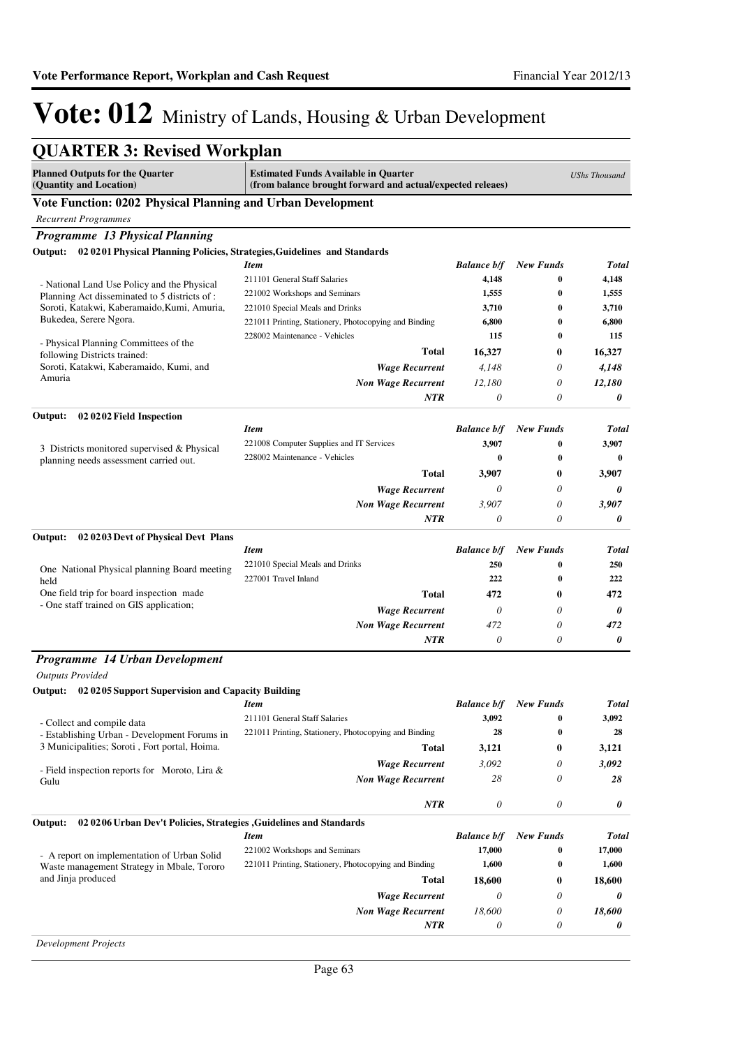| <b>QUARTER 3: Revised Workplan</b>                                               |                                                                                                           |                           |                  |                      |
|----------------------------------------------------------------------------------|-----------------------------------------------------------------------------------------------------------|---------------------------|------------------|----------------------|
| <b>Planned Outputs for the Quarter</b><br>(Quantity and Location)                | <b>Estimated Funds Available in Quarter</b><br>(from balance brought forward and actual/expected releaes) |                           |                  | <b>UShs Thousand</b> |
| Vote Function: 0202 Physical Planning and Urban Development                      |                                                                                                           |                           |                  |                      |
| <b>Recurrent Programmes</b>                                                      |                                                                                                           |                           |                  |                      |
| Programme 13 Physical Planning                                                   |                                                                                                           |                           |                  |                      |
| Output: 02 0201 Physical Planning Policies, Strategies, Guidelines and Standards |                                                                                                           |                           |                  |                      |
|                                                                                  | <b>Item</b>                                                                                               | <b>Balance b/f</b>        | <b>New Funds</b> | <b>Total</b>         |
| - National Land Use Policy and the Physical                                      | 211101 General Staff Salaries                                                                             | 4,148                     | $\bf{0}$         | 4,148                |
| Planning Act disseminated to 5 districts of :                                    | 221002 Workshops and Seminars                                                                             | 1,555                     | $\bf{0}$         | 1,555                |
| Soroti, Katakwi, Kaberamaido, Kumi, Amuria,                                      | 221010 Special Meals and Drinks                                                                           | 3,710                     | $\bf{0}$         | 3,710                |
| Bukedea, Serere Ngora.                                                           | 221011 Printing, Stationery, Photocopying and Binding                                                     | 6,800                     | $\bf{0}$         | 6,800                |
| - Physical Planning Committees of the                                            | 228002 Maintenance - Vehicles                                                                             | 115                       | $\bf{0}$         | 115                  |
| following Districts trained:                                                     | <b>Total</b>                                                                                              | 16,327                    | 0                | 16,327               |
| Soroti, Katakwi, Kaberamaido, Kumi, and                                          | <b>Wage Recurrent</b>                                                                                     | 4,148                     | 0                | 4,148                |
| Amuria                                                                           | <b>Non Wage Recurrent</b>                                                                                 | 12,180                    | 0                | 12,180               |
|                                                                                  | <b>NTR</b>                                                                                                | 0                         | 0                | 0                    |
| 02 02 02 Field Inspection<br>Output:                                             |                                                                                                           |                           |                  |                      |
|                                                                                  | <b>Item</b>                                                                                               | <b>Balance b/f</b>        | <b>New Funds</b> | <b>Total</b>         |
| 3 Districts monitored supervised & Physical                                      | 221008 Computer Supplies and IT Services                                                                  | 3,907                     | $\bf{0}$         | 3,907                |
| planning needs assessment carried out.                                           | 228002 Maintenance - Vehicles                                                                             | $\bf{0}$                  | $\bf{0}$         | $\bf{0}$             |
|                                                                                  | <b>Total</b>                                                                                              | 3,907                     | $\bf{0}$         | 3,907                |
|                                                                                  | <b>Wage Recurrent</b>                                                                                     | 0                         | 0                | 0                    |
|                                                                                  | <b>Non Wage Recurrent</b>                                                                                 | 3,907                     | 0                | 3,907                |
|                                                                                  | <b>NTR</b>                                                                                                | 0                         | 0                | 0                    |
| Output:<br>02 02 03 Devt of Physical Devt Plans                                  |                                                                                                           |                           |                  |                      |
|                                                                                  | <b>Item</b>                                                                                               | <b>Balance b/f</b>        | <b>New Funds</b> | Total                |
|                                                                                  | 221010 Special Meals and Drinks                                                                           | 250                       | $\bf{0}$         | 250                  |
| One National Physical planning Board meeting<br>held                             | 227001 Travel Inland                                                                                      | 222                       | 0                | 222                  |
| One field trip for board inspection made                                         | <b>Total</b>                                                                                              | 472                       | 0                | 472                  |
| - One staff trained on GIS application;                                          | <b>Wage Recurrent</b>                                                                                     | $\theta$                  | 0                | 0                    |
|                                                                                  | <b>Non Wage Recurrent</b>                                                                                 | 472                       | 0                | 472                  |
|                                                                                  | NTR                                                                                                       | 0                         | 0                | 0                    |
|                                                                                  |                                                                                                           |                           |                  |                      |
| Programme 14 Urban Development                                                   |                                                                                                           |                           |                  |                      |
| <b>Outputs Provided</b>                                                          |                                                                                                           |                           |                  |                      |
| Output: 02 0205 Support Supervision and Capacity Building                        | <b>Item</b>                                                                                               | <b>Balance b/f</b>        | <b>New Funds</b> | Total                |
|                                                                                  | 211101 General Staff Salaries                                                                             | 3,092                     | 0                | 3,092                |
| - Collect and compile data<br>- Establishing Urban - Development Forums in       | 221011 Printing, Stationery, Photocopying and Binding                                                     | 28                        | 0                | 28                   |
| 3 Municipalities; Soroti, Fort portal, Hoima.                                    | <b>Total</b>                                                                                              | 3,121                     | $\bf{0}$         | 3,121                |
|                                                                                  | <b>Wage Recurrent</b>                                                                                     | 3,092                     | 0                | 3,092                |
| - Field inspection reports for Moroto, Lira $\&$                                 |                                                                                                           | 28                        | 0                |                      |
| Gulu                                                                             | <b>Non Wage Recurrent</b>                                                                                 |                           |                  | 28                   |
|                                                                                  | <b>NTR</b>                                                                                                | $\boldsymbol{\mathit{0}}$ | 0                | 0                    |
| Output:<br>02 02 06 Urban Dev't Policies, Strategies, Guidelines and Standards   |                                                                                                           |                           |                  |                      |
|                                                                                  | <b>Item</b>                                                                                               | <b>Balance b/f</b>        | <b>New Funds</b> | Total                |
| - A report on implementation of Urban Solid                                      | 221002 Workshops and Seminars                                                                             | 17,000                    | 0                | 17,000               |
| Waste management Strategy in Mbale, Tororo                                       | 221011 Printing, Stationery, Photocopying and Binding                                                     | 1,600                     | 0                | 1,600                |
| and Jinja produced                                                               | Total                                                                                                     | 18,600                    | $\bf{0}$         | 18,600               |
|                                                                                  | <b>Wage Recurrent</b>                                                                                     | $\theta$                  | 0                | 0                    |
|                                                                                  | <b>Non Wage Recurrent</b>                                                                                 | 18,600                    | 0                | 18,600               |
|                                                                                  | <b>NTR</b>                                                                                                | 0                         | 0                | 0                    |
| <b>Development Projects</b>                                                      |                                                                                                           |                           |                  |                      |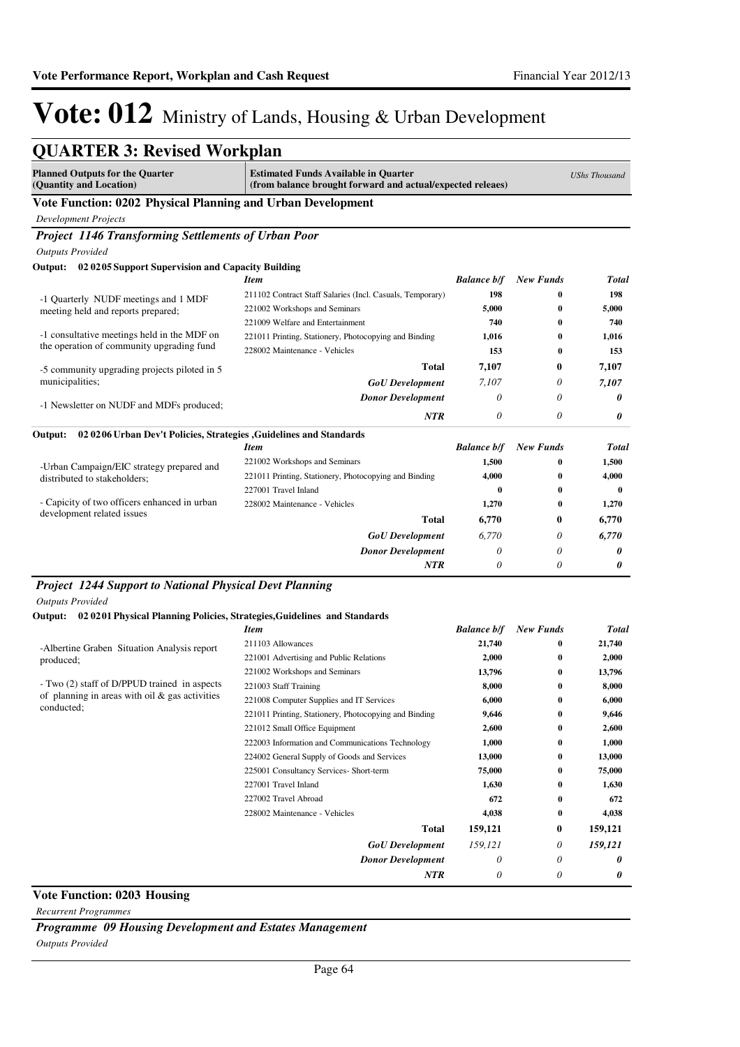| <b>QUARTER 3: Revised Workplan</b>                                                       |                                                           |                                                            |                  |                      |
|------------------------------------------------------------------------------------------|-----------------------------------------------------------|------------------------------------------------------------|------------------|----------------------|
| <b>Planned Outputs for the Quarter</b><br>(Quantity and Location)                        | <b>Estimated Funds Available in Quarter</b>               | (from balance brought forward and actual/expected releaes) |                  | <b>UShs Thousand</b> |
| Vote Function: 0202 Physical Planning and Urban Development                              |                                                           |                                                            |                  |                      |
| <b>Development Projects</b>                                                              |                                                           |                                                            |                  |                      |
| Project 1146 Transforming Settlements of Urban Poor                                      |                                                           |                                                            |                  |                      |
| <b>Outputs Provided</b>                                                                  |                                                           |                                                            |                  |                      |
| 020205 Support Supervision and Capacity Building<br>Output:                              |                                                           |                                                            |                  |                      |
|                                                                                          | <b>Item</b>                                               | <b>Balance b/f</b>                                         | <b>New Funds</b> | Total                |
| -1 Quarterly NUDF meetings and 1 MDF                                                     | 211102 Contract Staff Salaries (Incl. Casuals, Temporary) | 198                                                        | 0                | 198                  |
| meeting held and reports prepared;                                                       | 221002 Workshops and Seminars                             | 5,000                                                      | 0                | 5,000                |
|                                                                                          | 221009 Welfare and Entertainment                          | 740                                                        | 0                | 740                  |
| -1 consultative meetings held in the MDF on<br>the operation of community upgrading fund | 221011 Printing, Stationery, Photocopying and Binding     | 1,016                                                      | 0                | 1,016                |
|                                                                                          | 228002 Maintenance - Vehicles                             | 153                                                        | 0                | 153                  |
| -5 community upgrading projects piloted in 5<br>municipalities;                          | <b>Total</b>                                              | 7,107                                                      | 0                | 7,107                |
|                                                                                          | <b>GoU</b> Development                                    | 7,107                                                      | 0                | 7,107                |
|                                                                                          | <b>Donor Development</b>                                  | 0                                                          | 0                | 0                    |
| -1 Newsletter on NUDF and MDFs produced;                                                 | <b>NTR</b>                                                | $\theta$                                                   | 0                | 0                    |
| 02 02 06 Urban Dev't Policies, Strategies, Guidelines and Standards<br>Output:           |                                                           |                                                            |                  |                      |
|                                                                                          | <b>Item</b>                                               | <b>Balance b/f</b>                                         | <b>New Funds</b> | <b>Total</b>         |
| -Urban Campaign/EIC strategy prepared and                                                | 221002 Workshops and Seminars                             | 1,500                                                      | 0                | 1,500                |
| distributed to stakeholders;                                                             | 221011 Printing, Stationery, Photocopying and Binding     | 4.000                                                      | 0                | 4,000                |
|                                                                                          | 227001 Travel Inland                                      | $\bf{0}$                                                   | 0                | $\mathbf{0}$         |
| - Capicity of two officers enhanced in urban<br>development related issues               | 228002 Maintenance - Vehicles                             | 1,270                                                      | $\bf{0}$         | 1,270                |
|                                                                                          | <b>Total</b>                                              | 6,770                                                      | $\bf{0}$         | 6,770                |
|                                                                                          | <b>GoU</b> Development                                    | 6,770                                                      | 0                | 6,770                |
|                                                                                          | <b>Donor Development</b>                                  | $\theta$                                                   | 0                | 0                    |
|                                                                                          | <b>NTR</b>                                                | 0                                                          | 0                | 0                    |

#### *Project 1244 Support to National Physical Devt Planning*

*Outputs Provided*

#### **Output: 02 0201 Physical Planning Policies, Strategies,Guidelines and Standards**

|                                                   | <b>Item</b>                                           | <b>Balance b/f</b> | <b>New Funds</b> | Total   |
|---------------------------------------------------|-------------------------------------------------------|--------------------|------------------|---------|
| -Albertine Graben Situation Analysis report       | 211103 Allowances                                     | 21,740             | 0                | 21,740  |
| produced;                                         | 221001 Advertising and Public Relations               | 2,000              | $\bf{0}$         | 2,000   |
|                                                   | 221002 Workshops and Seminars                         | 13,796             | $\bf{0}$         | 13,796  |
| - Two (2) staff of D/PPUD trained in aspects      | 221003 Staff Training                                 | 8,000              | $\bf{0}$         | 8,000   |
| of planning in areas with oil $\&$ gas activities | 221008 Computer Supplies and IT Services              | 6,000              | $\bf{0}$         | 6,000   |
| conducted;                                        | 221011 Printing, Stationery, Photocopying and Binding | 9,646              | $\bf{0}$         | 9,646   |
|                                                   | 221012 Small Office Equipment                         | 2,600              | $\bf{0}$         | 2,600   |
|                                                   | 222003 Information and Communications Technology      | 1,000              | $\bf{0}$         | 1,000   |
|                                                   | 224002 General Supply of Goods and Services           | 13,000             | $\bf{0}$         | 13,000  |
|                                                   | 225001 Consultancy Services- Short-term               | 75,000             | $\bf{0}$         | 75,000  |
|                                                   | 227001 Travel Inland                                  | 1,630              | $\bf{0}$         | 1,630   |
|                                                   | 227002 Travel Abroad                                  | 672                | $\bf{0}$         | 672     |
|                                                   | 228002 Maintenance - Vehicles                         | 4,038              | $\bf{0}$         | 4,038   |
|                                                   | <b>Total</b>                                          | 159,121            | $\bf{0}$         | 159,121 |
|                                                   | <b>GoU</b> Development                                | 159,121            | 0                | 159,121 |
|                                                   | <b>Donor Development</b>                              | $\theta$           | 0                | 0       |
|                                                   | <b>NTR</b>                                            | $\theta$           | 0                | 0       |
|                                                   |                                                       |                    |                  |         |

### **Vote Function: 0203 Housing**

*Recurrent Programmes*

*Programme 09 Housing Development and Estates Management*

*Outputs Provided*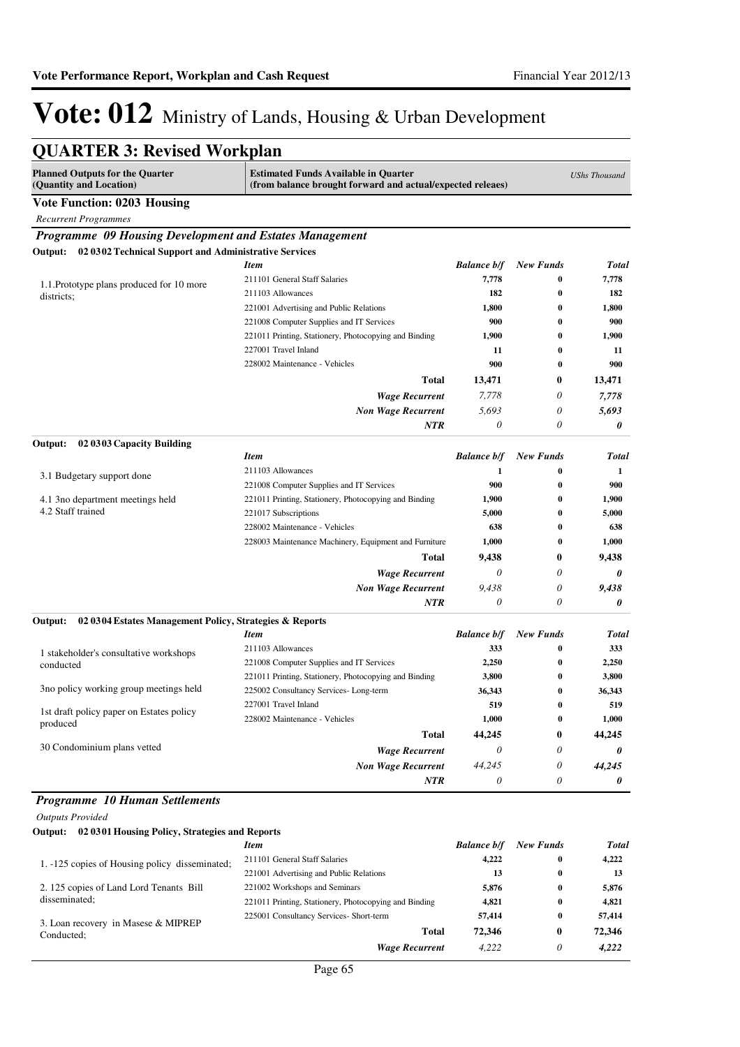| <b>QUARTER 3: Revised Workplan</b>                                  |                                                                                                           |                    |                      |                |
|---------------------------------------------------------------------|-----------------------------------------------------------------------------------------------------------|--------------------|----------------------|----------------|
| <b>Planned Outputs for the Quarter</b><br>(Quantity and Location)   | <b>Estimated Funds Available in Quarter</b><br>(from balance brought forward and actual/expected releaes) |                    | <b>UShs Thousand</b> |                |
| <b>Vote Function: 0203 Housing</b>                                  |                                                                                                           |                    |                      |                |
| <b>Recurrent Programmes</b>                                         |                                                                                                           |                    |                      |                |
| Programme 09 Housing Development and Estates Management             |                                                                                                           |                    |                      |                |
| 02 0302 Technical Support and Administrative Services<br>Output:    |                                                                                                           |                    |                      |                |
|                                                                     | Item                                                                                                      | <b>Balance b/f</b> | <b>New Funds</b>     | <b>Total</b>   |
| 1.1. Prototype plans produced for 10 more                           | 211101 General Staff Salaries                                                                             | 7,778              | $\bf{0}$             | 7,778          |
| districts;                                                          | 211103 Allowances                                                                                         | 182                | $\bf{0}$             | 182            |
|                                                                     | 221001 Advertising and Public Relations                                                                   | 1,800              | $\bf{0}$             | 1,800          |
|                                                                     | 221008 Computer Supplies and IT Services                                                                  | 900                | $\bf{0}$             | 900            |
|                                                                     | 221011 Printing, Stationery, Photocopying and Binding                                                     | 1,900              | $\bf{0}$             | 1,900          |
|                                                                     | 227001 Travel Inland                                                                                      | 11                 | $\bf{0}$             | 11             |
|                                                                     | 228002 Maintenance - Vehicles                                                                             | 900                | $\bf{0}$             | 900            |
|                                                                     | Total                                                                                                     | 13,471             | 0                    | 13,471         |
|                                                                     | <b>Wage Recurrent</b>                                                                                     | 7,778              | 0                    | 7,778          |
|                                                                     | <b>Non Wage Recurrent</b>                                                                                 | 5,693              | 0                    | 5,693          |
| Output:<br>02 03 03 Capacity Building                               | <b>NTR</b>                                                                                                | $\theta$           | 0                    | 0              |
|                                                                     | <b>Item</b>                                                                                               | <b>Balance b/f</b> | <b>New Funds</b>     | Total          |
|                                                                     | 211103 Allowances                                                                                         | 1                  | $\bf{0}$             | 1              |
| 3.1 Budgetary support done                                          | 221008 Computer Supplies and IT Services                                                                  | 900                | $\bf{0}$             | 900            |
| 4.1 3 no department meetings held                                   | 221011 Printing, Stationery, Photocopying and Binding                                                     | 1,900              | 0                    | 1,900          |
| 4.2 Staff trained                                                   | 221017 Subscriptions                                                                                      | 5,000              | 0                    | 5,000          |
|                                                                     | 228002 Maintenance - Vehicles                                                                             | 638                | $\bf{0}$             | 638            |
|                                                                     | 228003 Maintenance Machinery, Equipment and Furniture                                                     | 1,000              | 0                    | 1,000          |
|                                                                     | <b>Total</b>                                                                                              | 9,438              | 0                    | 9,438          |
|                                                                     | <b>Wage Recurrent</b>                                                                                     | $\theta$           | 0                    | 0              |
|                                                                     | <b>Non Wage Recurrent</b>                                                                                 | 9,438              | 0                    | 9,438          |
|                                                                     | NTR                                                                                                       | 0                  | 0                    | 0              |
| 02 03 04 Estates Management Policy, Strategies & Reports<br>Output: |                                                                                                           |                    |                      |                |
|                                                                     | Item                                                                                                      | <b>Balance b/f</b> | <b>New Funds</b>     | Total          |
| 1 stakeholder's consultative workshops                              | 211103 Allowances                                                                                         | 333                | $\bf{0}$             | 333            |
| conducted                                                           | 221008 Computer Supplies and IT Services                                                                  | 2,250              | 0                    | 2,250          |
|                                                                     | 221011 Printing, Stationery, Photocopying and Binding                                                     | 3,800              | 0                    | 3,800          |
| 3no policy working group meetings held                              | 225002 Consultancy Services-Long-term                                                                     | 36,343             | $\bf{0}$             | 36,343         |
| 1st draft policy paper on Estates policy                            | 227001 Travel Inland                                                                                      | 519                | 0                    | 519            |
| produced                                                            | 228002 Maintenance - Vehicles                                                                             | 1,000              | $\bf{0}$             | 1,000          |
|                                                                     | <b>Total</b>                                                                                              | 44,245             | 0                    | 44,245         |
| 30 Condominium plans vetted                                         | <b>Wage Recurrent</b>                                                                                     | $\theta$           | 0                    | 0              |
|                                                                     | <b>Non Wage Recurrent</b>                                                                                 | 44,245             | 0                    | 44,245         |
|                                                                     | NTR                                                                                                       | 0                  | 0                    | 0              |
| <b>Programme 10 Human Settlements</b>                               |                                                                                                           |                    |                      |                |
| <b>Outputs Provided</b>                                             |                                                                                                           |                    |                      |                |
| Output: 02 0301 Housing Policy, Strategies and Reports              |                                                                                                           |                    |                      |                |
|                                                                     | <b>Item</b>                                                                                               | <b>Balance b/f</b> | <b>New Funds</b>     | <b>Total</b>   |
| 1. -125 copies of Housing policy disseminated;                      | 211101 General Staff Salaries                                                                             | 4,222              | 0                    | 4,222          |
|                                                                     | 221001 Advertising and Public Relations                                                                   | 13                 | 0                    | 13             |
| 2. 125 copies of Land Lord Tenants Bill<br>disseminated;            | 221002 Workshops and Seminars<br>221011 Printing, Stationery, Photocopying and Binding                    | 5,876<br>4,821     | $\bf{0}$<br>0        | 5,876<br>4,821 |
|                                                                     | 225001 Consultancy Services- Short-term                                                                   | 57,414             | 0                    | 57,414         |
| 3. Loan recovery in Masese & MIPREP                                 | <b>Total</b>                                                                                              | 72,346             | 0                    | 72,346         |
| Conducted;                                                          | <b>Wage Recurrent</b>                                                                                     | 4,222              | 0                    | 4,222          |
|                                                                     |                                                                                                           |                    |                      |                |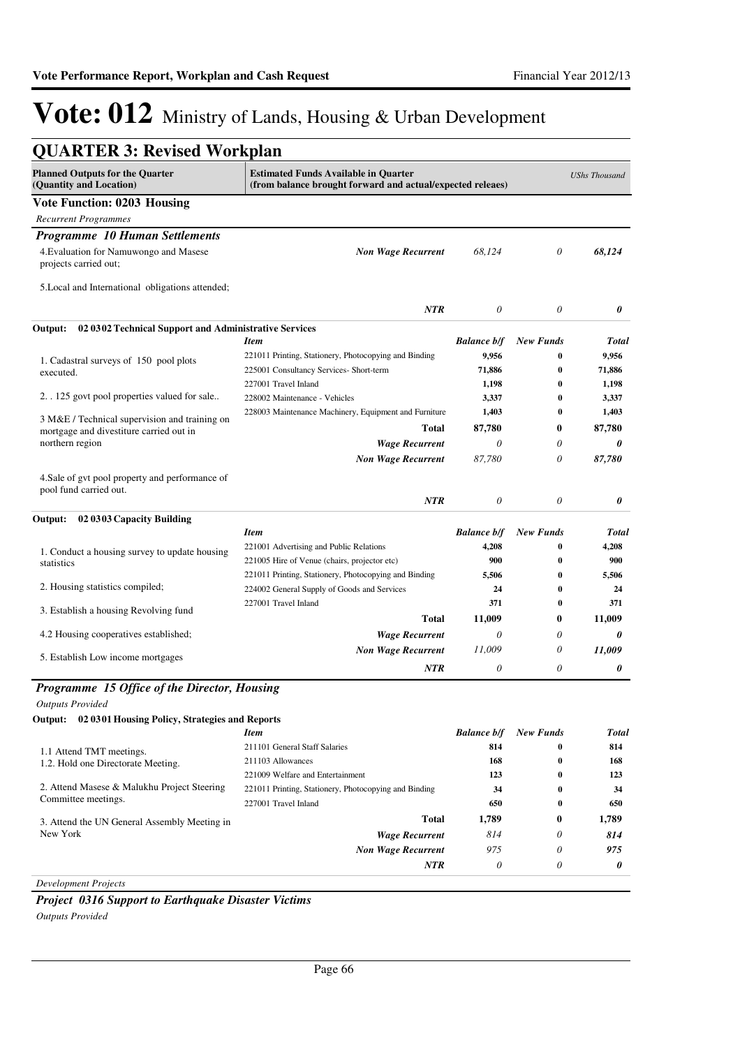| <b>QUARTER 3: Revised Workplan</b>                                                       |                                                                                                           |                    |                      |              |
|------------------------------------------------------------------------------------------|-----------------------------------------------------------------------------------------------------------|--------------------|----------------------|--------------|
| <b>Planned Outputs for the Quarter</b><br>(Quantity and Location)                        | <b>Estimated Funds Available in Quarter</b><br>(from balance brought forward and actual/expected releaes) |                    | <b>UShs Thousand</b> |              |
| <b>Vote Function: 0203 Housing</b>                                                       |                                                                                                           |                    |                      |              |
| <b>Recurrent Programmes</b>                                                              |                                                                                                           |                    |                      |              |
| <b>Programme 10 Human Settlements</b>                                                    |                                                                                                           |                    |                      |              |
| 4. Evaluation for Namuwongo and Masese<br>projects carried out;                          | <b>Non Wage Recurrent</b>                                                                                 | 68.124             | 0                    | 68,124       |
| 5. Local and International obligations attended;                                         |                                                                                                           |                    |                      |              |
|                                                                                          | <b>NTR</b>                                                                                                | 0                  | 0                    | 0            |
| Output:<br>02 0302 Technical Support and Administrative Services                         | <b>Item</b>                                                                                               | <b>Balance b/f</b> | <b>New Funds</b>     | <b>Total</b> |
|                                                                                          | 221011 Printing, Stationery, Photocopying and Binding                                                     | 9,956              | $\bf{0}$             | 9,956        |
| 1. Cadastral surveys of 150 pool plots                                                   | 225001 Consultancy Services- Short-term                                                                   | 71,886             | $\bf{0}$             | 71,886       |
| executed.                                                                                | 227001 Travel Inland                                                                                      | 1,198              | $\bf{0}$             | 1,198        |
| 2. . 125 govt pool properties valued for sale                                            | 228002 Maintenance - Vehicles                                                                             | 3,337              | 0                    | 3,337        |
|                                                                                          | 228003 Maintenance Machinery, Equipment and Furniture                                                     | 1,403              | $\bf{0}$             | 1,403        |
| 3 M&E / Technical supervision and training on<br>mortgage and divestiture carried out in | <b>Total</b>                                                                                              | 87,780             | 0                    | 87,780       |
| northern region                                                                          | <b>Wage Recurrent</b>                                                                                     | $\theta$           | 0                    | 0            |
|                                                                                          | <b>Non Wage Recurrent</b>                                                                                 | 87,780             | 0                    | 87,780       |
| 4. Sale of gvt pool property and performance of<br>pool fund carried out.                | <b>NTR</b>                                                                                                | $\theta$           | $\theta$             | 0            |
| 02 03 03 Capacity Building<br>Output:                                                    |                                                                                                           |                    |                      |              |
|                                                                                          | <b>Item</b>                                                                                               | <b>Balance b/f</b> | <b>New Funds</b>     | Total        |
| 1. Conduct a housing survey to update housing                                            | 221001 Advertising and Public Relations                                                                   | 4,208              | $\bf{0}$             | 4,208        |
| statistics                                                                               | 221005 Hire of Venue (chairs, projector etc)                                                              | 900                | 0                    | 900          |
|                                                                                          | 221011 Printing, Stationery, Photocopying and Binding                                                     | 5,506              | 0                    | 5,506        |
| 2. Housing statistics compiled;                                                          | 224002 General Supply of Goods and Services                                                               | 24                 | $\bf{0}$             | 24           |
| 3. Establish a housing Revolving fund                                                    | 227001 Travel Inland                                                                                      | 371                | $\bf{0}$             | 371          |
|                                                                                          | <b>Total</b>                                                                                              | 11,009             | $\bf{0}$             | 11,009       |
| 4.2 Housing cooperatives established;                                                    | <b>Wage Recurrent</b>                                                                                     | $\theta$           | 0                    | 0            |
| 5. Establish Low income mortgages                                                        | <b>Non Wage Recurrent</b>                                                                                 | 11,009             | 0                    | 11,009       |
|                                                                                          | <b>NTR</b>                                                                                                | $\theta$           | 0                    | 0            |
| Programme 15 Office of the Director, Housing                                             |                                                                                                           |                    |                      |              |
| <b>Outputs Provided</b>                                                                  |                                                                                                           |                    |                      |              |
| Output:<br>02 0301 Housing Policy, Strategies and Reports                                |                                                                                                           |                    |                      |              |
|                                                                                          | <b>Item</b>                                                                                               | <b>Balance b/f</b> | <b>New Funds</b>     | Total        |
|                                                                                          | 211101 General Staff Salaries                                                                             | 814                | 0                    | 814          |
| 1.1 Attend TMT meetings.<br>1.2. Hold one Directorate Meeting.                           | 211103 Allowances                                                                                         | 168                | 0                    | 168          |
|                                                                                          | 221009 Welfare and Entertainment                                                                          | 123                | 0                    | 123          |
| 2. Attend Masese & Malukhu Project Steering                                              | 221011 Printing, Stationery, Photocopying and Binding                                                     | 34                 | 0                    | 34           |
| Committee meetings.                                                                      | 227001 Travel Inland                                                                                      | 650                | 0                    | 650          |
| 3. Attend the UN General Assembly Meeting in                                             | <b>Total</b>                                                                                              | 1,789              | $\bf{0}$             | 1,789        |
| New York                                                                                 | <b>Wage Recurrent</b>                                                                                     | 814                | 0                    | 814          |
|                                                                                          | <b>Non Wage Recurrent</b>                                                                                 | 975                | 0                    | 975          |
|                                                                                          | <b>NTR</b>                                                                                                | 0                  | 0                    | 0            |
| <b>Development Projects</b>                                                              |                                                                                                           |                    |                      |              |

*Project 0316 Support to Earthquake Disaster Victims Outputs Provided*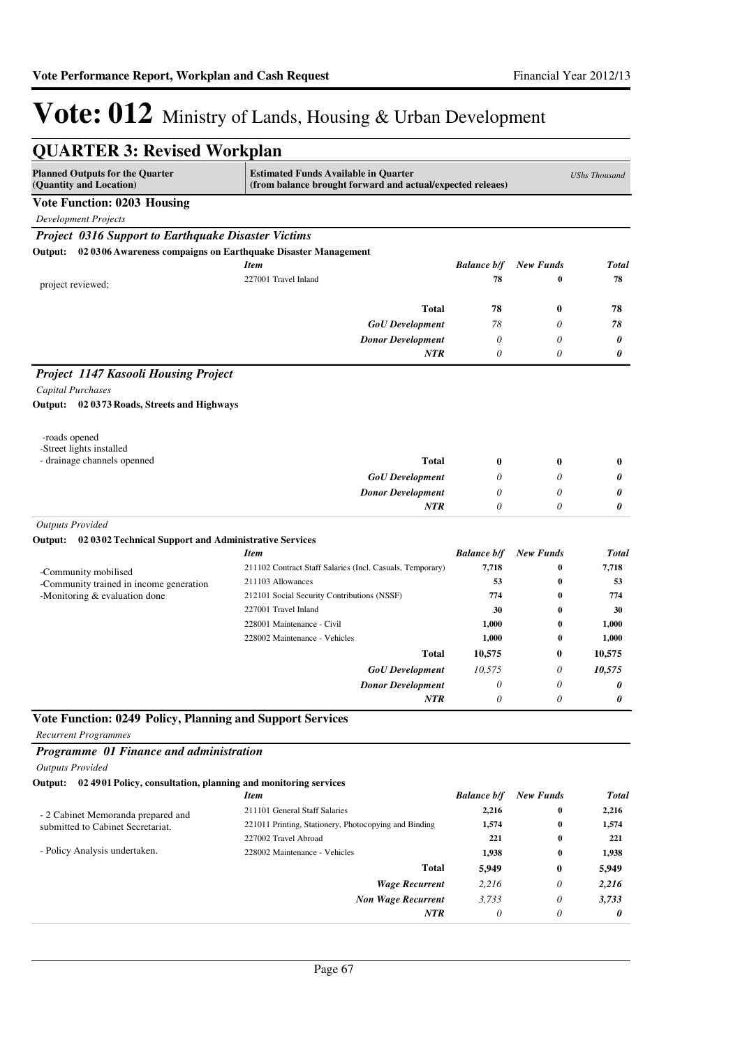| <b>QUARTER 3: Revised Workplan</b>                                     |                                                                                                           |                    |                      |                |
|------------------------------------------------------------------------|-----------------------------------------------------------------------------------------------------------|--------------------|----------------------|----------------|
| <b>Planned Outputs for the Quarter</b><br>(Quantity and Location)      | <b>Estimated Funds Available in Quarter</b><br>(from balance brought forward and actual/expected releaes) |                    | <b>UShs Thousand</b> |                |
| <b>Vote Function: 0203 Housing</b>                                     |                                                                                                           |                    |                      |                |
| <b>Development Projects</b>                                            |                                                                                                           |                    |                      |                |
| <b>Project 0316 Support to Earthquake Disaster Victims</b>             |                                                                                                           |                    |                      |                |
| Output: 02 0306 Awareness compaigns on Earthquake Disaster Management  |                                                                                                           |                    |                      |                |
|                                                                        | <b>Item</b>                                                                                               | <b>Balance b/f</b> | <b>New Funds</b>     | <b>Total</b>   |
| project reviewed;                                                      | 227001 Travel Inland                                                                                      | 78                 | $\bf{0}$             | 78             |
|                                                                        | Total                                                                                                     | 78                 | 0                    | 78             |
|                                                                        | <b>GoU</b> Development                                                                                    | 78                 | 0                    | 78             |
|                                                                        | <b>Donor Development</b>                                                                                  | $\theta$           | 0                    | 0              |
|                                                                        | <b>NTR</b>                                                                                                | $\theta$           | 0                    | 0              |
| Project 1147 Kasooli Housing Project                                   |                                                                                                           |                    |                      |                |
| Capital Purchases                                                      |                                                                                                           |                    |                      |                |
| Output: 02 0373 Roads, Streets and Highways                            |                                                                                                           |                    |                      |                |
| -roads opened                                                          |                                                                                                           |                    |                      |                |
| -Street lights installed                                               |                                                                                                           |                    |                      |                |
| - drainage channels openned                                            | <b>Total</b>                                                                                              | 0                  | 0                    | $\bf{0}$       |
|                                                                        | <b>GoU</b> Development                                                                                    | 0                  | 0                    | 0              |
|                                                                        | <b>Donor Development</b><br>NTR                                                                           | 0<br>0             | 0<br>0               | 0<br>0         |
| <b>Outputs Provided</b>                                                |                                                                                                           |                    |                      |                |
| 02 0302 Technical Support and Administrative Services<br>Output:       |                                                                                                           |                    |                      |                |
|                                                                        | <b>Item</b>                                                                                               | <b>Balance b/f</b> | <b>New Funds</b>     | <b>Total</b>   |
| -Community mobilised                                                   | 211102 Contract Staff Salaries (Incl. Casuals, Temporary)                                                 | 7,718              | $\bf{0}$             | 7,718          |
| -Community trained in income generation                                | 211103 Allowances                                                                                         | 53                 | $\bf{0}$             | 53             |
| -Monitoring & evaluation done                                          | 212101 Social Security Contributions (NSSF)                                                               | 774                | $\bf{0}$             | 774            |
|                                                                        | 227001 Travel Inland                                                                                      | 30                 | $\bf{0}$             | 30             |
|                                                                        | 228001 Maintenance - Civil<br>228002 Maintenance - Vehicles                                               | 1,000<br>1,000     | $\bf{0}$<br>0        | 1,000<br>1,000 |
|                                                                        | Total                                                                                                     | 10,575             | 0                    | 10,575         |
|                                                                        | <b>GoU</b> Development                                                                                    | 10,575             | 0                    | 10,575         |
|                                                                        | <b>Donor Development</b>                                                                                  | $\theta$           | 0                    | 0              |
|                                                                        | NTR                                                                                                       | 0                  | 0                    | 0              |
| Vote Function: 0249 Policy, Planning and Support Services              |                                                                                                           |                    |                      |                |
| <b>Recurrent Programmes</b>                                            |                                                                                                           |                    |                      |                |
| Programme 01 Finance and administration                                |                                                                                                           |                    |                      |                |
| <b>Outputs Provided</b>                                                |                                                                                                           |                    |                      |                |
| Output: 02 4901 Policy, consultation, planning and monitoring services |                                                                                                           |                    |                      |                |
|                                                                        | <b>Item</b>                                                                                               | <b>Balance b/f</b> | <b>New Funds</b>     | <b>Total</b>   |
| - 2 Cabinet Memoranda prepared and                                     | 211101 General Staff Salaries                                                                             | 2,216              | $\bf{0}$             | 2,216          |
| submitted to Cabinet Secretariat.                                      | 221011 Printing, Stationery, Photocopying and Binding<br>227002 Travel Abroad                             | 1,574<br>221       | $\bf{0}$<br>$\bf{0}$ | 1,574<br>221   |
| - Policy Analysis undertaken.                                          | 228002 Maintenance - Vehicles                                                                             | 1,938              | $\bf{0}$             | 1,938          |
|                                                                        | Total                                                                                                     | 5,949              | 0                    | 5,949          |
|                                                                        | <b>Wage Recurrent</b>                                                                                     | 2,216              | 0                    | 2,216          |
|                                                                        | <b>Non Wage Recurrent</b>                                                                                 | 3,733              | 0                    | 3,733          |
|                                                                        | NTR                                                                                                       | 0                  | 0                    | 0              |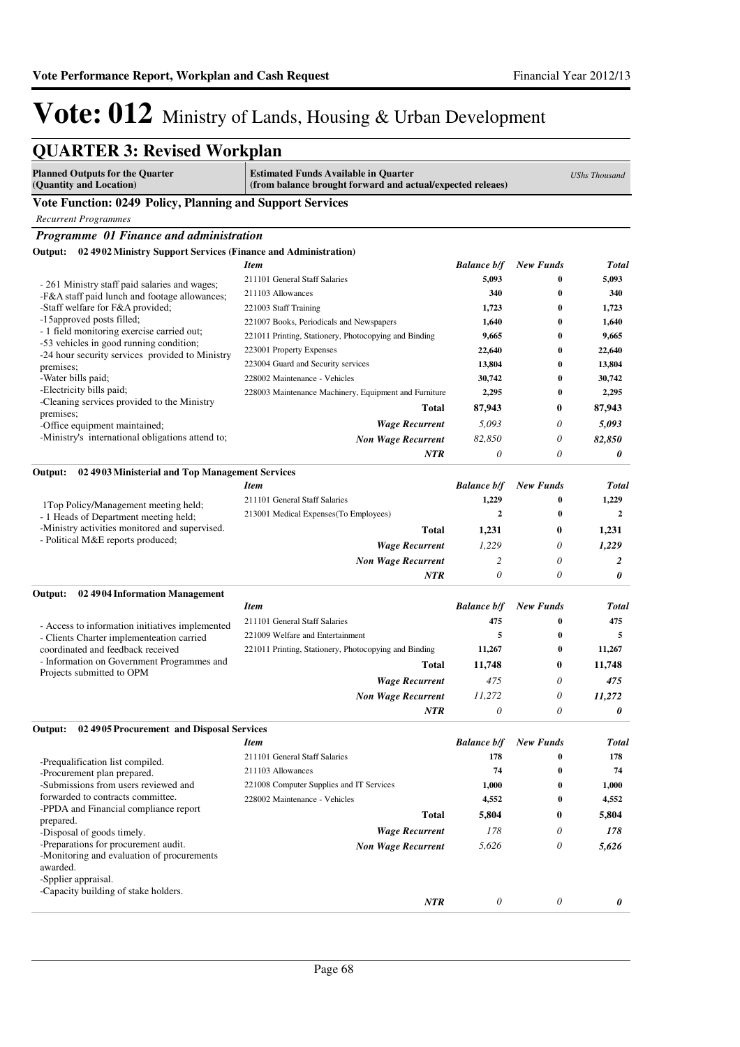*0*

*0*

*0*

# Vote: 012 Ministry of Lands, Housing & Urban Development

| <b>QUARTER 3: Revised Workplan</b>                                                           |                                                                                                                                   |                    |                  |              |  |
|----------------------------------------------------------------------------------------------|-----------------------------------------------------------------------------------------------------------------------------------|--------------------|------------------|--------------|--|
| <b>Planned Outputs for the Quarter</b><br>(Quantity and Location)                            | <b>Estimated Funds Available in Quarter</b><br><b>UShs Thousand</b><br>(from balance brought forward and actual/expected releaes) |                    |                  |              |  |
| <b>Vote Function: 0249 Policy, Planning and Support Services</b>                             |                                                                                                                                   |                    |                  |              |  |
| <b>Recurrent Programmes</b>                                                                  |                                                                                                                                   |                    |                  |              |  |
| Programme 01 Finance and administration                                                      |                                                                                                                                   |                    |                  |              |  |
| 02 4902 Ministry Support Services (Finance and Administration)<br>Output:                    |                                                                                                                                   |                    |                  |              |  |
|                                                                                              | <b>Item</b>                                                                                                                       | <b>Balance b/f</b> | <b>New Funds</b> | Total        |  |
| - 261 Ministry staff paid salaries and wages;                                                | 211101 General Staff Salaries                                                                                                     | 5,093              | $\bf{0}$         | 5,093        |  |
| -F&A staff paid lunch and footage allowances;                                                | 211103 Allowances                                                                                                                 | 340                | $\bf{0}$         | 340          |  |
| -Staff welfare for F&A provided;                                                             | 221003 Staff Training                                                                                                             | 1,723              | $\bf{0}$         | 1,723        |  |
| -15 approved posts filled;                                                                   | 221007 Books, Periodicals and Newspapers                                                                                          | 1,640              | $\bf{0}$         | 1,640        |  |
| - 1 field monitoring exercise carried out;<br>-53 vehicles in good running condition;        | 221011 Printing, Stationery, Photocopying and Binding                                                                             | 9,665              | $\bf{0}$         | 9,665        |  |
| -24 hour security services provided to Ministry                                              | 223001 Property Expenses                                                                                                          | 22,640             | $\bf{0}$         | 22,640       |  |
| premises;                                                                                    | 223004 Guard and Security services                                                                                                | 13,804             | $\bf{0}$         | 13,804       |  |
| -Water bills paid;                                                                           | 228002 Maintenance - Vehicles                                                                                                     | 30,742             | $\bf{0}$         | 30,742       |  |
| -Electricity bills paid;<br>-Cleaning services provided to the Ministry                      | 228003 Maintenance Machinery, Equipment and Furniture                                                                             | 2,295              | $\bf{0}$         | 2,295        |  |
| premises;                                                                                    | <b>Total</b>                                                                                                                      | 87,943             | 0                | 87,943       |  |
| -Office equipment maintained;                                                                | <b>Wage Recurrent</b>                                                                                                             | 5,093              | 0                | 5,093        |  |
| -Ministry's international obligations attend to;                                             | <b>Non Wage Recurrent</b>                                                                                                         | 82,850             | 0                | 82,850       |  |
|                                                                                              | <b>NTR</b>                                                                                                                        | $\theta$           | 0                | 0            |  |
| Output:<br>02 4903 Ministerial and Top Management Services                                   |                                                                                                                                   |                    |                  |              |  |
|                                                                                              | <b>Item</b>                                                                                                                       | <b>Balance b/f</b> | <b>New Funds</b> | Total        |  |
| 1Top Policy/Management meeting held;                                                         | 211101 General Staff Salaries                                                                                                     | 1,229              | $\bf{0}$         | 1,229        |  |
| - 1 Heads of Department meeting held;<br>-Ministry activities monitored and supervised.      | 213001 Medical Expenses (To Employees)                                                                                            | $\mathbf{2}$       | 0                | $\mathbf{2}$ |  |
|                                                                                              | Total                                                                                                                             | 1,231              | 0                | 1,231        |  |
| - Political M&E reports produced;                                                            | <b>Wage Recurrent</b>                                                                                                             | 1,229              | 0                | 1,229        |  |
|                                                                                              | <b>Non Wage Recurrent</b>                                                                                                         | 2                  | 0                | 2            |  |
|                                                                                              | <b>NTR</b>                                                                                                                        | 0                  | 0                | 0            |  |
| Output:<br>02 4904 Information Management                                                    |                                                                                                                                   |                    |                  |              |  |
|                                                                                              | <b>Item</b>                                                                                                                       | <b>Balance b/f</b> | <b>New Funds</b> | Total        |  |
|                                                                                              | 211101 General Staff Salaries                                                                                                     | 475                | 0                | 475          |  |
| - Access to information initiatives implemented<br>- Clients Charter implementeation carried | 221009 Welfare and Entertainment                                                                                                  | 5                  | $\bf{0}$         | 5            |  |
| coordinated and feedback received                                                            | 221011 Printing, Stationery, Photocopying and Binding                                                                             | 11,267             | 0                | 11,267       |  |
| - Information on Government Programmes and                                                   | Total                                                                                                                             | 11,748             | 0                | 11,748       |  |
| Projects submitted to OPM                                                                    | <b>Wage Recurrent</b>                                                                                                             | 475                | 0                | 475          |  |
|                                                                                              | <b>Non Wage Recurrent</b>                                                                                                         | 11,272             | 0                | 11,272       |  |
|                                                                                              | <b>NTR</b>                                                                                                                        | 0                  | 0                | 0            |  |
| 02 4905 Procurement and Disposal Services                                                    |                                                                                                                                   |                    |                  |              |  |
| Output:                                                                                      | <b>Item</b>                                                                                                                       | <b>Balance b/f</b> | <b>New Funds</b> | Total        |  |
|                                                                                              | 211101 General Staff Salaries                                                                                                     | 178                | $\bf{0}$         | 178          |  |
| -Prequalification list compiled.<br>-Procurement plan prepared.                              | 211103 Allowances                                                                                                                 | 74                 | $\bf{0}$         | 74           |  |
| -Submissions from users reviewed and                                                         | 221008 Computer Supplies and IT Services                                                                                          | 1,000              | 0                | 1,000        |  |
| forwarded to contracts committee.                                                            | 228002 Maintenance - Vehicles                                                                                                     | 4,552              | $\bf{0}$         | 4,552        |  |
| -PPDA and Financial compliance report                                                        | <b>Total</b>                                                                                                                      | 5,804              | 0                | 5,804        |  |
| prepared.<br>-Disposal of goods timely.                                                      | <b>Wage Recurrent</b>                                                                                                             | 178                | 0                | 178          |  |
| -Preparations for procurement audit.                                                         | <b>Non Wage Recurrent</b>                                                                                                         | 5,626              | 0                | 5,626        |  |
| -Monitoring and evaluation of procurements<br>awarded.                                       |                                                                                                                                   |                    |                  |              |  |

-Spplier appraisal.

-Capacity building of stake holders.

*NTR*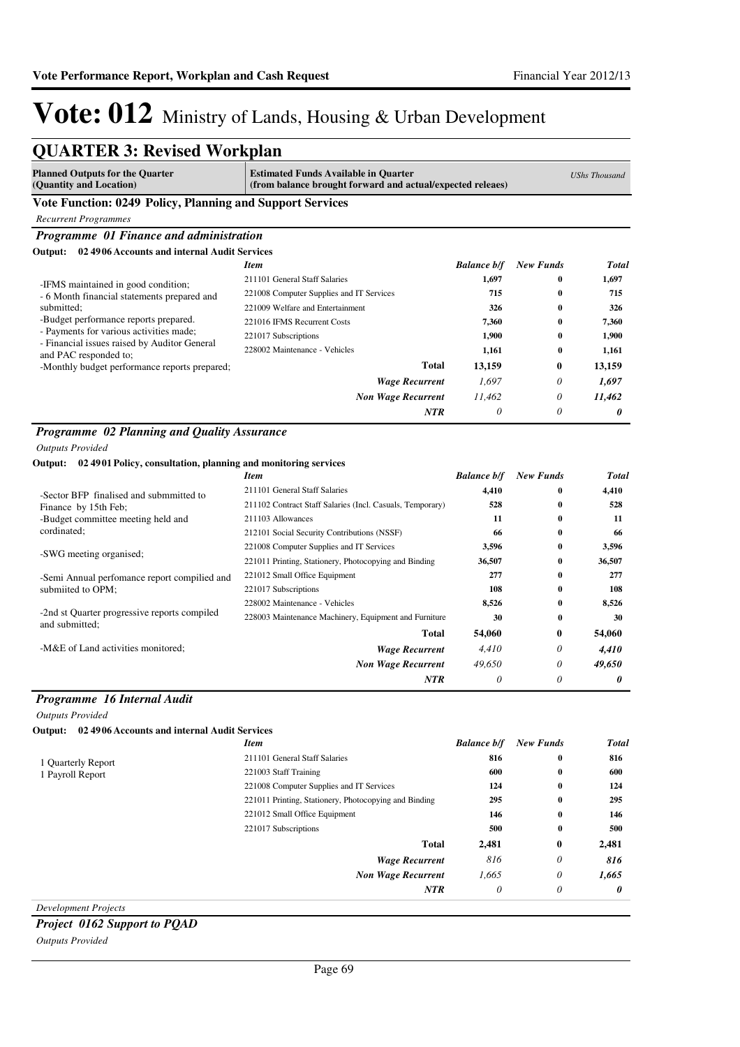*0*

*0*

*0*

# Vote: 012 Ministry of Lands, Housing & Urban Development

| <b>QUARTER 3: Revised Workplan</b>                                                      |                                                                                                           |                    |                  |                      |
|-----------------------------------------------------------------------------------------|-----------------------------------------------------------------------------------------------------------|--------------------|------------------|----------------------|
| <b>Planned Outputs for the Quarter</b><br>(Quantity and Location)                       | <b>Estimated Funds Available in Quarter</b><br>(from balance brought forward and actual/expected releaes) |                    |                  | <b>UShs Thousand</b> |
| Vote Function: 0249 Policy, Planning and Support Services                               |                                                                                                           |                    |                  |                      |
| <b>Recurrent Programmes</b>                                                             |                                                                                                           |                    |                  |                      |
| Programme 01 Finance and administration                                                 |                                                                                                           |                    |                  |                      |
| 02 4906 Accounts and internal Audit Services<br>Output:                                 |                                                                                                           |                    |                  |                      |
|                                                                                         | <b>Item</b>                                                                                               | <b>Balance b/f</b> | <b>New Funds</b> | <b>Total</b>         |
| -IFMS maintained in good condition;                                                     | 211101 General Staff Salaries                                                                             | 1,697              | 0                | 1,697                |
| - 6 Month financial statements prepared and                                             | 221008 Computer Supplies and IT Services                                                                  | 715                | 0                | 715                  |
| submitted:                                                                              | 221009 Welfare and Entertainment                                                                          | 326                | 0                | 326                  |
| -Budget performance reports prepared.                                                   | 221016 IFMS Recurrent Costs                                                                               | 7,360              | $\bf{0}$         | 7,360                |
| - Payments for various activities made;<br>- Financial issues raised by Auditor General | 221017 Subscriptions                                                                                      | 1,900              | $\bf{0}$         | 1,900                |
| and PAC responded to;                                                                   | 228002 Maintenance - Vehicles                                                                             | 1,161              | $\bf{0}$         | 1,161                |
| -Monthly budget performance reports prepared;                                           | <b>Total</b>                                                                                              | 13,159             | 0                | 13,159               |
|                                                                                         | <b>Wage Recurrent</b>                                                                                     | 1,697              | 0                | 1,697                |
|                                                                                         | <b>Non Wage Recurrent</b>                                                                                 | 11,462             | 0                | 11,462               |
|                                                                                         | <b>NTR</b>                                                                                                | 0                  | 0                | 0                    |
| Programme 02 Planning and Quality Assurance                                             |                                                                                                           |                    |                  |                      |
| <b>Outputs Provided</b>                                                                 |                                                                                                           |                    |                  |                      |
| Output: 02 4901 Policy, consultation, planning and monitoring services                  |                                                                                                           |                    |                  |                      |
|                                                                                         | <b>Item</b>                                                                                               | <b>Balance b/f</b> | <b>New Funds</b> | <b>Total</b>         |
| -Sector BFP finalised and submmitted to                                                 | 211101 General Staff Salaries                                                                             | 4,410              | $\bf{0}$         | 4,410                |
| Finance by 15th Feb;                                                                    | 211102 Contract Staff Salaries (Incl. Casuals, Temporary)                                                 | 528                | $\bf{0}$         | 528                  |
| -Budget committee meeting held and                                                      | 211103 Allowances                                                                                         | 11                 | $\bf{0}$         | 11                   |
| cordinated;                                                                             | 212101 Social Security Contributions (NSSF)                                                               | 66                 | 0                | 66                   |
| -SWG meeting organised;                                                                 | 221008 Computer Supplies and IT Services                                                                  | 3,596              | 0                | 3,596                |
|                                                                                         | 221011 Printing, Stationery, Photocopying and Binding                                                     | 36,507             | $\bf{0}$         | 36,507               |
| -Semi Annual perfomance report compilied and                                            | 221012 Small Office Equipment                                                                             | 277                | $\bf{0}$         | 277                  |
| submiited to OPM;                                                                       | 221017 Subscriptions                                                                                      | 108                | $\bf{0}$         | 108                  |
| -2nd st Quarter progressive reports compiled                                            | 228002 Maintenance - Vehicles                                                                             | 8,526              | $\bf{0}$         | 8,526                |
| and submitted:                                                                          | 228003 Maintenance Machinery, Equipment and Furniture                                                     | 30                 | $\bf{0}$         | 30                   |
|                                                                                         | <b>Total</b>                                                                                              | 54,060             | 0                | 54,060               |
| -M&E of Land activities monitored:                                                      | <b>Wage Recurrent</b>                                                                                     | 4,410              | 0                | 4,410                |
|                                                                                         | <b>Non Wage Recurrent</b>                                                                                 | 49,650             | 0                | 49,650               |
|                                                                                         | NTR                                                                                                       | 0                  | 0                | 0                    |
| Programme 16 Internal Audit                                                             |                                                                                                           |                    |                  |                      |
| <b>Outputs Provided</b>                                                                 |                                                                                                           |                    |                  |                      |
| Output: 02 4906 Accounts and internal Audit Services                                    |                                                                                                           |                    |                  |                      |
|                                                                                         | <b>Item</b>                                                                                               | <b>Balance b/f</b> | <b>New Funds</b> | <b>Total</b>         |
| 1 Quarterly Report                                                                      | 211101 General Staff Salaries                                                                             | 816                | $\bf{0}$         | 816                  |
| 1 Payroll Report                                                                        | 221003 Staff Training                                                                                     | 600                | $\bf{0}$         | 600                  |
|                                                                                         | 221008 Computer Supplies and IT Services                                                                  | 124                | 0                | 124                  |
|                                                                                         | 221011 Printing, Stationery, Photocopying and Binding                                                     | 295                | 0                | 295                  |
|                                                                                         | 221012 Small Office Equipment                                                                             | 146                | 0                | 146                  |
|                                                                                         | 221017 Subscriptions                                                                                      | 500                | 0                | 500                  |
|                                                                                         | <b>Total</b>                                                                                              | 2,481              | 0                | 2,481                |
|                                                                                         | <b>Wage Recurrent</b>                                                                                     | 816                | 0                | 816                  |
|                                                                                         | <b>Non Wage Recurrent</b>                                                                                 | 1,665              | 0                | 1,665                |

*Development Projects*

### *Project 0162 Support to PQAD*

*Outputs Provided*

*NTR*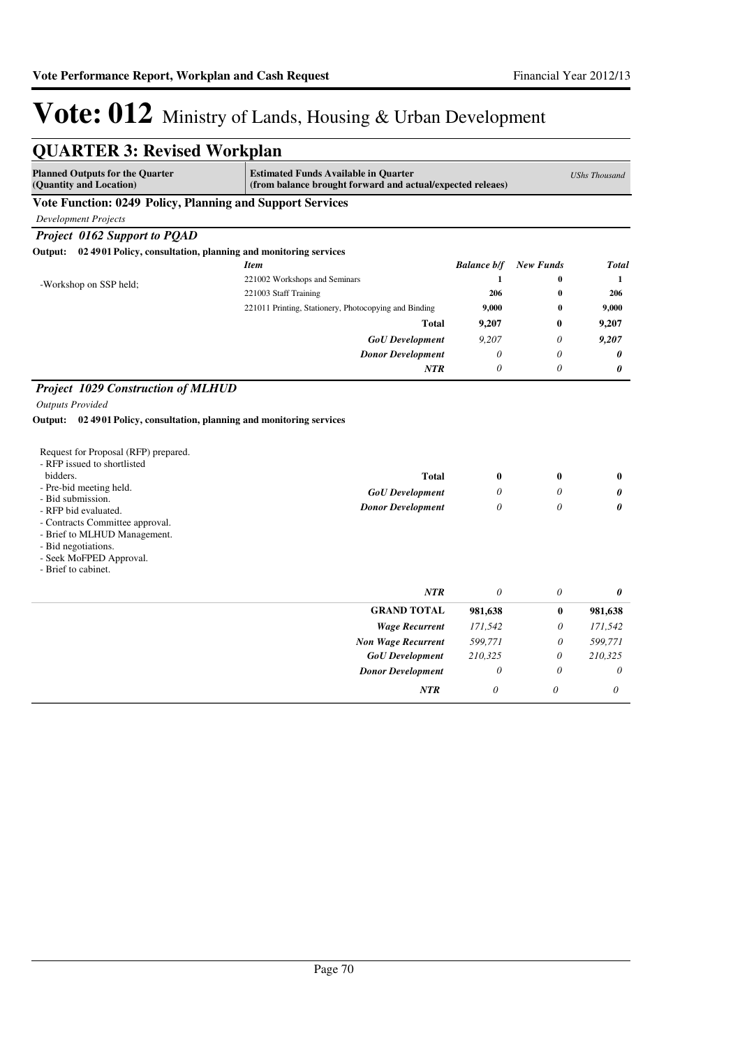| <b>QUARTER 3: Revised Workplan</b>                                                                                                                                                                                                                                                                  |                                                                                                                                   |                       |                               |                    |  |
|-----------------------------------------------------------------------------------------------------------------------------------------------------------------------------------------------------------------------------------------------------------------------------------------------------|-----------------------------------------------------------------------------------------------------------------------------------|-----------------------|-------------------------------|--------------------|--|
| <b>Planned Outputs for the Quarter</b><br>(Quantity and Location)                                                                                                                                                                                                                                   | <b>Estimated Funds Available in Quarter</b><br><b>UShs Thousand</b><br>(from balance brought forward and actual/expected releaes) |                       |                               |                    |  |
| Vote Function: 0249 Policy, Planning and Support Services                                                                                                                                                                                                                                           |                                                                                                                                   |                       |                               |                    |  |
| <b>Development Projects</b>                                                                                                                                                                                                                                                                         |                                                                                                                                   |                       |                               |                    |  |
| Project 0162 Support to POAD                                                                                                                                                                                                                                                                        |                                                                                                                                   |                       |                               |                    |  |
| Output: 02 4901 Policy, consultation, planning and monitoring services                                                                                                                                                                                                                              |                                                                                                                                   |                       |                               |                    |  |
|                                                                                                                                                                                                                                                                                                     | <b>Item</b>                                                                                                                       | <b>Balance b/f</b>    | <b>New Funds</b>              | <b>Total</b>       |  |
| -Workshop on SSP held;                                                                                                                                                                                                                                                                              | 221002 Workshops and Seminars                                                                                                     | 1                     | 0                             | 1                  |  |
|                                                                                                                                                                                                                                                                                                     | 221003 Staff Training                                                                                                             | 206                   | $\bf{0}$                      | 206                |  |
|                                                                                                                                                                                                                                                                                                     | 221011 Printing, Stationery, Photocopying and Binding                                                                             | 9,000                 | $\bf{0}$                      | 9,000              |  |
|                                                                                                                                                                                                                                                                                                     | <b>Total</b>                                                                                                                      | 9,207                 | $\bf{0}$                      | 9,207              |  |
|                                                                                                                                                                                                                                                                                                     | <b>GoU</b> Development                                                                                                            | 9,207                 | 0                             | 9,207              |  |
|                                                                                                                                                                                                                                                                                                     | <b>Donor Development</b>                                                                                                          | 0                     | 0                             | 0                  |  |
|                                                                                                                                                                                                                                                                                                     | <b>NTR</b>                                                                                                                        | $\theta$              | $\theta$                      | 0                  |  |
| Request for Proposal (RFP) prepared.<br>- RFP issued to shortlisted<br>bidders.<br>- Pre-bid meeting held.<br>- Bid submission.<br>- RFP bid evaluated.<br>- Contracts Committee approval.<br>- Brief to MLHUD Management.<br>- Bid negotiations.<br>- Seek MoFPED Approval.<br>- Brief to cabinet. | <b>Total</b><br><b>GoU</b> Development<br><b>Donor Development</b>                                                                | 0<br>0<br>$\theta$    | $\mathbf{0}$<br>0<br>$\theta$ | $\bf{0}$<br>0<br>0 |  |
|                                                                                                                                                                                                                                                                                                     | <b>NTR</b>                                                                                                                        | $\theta$              | 0                             | 0                  |  |
|                                                                                                                                                                                                                                                                                                     | <b>GRAND TOTAL</b>                                                                                                                | 981,638               | $\bf{0}$                      | 981,638            |  |
|                                                                                                                                                                                                                                                                                                     | <b>Wage Recurrent</b>                                                                                                             | 171,542               | 0                             | 171,542            |  |
|                                                                                                                                                                                                                                                                                                     | <b>Non Wage Recurrent</b>                                                                                                         | 599,771               | 0                             | 599,771            |  |
|                                                                                                                                                                                                                                                                                                     | <b>GoU</b> Development                                                                                                            | 210,325               | $\theta$                      | 210,325            |  |
|                                                                                                                                                                                                                                                                                                     | <b>Donor Development</b>                                                                                                          | $\theta$              | $\theta$                      | $\theta$           |  |
|                                                                                                                                                                                                                                                                                                     | <b>NTR</b>                                                                                                                        | $\boldsymbol{\theta}$ | 0                             | $\theta$           |  |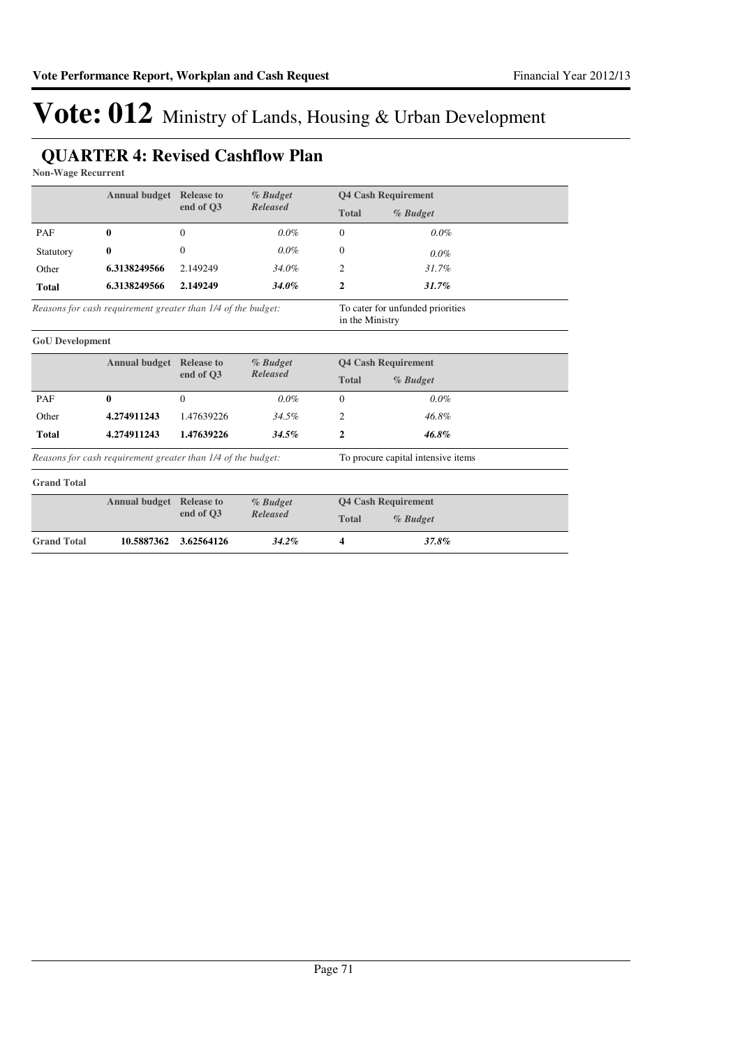### **QUARTER 4: Revised Cashflow Plan**

**Non-Wage Recurrent**

|                                                                                                                     | <b>Annual budget</b> Release to                              | % Budget     |                             |              | <b>Q4 Cash Requirement</b>         |
|---------------------------------------------------------------------------------------------------------------------|--------------------------------------------------------------|--------------|-----------------------------|--------------|------------------------------------|
|                                                                                                                     |                                                              | end of O3    | Released                    | <b>Total</b> | % Budget                           |
| PAF                                                                                                                 | 0                                                            | $\Omega$     | $0.0\%$                     | $\theta$     | $0.0\%$                            |
| Statutory                                                                                                           | 0                                                            | $\Omega$     | $0.0\%$                     | $\Omega$     | $0.0\%$                            |
| Other                                                                                                               | 6.3138249566                                                 | 2.149249     | 34.0%                       | 2            | 31.7%                              |
| <b>Total</b>                                                                                                        | 6.3138249566                                                 | 2.149249     | 34.0%                       | $\mathbf{2}$ | 31.7%                              |
| Reasons for cash requirement greater than 1/4 of the budget:<br>To cater for unfunded priorities<br>in the Ministry |                                                              |              |                             |              |                                    |
| <b>GoU</b> Development                                                                                              |                                                              |              |                             |              |                                    |
|                                                                                                                     | <b>Annual budget</b> Release to                              |              | % Budget                    |              | <b>Q4 Cash Requirement</b>         |
|                                                                                                                     | end of O3<br>Released                                        |              | <b>Total</b>                | % Budget     |                                    |
| PAF                                                                                                                 | 0                                                            | $\mathbf{0}$ | $0.0\%$                     | $\theta$     | $0.0\%$                            |
| Other                                                                                                               | 4.274911243                                                  | 1.47639226   | 34.5%                       | 2            | 46.8%                              |
| <b>Total</b>                                                                                                        | 4.274911243                                                  | 1.47639226   | 34.5%                       | 2            | 46.8%                              |
|                                                                                                                     | Reasons for cash requirement greater than 1/4 of the budget: |              |                             |              | To procure capital intensive items |
| <b>Grand Total</b>                                                                                                  |                                                              |              |                             |              |                                    |
|                                                                                                                     | <b>Annual budget</b> Release to                              | end of Q3    | % Budget<br><b>Released</b> |              | <b>Q4 Cash Requirement</b>         |
|                                                                                                                     |                                                              |              |                             | <b>Total</b> | % Budget                           |
| <b>Grand Total</b>                                                                                                  | 10.5887362                                                   | 3.62564126   | 34.2%                       | 4            | 37.8%                              |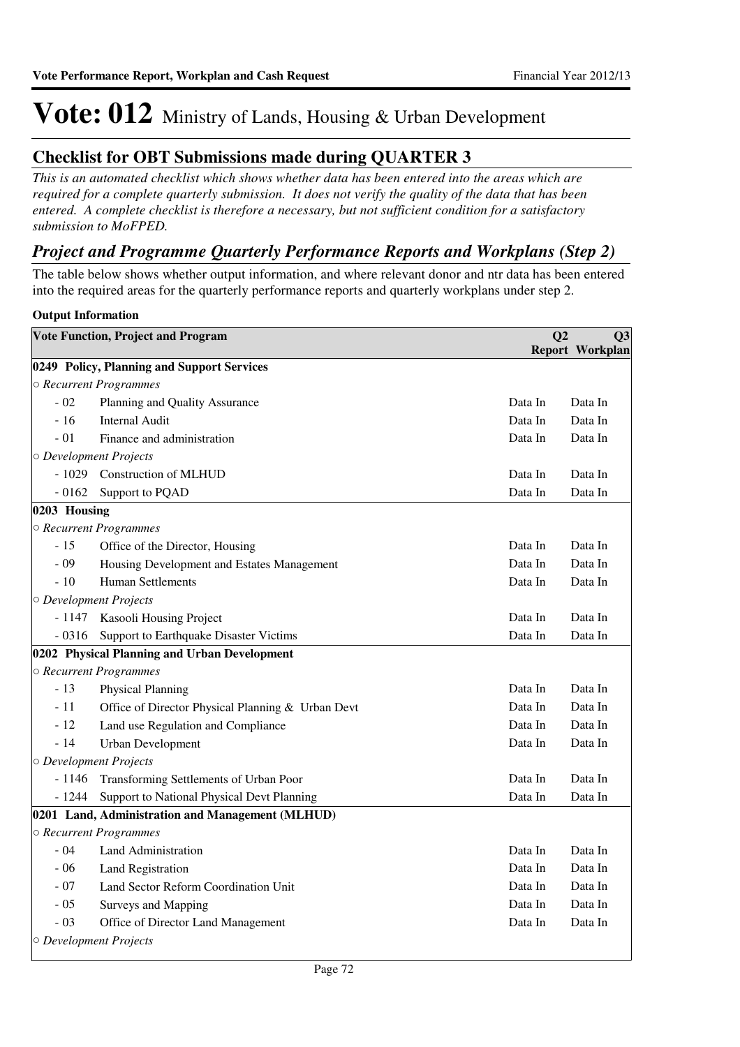### **Checklist for OBT Submissions made during QUARTER 3**

*This is an automated checklist which shows whether data has been entered into the areas which are required for a complete quarterly submission. It does not verify the quality of the data that has been entered. A complete checklist is therefore a necessary, but not sufficient condition for a satisfactory submission to MoFPED.*

### *Project and Programme Quarterly Performance Reports and Workplans (Step 2)*

The table below shows whether output information, and where relevant donor and ntr data has been entered into the required areas for the quarterly performance reports and quarterly workplans under step 2.

### **Output Information**

|              | <b>Vote Function, Project and Program</b>         | Q <sub>2</sub> | Q <sub>3</sub>         |
|--------------|---------------------------------------------------|----------------|------------------------|
|              |                                                   |                | <b>Report Workplan</b> |
|              | 0249 Policy, Planning and Support Services        |                |                        |
|              | ○ Recurrent Programmes                            |                |                        |
| $-02$        | Planning and Quality Assurance                    | Data In        | Data In                |
| $-16$        | <b>Internal Audit</b>                             | Data In        | Data In                |
| $-01$        | Finance and administration                        | Data In        | Data In                |
|              | $\circ$ Development Projects                      |                |                        |
| $-1029$      | <b>Construction of MLHUD</b>                      | Data In        | Data In                |
| $-0162$      | Support to PQAD                                   | Data In        | Data In                |
| 0203 Housing |                                                   |                |                        |
|              | ○ Recurrent Programmes                            |                |                        |
| $-15$        | Office of the Director, Housing                   | Data In        | Data In                |
| $-09$        | Housing Development and Estates Management        | Data In        | Data In                |
| $-10$        | <b>Human Settlements</b>                          | Data In        | Data In                |
|              | $\circ$ Development Projects                      |                |                        |
| - 1147       | Kasooli Housing Project                           | Data In        | Data In                |
| $-0316$      | Support to Earthquake Disaster Victims            | Data In        | Data In                |
|              | 0202 Physical Planning and Urban Development      |                |                        |
|              | ○ Recurrent Programmes                            |                |                        |
| $-13$        | <b>Physical Planning</b>                          | Data In        | Data In                |
| $-11$        | Office of Director Physical Planning & Urban Devt | Data In        | Data In                |
| $-12$        | Land use Regulation and Compliance                | Data In        | Data In                |
| $-14$        | <b>Urban Development</b>                          | Data In        | Data In                |
|              | O Development Projects                            |                |                        |
| $-1146$      | Transforming Settlements of Urban Poor            | Data In        | Data In                |
| $-1244$      | Support to National Physical Devt Planning        | Data In        | Data In                |
|              | 0201 Land, Administration and Management (MLHUD)  |                |                        |
|              | ○ Recurrent Programmes                            |                |                        |
| $-04$        | <b>Land Administration</b>                        | Data In        | Data In                |
| $-06$        | Land Registration                                 | Data In        | Data In                |
| $-07$        | Land Sector Reform Coordination Unit              | Data In        | Data In                |
| $-05$        | Surveys and Mapping                               | Data In        | Data In                |
| $-03$        | Office of Director Land Management                | Data In        | Data In                |
|              | O Development Projects                            |                |                        |